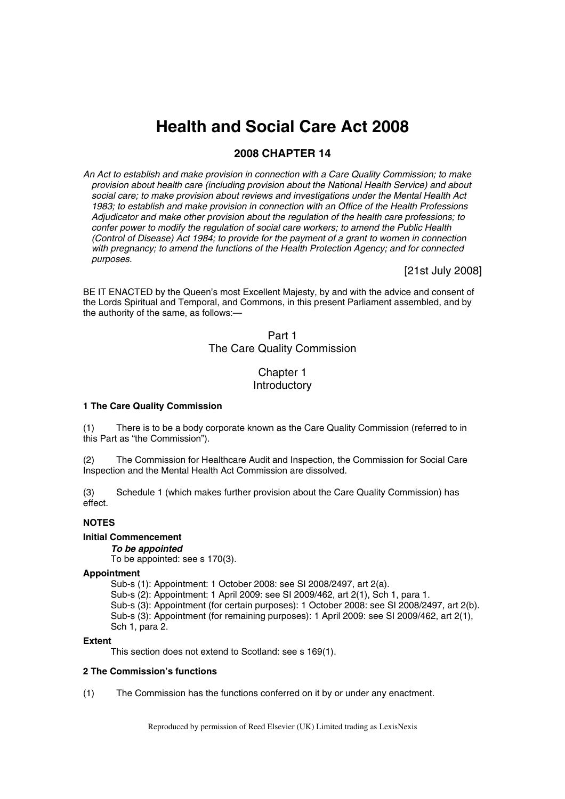# **Health and Social Care Act 2008**

# **2008 CHAPTER 14**

*An Act to establish and make provision in connection with a Care Quality Commission; to make provision about health care (including provision about the National Health Service) and about social care; to make provision about reviews and investigations under the Mental Health Act 1983; to establish and make provision in connection with an Office of the Health Professions Adjudicator and make other provision about the regulation of the health care professions; to confer power to modify the regulation of social care workers; to amend the Public Health (Control of Disease) Act 1984; to provide for the payment of a grant to women in connection with pregnancy; to amend the functions of the Health Protection Agency; and for connected purposes.* 

[21st July 2008]

BE IT ENACTED by the Queen's most Excellent Majesty, by and with the advice and consent of the Lords Spiritual and Temporal, and Commons, in this present Parliament assembled, and by the authority of the same, as follows:—

# Part 1 The Care Quality Commission

# Chapter 1 **Introductory**

### **1 The Care Quality Commission**

(1) There is to be a body corporate known as the Care Quality Commission (referred to in this Part as "the Commission").

(2) The Commission for Healthcare Audit and Inspection, the Commission for Social Care Inspection and the Mental Health Act Commission are dissolved.

(3) Schedule 1 (which makes further provision about the Care Quality Commission) has effect.

# **NOTES**

# **Initial Commencement**

### *To be appointed*

To be appointed: see s 170(3).

### **Appointment**

Sub-s (1): Appointment: 1 October 2008: see SI 2008/2497, art 2(a). Sub-s (2): Appointment: 1 April 2009: see SI 2009/462, art 2(1), Sch 1, para 1. Sub-s (3): Appointment (for certain purposes): 1 October 2008: see SI 2008/2497, art 2(b). Sub-s (3): Appointment (for remaining purposes): 1 April 2009: see SI 2009/462, art 2(1), Sch 1, para 2.

### **Extent**

This section does not extend to Scotland: see s 169(1).

# **2 The Commission's functions**

(1) The Commission has the functions conferred on it by or under any enactment.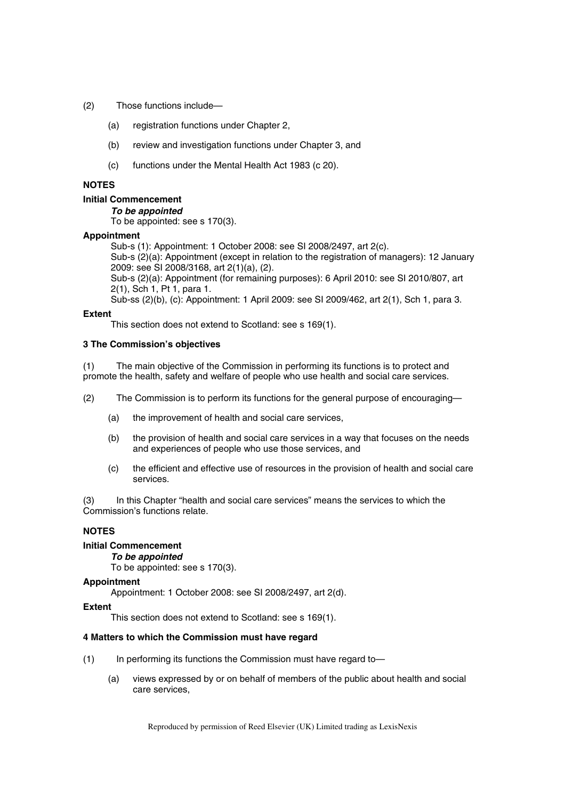- (2) Those functions include—
	- (a) registration functions under Chapter 2,
	- (b) review and investigation functions under Chapter 3, and
	- (c) functions under the Mental Health Act 1983 (c 20).

# **NOTES**

# **Initial Commencement**

#### *To be appointed*

To be appointed: see s 170(3).

# **Appointment**

Sub-s (1): Appointment: 1 October 2008: see SI 2008/2497, art 2(c). Sub-s (2)(a): Appointment (except in relation to the registration of managers): 12 January 2009: see SI 2008/3168, art 2(1)(a), (2). Sub-s (2)(a): Appointment (for remaining purposes): 6 April 2010: see SI 2010/807, art 2(1), Sch 1, Pt 1, para 1. Sub-ss (2)(b), (c): Appointment: 1 April 2009: see SI 2009/462, art 2(1), Sch 1, para 3.

### **Extent**

This section does not extend to Scotland: see s 169(1).

### **3 The Commission's objectives**

(1) The main objective of the Commission in performing its functions is to protect and promote the health, safety and welfare of people who use health and social care services.

(2) The Commission is to perform its functions for the general purpose of encouraging—

- (a) the improvement of health and social care services,
- (b) the provision of health and social care services in a way that focuses on the needs and experiences of people who use those services, and
- (c) the efficient and effective use of resources in the provision of health and social care services.

(3) In this Chapter "health and social care services" means the services to which the Commission's functions relate.

# **NOTES**

### **Initial Commencement**

### *To be appointed*

To be appointed: see s 170(3).

### **Appointment**

Appointment: 1 October 2008: see SI 2008/2497, art 2(d).

### **Extent**

This section does not extend to Scotland: see s 169(1).

### **4 Matters to which the Commission must have regard**

- (1) In performing its functions the Commission must have regard to—
	- (a) views expressed by or on behalf of members of the public about health and social care services,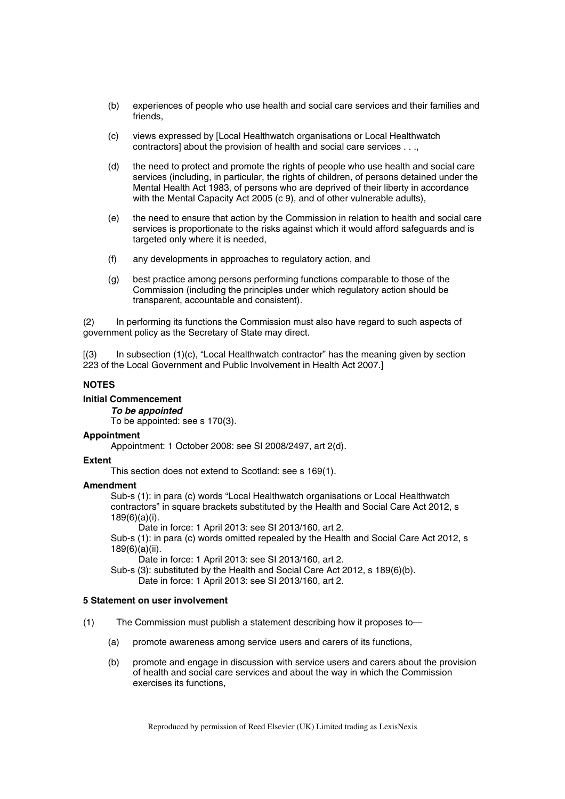- (b) experiences of people who use health and social care services and their families and friends,
- (c) views expressed by [Local Healthwatch organisations or Local Healthwatch contractors] about the provision of health and social care services . . .,
- (d) the need to protect and promote the rights of people who use health and social care services (including, in particular, the rights of children, of persons detained under the Mental Health Act 1983, of persons who are deprived of their liberty in accordance with the Mental Capacity Act 2005 (c 9), and of other vulnerable adults),
- (e) the need to ensure that action by the Commission in relation to health and social care services is proportionate to the risks against which it would afford safeguards and is targeted only where it is needed,
- (f) any developments in approaches to regulatory action, and
- (g) best practice among persons performing functions comparable to those of the Commission (including the principles under which regulatory action should be transparent, accountable and consistent).

(2) In performing its functions the Commission must also have regard to such aspects of government policy as the Secretary of State may direct.

[(3) In subsection (1)(c), "Local Healthwatch contractor" has the meaning given by section 223 of the Local Government and Public Involvement in Health Act 2007.]

### **NOTES**

**Initial Commencement** 

*To be appointed* 

To be appointed: see s 170(3).

### **Appointment**

Appointment: 1 October 2008: see SI 2008/2497, art 2(d).

# **Extent**

This section does not extend to Scotland: see s 169(1).

### **Amendment**

Sub-s (1): in para (c) words "Local Healthwatch organisations or Local Healthwatch contractors" in square brackets substituted by the Health and Social Care Act 2012, s 189(6)(a)(i).

Date in force: 1 April 2013: see SI 2013/160, art 2.

Sub-s (1): in para (c) words omitted repealed by the Health and Social Care Act 2012, s 189(6)(a)(ii).

Date in force: 1 April 2013: see SI 2013/160, art 2.

Sub-s (3): substituted by the Health and Social Care Act 2012, s 189(6)(b). Date in force: 1 April 2013: see SI 2013/160, art 2.

### **5 Statement on user involvement**

(1) The Commission must publish a statement describing how it proposes to—

- (a) promote awareness among service users and carers of its functions,
- (b) promote and engage in discussion with service users and carers about the provision of health and social care services and about the way in which the Commission exercises its functions,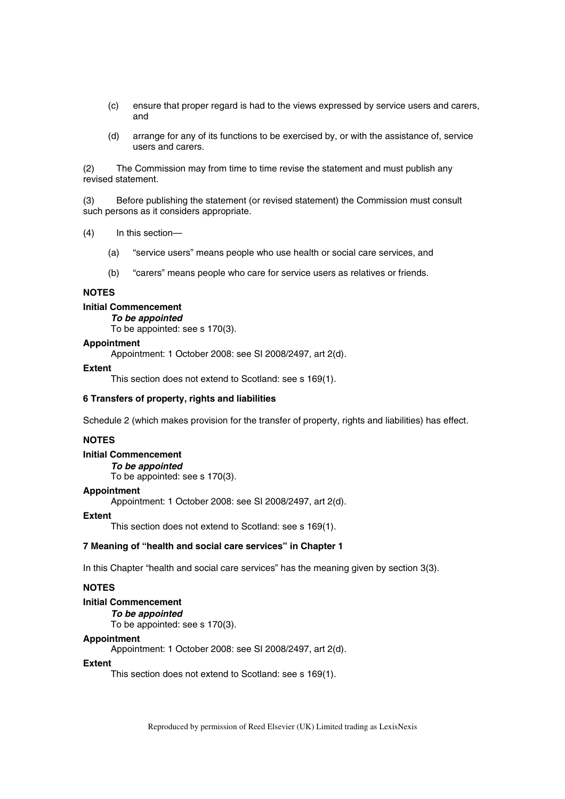- (c) ensure that proper regard is had to the views expressed by service users and carers, and
- (d) arrange for any of its functions to be exercised by, or with the assistance of, service users and carers.

(2) The Commission may from time to time revise the statement and must publish any revised statement.

(3) Before publishing the statement (or revised statement) the Commission must consult such persons as it considers appropriate.

- (4) In this section—
	- (a) "service users" means people who use health or social care services, and
	- (b) "carers" means people who care for service users as relatives or friends.

### **NOTES**

# **Initial Commencement**

*To be appointed* 

To be appointed: see s 170(3).

### **Appointment**

Appointment: 1 October 2008: see SI 2008/2497, art 2(d).

### **Extent**

This section does not extend to Scotland: see s 169(1).

### **6 Transfers of property, rights and liabilities**

Schedule 2 (which makes provision for the transfer of property, rights and liabilities) has effect.

### **NOTES**

### **Initial Commencement**

*To be appointed*  To be appointed: see s 170(3).

# **Appointment**

Appointment: 1 October 2008: see SI 2008/2497, art 2(d).

#### **Extent**

This section does not extend to Scotland: see s 169(1).

### **7 Meaning of "health and social care services" in Chapter 1**

In this Chapter "health and social care services" has the meaning given by section 3(3).

# **NOTES**

# **Initial Commencement**

*To be appointed*  To be appointed: see s 170(3).

### **Appointment**

Appointment: 1 October 2008: see SI 2008/2497, art 2(d).

### **Extent**

This section does not extend to Scotland: see s 169(1).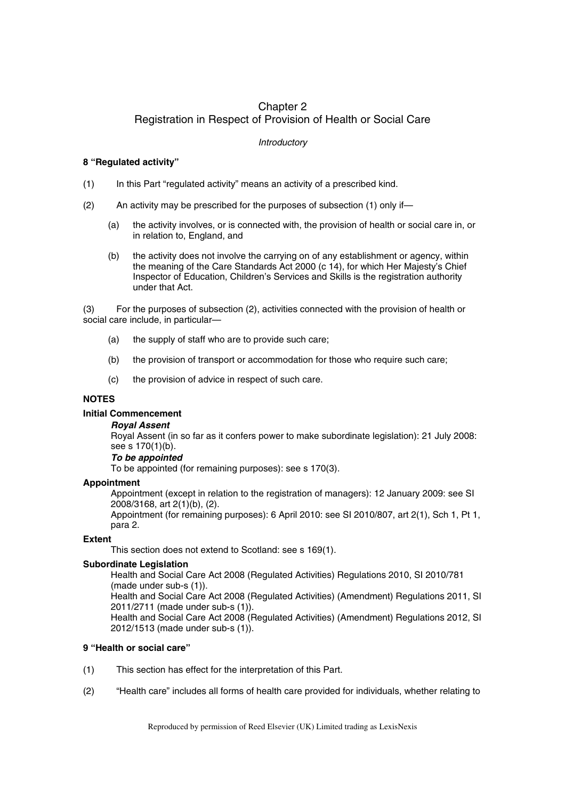# Chapter 2 Registration in Respect of Provision of Health or Social Care

# *Introductory*

# **8 "Regulated activity"**

- (1) In this Part "regulated activity" means an activity of a prescribed kind.
- (2) An activity may be prescribed for the purposes of subsection (1) only if—
	- (a) the activity involves, or is connected with, the provision of health or social care in, or in relation to, England, and
	- (b) the activity does not involve the carrying on of any establishment or agency, within the meaning of the Care Standards Act 2000 (c 14), for which Her Majesty's Chief Inspector of Education, Children's Services and Skills is the registration authority under that Act.

(3) For the purposes of subsection (2), activities connected with the provision of health or social care include, in particular—

- (a) the supply of staff who are to provide such care;
- (b) the provision of transport or accommodation for those who require such care;
- (c) the provision of advice in respect of such care.

# **NOTES**

# **Initial Commencement**

# *Royal Assent*

Royal Assent (in so far as it confers power to make subordinate legislation): 21 July 2008: see s 170(1)(b).

# *To be appointed*

To be appointed (for remaining purposes): see s 170(3).

# **Appointment**

Appointment (except in relation to the registration of managers): 12 January 2009: see SI 2008/3168, art 2(1)(b), (2).

Appointment (for remaining purposes): 6 April 2010: see SI 2010/807, art 2(1), Sch 1, Pt 1, para 2.

# **Extent**

This section does not extend to Scotland: see s 169(1).

# **Subordinate Legislation**

Health and Social Care Act 2008 (Regulated Activities) Regulations 2010, SI 2010/781 (made under sub-s (1)).

Health and Social Care Act 2008 (Regulated Activities) (Amendment) Regulations 2011, SI 2011/2711 (made under sub-s (1)).

Health and Social Care Act 2008 (Regulated Activities) (Amendment) Regulations 2012, SI 2012/1513 (made under sub-s (1)).

# **9 "Health or social care"**

- (1) This section has effect for the interpretation of this Part.
- (2) "Health care" includes all forms of health care provided for individuals, whether relating to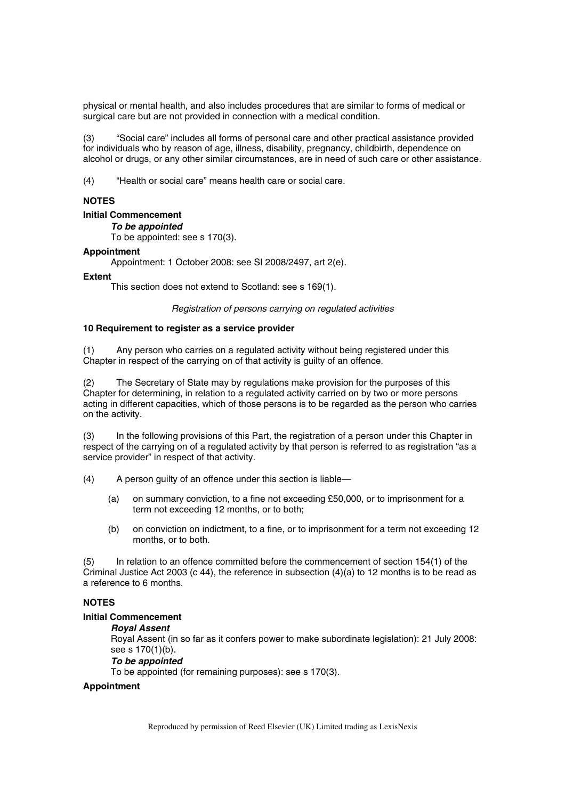physical or mental health, and also includes procedures that are similar to forms of medical or surgical care but are not provided in connection with a medical condition.

(3) "Social care" includes all forms of personal care and other practical assistance provided for individuals who by reason of age, illness, disability, pregnancy, childbirth, dependence on alcohol or drugs, or any other similar circumstances, are in need of such care or other assistance.

(4) "Health or social care" means health care or social care.

# **NOTES**

# **Initial Commencement**

*To be appointed* 

To be appointed: see s 170(3).

# **Appointment**

Appointment: 1 October 2008: see SI 2008/2497, art 2(e).

### **Extent**

This section does not extend to Scotland: see s 169(1).

*Registration of persons carrying on regulated activities* 

### **10 Requirement to register as a service provider**

(1) Any person who carries on a regulated activity without being registered under this Chapter in respect of the carrying on of that activity is guilty of an offence.

The Secretary of State may by regulations make provision for the purposes of this Chapter for determining, in relation to a regulated activity carried on by two or more persons acting in different capacities, which of those persons is to be regarded as the person who carries on the activity.

(3) In the following provisions of this Part, the registration of a person under this Chapter in respect of the carrying on of a regulated activity by that person is referred to as registration "as a service provider" in respect of that activity.

(4) A person guilty of an offence under this section is liable—

- (a) on summary conviction, to a fine not exceeding £50,000, or to imprisonment for a term not exceeding 12 months, or to both;
- (b) on conviction on indictment, to a fine, or to imprisonment for a term not exceeding 12 months, or to both.

(5) In relation to an offence committed before the commencement of section 154(1) of the Criminal Justice Act 2003 (c 44), the reference in subsection  $(4)(a)$  to 12 months is to be read as a reference to 6 months.

# **NOTES**

# **Initial Commencement**

### *Royal Assent*

Royal Assent (in so far as it confers power to make subordinate legislation): 21 July 2008: see s 170(1)(b).

### *To be appointed*

To be appointed (for remaining purposes): see s 170(3).

# **Appointment**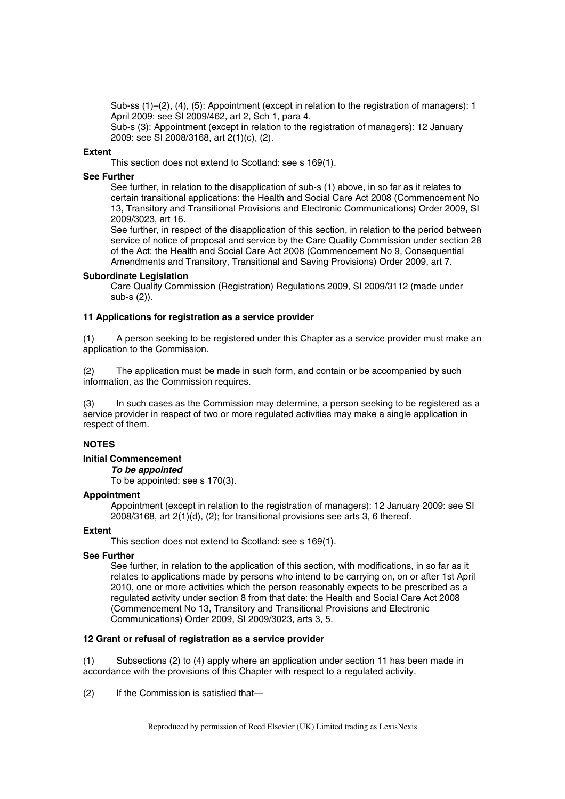Sub-ss (1)–(2), (4), (5): Appointment (except in relation to the registration of managers): 1 April 2009: see SI 2009/462, art 2, Sch 1, para 4.

Sub-s (3): Appointment (except in relation to the registration of managers): 12 January 2009: see SI 2008/3168, art 2(1)(c), (2).

### **Extent**

This section does not extend to Scotland: see s 169(1).

### **See Further**

See further, in relation to the disapplication of sub-s (1) above, in so far as it relates to certain transitional applications: the Health and Social Care Act 2008 (Commencement No 13, Transitory and Transitional Provisions and Electronic Communications) Order 2009, SI 2009/3023, art 16.

See further, in respect of the disapplication of this section, in relation to the period between service of notice of proposal and service by the Care Quality Commission under section 28 of the Act: the Health and Social Care Act 2008 (Commencement No 9, Consequential Amendments and Transitory, Transitional and Saving Provisions) Order 2009, art 7.

### **Subordinate Legislation**

Care Quality Commission (Registration) Regulations 2009, SI 2009/3112 (made under sub-s (2)).

# **11 Applications for registration as a service provider**

(1) A person seeking to be registered under this Chapter as a service provider must make an application to the Commission.

(2) The application must be made in such form, and contain or be accompanied by such information, as the Commission requires.

(3) In such cases as the Commission may determine, a person seeking to be registered as a service provider in respect of two or more regulated activities may make a single application in respect of them.

# **NOTES**

### **Initial Commencement**

*To be appointed* 

To be appointed: see s 170(3).

# **Appointment**

Appointment (except in relation to the registration of managers): 12 January 2009: see SI 2008/3168, art 2(1)(d), (2); for transitional provisions see arts 3, 6 thereof.

### **Extent**

This section does not extend to Scotland: see s 169(1).

# **See Further**

See further, in relation to the application of this section, with modifications, in so far as it relates to applications made by persons who intend to be carrying on, on or after 1st April 2010, one or more activities which the person reasonably expects to be prescribed as a regulated activity under section 8 from that date: the Health and Social Care Act 2008 (Commencement No 13, Transitory and Transitional Provisions and Electronic Communications) Order 2009, SI 2009/3023, arts 3, 5.

# **12 Grant or refusal of registration as a service provider**

(1) Subsections (2) to (4) apply where an application under section 11 has been made in accordance with the provisions of this Chapter with respect to a regulated activity.

(2) If the Commission is satisfied that—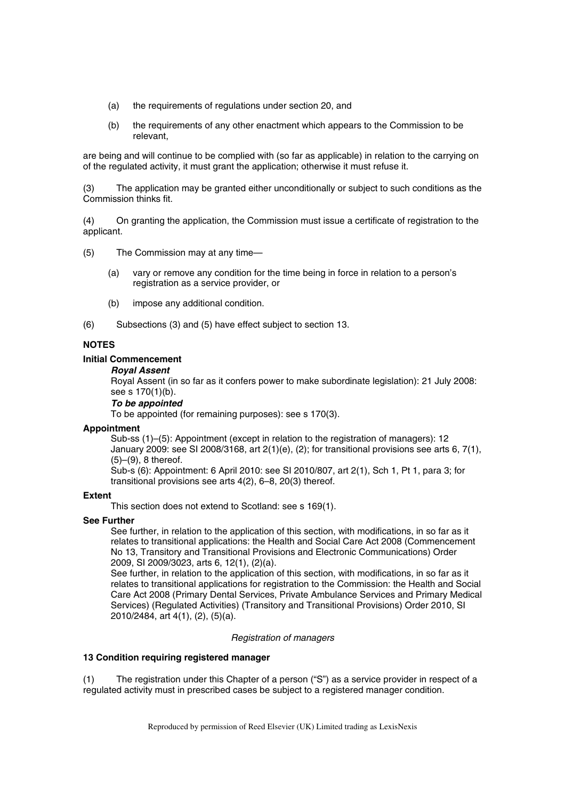- (a) the requirements of regulations under section 20, and
- (b) the requirements of any other enactment which appears to the Commission to be relevant,

are being and will continue to be complied with (so far as applicable) in relation to the carrying on of the regulated activity, it must grant the application; otherwise it must refuse it.

(3) The application may be granted either unconditionally or subject to such conditions as the Commission thinks fit.

(4) On granting the application, the Commission must issue a certificate of registration to the applicant.

- (5) The Commission may at any time—
	- (a) vary or remove any condition for the time being in force in relation to a person's registration as a service provider, or
	- (b) impose any additional condition.
- (6) Subsections (3) and (5) have effect subject to section 13.

# **NOTES**

### **Initial Commencement**

### *Royal Assent*

Royal Assent (in so far as it confers power to make subordinate legislation): 21 July 2008: see s 170(1)(b).

# *To be appointed*

To be appointed (for remaining purposes): see s 170(3).

### **Appointment**

Sub-ss (1)–(5): Appointment (except in relation to the registration of managers): 12 January 2009: see SI 2008/3168, art 2(1)(e), (2); for transitional provisions see arts 6, 7(1), (5)–(9), 8 thereof.

Sub-s (6): Appointment: 6 April 2010: see SI 2010/807, art 2(1), Sch 1, Pt 1, para 3; for transitional provisions see arts 4(2), 6–8, 20(3) thereof.

### **Extent**

This section does not extend to Scotland: see s 169(1).

### **See Further**

See further, in relation to the application of this section, with modifications, in so far as it relates to transitional applications: the Health and Social Care Act 2008 (Commencement No 13, Transitory and Transitional Provisions and Electronic Communications) Order 2009, SI 2009/3023, arts 6, 12(1), (2)(a).

See further, in relation to the application of this section, with modifications, in so far as it relates to transitional applications for registration to the Commission: the Health and Social Care Act 2008 (Primary Dental Services, Private Ambulance Services and Primary Medical Services) (Regulated Activities) (Transitory and Transitional Provisions) Order 2010, SI 2010/2484, art 4(1), (2), (5)(a).

# *Registration of managers*

### **13 Condition requiring registered manager**

(1) The registration under this Chapter of a person ("S") as a service provider in respect of a regulated activity must in prescribed cases be subject to a registered manager condition.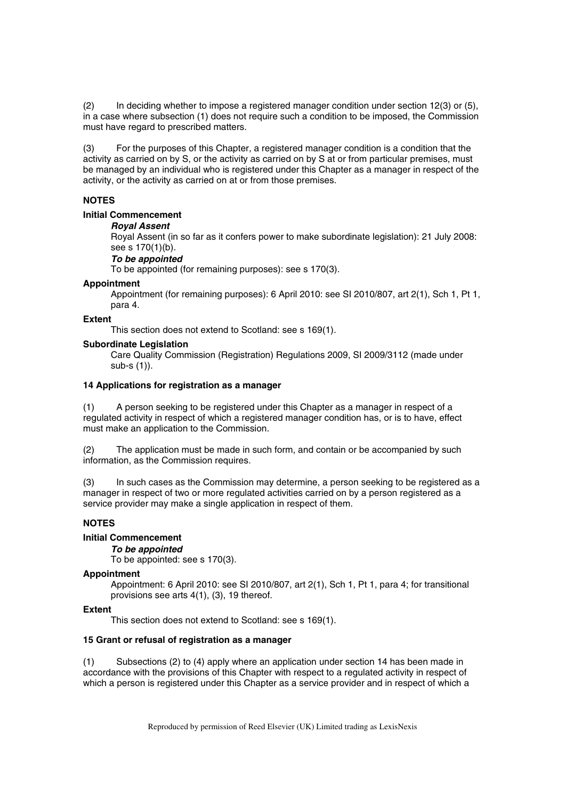(2) In deciding whether to impose a registered manager condition under section 12(3) or (5), in a case where subsection (1) does not require such a condition to be imposed, the Commission must have regard to prescribed matters.

(3) For the purposes of this Chapter, a registered manager condition is a condition that the activity as carried on by S, or the activity as carried on by S at or from particular premises, must be managed by an individual who is registered under this Chapter as a manager in respect of the activity, or the activity as carried on at or from those premises.

# **NOTES**

# **Initial Commencement**

### *Royal Assent*

Royal Assent (in so far as it confers power to make subordinate legislation): 21 July 2008: see s 170(1)(b).

### *To be appointed*

To be appointed (for remaining purposes): see s 170(3).

### **Appointment**

Appointment (for remaining purposes): 6 April 2010: see SI 2010/807, art 2(1), Sch 1, Pt 1, para 4.

### **Extent**

This section does not extend to Scotland: see s 169(1).

### **Subordinate Legislation**

Care Quality Commission (Registration) Regulations 2009, SI 2009/3112 (made under sub-s (1)).

### **14 Applications for registration as a manager**

(1) A person seeking to be registered under this Chapter as a manager in respect of a regulated activity in respect of which a registered manager condition has, or is to have, effect must make an application to the Commission.

(2) The application must be made in such form, and contain or be accompanied by such information, as the Commission requires.

(3) In such cases as the Commission may determine, a person seeking to be registered as a manager in respect of two or more regulated activities carried on by a person registered as a service provider may make a single application in respect of them.

# **NOTES**

# **Initial Commencement**

### *To be appointed*

To be appointed: see s 170(3).

# **Appointment**

Appointment: 6 April 2010: see SI 2010/807, art 2(1), Sch 1, Pt 1, para 4; for transitional provisions see arts 4(1), (3), 19 thereof.

# **Extent**

This section does not extend to Scotland: see s 169(1).

# **15 Grant or refusal of registration as a manager**

(1) Subsections (2) to (4) apply where an application under section 14 has been made in accordance with the provisions of this Chapter with respect to a regulated activity in respect of which a person is registered under this Chapter as a service provider and in respect of which a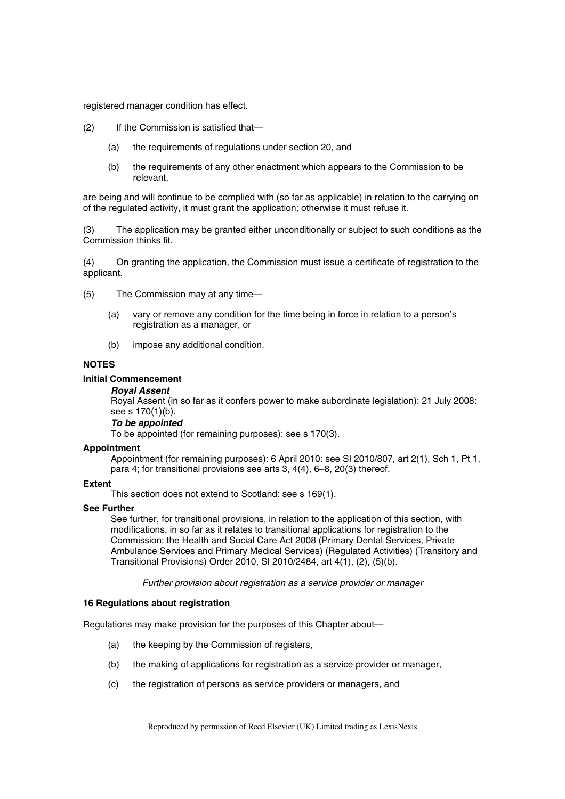registered manager condition has effect.

- (2) If the Commission is satisfied that—
	- (a) the requirements of regulations under section 20, and
	- (b) the requirements of any other enactment which appears to the Commission to be relevant,

are being and will continue to be complied with (so far as applicable) in relation to the carrying on of the regulated activity, it must grant the application; otherwise it must refuse it.

(3) The application may be granted either unconditionally or subject to such conditions as the Commission thinks fit.

(4) On granting the application, the Commission must issue a certificate of registration to the applicant.

- (5) The Commission may at any time—
	- (a) vary or remove any condition for the time being in force in relation to a person's registration as a manager, or
	- (b) impose any additional condition.

### **NOTES**

# **Initial Commencement**

# *Royal Assent*

Royal Assent (in so far as it confers power to make subordinate legislation): 21 July 2008: see s 170(1)(b).

# *To be appointed*

To be appointed (for remaining purposes): see s 170(3).

### **Appointment**

Appointment (for remaining purposes): 6 April 2010: see SI 2010/807, art 2(1), Sch 1, Pt 1, para 4; for transitional provisions see arts 3, 4(4), 6–8, 20(3) thereof.

### **Extent**

This section does not extend to Scotland: see s 169(1).

### **See Further**

See further, for transitional provisions, in relation to the application of this section, with modifications, in so far as it relates to transitional applications for registration to the Commission: the Health and Social Care Act 2008 (Primary Dental Services, Private Ambulance Services and Primary Medical Services) (Regulated Activities) (Transitory and Transitional Provisions) Order 2010, SI 2010/2484, art 4(1), (2), (5)(b).

*Further provision about registration as a service provider or manager* 

### **16 Regulations about registration**

Regulations may make provision for the purposes of this Chapter about—

- (a) the keeping by the Commission of registers,
- (b) the making of applications for registration as a service provider or manager,
- (c) the registration of persons as service providers or managers, and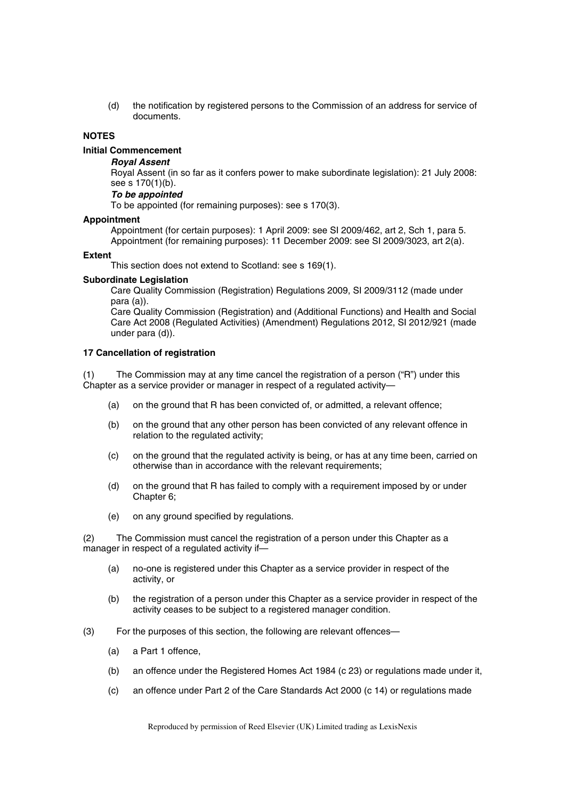(d) the notification by registered persons to the Commission of an address for service of documents.

### **NOTES**

# **Initial Commencement**

# *Royal Assent*

Royal Assent (in so far as it confers power to make subordinate legislation): 21 July 2008: see s 170(1)(b).

### *To be appointed*

To be appointed (for remaining purposes): see s 170(3).

# **Appointment**

Appointment (for certain purposes): 1 April 2009: see SI 2009/462, art 2, Sch 1, para 5. Appointment (for remaining purposes): 11 December 2009: see SI 2009/3023, art 2(a).

### **Extent**

This section does not extend to Scotland: see s 169(1).

### **Subordinate Legislation**

Care Quality Commission (Registration) Regulations 2009, SI 2009/3112 (made under para (a)).

Care Quality Commission (Registration) and (Additional Functions) and Health and Social Care Act 2008 (Regulated Activities) (Amendment) Regulations 2012, SI 2012/921 (made under para (d)).

# **17 Cancellation of registration**

(1) The Commission may at any time cancel the registration of a person ("R") under this Chapter as a service provider or manager in respect of a regulated activity—

- (a) on the ground that R has been convicted of, or admitted, a relevant offence;
- (b) on the ground that any other person has been convicted of any relevant offence in relation to the regulated activity;
- (c) on the ground that the regulated activity is being, or has at any time been, carried on otherwise than in accordance with the relevant requirements;
- (d) on the ground that R has failed to comply with a requirement imposed by or under Chapter 6;
- (e) on any ground specified by regulations.

(2) The Commission must cancel the registration of a person under this Chapter as a manager in respect of a regulated activity if—

- (a) no-one is registered under this Chapter as a service provider in respect of the activity, or
- (b) the registration of a person under this Chapter as a service provider in respect of the activity ceases to be subject to a registered manager condition.
- (3) For the purposes of this section, the following are relevant offences—
	- (a) a Part 1 offence,
	- (b) an offence under the Registered Homes Act 1984 (c 23) or regulations made under it,
	- (c) an offence under Part 2 of the Care Standards Act 2000 (c 14) or regulations made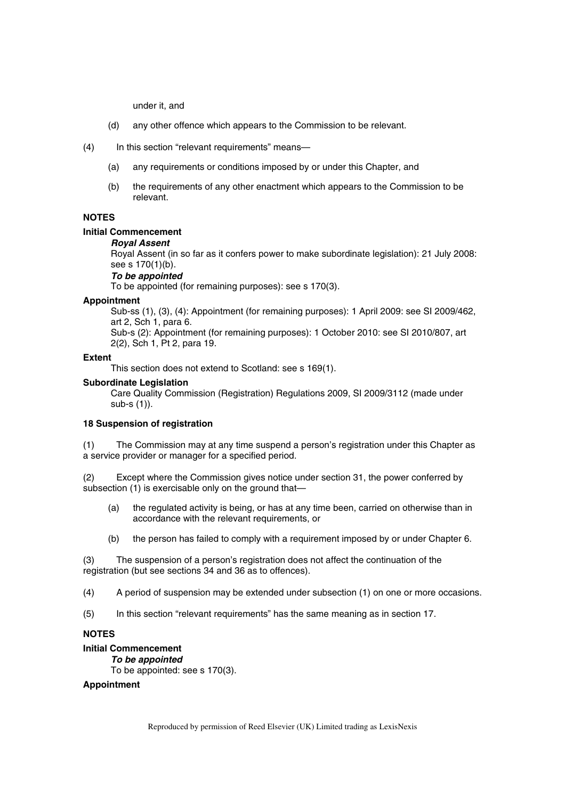under it, and

- (d) any other offence which appears to the Commission to be relevant.
- (4) In this section "relevant requirements" means—
	- (a) any requirements or conditions imposed by or under this Chapter, and
	- (b) the requirements of any other enactment which appears to the Commission to be relevant.

# **NOTES**

# **Initial Commencement**

# *Royal Assent*

Royal Assent (in so far as it confers power to make subordinate legislation): 21 July 2008: see s 170(1)(b).

# *To be appointed*

To be appointed (for remaining purposes): see s 170(3).

### **Appointment**

Sub-ss (1), (3), (4): Appointment (for remaining purposes): 1 April 2009: see SI 2009/462, art 2, Sch 1, para 6.

Sub-s (2): Appointment (for remaining purposes): 1 October 2010: see SI 2010/807, art 2(2), Sch 1, Pt 2, para 19.

### **Extent**

This section does not extend to Scotland: see s 169(1).

### **Subordinate Legislation**

Care Quality Commission (Registration) Regulations 2009, SI 2009/3112 (made under sub-s (1)).

### **18 Suspension of registration**

(1) The Commission may at any time suspend a person's registration under this Chapter as a service provider or manager for a specified period.

(2) Except where the Commission gives notice under section 31, the power conferred by subsection (1) is exercisable only on the ground that—

- (a) the regulated activity is being, or has at any time been, carried on otherwise than in accordance with the relevant requirements, or
- (b) the person has failed to comply with a requirement imposed by or under Chapter 6.

(3) The suspension of a person's registration does not affect the continuation of the registration (but see sections 34 and 36 as to offences).

(4) A period of suspension may be extended under subsection (1) on one or more occasions.

(5) In this section "relevant requirements" has the same meaning as in section 17.

# **NOTES**

# **Initial Commencement**

*To be appointed* 

To be appointed: see s 170(3).

# **Appointment**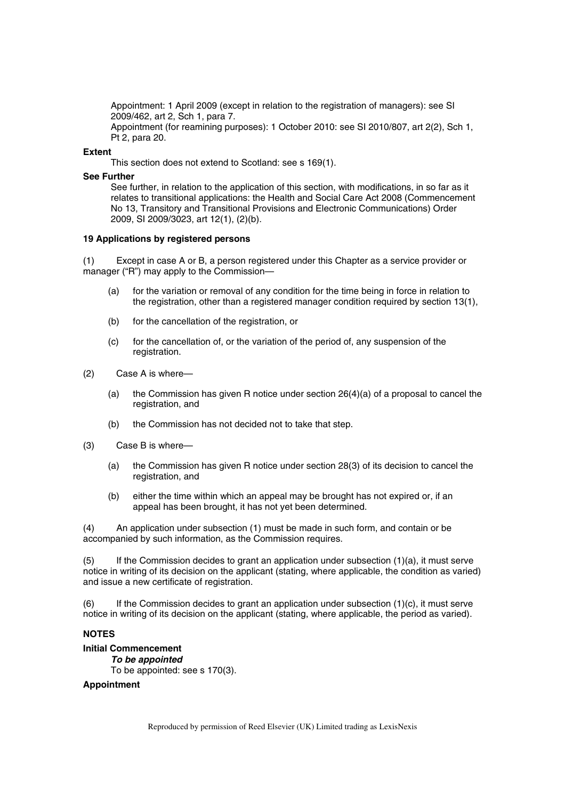Appointment: 1 April 2009 (except in relation to the registration of managers): see SI 2009/462, art 2, Sch 1, para 7. Appointment (for reamining purposes): 1 October 2010: see SI 2010/807, art 2(2), Sch 1, Pt 2, para 20.

### **Extent**

This section does not extend to Scotland: see s 169(1).

### **See Further**

See further, in relation to the application of this section, with modifications, in so far as it relates to transitional applications: the Health and Social Care Act 2008 (Commencement No 13, Transitory and Transitional Provisions and Electronic Communications) Order 2009, SI 2009/3023, art 12(1), (2)(b).

### **19 Applications by registered persons**

(1) Except in case A or B, a person registered under this Chapter as a service provider or manager ("R") may apply to the Commission-

- (a) for the variation or removal of any condition for the time being in force in relation to the registration, other than a registered manager condition required by section 13(1),
- (b) for the cancellation of the registration, or
- (c) for the cancellation of, or the variation of the period of, any suspension of the registration.
- (2) Case A is where—
	- (a) the Commission has given R notice under section  $26(4)(a)$  of a proposal to cancel the registration, and
	- (b) the Commission has not decided not to take that step.
- (3) Case B is where—
	- (a) the Commission has given R notice under section 28(3) of its decision to cancel the registration, and
	- (b) either the time within which an appeal may be brought has not expired or, if an appeal has been brought, it has not yet been determined.

(4) An application under subsection (1) must be made in such form, and contain or be accompanied by such information, as the Commission requires.

(5) If the Commission decides to grant an application under subsection (1)(a), it must serve notice in writing of its decision on the applicant (stating, where applicable, the condition as varied) and issue a new certificate of registration.

 $(6)$  If the Commission decides to grant an application under subsection  $(1)(c)$ , it must serve notice in writing of its decision on the applicant (stating, where applicable, the period as varied).

# **NOTES**

# **Initial Commencement**

*To be appointed*  To be appointed: see s 170(3).

### **Appointment**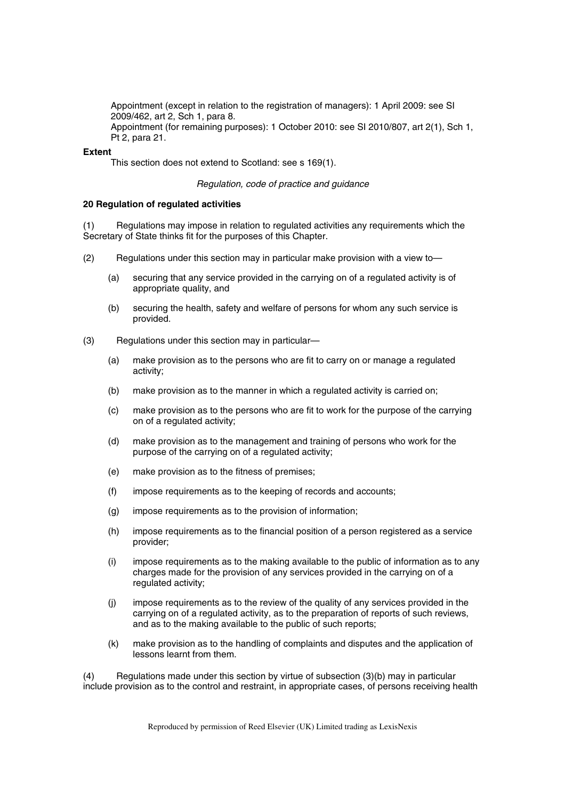Appointment (except in relation to the registration of managers): 1 April 2009: see SI 2009/462, art 2, Sch 1, para 8. Appointment (for remaining purposes): 1 October 2010: see SI 2010/807, art 2(1), Sch 1, Pt 2, para 21.

### **Extent**

This section does not extend to Scotland: see s 169(1).

### *Regulation, code of practice and guidance*

### **20 Regulation of regulated activities**

(1) Regulations may impose in relation to regulated activities any requirements which the Secretary of State thinks fit for the purposes of this Chapter.

- (2) Regulations under this section may in particular make provision with a view to—
	- (a) securing that any service provided in the carrying on of a regulated activity is of appropriate quality, and
	- (b) securing the health, safety and welfare of persons for whom any such service is provided.
- (3) Regulations under this section may in particular—
	- (a) make provision as to the persons who are fit to carry on or manage a regulated activity;
	- (b) make provision as to the manner in which a regulated activity is carried on;
	- (c) make provision as to the persons who are fit to work for the purpose of the carrying on of a regulated activity;
	- (d) make provision as to the management and training of persons who work for the purpose of the carrying on of a regulated activity;
	- (e) make provision as to the fitness of premises;
	- (f) impose requirements as to the keeping of records and accounts;
	- (g) impose requirements as to the provision of information;
	- (h) impose requirements as to the financial position of a person registered as a service provider;
	- (i) impose requirements as to the making available to the public of information as to any charges made for the provision of any services provided in the carrying on of a regulated activity;
	- (j) impose requirements as to the review of the quality of any services provided in the carrying on of a regulated activity, as to the preparation of reports of such reviews, and as to the making available to the public of such reports;
	- (k) make provision as to the handling of complaints and disputes and the application of lessons learnt from them.

(4) Regulations made under this section by virtue of subsection (3)(b) may in particular include provision as to the control and restraint, in appropriate cases, of persons receiving health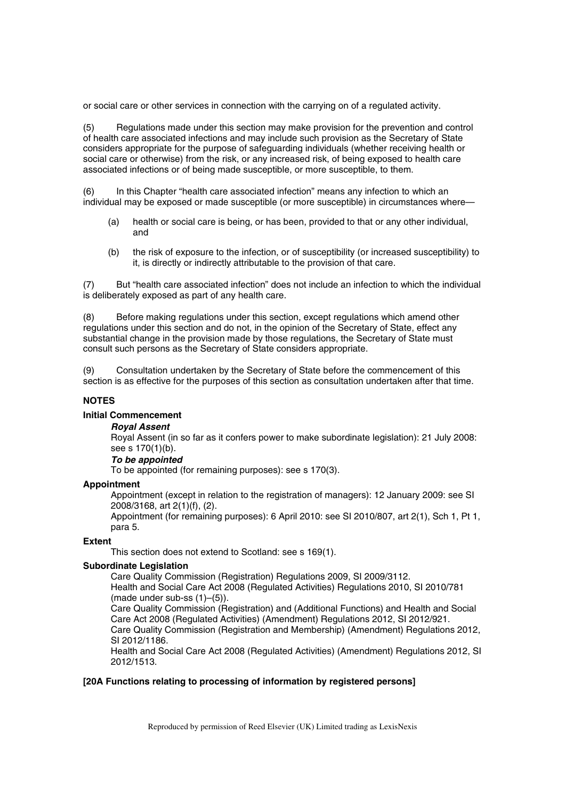or social care or other services in connection with the carrying on of a regulated activity.

(5) Regulations made under this section may make provision for the prevention and control of health care associated infections and may include such provision as the Secretary of State considers appropriate for the purpose of safeguarding individuals (whether receiving health or social care or otherwise) from the risk, or any increased risk, of being exposed to health care associated infections or of being made susceptible, or more susceptible, to them.

(6) In this Chapter "health care associated infection" means any infection to which an individual may be exposed or made susceptible (or more susceptible) in circumstances where—

- (a) health or social care is being, or has been, provided to that or any other individual, and
- (b) the risk of exposure to the infection, or of susceptibility (or increased susceptibility) to it, is directly or indirectly attributable to the provision of that care.

(7) But "health care associated infection" does not include an infection to which the individual is deliberately exposed as part of any health care.

(8) Before making regulations under this section, except regulations which amend other regulations under this section and do not, in the opinion of the Secretary of State, effect any substantial change in the provision made by those regulations, the Secretary of State must consult such persons as the Secretary of State considers appropriate.

(9) Consultation undertaken by the Secretary of State before the commencement of this section is as effective for the purposes of this section as consultation undertaken after that time.

# **NOTES**

# **Initial Commencement**

# *Royal Assent*

Royal Assent (in so far as it confers power to make subordinate legislation): 21 July 2008: see s 170(1)(b).

### *To be appointed*

To be appointed (for remaining purposes): see s 170(3).

### **Appointment**

Appointment (except in relation to the registration of managers): 12 January 2009: see SI 2008/3168, art 2(1)(f), (2).

Appointment (for remaining purposes): 6 April 2010: see SI 2010/807, art 2(1), Sch 1, Pt 1, para 5.

### **Extent**

This section does not extend to Scotland: see s 169(1).

# **Subordinate Legislation**

Care Quality Commission (Registration) Regulations 2009, SI 2009/3112. Health and Social Care Act 2008 (Regulated Activities) Regulations 2010, SI 2010/781

(made under sub-ss (1)–(5)).

Care Quality Commission (Registration) and (Additional Functions) and Health and Social Care Act 2008 (Regulated Activities) (Amendment) Regulations 2012, SI 2012/921.

Care Quality Commission (Registration and Membership) (Amendment) Regulations 2012, SI 2012/1186.

Health and Social Care Act 2008 (Regulated Activities) (Amendment) Regulations 2012, SI 2012/1513.

### **[20A Functions relating to processing of information by registered persons]**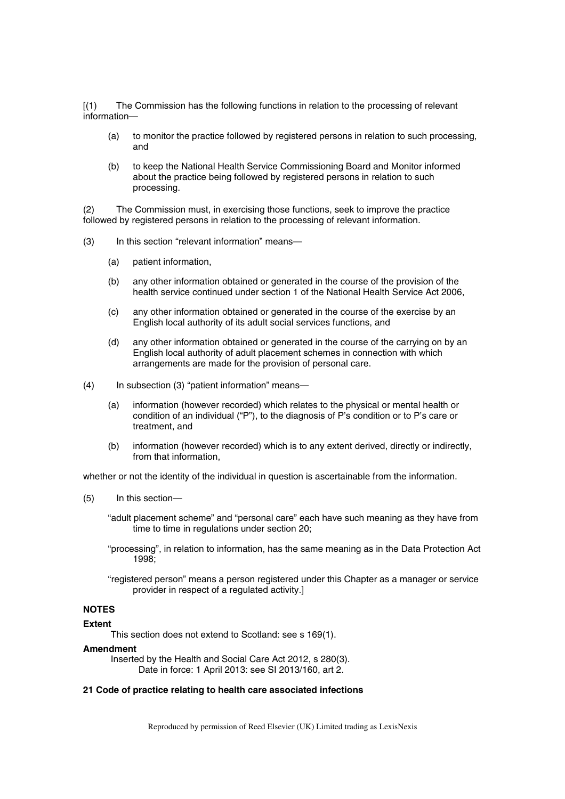[(1) The Commission has the following functions in relation to the processing of relevant information—

- (a) to monitor the practice followed by registered persons in relation to such processing, and
- (b) to keep the National Health Service Commissioning Board and Monitor informed about the practice being followed by registered persons in relation to such processing.

(2) The Commission must, in exercising those functions, seek to improve the practice followed by registered persons in relation to the processing of relevant information.

- (3) In this section "relevant information" means—
	- (a) patient information,
	- (b) any other information obtained or generated in the course of the provision of the health service continued under section 1 of the National Health Service Act 2006,
	- (c) any other information obtained or generated in the course of the exercise by an English local authority of its adult social services functions, and
	- (d) any other information obtained or generated in the course of the carrying on by an English local authority of adult placement schemes in connection with which arrangements are made for the provision of personal care.
- (4) In subsection (3) "patient information" means—
	- (a) information (however recorded) which relates to the physical or mental health or condition of an individual ("P"), to the diagnosis of P's condition or to P's care or treatment, and
	- (b) information (however recorded) which is to any extent derived, directly or indirectly, from that information,

whether or not the identity of the individual in question is ascertainable from the information.

- (5) In this section—
	- "adult placement scheme" and "personal care" each have such meaning as they have from time to time in regulations under section 20;
	- "processing", in relation to information, has the same meaning as in the Data Protection Act 1998;
	- "registered person" means a person registered under this Chapter as a manager or service provider in respect of a regulated activity.]

# **NOTES**

# **Extent**

This section does not extend to Scotland: see s 169(1).

### **Amendment**

Inserted by the Health and Social Care Act 2012, s 280(3). Date in force: 1 April 2013: see SI 2013/160, art 2.

# **21 Code of practice relating to health care associated infections**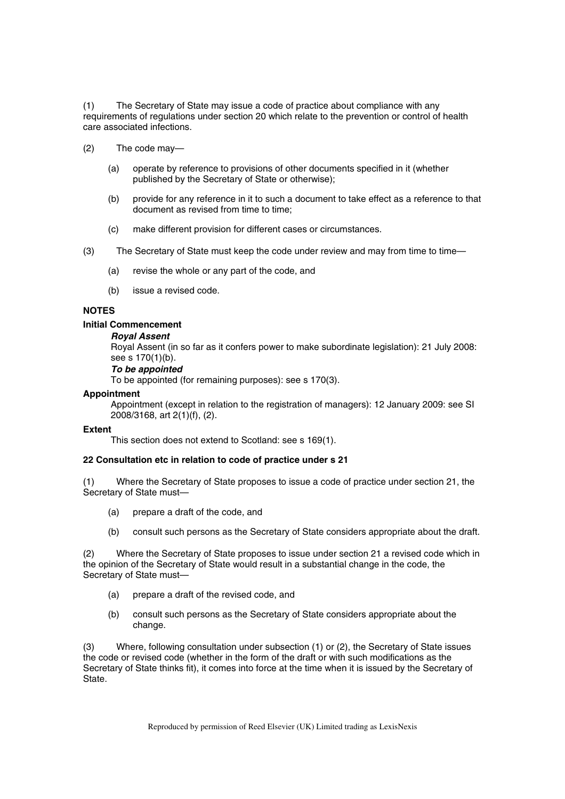(1) The Secretary of State may issue a code of practice about compliance with any requirements of regulations under section 20 which relate to the prevention or control of health care associated infections.

- (2) The code may—
	- (a) operate by reference to provisions of other documents specified in it (whether published by the Secretary of State or otherwise);
	- (b) provide for any reference in it to such a document to take effect as a reference to that document as revised from time to time;
	- (c) make different provision for different cases or circumstances.
- (3) The Secretary of State must keep the code under review and may from time to time—
	- (a) revise the whole or any part of the code, and
	- (b) issue a revised code.

# **NOTES**

### **Initial Commencement**

### *Royal Assent*

Royal Assent (in so far as it confers power to make subordinate legislation): 21 July 2008: see s 170(1)(b).

# *To be appointed*

To be appointed (for remaining purposes): see s 170(3).

### **Appointment**

Appointment (except in relation to the registration of managers): 12 January 2009: see SI 2008/3168, art 2(1)(f), (2).

### **Extent**

This section does not extend to Scotland: see s 169(1).

### **22 Consultation etc in relation to code of practice under s 21**

(1) Where the Secretary of State proposes to issue a code of practice under section 21, the Secretary of State must—

- (a) prepare a draft of the code, and
- (b) consult such persons as the Secretary of State considers appropriate about the draft.

(2) Where the Secretary of State proposes to issue under section 21 a revised code which in the opinion of the Secretary of State would result in a substantial change in the code, the Secretary of State must—

- (a) prepare a draft of the revised code, and
- (b) consult such persons as the Secretary of State considers appropriate about the change.

(3) Where, following consultation under subsection (1) or (2), the Secretary of State issues the code or revised code (whether in the form of the draft or with such modifications as the Secretary of State thinks fit), it comes into force at the time when it is issued by the Secretary of State.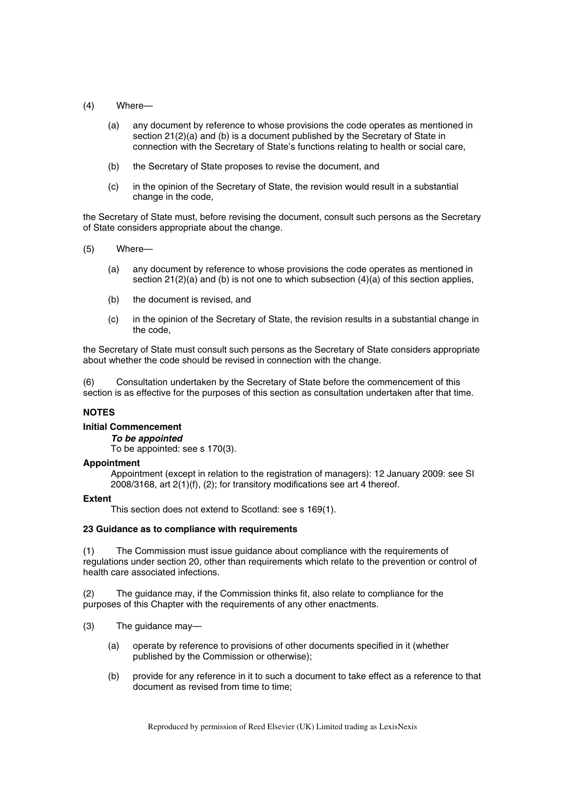- (4) Where—
	- (a) any document by reference to whose provisions the code operates as mentioned in section 21(2)(a) and (b) is a document published by the Secretary of State in connection with the Secretary of State's functions relating to health or social care,
	- (b) the Secretary of State proposes to revise the document, and
	- (c) in the opinion of the Secretary of State, the revision would result in a substantial change in the code,

the Secretary of State must, before revising the document, consult such persons as the Secretary of State considers appropriate about the change.

- (5) Where—
	- (a) any document by reference to whose provisions the code operates as mentioned in section 21(2)(a) and (b) is not one to which subsection (4)(a) of this section applies,
	- (b) the document is revised, and
	- (c) in the opinion of the Secretary of State, the revision results in a substantial change in the code,

the Secretary of State must consult such persons as the Secretary of State considers appropriate about whether the code should be revised in connection with the change.

(6) Consultation undertaken by the Secretary of State before the commencement of this section is as effective for the purposes of this section as consultation undertaken after that time.

# **NOTES**

### **Initial Commencement**

*To be appointed* 

To be appointed: see s 170(3).

### **Appointment**

Appointment (except in relation to the registration of managers): 12 January 2009: see SI 2008/3168, art 2(1)(f), (2); for transitory modifications see art 4 thereof.

# **Extent**

This section does not extend to Scotland: see s 169(1).

### **23 Guidance as to compliance with requirements**

(1) The Commission must issue guidance about compliance with the requirements of regulations under section 20, other than requirements which relate to the prevention or control of health care associated infections.

(2) The guidance may, if the Commission thinks fit, also relate to compliance for the purposes of this Chapter with the requirements of any other enactments.

- (3) The guidance may—
	- (a) operate by reference to provisions of other documents specified in it (whether published by the Commission or otherwise);
	- (b) provide for any reference in it to such a document to take effect as a reference to that document as revised from time to time;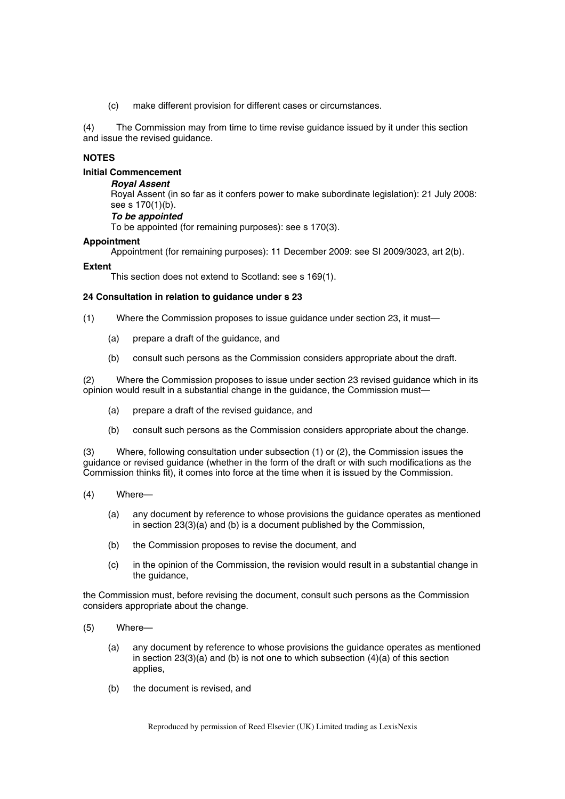(c) make different provision for different cases or circumstances.

(4) The Commission may from time to time revise guidance issued by it under this section and issue the revised guidance.

# **NOTES**

# **Initial Commencement**

### *Royal Assent*

Royal Assent (in so far as it confers power to make subordinate legislation): 21 July 2008: see s 170(1)(b).

# *To be appointed*

To be appointed (for remaining purposes): see s 170(3).

### **Appointment**

Appointment (for remaining purposes): 11 December 2009: see SI 2009/3023, art 2(b).

### **Extent**

This section does not extend to Scotland: see s 169(1).

### **24 Consultation in relation to guidance under s 23**

- (1) Where the Commission proposes to issue guidance under section 23, it must—
	- (a) prepare a draft of the guidance, and
	- (b) consult such persons as the Commission considers appropriate about the draft.

(2) Where the Commission proposes to issue under section 23 revised guidance which in its opinion would result in a substantial change in the guidance, the Commission must—

- (a) prepare a draft of the revised guidance, and
- (b) consult such persons as the Commission considers appropriate about the change.

(3) Where, following consultation under subsection (1) or (2), the Commission issues the guidance or revised guidance (whether in the form of the draft or with such modifications as the Commission thinks fit), it comes into force at the time when it is issued by the Commission.

- (4) Where—
	- (a) any document by reference to whose provisions the guidance operates as mentioned in section 23(3)(a) and (b) is a document published by the Commission,
	- (b) the Commission proposes to revise the document, and
	- (c) in the opinion of the Commission, the revision would result in a substantial change in the guidance,

the Commission must, before revising the document, consult such persons as the Commission considers appropriate about the change.

- (5) Where—
	- (a) any document by reference to whose provisions the guidance operates as mentioned in section  $23(3)(a)$  and (b) is not one to which subsection  $(4)(a)$  of this section applies,
	- (b) the document is revised, and

Reproduced by permission of Reed Elsevier (UK) Limited trading as LexisNexis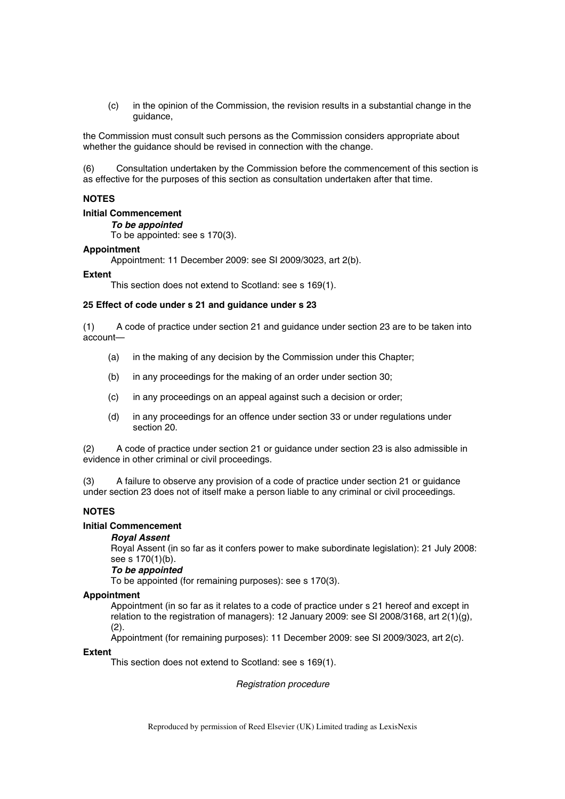(c) in the opinion of the Commission, the revision results in a substantial change in the guidance,

the Commission must consult such persons as the Commission considers appropriate about whether the guidance should be revised in connection with the change.

(6) Consultation undertaken by the Commission before the commencement of this section is as effective for the purposes of this section as consultation undertaken after that time.

# **NOTES**

# **Initial Commencement**

# *To be appointed*

To be appointed: see s 170(3).

### **Appointment**

Appointment: 11 December 2009: see SI 2009/3023, art 2(b).

### **Extent**

This section does not extend to Scotland: see s 169(1).

### **25 Effect of code under s 21 and guidance under s 23**

(1) A code of practice under section 21 and guidance under section 23 are to be taken into account—

- (a) in the making of any decision by the Commission under this Chapter;
- (b) in any proceedings for the making of an order under section 30;
- (c) in any proceedings on an appeal against such a decision or order;
- (d) in any proceedings for an offence under section 33 or under regulations under section 20.

(2) A code of practice under section 21 or guidance under section 23 is also admissible in evidence in other criminal or civil proceedings.

(3) A failure to observe any provision of a code of practice under section 21 or guidance under section 23 does not of itself make a person liable to any criminal or civil proceedings.

# **NOTES**

### **Initial Commencement**

### *Royal Assent*

Royal Assent (in so far as it confers power to make subordinate legislation): 21 July 2008: see s 170(1)(b).

### *To be appointed*

To be appointed (for remaining purposes): see s 170(3).

### **Appointment**

Appointment (in so far as it relates to a code of practice under s 21 hereof and except in relation to the registration of managers): 12 January 2009: see SI 2008/3168, art 2(1)(g), (2).

Appointment (for remaining purposes): 11 December 2009: see SI 2009/3023, art 2(c).

### **Extent**

This section does not extend to Scotland: see s 169(1).

*Registration procedure*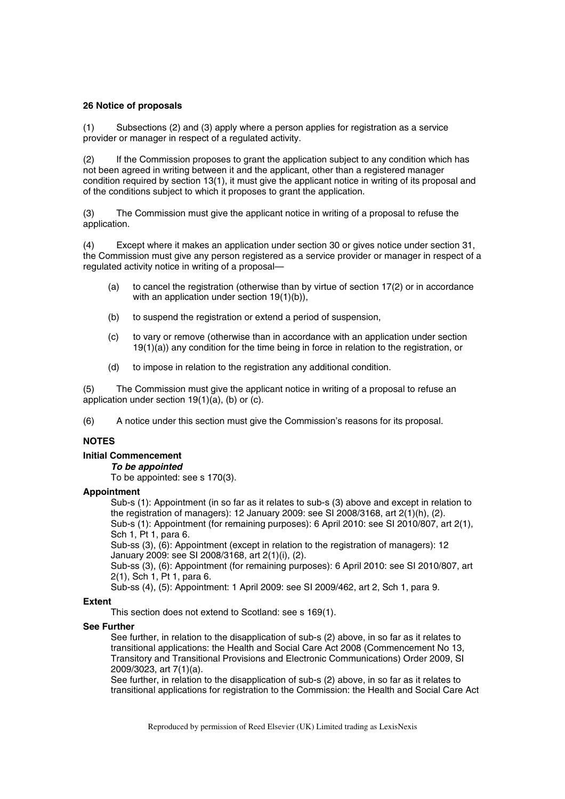# **26 Notice of proposals**

(1) Subsections (2) and (3) apply where a person applies for registration as a service provider or manager in respect of a regulated activity.

(2) If the Commission proposes to grant the application subject to any condition which has not been agreed in writing between it and the applicant, other than a registered manager condition required by section 13(1), it must give the applicant notice in writing of its proposal and of the conditions subject to which it proposes to grant the application.

(3) The Commission must give the applicant notice in writing of a proposal to refuse the application.

(4) Except where it makes an application under section 30 or gives notice under section 31, the Commission must give any person registered as a service provider or manager in respect of a regulated activity notice in writing of a proposal—

- (a) to cancel the registration (otherwise than by virtue of section 17(2) or in accordance with an application under section 19(1)(b)),
- (b) to suspend the registration or extend a period of suspension,
- (c) to vary or remove (otherwise than in accordance with an application under section  $19(1)(a)$ ) any condition for the time being in force in relation to the registration, or
- (d) to impose in relation to the registration any additional condition.

(5) The Commission must give the applicant notice in writing of a proposal to refuse an application under section 19(1)(a), (b) or (c).

(6) A notice under this section must give the Commission's reasons for its proposal.

# **NOTES**

### **Initial Commencement**

*To be appointed* 

To be appointed: see s 170(3).

# **Appointment**

Sub-s (1): Appointment (in so far as it relates to sub-s (3) above and except in relation to the registration of managers): 12 January 2009: see SI 2008/3168, art 2(1)(h), (2). Sub-s (1): Appointment (for remaining purposes): 6 April 2010: see SI 2010/807, art 2(1), Sch 1, Pt 1, para 6.

Sub-ss (3), (6): Appointment (except in relation to the registration of managers): 12 January 2009: see SI 2008/3168, art 2(1)(i), (2).

Sub-ss (3), (6): Appointment (for remaining purposes): 6 April 2010: see SI 2010/807, art 2(1), Sch 1, Pt 1, para 6.

Sub-ss (4), (5): Appointment: 1 April 2009: see SI 2009/462, art 2, Sch 1, para 9.

# **Extent**

This section does not extend to Scotland: see s 169(1).

### **See Further**

See further, in relation to the disapplication of sub-s (2) above, in so far as it relates to transitional applications: the Health and Social Care Act 2008 (Commencement No 13, Transitory and Transitional Provisions and Electronic Communications) Order 2009, SI 2009/3023, art 7(1)(a).

See further, in relation to the disapplication of sub-s (2) above, in so far as it relates to transitional applications for registration to the Commission: the Health and Social Care Act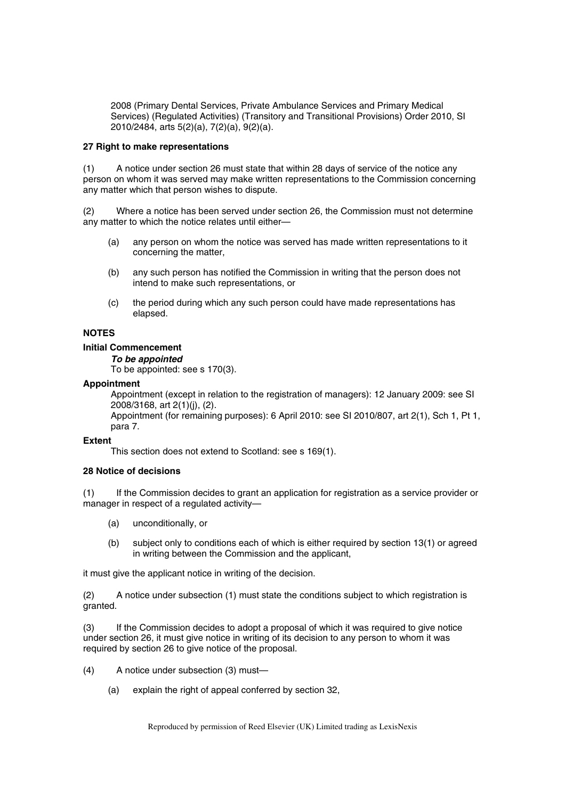2008 (Primary Dental Services, Private Ambulance Services and Primary Medical Services) (Regulated Activities) (Transitory and Transitional Provisions) Order 2010, SI 2010/2484, arts 5(2)(a), 7(2)(a), 9(2)(a).

### **27 Right to make representations**

(1) A notice under section 26 must state that within 28 days of service of the notice any person on whom it was served may make written representations to the Commission concerning any matter which that person wishes to dispute.

(2) Where a notice has been served under section 26, the Commission must not determine any matter to which the notice relates until either—

- (a) any person on whom the notice was served has made written representations to it concerning the matter,
- (b) any such person has notified the Commission in writing that the person does not intend to make such representations, or
- (c) the period during which any such person could have made representations has elapsed.

# **NOTES**

# **Initial Commencement**

### *To be appointed*

To be appointed: see s 170(3).

### **Appointment**

Appointment (except in relation to the registration of managers): 12 January 2009: see SI 2008/3168, art 2(1)(j), (2).

Appointment (for remaining purposes): 6 April 2010: see SI 2010/807, art 2(1), Sch 1, Pt 1, para 7.

### **Extent**

This section does not extend to Scotland: see s 169(1).

### **28 Notice of decisions**

(1) If the Commission decides to grant an application for registration as a service provider or manager in respect of a regulated activity—

- (a) unconditionally, or
- (b) subject only to conditions each of which is either required by section 13(1) or agreed in writing between the Commission and the applicant,

it must give the applicant notice in writing of the decision.

(2) A notice under subsection (1) must state the conditions subject to which registration is granted.

(3) If the Commission decides to adopt a proposal of which it was required to give notice under section 26, it must give notice in writing of its decision to any person to whom it was required by section 26 to give notice of the proposal.

- (4) A notice under subsection (3) must—
	- (a) explain the right of appeal conferred by section 32,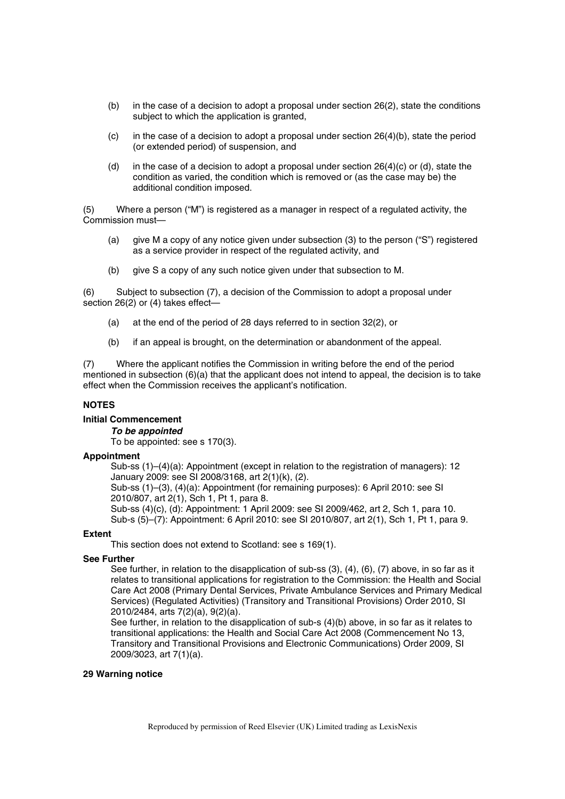- (b) in the case of a decision to adopt a proposal under section  $26(2)$ , state the conditions subject to which the application is granted,
- (c) in the case of a decision to adopt a proposal under section  $26(4)(b)$ , state the period (or extended period) of suspension, and
- (d) in the case of a decision to adopt a proposal under section  $26(4)(c)$  or (d), state the condition as varied, the condition which is removed or (as the case may be) the additional condition imposed.

(5) Where a person ("M") is registered as a manager in respect of a regulated activity, the Commission must—

- (a) give M a copy of any notice given under subsection (3) to the person ("S") registered as a service provider in respect of the regulated activity, and
- (b) give S a copy of any such notice given under that subsection to M.

(6) Subject to subsection (7), a decision of the Commission to adopt a proposal under section 26(2) or (4) takes effect—

- (a) at the end of the period of 28 days referred to in section 32(2), or
- (b) if an appeal is brought, on the determination or abandonment of the appeal.

(7) Where the applicant notifies the Commission in writing before the end of the period mentioned in subsection  $(6)(a)$  that the applicant does not intend to appeal, the decision is to take effect when the Commission receives the applicant's notification.

# **NOTES**

# **Initial Commencement**

*To be appointed* 

To be appointed: see s 170(3).

### **Appointment**

Sub-ss (1)–(4)(a): Appointment (except in relation to the registration of managers): 12 January 2009: see SI 2008/3168, art 2(1)(k), (2).

Sub-ss (1)–(3), (4)(a): Appointment (for remaining purposes): 6 April 2010: see SI 2010/807, art 2(1), Sch 1, Pt 1, para 8.

Sub-ss (4)(c), (d): Appointment: 1 April 2009: see SI 2009/462, art 2, Sch 1, para 10.

Sub-s (5)–(7): Appointment: 6 April 2010: see SI 2010/807, art 2(1), Sch 1, Pt 1, para 9.

# **Extent**

This section does not extend to Scotland: see s 169(1).

# **See Further**

See further, in relation to the disapplication of sub-ss (3), (4), (6), (7) above, in so far as it relates to transitional applications for registration to the Commission: the Health and Social Care Act 2008 (Primary Dental Services, Private Ambulance Services and Primary Medical Services) (Regulated Activities) (Transitory and Transitional Provisions) Order 2010, SI 2010/2484, arts 7(2)(a), 9(2)(a).

See further, in relation to the disapplication of sub-s (4)(b) above, in so far as it relates to transitional applications: the Health and Social Care Act 2008 (Commencement No 13, Transitory and Transitional Provisions and Electronic Communications) Order 2009, SI 2009/3023, art 7(1)(a).

### **29 Warning notice**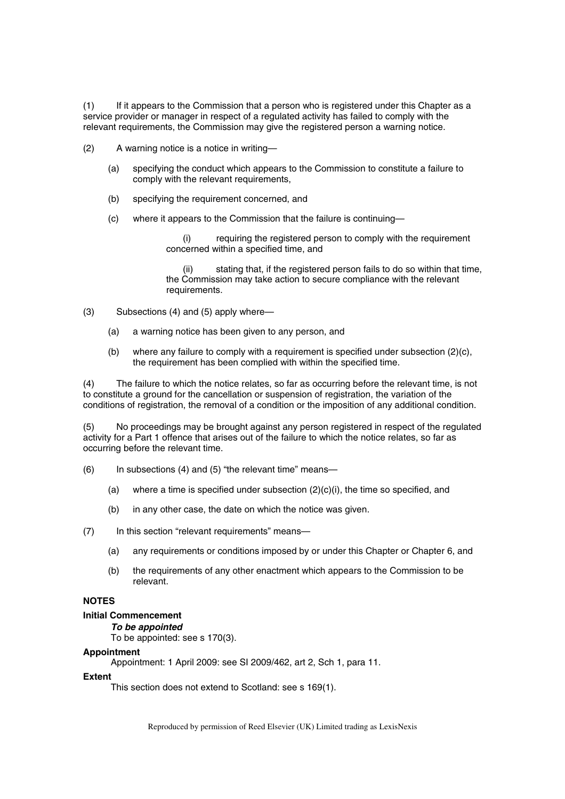(1) If it appears to the Commission that a person who is registered under this Chapter as a service provider or manager in respect of a regulated activity has failed to comply with the relevant requirements, the Commission may give the registered person a warning notice.

- (2) A warning notice is a notice in writing—
	- (a) specifying the conduct which appears to the Commission to constitute a failure to comply with the relevant requirements,
	- (b) specifying the requirement concerned, and
	- (c) where it appears to the Commission that the failure is continuing—

(i) requiring the registered person to comply with the requirement concerned within a specified time, and

(ii) stating that, if the registered person fails to do so within that time, the Commission may take action to secure compliance with the relevant requirements.

- (3) Subsections (4) and (5) apply where—
	- (a) a warning notice has been given to any person, and
	- (b) where any failure to comply with a requirement is specified under subsection (2)(c), the requirement has been complied with within the specified time.

(4) The failure to which the notice relates, so far as occurring before the relevant time, is not to constitute a ground for the cancellation or suspension of registration, the variation of the conditions of registration, the removal of a condition or the imposition of any additional condition.

(5) No proceedings may be brought against any person registered in respect of the regulated activity for a Part 1 offence that arises out of the failure to which the notice relates, so far as occurring before the relevant time.

- (6) In subsections (4) and (5) "the relevant time" means—
	- (a) where a time is specified under subsection  $(2)(c)(i)$ , the time so specified, and
	- (b) in any other case, the date on which the notice was given.
- (7) In this section "relevant requirements" means—
	- (a) any requirements or conditions imposed by or under this Chapter or Chapter 6, and
	- (b) the requirements of any other enactment which appears to the Commission to be relevant.

# **NOTES**

# **Initial Commencement**

*To be appointed* 

To be appointed: see s 170(3).

### **Appointment**

Appointment: 1 April 2009: see SI 2009/462, art 2, Sch 1, para 11.

# **Extent**

This section does not extend to Scotland: see s 169(1).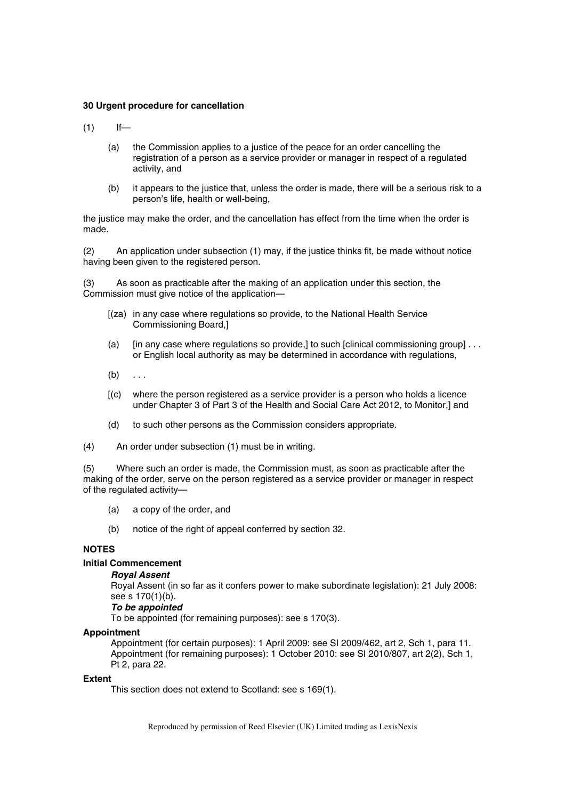### **30 Urgent procedure for cancellation**

 $(1)$  If—

- (a) the Commission applies to a justice of the peace for an order cancelling the registration of a person as a service provider or manager in respect of a regulated activity, and
- (b) it appears to the justice that, unless the order is made, there will be a serious risk to a person's life, health or well-being,

the justice may make the order, and the cancellation has effect from the time when the order is made.

(2) An application under subsection (1) may, if the justice thinks fit, be made without notice having been given to the registered person.

(3) As soon as practicable after the making of an application under this section, the Commission must give notice of the application—

- [(za) in any case where regulations so provide, to the National Health Service Commissioning Board,]
- (a)  $\int$  [in any case where regulations so provide, to such [clinical commissioning group] . . . or English local authority as may be determined in accordance with regulations,
- $(b) \ldots$
- [(c) where the person registered as a service provider is a person who holds a licence under Chapter 3 of Part 3 of the Health and Social Care Act 2012, to Monitor,] and
- (d) to such other persons as the Commission considers appropriate.
- (4) An order under subsection (1) must be in writing.

(5) Where such an order is made, the Commission must, as soon as practicable after the making of the order, serve on the person registered as a service provider or manager in respect of the regulated activity—

- (a) a copy of the order, and
- (b) notice of the right of appeal conferred by section 32.

# **NOTES**

# **Initial Commencement**

### *Royal Assent*

Royal Assent (in so far as it confers power to make subordinate legislation): 21 July 2008: see s 170(1)(b).

### *To be appointed*

To be appointed (for remaining purposes): see s 170(3).

### **Appointment**

Appointment (for certain purposes): 1 April 2009: see SI 2009/462, art 2, Sch 1, para 11. Appointment (for remaining purposes): 1 October 2010: see SI 2010/807, art 2(2), Sch 1, Pt 2, para 22.

### **Extent**

This section does not extend to Scotland: see s 169(1).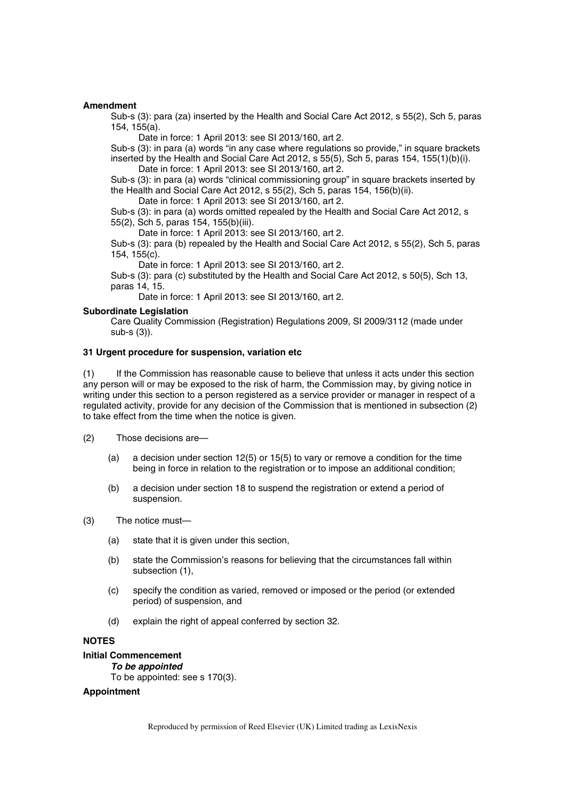### **Amendment**

Sub-s (3): para (za) inserted by the Health and Social Care Act 2012, s 55(2), Sch 5, paras 154, 155(a).

Date in force: 1 April 2013: see SI 2013/160, art 2.

Sub-s (3): in para (a) words "in any case where regulations so provide," in square brackets inserted by the Health and Social Care Act 2012, s 55(5), Sch 5, paras 154, 155(1)(b)(i). Date in force: 1 April 2013: see SI 2013/160, art 2.

Sub-s (3): in para (a) words "clinical commissioning group" in square brackets inserted by the Health and Social Care Act 2012, s 55(2), Sch 5, paras 154, 156(b)(ii).

Date in force: 1 April 2013: see SI 2013/160, art 2.

Sub-s (3): in para (a) words omitted repealed by the Health and Social Care Act 2012, s 55(2), Sch 5, paras 154, 155(b)(iii).

Date in force: 1 April 2013: see SI 2013/160, art 2.

Sub-s (3): para (b) repealed by the Health and Social Care Act 2012, s 55(2), Sch 5, paras 154, 155(c).

Date in force: 1 April 2013: see SI 2013/160, art 2.

Sub-s (3): para (c) substituted by the Health and Social Care Act 2012, s 50(5), Sch 13, paras 14, 15.

Date in force: 1 April 2013: see SI 2013/160, art 2.

### **Subordinate Legislation**

Care Quality Commission (Registration) Regulations 2009, SI 2009/3112 (made under sub-s (3)).

# **31 Urgent procedure for suspension, variation etc**

(1) If the Commission has reasonable cause to believe that unless it acts under this section any person will or may be exposed to the risk of harm, the Commission may, by giving notice in writing under this section to a person registered as a service provider or manager in respect of a regulated activity, provide for any decision of the Commission that is mentioned in subsection (2) to take effect from the time when the notice is given.

- (2) Those decisions are—
	- (a) a decision under section 12(5) or 15(5) to vary or remove a condition for the time being in force in relation to the registration or to impose an additional condition;
	- (b) a decision under section 18 to suspend the registration or extend a period of suspension.
- (3) The notice must—
	- (a) state that it is given under this section,
	- (b) state the Commission's reasons for believing that the circumstances fall within subsection (1),
	- (c) specify the condition as varied, removed or imposed or the period (or extended period) of suspension, and
	- (d) explain the right of appeal conferred by section 32.

# **NOTES**

### **Initial Commencement**

*To be appointed* 

# To be appointed: see s 170(3).

# **Appointment**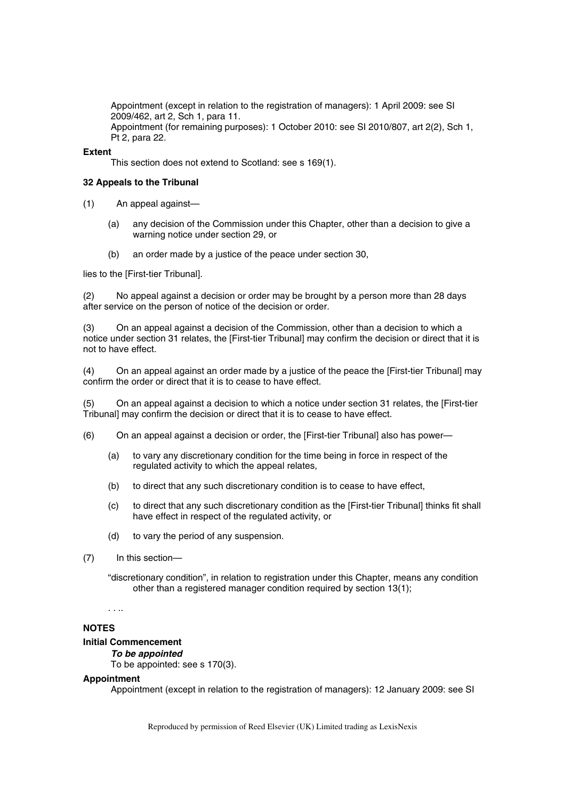Appointment (except in relation to the registration of managers): 1 April 2009: see SI 2009/462, art 2, Sch 1, para 11. Appointment (for remaining purposes): 1 October 2010: see SI 2010/807, art 2(2), Sch 1, Pt 2, para 22.

### **Extent**

This section does not extend to Scotland: see s 169(1).

### **32 Appeals to the Tribunal**

(1) An appeal against—

- (a) any decision of the Commission under this Chapter, other than a decision to give a warning notice under section 29, or
- (b) an order made by a justice of the peace under section 30,

lies to the [First-tier Tribunal].

(2) No appeal against a decision or order may be brought by a person more than 28 days after service on the person of notice of the decision or order.

(3) On an appeal against a decision of the Commission, other than a decision to which a notice under section 31 relates, the [First-tier Tribunal] may confirm the decision or direct that it is not to have effect.

(4) On an appeal against an order made by a justice of the peace the [First-tier Tribunal] may confirm the order or direct that it is to cease to have effect.

(5) On an appeal against a decision to which a notice under section 31 relates, the [First-tier Tribunal] may confirm the decision or direct that it is to cease to have effect.

- (6) On an appeal against a decision or order, the [First-tier Tribunal] also has power—
	- (a) to vary any discretionary condition for the time being in force in respect of the regulated activity to which the appeal relates,
	- (b) to direct that any such discretionary condition is to cease to have effect,
	- (c) to direct that any such discretionary condition as the [First-tier Tribunal] thinks fit shall have effect in respect of the regulated activity, or
	- (d) to vary the period of any suspension.
- (7) In this section—

"discretionary condition", in relation to registration under this Chapter, means any condition other than a registered manager condition required by section 13(1);

. . ..

### **NOTES**

# **Initial Commencement**

### *To be appointed*

To be appointed: see s 170(3).

### **Appointment**

Appointment (except in relation to the registration of managers): 12 January 2009: see SI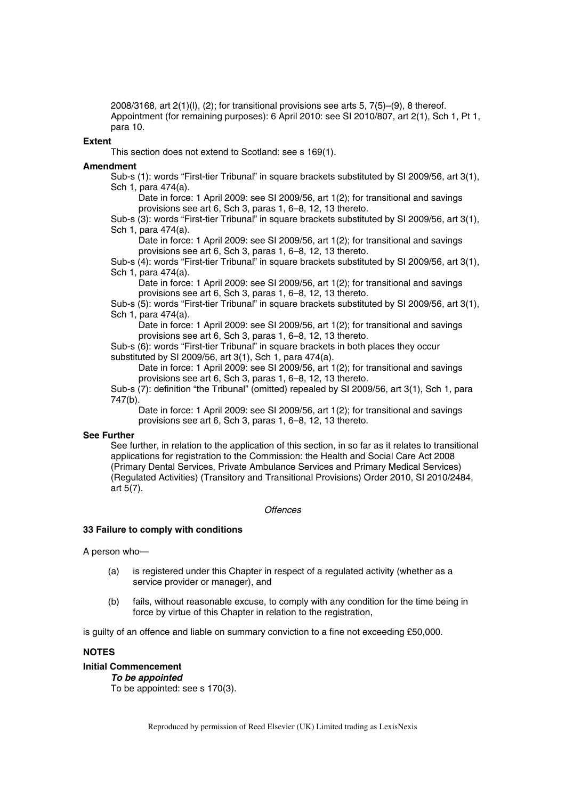2008/3168, art  $2(1)(I)$ ,  $(2)$ ; for transitional provisions see arts 5,  $7(5)-(9)$ , 8 thereof. Appointment (for remaining purposes): 6 April 2010: see SI 2010/807, art 2(1), Sch 1, Pt 1, para 10.

### **Extent**

This section does not extend to Scotland: see s 169(1).

#### **Amendment**

Sub-s (1): words "First-tier Tribunal" in square brackets substituted by SI 2009/56, art 3(1), Sch 1, para 474(a).

Date in force: 1 April 2009: see SI 2009/56, art 1(2); for transitional and savings provisions see art 6, Sch 3, paras 1, 6–8, 12, 13 thereto.

Sub-s (3): words "First-tier Tribunal" in square brackets substituted by SI 2009/56, art 3(1), Sch 1, para 474(a).

Date in force: 1 April 2009: see SI 2009/56, art 1(2); for transitional and savings provisions see art 6, Sch 3, paras 1, 6–8, 12, 13 thereto.

Sub-s (4): words "First-tier Tribunal" in square brackets substituted by SI 2009/56, art 3(1), Sch 1, para 474(a).

Date in force: 1 April 2009: see SI 2009/56, art 1(2); for transitional and savings provisions see art 6, Sch 3, paras 1, 6–8, 12, 13 thereto.

Sub-s (5): words "First-tier Tribunal" in square brackets substituted by SI 2009/56, art 3(1), Sch 1, para 474(a).

Date in force: 1 April 2009: see SI 2009/56, art 1(2); for transitional and savings provisions see art 6, Sch 3, paras 1, 6–8, 12, 13 thereto.

Sub-s (6): words "First-tier Tribunal" in square brackets in both places they occur substituted by SI 2009/56, art 3(1), Sch 1, para 474(a).

Date in force: 1 April 2009: see SI 2009/56, art 1(2); for transitional and savings provisions see art 6, Sch 3, paras 1, 6–8, 12, 13 thereto.

Sub-s (7): definition "the Tribunal" (omitted) repealed by SI 2009/56, art 3(1), Sch 1, para 747(b).

Date in force: 1 April 2009: see SI 2009/56, art 1(2); for transitional and savings provisions see art 6, Sch 3, paras 1, 6–8, 12, 13 thereto.

### **See Further**

See further, in relation to the application of this section, in so far as it relates to transitional applications for registration to the Commission: the Health and Social Care Act 2008 (Primary Dental Services, Private Ambulance Services and Primary Medical Services) (Regulated Activities) (Transitory and Transitional Provisions) Order 2010, SI 2010/2484, art 5(7).

*Offences* 

#### **33 Failure to comply with conditions**

A person who—

- (a) is registered under this Chapter in respect of a regulated activity (whether as a service provider or manager), and
- (b) fails, without reasonable excuse, to comply with any condition for the time being in force by virtue of this Chapter in relation to the registration,

is guilty of an offence and liable on summary conviction to a fine not exceeding £50,000.

# **NOTES**

# **Initial Commencement**

*To be appointed*  To be appointed: see s 170(3).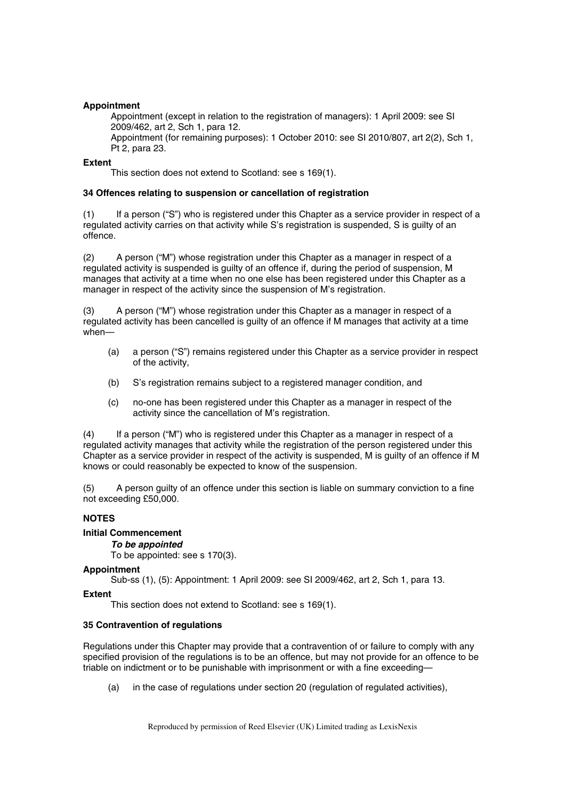# **Appointment**

Appointment (except in relation to the registration of managers): 1 April 2009: see SI 2009/462, art 2, Sch 1, para 12.

Appointment (for remaining purposes): 1 October 2010: see SI 2010/807, art 2(2), Sch 1, Pt 2, para 23.

# **Extent**

This section does not extend to Scotland: see s 169(1).

# **34 Offences relating to suspension or cancellation of registration**

(1) If a person ("S") who is registered under this Chapter as a service provider in respect of a regulated activity carries on that activity while S's registration is suspended, S is guilty of an offence.

(2) A person ("M") whose registration under this Chapter as a manager in respect of a regulated activity is suspended is guilty of an offence if, during the period of suspension, M manages that activity at a time when no one else has been registered under this Chapter as a manager in respect of the activity since the suspension of M's registration.

(3) A person ("M") whose registration under this Chapter as a manager in respect of a regulated activity has been cancelled is guilty of an offence if M manages that activity at a time when—

- (a) a person ("S") remains registered under this Chapter as a service provider in respect of the activity,
- (b) S's registration remains subject to a registered manager condition, and
- (c) no-one has been registered under this Chapter as a manager in respect of the activity since the cancellation of M's registration.

(4) If a person ("M") who is registered under this Chapter as a manager in respect of a regulated activity manages that activity while the registration of the person registered under this Chapter as a service provider in respect of the activity is suspended, M is guilty of an offence if M knows or could reasonably be expected to know of the suspension.

(5) A person guilty of an offence under this section is liable on summary conviction to a fine not exceeding £50,000.

# **NOTES**

# **Initial Commencement**

# *To be appointed*

To be appointed: see s 170(3).

# **Appointment**

Sub-ss (1), (5): Appointment: 1 April 2009: see SI 2009/462, art 2, Sch 1, para 13.

# **Extent**

This section does not extend to Scotland: see s 169(1).

# **35 Contravention of regulations**

Regulations under this Chapter may provide that a contravention of or failure to comply with any specified provision of the regulations is to be an offence, but may not provide for an offence to be triable on indictment or to be punishable with imprisonment or with a fine exceeding—

(a) in the case of regulations under section 20 (regulation of regulated activities),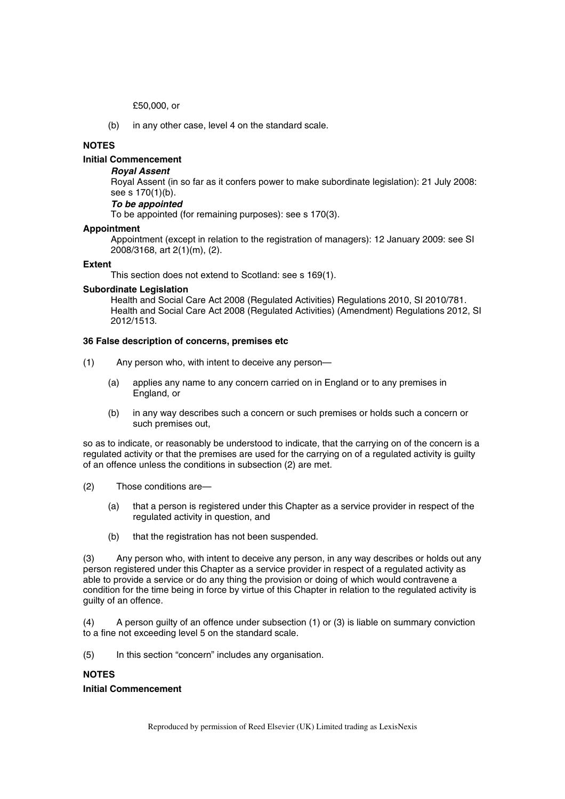£50,000, or

(b) in any other case, level 4 on the standard scale.

# **NOTES**

# **Initial Commencement**

### *Royal Assent*

Royal Assent (in so far as it confers power to make subordinate legislation): 21 July 2008: see s 170(1)(b).

# *To be appointed*

To be appointed (for remaining purposes): see s 170(3).

#### **Appointment**

Appointment (except in relation to the registration of managers): 12 January 2009: see SI 2008/3168, art 2(1)(m), (2).

#### **Extent**

This section does not extend to Scotland: see s 169(1).

### **Subordinate Legislation**

Health and Social Care Act 2008 (Regulated Activities) Regulations 2010, SI 2010/781. Health and Social Care Act 2008 (Regulated Activities) (Amendment) Regulations 2012, SI 2012/1513.

### **36 False description of concerns, premises etc**

- (1) Any person who, with intent to deceive any person—
	- (a) applies any name to any concern carried on in England or to any premises in England, or
	- (b) in any way describes such a concern or such premises or holds such a concern or such premises out,

so as to indicate, or reasonably be understood to indicate, that the carrying on of the concern is a regulated activity or that the premises are used for the carrying on of a regulated activity is guilty of an offence unless the conditions in subsection (2) are met.

- (2) Those conditions are—
	- (a) that a person is registered under this Chapter as a service provider in respect of the regulated activity in question, and
	- (b) that the registration has not been suspended.

(3) Any person who, with intent to deceive any person, in any way describes or holds out any person registered under this Chapter as a service provider in respect of a regulated activity as able to provide a service or do any thing the provision or doing of which would contravene a condition for the time being in force by virtue of this Chapter in relation to the regulated activity is guilty of an offence.

(4) A person guilty of an offence under subsection (1) or (3) is liable on summary conviction to a fine not exceeding level 5 on the standard scale.

(5) In this section "concern" includes any organisation.

### **NOTES**

### **Initial Commencement**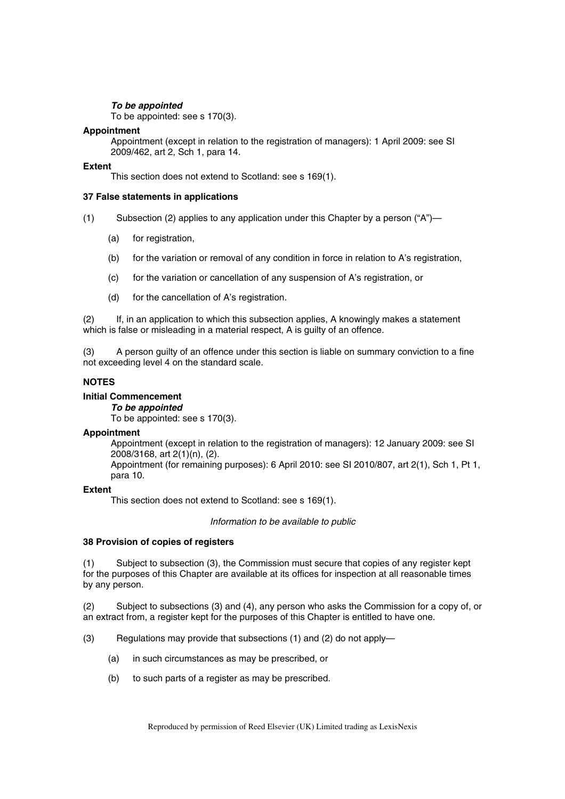# *To be appointed*

To be appointed: see s 170(3).

# **Appointment**

Appointment (except in relation to the registration of managers): 1 April 2009: see SI 2009/462, art 2, Sch 1, para 14.

### **Extent**

This section does not extend to Scotland: see s 169(1).

### **37 False statements in applications**

- (1) Subsection (2) applies to any application under this Chapter by a person ("A")—
	- (a) for registration,
	- (b) for the variation or removal of any condition in force in relation to A's registration,
	- (c) for the variation or cancellation of any suspension of A's registration, or
	- (d) for the cancellation of A's registration.

(2) If, in an application to which this subsection applies, A knowingly makes a statement which is false or misleading in a material respect. A is guilty of an offence.

(3) A person guilty of an offence under this section is liable on summary conviction to a fine not exceeding level 4 on the standard scale.

# **NOTES**

### **Initial Commencement**

*To be appointed* 

To be appointed: see s 170(3).

### **Appointment**

Appointment (except in relation to the registration of managers): 12 January 2009: see SI 2008/3168, art 2(1)(n), (2).

Appointment (for remaining purposes): 6 April 2010: see SI 2010/807, art 2(1), Sch 1, Pt 1, para 10.

### **Extent**

This section does not extend to Scotland: see s 169(1).

*Information to be available to public* 

### **38 Provision of copies of registers**

(1) Subject to subsection (3), the Commission must secure that copies of any register kept for the purposes of this Chapter are available at its offices for inspection at all reasonable times by any person.

(2) Subject to subsections (3) and (4), any person who asks the Commission for a copy of, or an extract from, a register kept for the purposes of this Chapter is entitled to have one.

- (3) Regulations may provide that subsections (1) and (2) do not apply—
	- (a) in such circumstances as may be prescribed, or
	- (b) to such parts of a register as may be prescribed.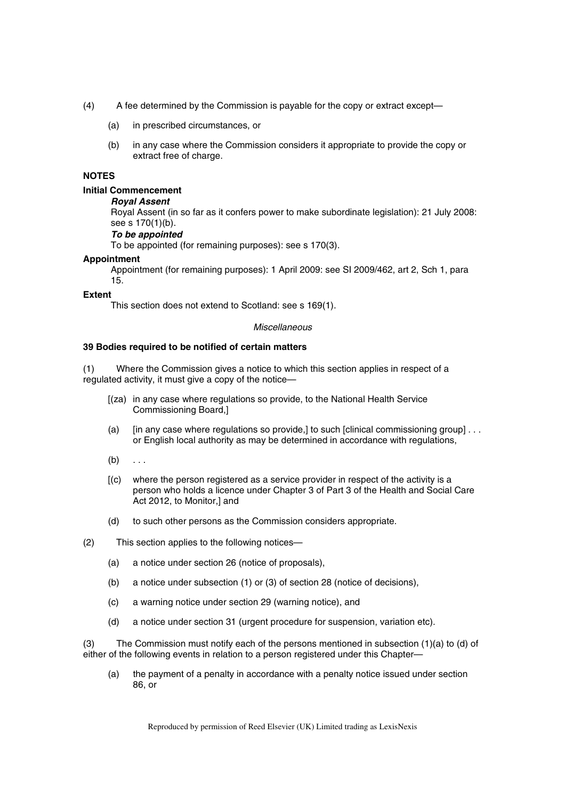- (4) A fee determined by the Commission is payable for the copy or extract except—
	- (a) in prescribed circumstances, or
	- (b) in any case where the Commission considers it appropriate to provide the copy or extract free of charge.

### **NOTES**

# **Initial Commencement**

### *Royal Assent*

Royal Assent (in so far as it confers power to make subordinate legislation): 21 July 2008: see s 170(1)(b).

# *To be appointed*

To be appointed (for remaining purposes): see s 170(3).

### **Appointment**

Appointment (for remaining purposes): 1 April 2009: see SI 2009/462, art 2, Sch 1, para 15.

### **Extent**

This section does not extend to Scotland: see s 169(1).

### *Miscellaneous*

# **39 Bodies required to be notified of certain matters**

(1) Where the Commission gives a notice to which this section applies in respect of a regulated activity, it must give a copy of the notice—

- [(za) in any case where regulations so provide, to the National Health Service Commissioning Board,]
- (a) [in any case where regulations so provide,] to such [clinical commissioning group]  $\dots$ or English local authority as may be determined in accordance with regulations,
- $(b) \ldots$
- [(c) where the person registered as a service provider in respect of the activity is a person who holds a licence under Chapter 3 of Part 3 of the Health and Social Care Act 2012, to Monitor,] and
- (d) to such other persons as the Commission considers appropriate.
- (2) This section applies to the following notices—
	- (a) a notice under section 26 (notice of proposals),
	- (b) a notice under subsection (1) or (3) of section 28 (notice of decisions),
	- (c) a warning notice under section 29 (warning notice), and
	- (d) a notice under section 31 (urgent procedure for suspension, variation etc).

(3) The Commission must notify each of the persons mentioned in subsection (1)(a) to (d) of either of the following events in relation to a person registered under this Chapter—

(a) the payment of a penalty in accordance with a penalty notice issued under section 86, or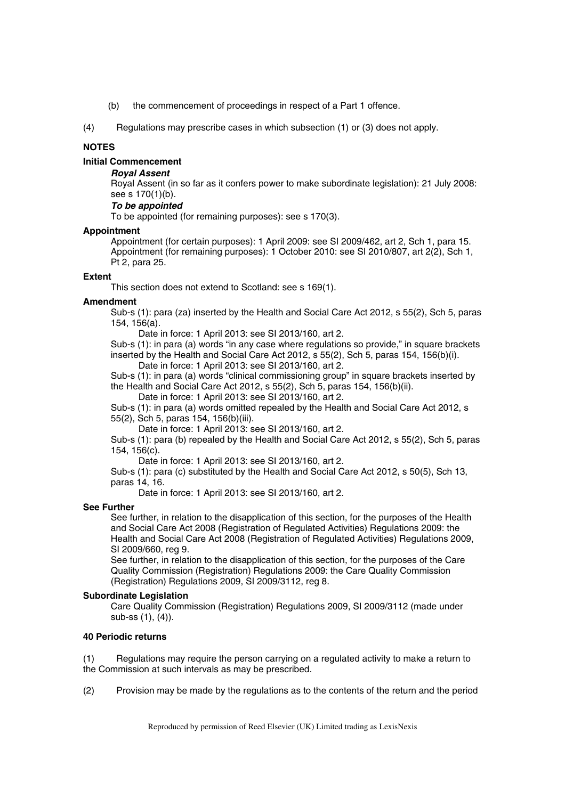- (b) the commencement of proceedings in respect of a Part 1 offence.
- (4) Regulations may prescribe cases in which subsection (1) or (3) does not apply.

# **NOTES**

# **Initial Commencement**

# *Royal Assent*

Royal Assent (in so far as it confers power to make subordinate legislation): 21 July 2008: see s 170(1)(b).

# *To be appointed*

To be appointed (for remaining purposes): see s 170(3).

### **Appointment**

Appointment (for certain purposes): 1 April 2009: see SI 2009/462, art 2, Sch 1, para 15. Appointment (for remaining purposes): 1 October 2010: see SI 2010/807, art 2(2), Sch 1, Pt 2, para 25.

### **Extent**

This section does not extend to Scotland: see s 169(1).

### **Amendment**

Sub-s (1): para (za) inserted by the Health and Social Care Act 2012, s 55(2), Sch 5, paras 154, 156(a).

Date in force: 1 April 2013: see SI 2013/160, art 2.

Sub-s (1): in para (a) words "in any case where regulations so provide," in square brackets inserted by the Health and Social Care Act 2012, s 55(2), Sch 5, paras 154, 156(b)(i). Date in force: 1 April 2013: see SI 2013/160, art 2.

Sub-s (1): in para (a) words "clinical commissioning group" in square brackets inserted by the Health and Social Care Act 2012, s 55(2), Sch 5, paras 154, 156(b)(ii).

Date in force: 1 April 2013: see SI 2013/160, art 2.

Sub-s (1): in para (a) words omitted repealed by the Health and Social Care Act 2012, s 55(2), Sch 5, paras 154, 156(b)(iii).

Date in force: 1 April 2013: see SI 2013/160, art 2.

Sub-s (1): para (b) repealed by the Health and Social Care Act 2012, s 55(2), Sch 5, paras 154, 156(c).

Date in force: 1 April 2013: see SI 2013/160, art 2.

Sub-s (1): para (c) substituted by the Health and Social Care Act 2012, s 50(5), Sch 13, paras 14, 16.

Date in force: 1 April 2013: see SI 2013/160, art 2.

# **See Further**

See further, in relation to the disapplication of this section, for the purposes of the Health and Social Care Act 2008 (Registration of Regulated Activities) Regulations 2009: the Health and Social Care Act 2008 (Registration of Regulated Activities) Regulations 2009, SI 2009/660, reg 9.

See further, in relation to the disapplication of this section, for the purposes of the Care Quality Commission (Registration) Regulations 2009: the Care Quality Commission (Registration) Regulations 2009, SI 2009/3112, reg 8.

# **Subordinate Legislation**

Care Quality Commission (Registration) Regulations 2009, SI 2009/3112 (made under sub-ss (1), (4)).

# **40 Periodic returns**

(1) Regulations may require the person carrying on a regulated activity to make a return to the Commission at such intervals as may be prescribed.

(2) Provision may be made by the regulations as to the contents of the return and the period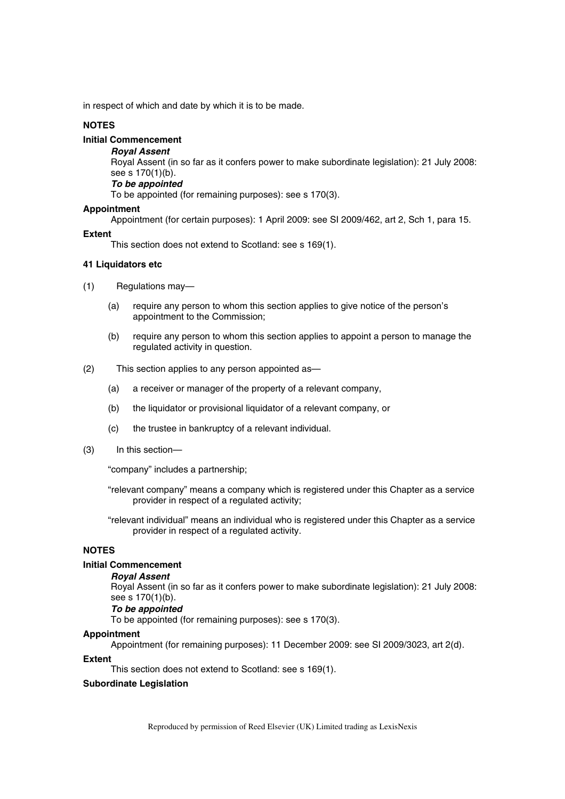in respect of which and date by which it is to be made.

# **NOTES**

# **Initial Commencement**

*Royal Assent*  Royal Assent (in so far as it confers power to make subordinate legislation): 21 July 2008: see s 170(1)(b). *To be appointed*  To be appointed (for remaining purposes): see s 170(3).

### **Appointment**

Appointment (for certain purposes): 1 April 2009: see SI 2009/462, art 2, Sch 1, para 15.

### **Extent**

This section does not extend to Scotland: see s 169(1).

# **41 Liquidators etc**

(1) Regulations may—

- (a) require any person to whom this section applies to give notice of the person's appointment to the Commission;
- (b) require any person to whom this section applies to appoint a person to manage the regulated activity in question.
- (2) This section applies to any person appointed as—
	- (a) a receiver or manager of the property of a relevant company,
	- (b) the liquidator or provisional liquidator of a relevant company, or
	- (c) the trustee in bankruptcy of a relevant individual.
- (3) In this section—

"company" includes a partnership;

"relevant company" means a company which is registered under this Chapter as a service provider in respect of a regulated activity;

"relevant individual" means an individual who is registered under this Chapter as a service provider in respect of a regulated activity.

# **NOTES**

# **Initial Commencement**

### *Royal Assent*

Royal Assent (in so far as it confers power to make subordinate legislation): 21 July 2008: see s 170(1)(b).

# *To be appointed*

To be appointed (for remaining purposes): see s 170(3).

### **Appointment**

Appointment (for remaining purposes): 11 December 2009: see SI 2009/3023, art 2(d).

### **Extent**

This section does not extend to Scotland: see s 169(1).

### **Subordinate Legislation**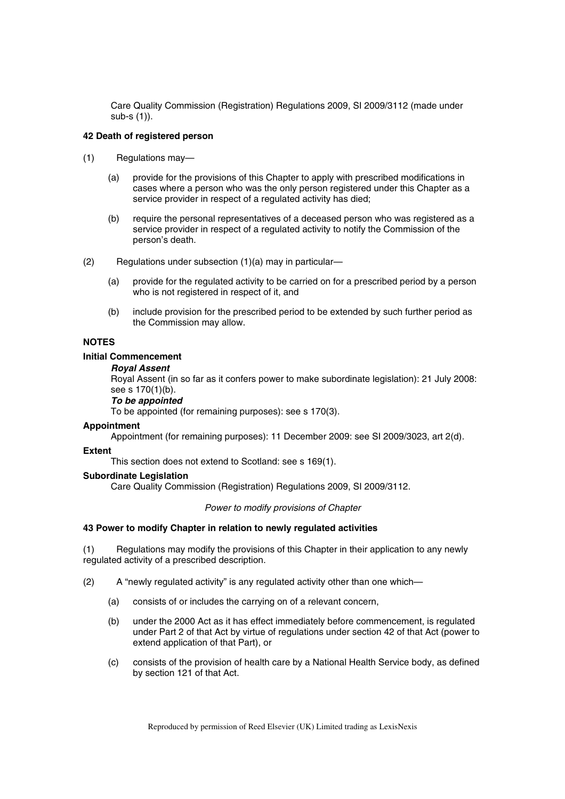Care Quality Commission (Registration) Regulations 2009, SI 2009/3112 (made under sub-s (1)).

# **42 Death of registered person**

- (1) Regulations may—
	- (a) provide for the provisions of this Chapter to apply with prescribed modifications in cases where a person who was the only person registered under this Chapter as a service provider in respect of a regulated activity has died;
	- (b) require the personal representatives of a deceased person who was registered as a service provider in respect of a regulated activity to notify the Commission of the person's death.
- (2) Regulations under subsection (1)(a) may in particular—
	- (a) provide for the regulated activity to be carried on for a prescribed period by a person who is not registered in respect of it, and
	- (b) include provision for the prescribed period to be extended by such further period as the Commission may allow.

# **NOTES**

### **Initial Commencement**

### *Royal Assent*

Royal Assent (in so far as it confers power to make subordinate legislation): 21 July 2008: see s 170(1)(b).

# *To be appointed*

To be appointed (for remaining purposes): see s 170(3).

### **Appointment**

Appointment (for remaining purposes): 11 December 2009: see SI 2009/3023, art 2(d).

### **Extent**

This section does not extend to Scotland: see s 169(1).

### **Subordinate Legislation**

Care Quality Commission (Registration) Regulations 2009, SI 2009/3112.

# *Power to modify provisions of Chapter*

### **43 Power to modify Chapter in relation to newly regulated activities**

(1) Regulations may modify the provisions of this Chapter in their application to any newly regulated activity of a prescribed description.

- (2) A "newly regulated activity" is any regulated activity other than one which—
	- (a) consists of or includes the carrying on of a relevant concern,
	- (b) under the 2000 Act as it has effect immediately before commencement, is regulated under Part 2 of that Act by virtue of regulations under section 42 of that Act (power to extend application of that Part), or
	- (c) consists of the provision of health care by a National Health Service body, as defined by section 121 of that Act.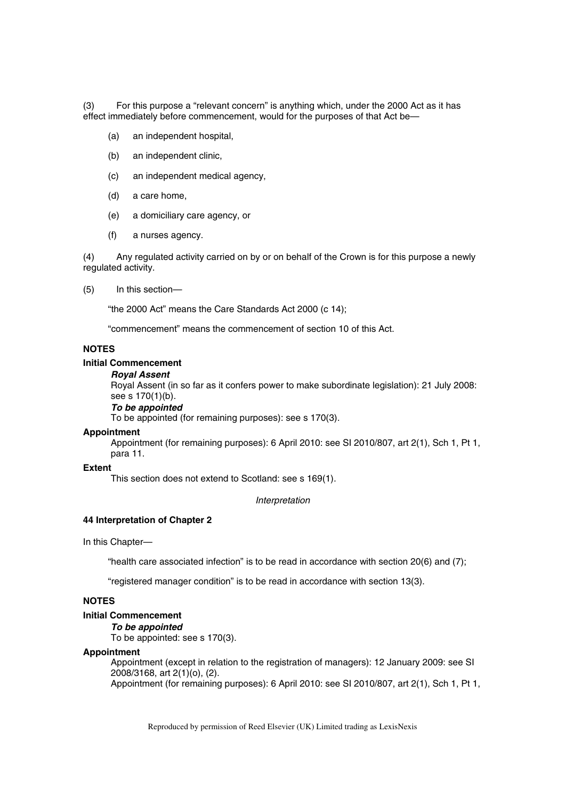(3) For this purpose a "relevant concern" is anything which, under the 2000 Act as it has effect immediately before commencement, would for the purposes of that Act be—

- (a) an independent hospital,
- (b) an independent clinic,
- (c) an independent medical agency,
- (d) a care home,
- (e) a domiciliary care agency, or
- (f) a nurses agency.

(4) Any regulated activity carried on by or on behalf of the Crown is for this purpose a newly regulated activity.

(5) In this section—

"the 2000 Act" means the Care Standards Act 2000 (c 14);

"commencement" means the commencement of section 10 of this Act.

# **NOTES**

### **Initial Commencement**

#### *Royal Assent*

Royal Assent (in so far as it confers power to make subordinate legislation): 21 July 2008: see s 170(1)(b).

### *To be appointed*

To be appointed (for remaining purposes): see s 170(3).

# **Appointment**

Appointment (for remaining purposes): 6 April 2010: see SI 2010/807, art 2(1), Sch 1, Pt 1, para 11.

### **Extent**

This section does not extend to Scotland: see s 169(1).

*Interpretation* 

### **44 Interpretation of Chapter 2**

In this Chapter—

"health care associated infection" is to be read in accordance with section 20(6) and (7);

"registered manager condition" is to be read in accordance with section 13(3).

# **NOTES**

# **Initial Commencement**

*To be appointed* 

To be appointed: see s 170(3).

# **Appointment**

Appointment (except in relation to the registration of managers): 12 January 2009: see SI 2008/3168, art 2(1)(o), (2). Appointment (for remaining purposes): 6 April 2010: see SI 2010/807, art 2(1), Sch 1, Pt 1,

Reproduced by permission of Reed Elsevier (UK) Limited trading as LexisNexis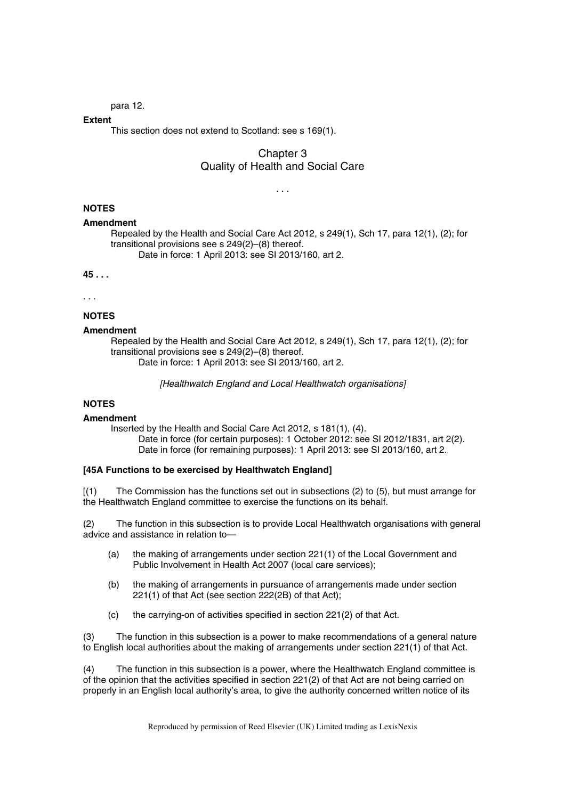para 12.

## **Extent**

This section does not extend to Scotland: see s 169(1).

# Chapter 3 Quality of Health and Social Care

*. . .* 

## **NOTES**

#### **Amendment**

Repealed by the Health and Social Care Act 2012, s 249(1), Sch 17, para 12(1), (2); for transitional provisions see s 249(2)–(8) thereof. Date in force: 1 April 2013: see SI 2013/160, art 2.

#### **45 . . .**

. . .

# **NOTES**

## **Amendment**

Repealed by the Health and Social Care Act 2012, s 249(1), Sch 17, para 12(1), (2); for transitional provisions see s 249(2)–(8) thereof. Date in force: 1 April 2013: see SI 2013/160, art 2.

*[Healthwatch England and Local Healthwatch organisations]* 

# **NOTES**

#### **Amendment**

Inserted by the Health and Social Care Act 2012, s 181(1), (4). Date in force (for certain purposes): 1 October 2012: see SI 2012/1831, art 2(2). Date in force (for remaining purposes): 1 April 2013: see SI 2013/160, art 2.

#### **[45A Functions to be exercised by Healthwatch England]**

[(1) The Commission has the functions set out in subsections (2) to (5), but must arrange for the Healthwatch England committee to exercise the functions on its behalf.

(2) The function in this subsection is to provide Local Healthwatch organisations with general advice and assistance in relation to—

- (a) the making of arrangements under section 221(1) of the Local Government and Public Involvement in Health Act 2007 (local care services);
- (b) the making of arrangements in pursuance of arrangements made under section 221(1) of that Act (see section 222(2B) of that Act);
- (c) the carrying-on of activities specified in section 221(2) of that Act.

(3) The function in this subsection is a power to make recommendations of a general nature to English local authorities about the making of arrangements under section 221(1) of that Act.

(4) The function in this subsection is a power, where the Healthwatch England committee is of the opinion that the activities specified in section 221(2) of that Act are not being carried on properly in an English local authority's area, to give the authority concerned written notice of its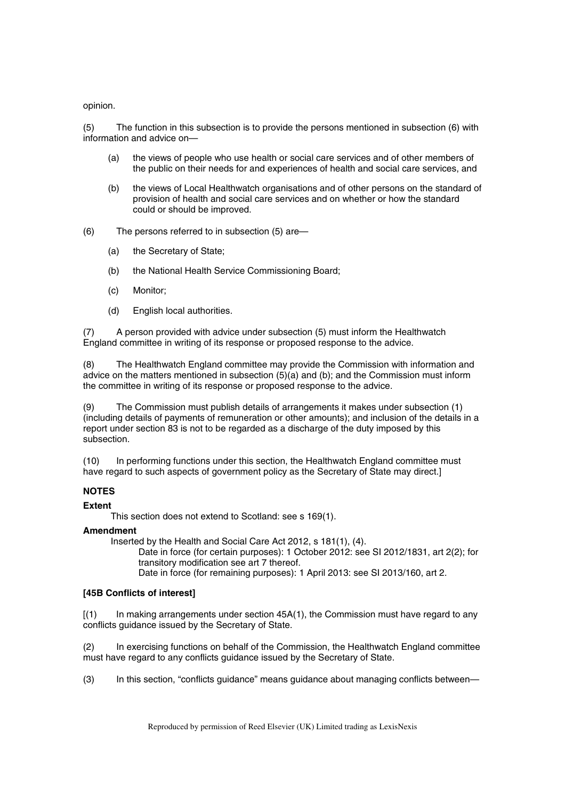opinion.

(5) The function in this subsection is to provide the persons mentioned in subsection (6) with information and advice on—

- (a) the views of people who use health or social care services and of other members of the public on their needs for and experiences of health and social care services, and
- (b) the views of Local Healthwatch organisations and of other persons on the standard of provision of health and social care services and on whether or how the standard could or should be improved.
- (6) The persons referred to in subsection (5) are—
	- (a) the Secretary of State;
	- (b) the National Health Service Commissioning Board;
	- (c) Monitor;
	- (d) English local authorities.

(7) A person provided with advice under subsection (5) must inform the Healthwatch England committee in writing of its response or proposed response to the advice.

(8) The Healthwatch England committee may provide the Commission with information and advice on the matters mentioned in subsection (5)(a) and (b); and the Commission must inform the committee in writing of its response or proposed response to the advice.

(9) The Commission must publish details of arrangements it makes under subsection (1) (including details of payments of remuneration or other amounts); and inclusion of the details in a report under section 83 is not to be regarded as a discharge of the duty imposed by this subsection.

(10) In performing functions under this section, the Healthwatch England committee must have regard to such aspects of government policy as the Secretary of State may direct.]

## **NOTES**

#### **Extent**

This section does not extend to Scotland: see s 169(1).

#### **Amendment**

Inserted by the Health and Social Care Act 2012, s 181(1), (4).

Date in force (for certain purposes): 1 October 2012: see SI 2012/1831, art 2(2); for transitory modification see art 7 thereof.

Date in force (for remaining purposes): 1 April 2013: see SI 2013/160, art 2.

### **[45B Conflicts of interest]**

 $\left[ (1) \right]$  In making arrangements under section 45A(1), the Commission must have regard to any conflicts guidance issued by the Secretary of State.

(2) In exercising functions on behalf of the Commission, the Healthwatch England committee must have regard to any conflicts guidance issued by the Secretary of State.

(3) In this section, "conflicts guidance" means guidance about managing conflicts between—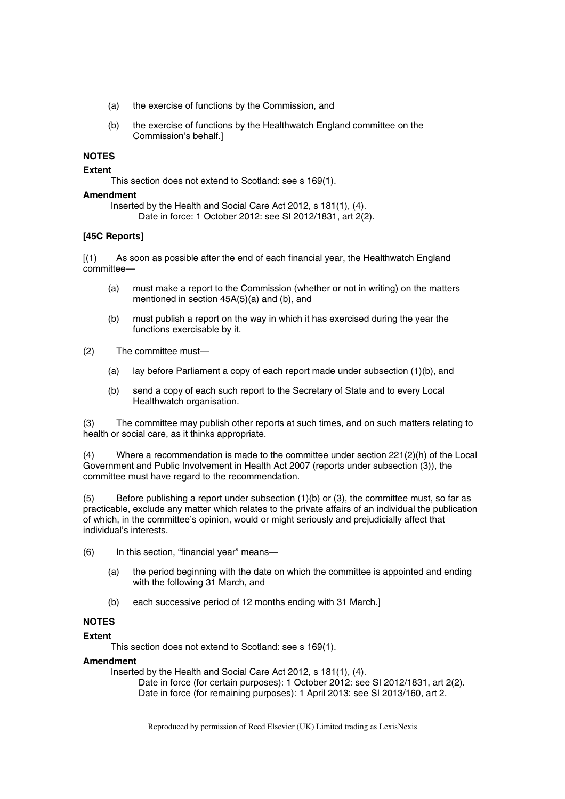- (a) the exercise of functions by the Commission, and
- (b) the exercise of functions by the Healthwatch England committee on the Commission's behalf.]

## **NOTES**

#### **Extent**

This section does not extend to Scotland: see s 169(1).

### **Amendment**

Inserted by the Health and Social Care Act 2012, s 181(1), (4). Date in force: 1 October 2012: see SI 2012/1831, art 2(2).

## **[45C Reports]**

[(1) As soon as possible after the end of each financial year, the Healthwatch England committee—

- (a) must make a report to the Commission (whether or not in writing) on the matters mentioned in section 45A(5)(a) and (b), and
- (b) must publish a report on the way in which it has exercised during the year the functions exercisable by it.
- (2) The committee must—
	- (a) lay before Parliament a copy of each report made under subsection (1)(b), and
	- (b) send a copy of each such report to the Secretary of State and to every Local Healthwatch organisation.

(3) The committee may publish other reports at such times, and on such matters relating to health or social care, as it thinks appropriate.

(4) Where a recommendation is made to the committee under section 221(2)(h) of the Local Government and Public Involvement in Health Act 2007 (reports under subsection (3)), the committee must have regard to the recommendation.

(5) Before publishing a report under subsection (1)(b) or (3), the committee must, so far as practicable, exclude any matter which relates to the private affairs of an individual the publication of which, in the committee's opinion, would or might seriously and prejudicially affect that individual's interests.

- (6) In this section, "financial year" means—
	- (a) the period beginning with the date on which the committee is appointed and ending with the following 31 March, and
	- (b) each successive period of 12 months ending with 31 March.]

# **NOTES**

## **Extent**

This section does not extend to Scotland: see s 169(1).

## **Amendment**

Inserted by the Health and Social Care Act 2012, s 181(1), (4).

Date in force (for certain purposes): 1 October 2012: see SI 2012/1831, art 2(2). Date in force (for remaining purposes): 1 April 2013: see SI 2013/160, art 2.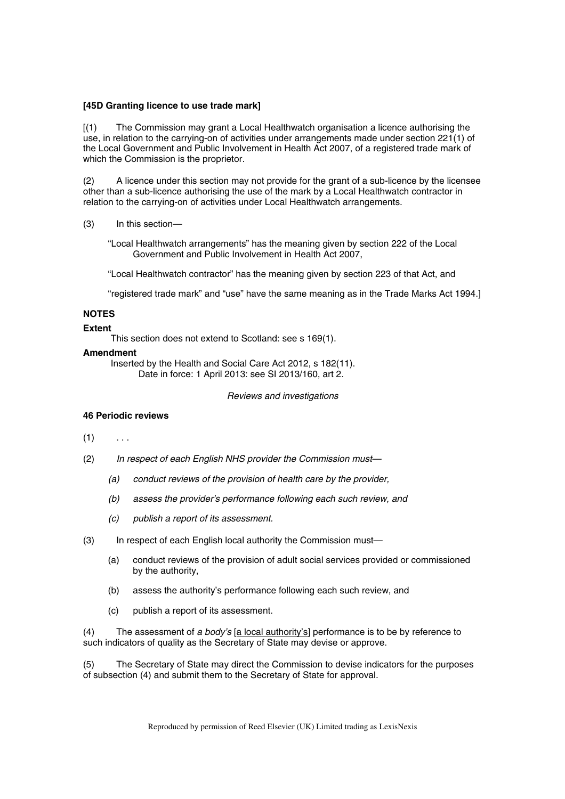#### **[45D Granting licence to use trade mark]**

[(1) The Commission may grant a Local Healthwatch organisation a licence authorising the use, in relation to the carrying-on of activities under arrangements made under section 221(1) of the Local Government and Public Involvement in Health Act 2007, of a registered trade mark of which the Commission is the proprietor.

(2) A licence under this section may not provide for the grant of a sub-licence by the licensee other than a sub-licence authorising the use of the mark by a Local Healthwatch contractor in relation to the carrying-on of activities under Local Healthwatch arrangements.

(3) In this section—

"Local Healthwatch arrangements" has the meaning given by section 222 of the Local Government and Public Involvement in Health Act 2007,

"Local Healthwatch contractor" has the meaning given by section 223 of that Act, and

"registered trade mark" and "use" have the same meaning as in the Trade Marks Act 1994.]

#### **NOTES**

#### **Extent**

This section does not extend to Scotland: see s 169(1).

#### **Amendment**

Inserted by the Health and Social Care Act 2012, s 182(11). Date in force: 1 April 2013: see SI 2013/160, art 2.

*Reviews and investigations* 

## **46 Periodic reviews**

## $(1)$  ...

- (2) *In respect of each English NHS provider the Commission must—*
	- *(a) conduct reviews of the provision of health care by the provider,*
	- *(b) assess the provider's performance following each such review, and*
	- *(c) publish a report of its assessment.*
- (3) In respect of each English local authority the Commission must—
	- (a) conduct reviews of the provision of adult social services provided or commissioned by the authority,
	- (b) assess the authority's performance following each such review, and
	- (c) publish a report of its assessment.

(4) The assessment of *a body's* [a local authority's] performance is to be by reference to such indicators of quality as the Secretary of State may devise or approve.

(5) The Secretary of State may direct the Commission to devise indicators for the purposes of subsection (4) and submit them to the Secretary of State for approval.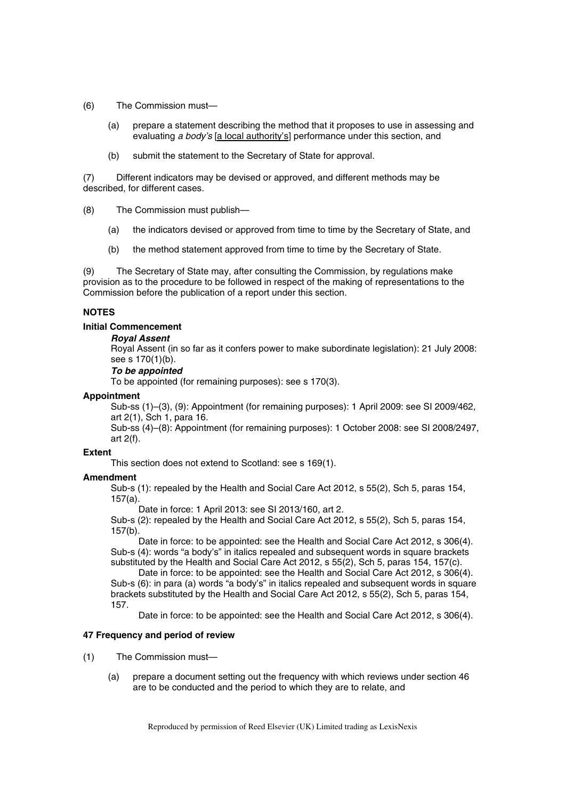- (6) The Commission must—
	- (a) prepare a statement describing the method that it proposes to use in assessing and evaluating *a body's* [a local authority's] performance under this section, and
	- (b) submit the statement to the Secretary of State for approval.

(7) Different indicators may be devised or approved, and different methods may be described, for different cases.

(8) The Commission must publish—

- (a) the indicators devised or approved from time to time by the Secretary of State, and
- (b) the method statement approved from time to time by the Secretary of State.

(9) The Secretary of State may, after consulting the Commission, by regulations make provision as to the procedure to be followed in respect of the making of representations to the Commission before the publication of a report under this section.

## **NOTES**

#### **Initial Commencement**

#### *Royal Assent*

Royal Assent (in so far as it confers power to make subordinate legislation): 21 July 2008: see s 170(1)(b).

## *To be appointed*

To be appointed (for remaining purposes): see s 170(3).

#### **Appointment**

Sub-ss (1)–(3), (9): Appointment (for remaining purposes): 1 April 2009: see SI 2009/462, art 2(1), Sch 1, para 16.

Sub-ss (4)–(8): Appointment (for remaining purposes): 1 October 2008: see SI 2008/2497, art 2(f).

#### **Extent**

This section does not extend to Scotland: see s 169(1).

## **Amendment**

Sub-s (1): repealed by the Health and Social Care Act 2012, s 55(2), Sch 5, paras 154, 157(a).

Date in force: 1 April 2013: see SI 2013/160, art 2.

Sub-s (2): repealed by the Health and Social Care Act 2012, s 55(2), Sch 5, paras 154, 157(b).

Date in force: to be appointed: see the Health and Social Care Act 2012, s 306(4). Sub-s (4): words "a body's" in italics repealed and subsequent words in square brackets substituted by the Health and Social Care Act 2012, s 55(2), Sch 5, paras 154, 157(c).

Date in force: to be appointed: see the Health and Social Care Act 2012, s 306(4). Sub-s (6): in para (a) words "a body's" in italics repealed and subsequent words in square brackets substituted by the Health and Social Care Act 2012, s 55(2), Sch 5, paras 154, 157.

Date in force: to be appointed: see the Health and Social Care Act 2012, s 306(4).

## **47 Frequency and period of review**

- (1) The Commission must—
	- (a) prepare a document setting out the frequency with which reviews under section 46 are to be conducted and the period to which they are to relate, and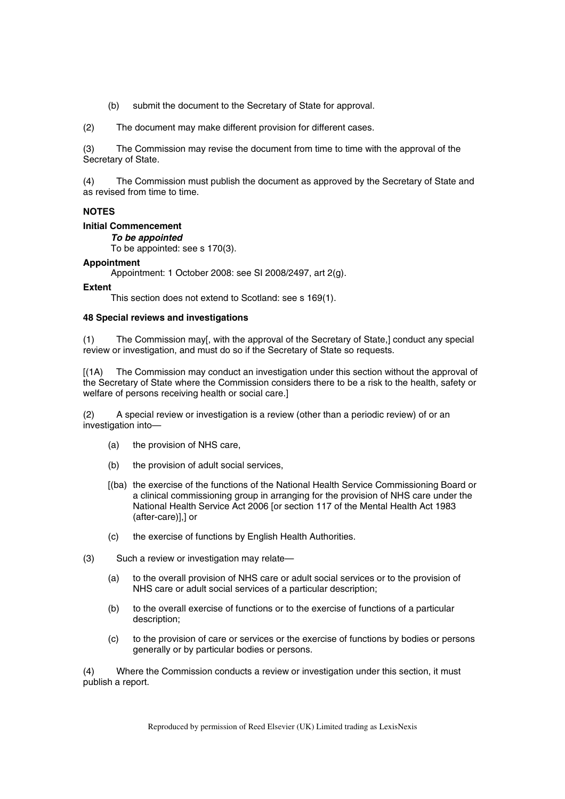(b) submit the document to the Secretary of State for approval.

(2) The document may make different provision for different cases.

(3) The Commission may revise the document from time to time with the approval of the Secretary of State.

(4) The Commission must publish the document as approved by the Secretary of State and as revised from time to time.

## **NOTES**

#### **Initial Commencement**

## *To be appointed*

To be appointed: see s 170(3).

## **Appointment**

Appointment: 1 October 2008: see SI 2008/2497, art 2(g).

#### **Extent**

This section does not extend to Scotland: see s 169(1).

#### **48 Special reviews and investigations**

(1) The Commission may[, with the approval of the Secretary of State,] conduct any special review or investigation, and must do so if the Secretary of State so requests.

[(1A) The Commission may conduct an investigation under this section without the approval of the Secretary of State where the Commission considers there to be a risk to the health, safety or welfare of persons receiving health or social care.]

(2) A special review or investigation is a review (other than a periodic review) of or an investigation into—

- (a) the provision of NHS care,
- (b) the provision of adult social services,
- [(ba) the exercise of the functions of the National Health Service Commissioning Board or a clinical commissioning group in arranging for the provision of NHS care under the National Health Service Act 2006 [or section 117 of the Mental Health Act 1983 (after-care)],] or
- (c) the exercise of functions by English Health Authorities.
- (3) Such a review or investigation may relate—
	- (a) to the overall provision of NHS care or adult social services or to the provision of NHS care or adult social services of a particular description;
	- (b) to the overall exercise of functions or to the exercise of functions of a particular description;
	- (c) to the provision of care or services or the exercise of functions by bodies or persons generally or by particular bodies or persons.

(4) Where the Commission conducts a review or investigation under this section, it must publish a report.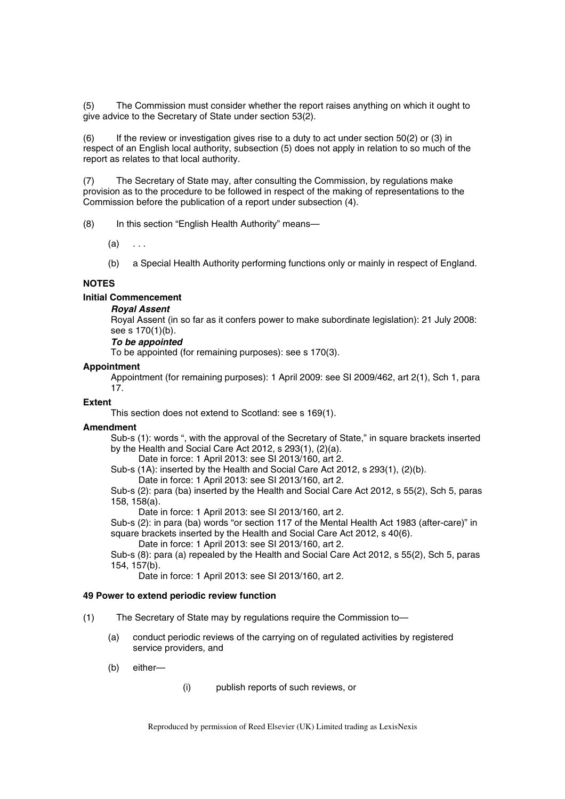(5) The Commission must consider whether the report raises anything on which it ought to give advice to the Secretary of State under section 53(2).

(6) If the review or investigation gives rise to a duty to act under section 50(2) or (3) in respect of an English local authority, subsection (5) does not apply in relation to so much of the report as relates to that local authority.

(7) The Secretary of State may, after consulting the Commission, by regulations make provision as to the procedure to be followed in respect of the making of representations to the Commission before the publication of a report under subsection (4).

(8) In this section "English Health Authority" means—

 $(a) \quad \ldots$ 

(b) a Special Health Authority performing functions only or mainly in respect of England.

## **NOTES**

**Initial Commencement** 

## *Royal Assent*

Royal Assent (in so far as it confers power to make subordinate legislation): 21 July 2008: see s 170(1)(b).

#### *To be appointed*

To be appointed (for remaining purposes): see s 170(3).

#### **Appointment**

Appointment (for remaining purposes): 1 April 2009: see SI 2009/462, art 2(1), Sch 1, para 17.

## **Extent**

This section does not extend to Scotland: see s 169(1).

#### **Amendment**

Sub-s (1): words ", with the approval of the Secretary of State," in square brackets inserted by the Health and Social Care Act 2012, s 293(1), (2)(a).

Date in force: 1 April 2013: see SI 2013/160, art 2.

Sub-s (1A): inserted by the Health and Social Care Act 2012, s 293(1), (2)(b).

Date in force: 1 April 2013: see SI 2013/160, art 2.

Sub-s (2): para (ba) inserted by the Health and Social Care Act 2012, s 55(2), Sch 5, paras 158, 158(a).

Date in force: 1 April 2013: see SI 2013/160, art 2.

Sub-s (2): in para (ba) words "or section 117 of the Mental Health Act 1983 (after-care)" in square brackets inserted by the Health and Social Care Act 2012, s 40(6).

Date in force: 1 April 2013: see SI 2013/160, art 2.

Sub-s (8): para (a) repealed by the Health and Social Care Act 2012, s 55(2), Sch 5, paras 154, 157(b).

Date in force: 1 April 2013: see SI 2013/160, art 2.

#### **49 Power to extend periodic review function**

- (1) The Secretary of State may by regulations require the Commission to—
	- (a) conduct periodic reviews of the carrying on of regulated activities by registered service providers, and
	- (b) either—

(i) publish reports of such reviews, or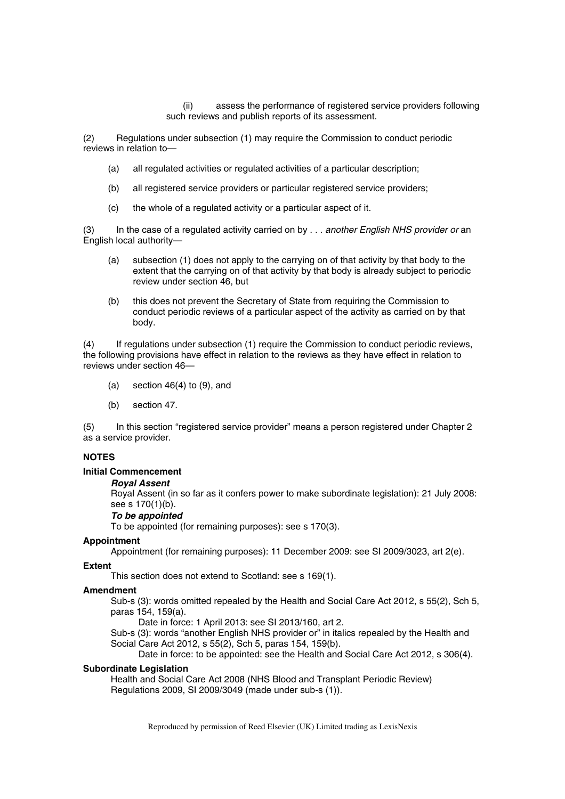(ii) assess the performance of registered service providers following such reviews and publish reports of its assessment.

(2) Regulations under subsection (1) may require the Commission to conduct periodic reviews in relation to—

- (a) all regulated activities or regulated activities of a particular description;
- (b) all registered service providers or particular registered service providers;
- (c) the whole of a regulated activity or a particular aspect of it.

(3) In the case of a regulated activity carried on by . . . *another English NHS provider or* an English local authority—

- (a) subsection (1) does not apply to the carrying on of that activity by that body to the extent that the carrying on of that activity by that body is already subject to periodic review under section 46, but
- (b) this does not prevent the Secretary of State from requiring the Commission to conduct periodic reviews of a particular aspect of the activity as carried on by that body.

(4) If regulations under subsection (1) require the Commission to conduct periodic reviews, the following provisions have effect in relation to the reviews as they have effect in relation to reviews under section 46—

- (a) section  $46(4)$  to  $(9)$ , and
- (b) section 47.

(5) In this section "registered service provider" means a person registered under Chapter 2 as a service provider.

## **NOTES**

#### **Initial Commencement**

#### *Royal Assent*

Royal Assent (in so far as it confers power to make subordinate legislation): 21 July 2008: see s 170(1)(b).

#### *To be appointed*

To be appointed (for remaining purposes): see s 170(3).

#### **Appointment**

Appointment (for remaining purposes): 11 December 2009: see SI 2009/3023, art 2(e).

#### **Extent**

This section does not extend to Scotland: see s 169(1).

#### **Amendment**

Sub-s (3): words omitted repealed by the Health and Social Care Act 2012, s 55(2), Sch 5, paras 154, 159(a).

Date in force: 1 April 2013: see SI 2013/160, art 2.

Sub-s (3): words "another English NHS provider or" in italics repealed by the Health and Social Care Act 2012, s 55(2), Sch 5, paras 154, 159(b).

Date in force: to be appointed: see the Health and Social Care Act 2012, s 306(4).

#### **Subordinate Legislation**

Health and Social Care Act 2008 (NHS Blood and Transplant Periodic Review) Regulations 2009, SI 2009/3049 (made under sub-s (1)).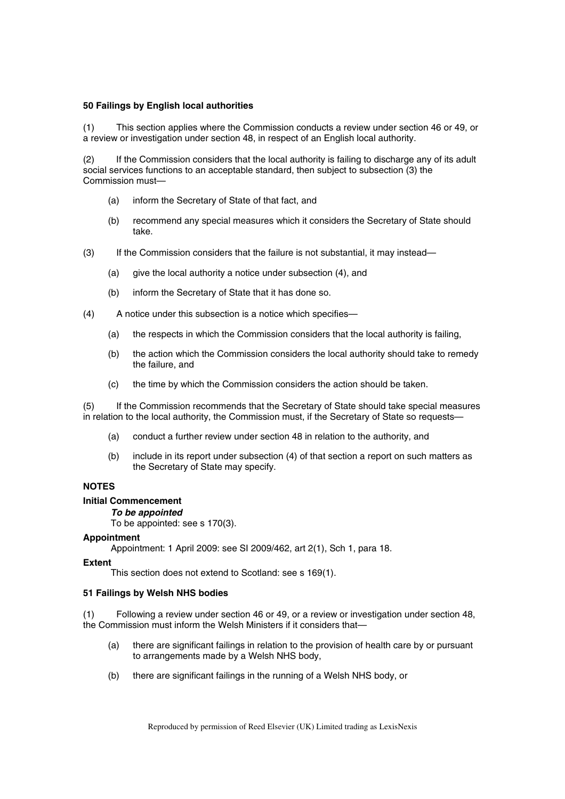#### **50 Failings by English local authorities**

(1) This section applies where the Commission conducts a review under section 46 or 49, or a review or investigation under section 48, in respect of an English local authority.

(2) If the Commission considers that the local authority is failing to discharge any of its adult social services functions to an acceptable standard, then subject to subsection (3) the Commission must—

- (a) inform the Secretary of State of that fact, and
- (b) recommend any special measures which it considers the Secretary of State should take.
- (3) If the Commission considers that the failure is not substantial, it may instead—
	- (a) give the local authority a notice under subsection (4), and
	- (b) inform the Secretary of State that it has done so.
- (4) A notice under this subsection is a notice which specifies—
	- (a) the respects in which the Commission considers that the local authority is failing,
	- (b) the action which the Commission considers the local authority should take to remedy the failure, and
	- (c) the time by which the Commission considers the action should be taken.

(5) If the Commission recommends that the Secretary of State should take special measures in relation to the local authority, the Commission must, if the Secretary of State so requests—

- (a) conduct a further review under section 48 in relation to the authority, and
- (b) include in its report under subsection (4) of that section a report on such matters as the Secretary of State may specify.

## **NOTES**

## **Initial Commencement**

#### *To be appointed*

To be appointed: see s 170(3).

#### **Appointment**

Appointment: 1 April 2009: see SI 2009/462, art 2(1), Sch 1, para 18.

#### **Extent**

This section does not extend to Scotland: see s 169(1).

#### **51 Failings by Welsh NHS bodies**

(1) Following a review under section 46 or 49, or a review or investigation under section 48, the Commission must inform the Welsh Ministers if it considers that—

- (a) there are significant failings in relation to the provision of health care by or pursuant to arrangements made by a Welsh NHS body,
- (b) there are significant failings in the running of a Welsh NHS body, or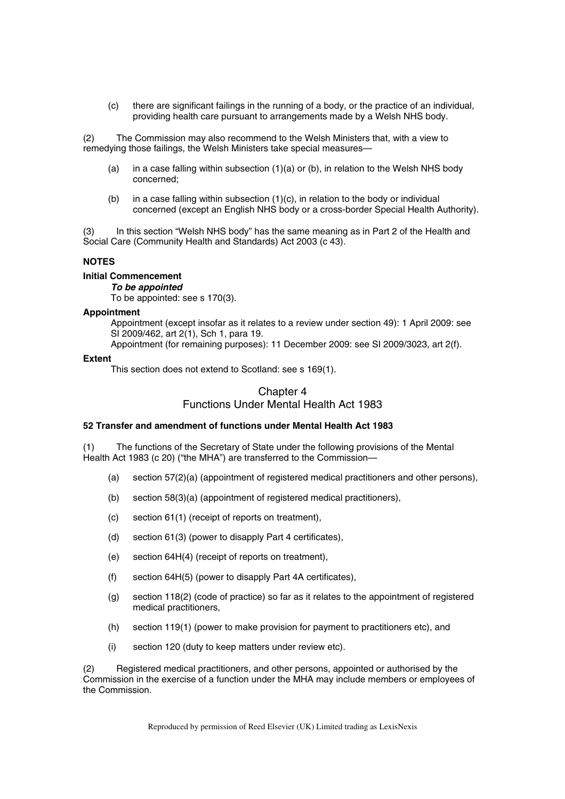(c) there are significant failings in the running of a body, or the practice of an individual, providing health care pursuant to arrangements made by a Welsh NHS body.

(2) The Commission may also recommend to the Welsh Ministers that, with a view to remedying those failings, the Welsh Ministers take special measures—

- (a) in a case falling within subsection  $(1)(a)$  or (b), in relation to the Welsh NHS body concerned;
- (b) in a case falling within subsection (1)(c), in relation to the body or individual concerned (except an English NHS body or a cross-border Special Health Authority).

(3) In this section "Welsh NHS body" has the same meaning as in Part 2 of the Health and Social Care (Community Health and Standards) Act 2003 (c 43).

## **NOTES**

#### **Initial Commencement**

*To be appointed* 

To be appointed: see s 170(3).

## **Appointment**

Appointment (except insofar as it relates to a review under section 49): 1 April 2009: see SI 2009/462, art 2(1), Sch 1, para 19.

Appointment (for remaining purposes): 11 December 2009: see SI 2009/3023, art 2(f).

#### **Extent**

This section does not extend to Scotland: see s 169(1).

# Chapter 4 Functions Under Mental Health Act 1983

## **52 Transfer and amendment of functions under Mental Health Act 1983**

(1) The functions of the Secretary of State under the following provisions of the Mental Health Act 1983 (c 20) ("the MHA") are transferred to the Commission—

- (a) section 57(2)(a) (appointment of registered medical practitioners and other persons),
- (b) section 58(3)(a) (appointment of registered medical practitioners),
- (c) section 61(1) (receipt of reports on treatment),
- (d) section 61(3) (power to disapply Part 4 certificates),
- (e) section 64H(4) (receipt of reports on treatment),
- (f) section 64H(5) (power to disapply Part 4A certificates),
- (g) section 118(2) (code of practice) so far as it relates to the appointment of registered medical practitioners,
- (h) section 119(1) (power to make provision for payment to practitioners etc), and
- (i) section 120 (duty to keep matters under review etc).

(2) Registered medical practitioners, and other persons, appointed or authorised by the Commission in the exercise of a function under the MHA may include members or employees of the Commission.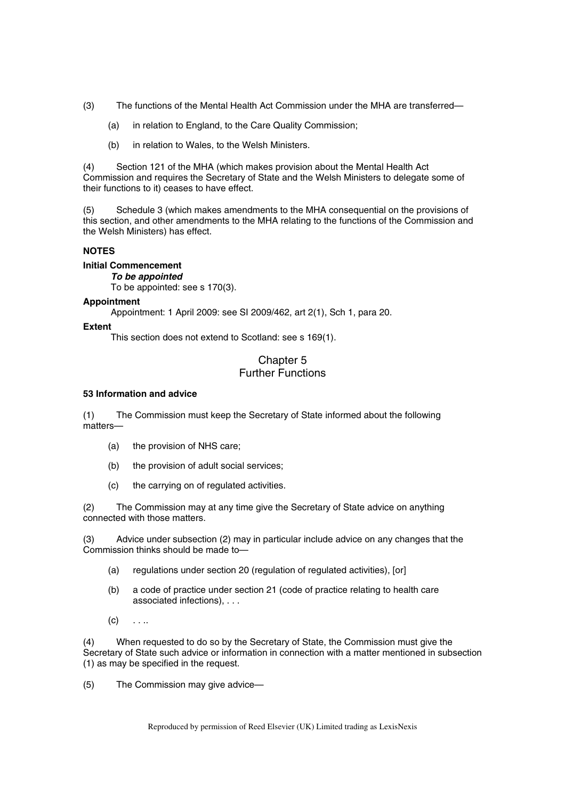- (3) The functions of the Mental Health Act Commission under the MHA are transferred—
	- (a) in relation to England, to the Care Quality Commission;
	- (b) in relation to Wales, to the Welsh Ministers.

(4) Section 121 of the MHA (which makes provision about the Mental Health Act Commission and requires the Secretary of State and the Welsh Ministers to delegate some of their functions to it) ceases to have effect.

(5) Schedule 3 (which makes amendments to the MHA consequential on the provisions of this section, and other amendments to the MHA relating to the functions of the Commission and the Welsh Ministers) has effect.

## **NOTES**

**Initial Commencement**  *To be appointed*  To be appointed: see s 170(3).

## **Appointment**

Appointment: 1 April 2009: see SI 2009/462, art 2(1), Sch 1, para 20.

## **Extent**

This section does not extend to Scotland: see s 169(1).

# Chapter 5 Further Functions

## **53 Information and advice**

(1) The Commission must keep the Secretary of State informed about the following matters—

- (a) the provision of NHS care;
- (b) the provision of adult social services;
- (c) the carrying on of regulated activities.

(2) The Commission may at any time give the Secretary of State advice on anything connected with those matters.

(3) Advice under subsection (2) may in particular include advice on any changes that the Commission thinks should be made to-

- (a) regulations under section 20 (regulation of regulated activities), [or]
- (b) a code of practice under section 21 (code of practice relating to health care associated infections), . . .
- $(c)$  . . ..

(4) When requested to do so by the Secretary of State, the Commission must give the Secretary of State such advice or information in connection with a matter mentioned in subsection (1) as may be specified in the request.

(5) The Commission may give advice—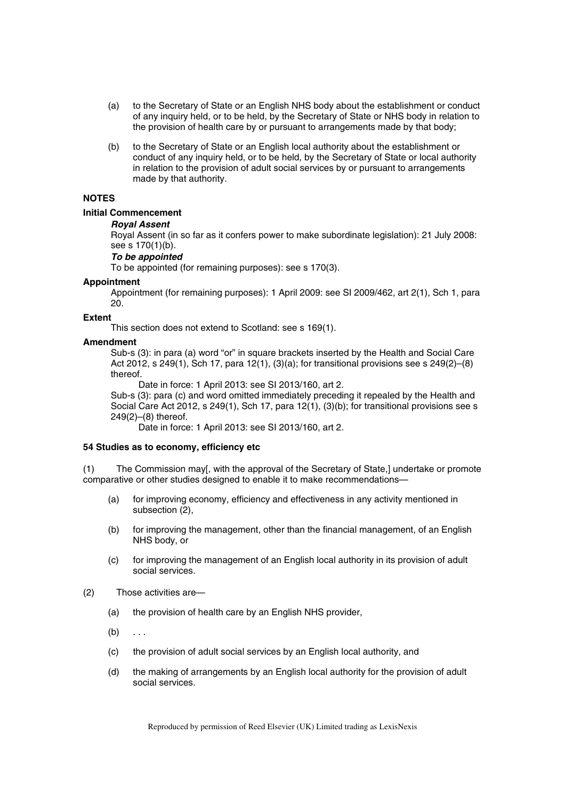- (a) to the Secretary of State or an English NHS body about the establishment or conduct of any inquiry held, or to be held, by the Secretary of State or NHS body in relation to the provision of health care by or pursuant to arrangements made by that body;
- (b) to the Secretary of State or an English local authority about the establishment or conduct of any inquiry held, or to be held, by the Secretary of State or local authority in relation to the provision of adult social services by or pursuant to arrangements made by that authority.

## **NOTES**

## **Initial Commencement**

## *Royal Assent*

Royal Assent (in so far as it confers power to make subordinate legislation): 21 July 2008: see s 170(1)(b).

#### *To be appointed*

To be appointed (for remaining purposes): see s 170(3).

#### **Appointment**

Appointment (for remaining purposes): 1 April 2009: see SI 2009/462, art 2(1), Sch 1, para 20.

#### **Extent**

This section does not extend to Scotland: see s 169(1).

#### **Amendment**

Sub-s (3): in para (a) word "or" in square brackets inserted by the Health and Social Care Act 2012, s 249(1), Sch 17, para 12(1),  $(3)(a)$ ; for transitional provisions see s 249(2)–(8) thereof.

Date in force: 1 April 2013: see SI 2013/160, art 2.

Sub-s (3): para (c) and word omitted immediately preceding it repealed by the Health and Social Care Act 2012, s 249(1), Sch 17, para 12(1), (3)(b); for transitional provisions see s 249(2)–(8) thereof.

Date in force: 1 April 2013: see SI 2013/160, art 2.

#### **54 Studies as to economy, efficiency etc**

(1) The Commission may[, with the approval of the Secretary of State,] undertake or promote comparative or other studies designed to enable it to make recommendations—

- (a) for improving economy, efficiency and effectiveness in any activity mentioned in subsection (2),
- (b) for improving the management, other than the financial management, of an English NHS body, or
- (c) for improving the management of an English local authority in its provision of adult social services.
- (2) Those activities are—
	- (a) the provision of health care by an English NHS provider,
	- $(b) \ldots$
	- (c) the provision of adult social services by an English local authority, and
	- (d) the making of arrangements by an English local authority for the provision of adult social services.

Reproduced by permission of Reed Elsevier (UK) Limited trading as LexisNexis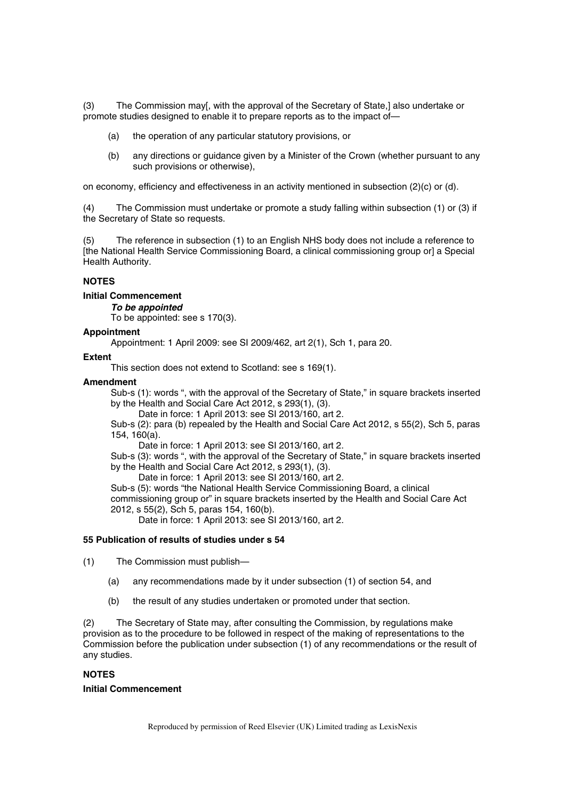(3) The Commission may[, with the approval of the Secretary of State,] also undertake or promote studies designed to enable it to prepare reports as to the impact of—

- (a) the operation of any particular statutory provisions, or
- (b) any directions or guidance given by a Minister of the Crown (whether pursuant to any such provisions or otherwise),

on economy, efficiency and effectiveness in an activity mentioned in subsection (2)(c) or (d).

(4) The Commission must undertake or promote a study falling within subsection (1) or (3) if the Secretary of State so requests.

(5) The reference in subsection (1) to an English NHS body does not include a reference to [the National Health Service Commissioning Board, a clinical commissioning group or] a Special Health Authority.

## **NOTES**

#### **Initial Commencement**

*To be appointed* 

To be appointed: see s 170(3).

#### **Appointment**

Appointment: 1 April 2009: see SI 2009/462, art 2(1), Sch 1, para 20.

#### **Extent**

This section does not extend to Scotland: see s 169(1).

#### **Amendment**

Sub-s (1): words ", with the approval of the Secretary of State," in square brackets inserted by the Health and Social Care Act 2012, s 293(1), (3).

Date in force: 1 April 2013: see SI 2013/160, art 2.

Sub-s (2): para (b) repealed by the Health and Social Care Act 2012, s 55(2), Sch 5, paras 154, 160(a).

Date in force: 1 April 2013: see SI 2013/160, art 2.

Sub-s (3): words ", with the approval of the Secretary of State," in square brackets inserted by the Health and Social Care Act 2012, s 293(1), (3).

Date in force: 1 April 2013: see SI 2013/160, art 2.

Sub-s (5): words "the National Health Service Commissioning Board, a clinical commissioning group or" in square brackets inserted by the Health and Social Care Act 2012, s 55(2), Sch 5, paras 154, 160(b).

Date in force: 1 April 2013: see SI 2013/160, art 2.

#### **55 Publication of results of studies under s 54**

(1) The Commission must publish—

- (a) any recommendations made by it under subsection (1) of section 54, and
- (b) the result of any studies undertaken or promoted under that section.

(2) The Secretary of State may, after consulting the Commission, by regulations make provision as to the procedure to be followed in respect of the making of representations to the Commission before the publication under subsection (1) of any recommendations or the result of any studies.

## **NOTES**

#### **Initial Commencement**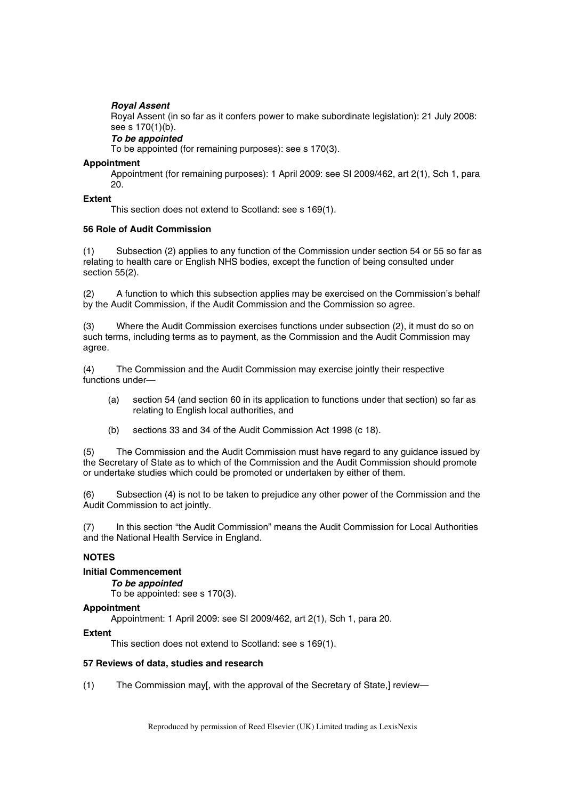## *Royal Assent*

Royal Assent (in so far as it confers power to make subordinate legislation): 21 July 2008: see s 170(1)(b).

## *To be appointed*

To be appointed (for remaining purposes): see s 170(3).

## **Appointment**

Appointment (for remaining purposes): 1 April 2009: see SI 2009/462, art 2(1), Sch 1, para 20.

#### **Extent**

This section does not extend to Scotland: see s 169(1).

## **56 Role of Audit Commission**

(1) Subsection (2) applies to any function of the Commission under section 54 or 55 so far as relating to health care or English NHS bodies, except the function of being consulted under section 55(2).

(2) A function to which this subsection applies may be exercised on the Commission's behalf by the Audit Commission, if the Audit Commission and the Commission so agree.

(3) Where the Audit Commission exercises functions under subsection (2), it must do so on such terms, including terms as to payment, as the Commission and the Audit Commission may agree.

(4) The Commission and the Audit Commission may exercise jointly their respective functions under—

- (a) section 54 (and section 60 in its application to functions under that section) so far as relating to English local authorities, and
- (b) sections 33 and 34 of the Audit Commission Act 1998 (c 18).

(5) The Commission and the Audit Commission must have regard to any guidance issued by the Secretary of State as to which of the Commission and the Audit Commission should promote or undertake studies which could be promoted or undertaken by either of them.

(6) Subsection (4) is not to be taken to prejudice any other power of the Commission and the Audit Commission to act jointly.

(7) In this section "the Audit Commission" means the Audit Commission for Local Authorities and the National Health Service in England.

## **NOTES**

## **Initial Commencement**

*To be appointed* 

To be appointed: see s 170(3).

#### **Appointment**

Appointment: 1 April 2009: see SI 2009/462, art 2(1), Sch 1, para 20.

## **Extent**

This section does not extend to Scotland: see s 169(1).

#### **57 Reviews of data, studies and research**

(1) The Commission may[, with the approval of the Secretary of State,] review—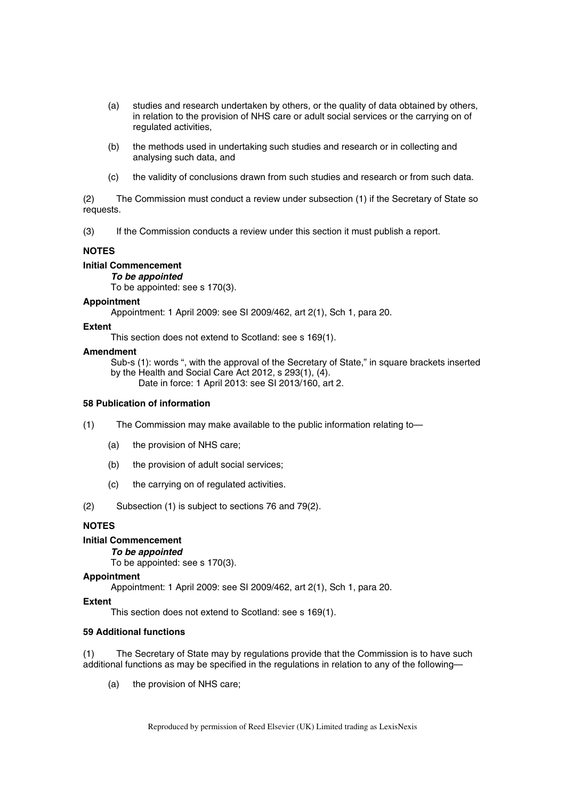- (a) studies and research undertaken by others, or the quality of data obtained by others, in relation to the provision of NHS care or adult social services or the carrying on of regulated activities,
- (b) the methods used in undertaking such studies and research or in collecting and analysing such data, and
- (c) the validity of conclusions drawn from such studies and research or from such data.

(2) The Commission must conduct a review under subsection (1) if the Secretary of State so requests.

(3) If the Commission conducts a review under this section it must publish a report.

## **NOTES**

## **Initial Commencement**

*To be appointed* 

To be appointed: see s 170(3).

#### **Appointment**

Appointment: 1 April 2009: see SI 2009/462, art 2(1), Sch 1, para 20.

#### **Extent**

This section does not extend to Scotland: see s 169(1).

#### **Amendment**

Sub-s (1): words ", with the approval of the Secretary of State," in square brackets inserted by the Health and Social Care Act 2012, s 293(1), (4). Date in force: 1 April 2013: see SI 2013/160, art 2.

#### **58 Publication of information**

(1) The Commission may make available to the public information relating to—

- (a) the provision of NHS care;
- (b) the provision of adult social services;
- (c) the carrying on of regulated activities.

(2) Subsection (1) is subject to sections 76 and 79(2).

## **NOTES**

## **Initial Commencement**

### *To be appointed*

To be appointed: see s 170(3).

#### **Appointment**

Appointment: 1 April 2009: see SI 2009/462, art 2(1), Sch 1, para 20.

## **Extent**

This section does not extend to Scotland: see s 169(1).

## **59 Additional functions**

(1) The Secretary of State may by regulations provide that the Commission is to have such additional functions as may be specified in the regulations in relation to any of the following—

(a) the provision of NHS care;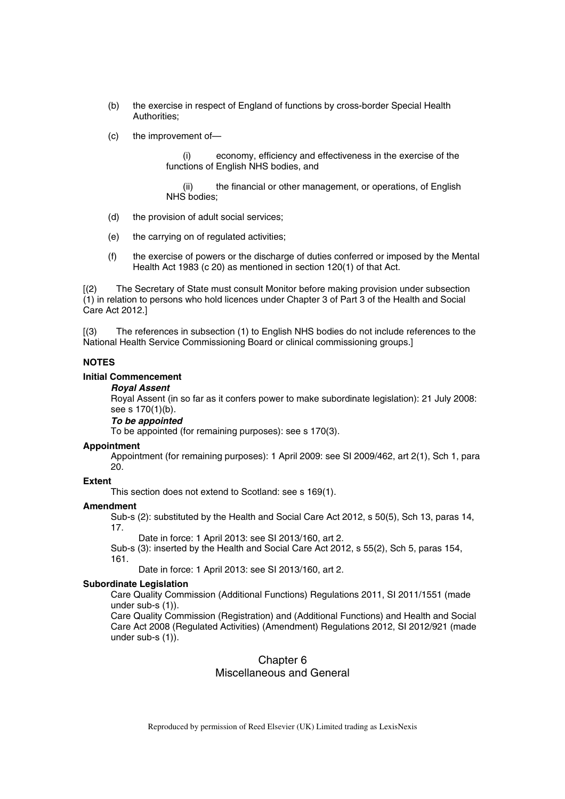- (b) the exercise in respect of England of functions by cross-border Special Health Authorities;
- (c) the improvement of—

(i) economy, efficiency and effectiveness in the exercise of the functions of English NHS bodies, and

(ii) the financial or other management, or operations, of English NHS bodies;

- (d) the provision of adult social services;
- (e) the carrying on of regulated activities;
- (f) the exercise of powers or the discharge of duties conferred or imposed by the Mental Health Act 1983 (c 20) as mentioned in section 120(1) of that Act.

[(2) The Secretary of State must consult Monitor before making provision under subsection (1) in relation to persons who hold licences under Chapter 3 of Part 3 of the Health and Social Care Act 2012.]

[(3) The references in subsection (1) to English NHS bodies do not include references to the National Health Service Commissioning Board or clinical commissioning groups.]

#### **NOTES**

#### **Initial Commencement**

#### *Royal Assent*

Royal Assent (in so far as it confers power to make subordinate legislation): 21 July 2008: see s 170(1)(b).

## *To be appointed*

To be appointed (for remaining purposes): see s 170(3).

#### **Appointment**

Appointment (for remaining purposes): 1 April 2009: see SI 2009/462, art 2(1), Sch 1, para 20.

#### **Extent**

This section does not extend to Scotland: see s 169(1).

#### **Amendment**

Sub-s (2): substituted by the Health and Social Care Act 2012, s 50(5), Sch 13, paras 14, 17.

Date in force: 1 April 2013: see SI 2013/160, art 2.

Sub-s (3): inserted by the Health and Social Care Act 2012, s 55(2), Sch 5, paras 154, 161.

Date in force: 1 April 2013: see SI 2013/160, art 2.

## **Subordinate Legislation**

Care Quality Commission (Additional Functions) Regulations 2011, SI 2011/1551 (made under sub-s (1)).

Care Quality Commission (Registration) and (Additional Functions) and Health and Social Care Act 2008 (Regulated Activities) (Amendment) Regulations 2012, SI 2012/921 (made under sub-s (1)).

# Chapter 6

## Miscellaneous and General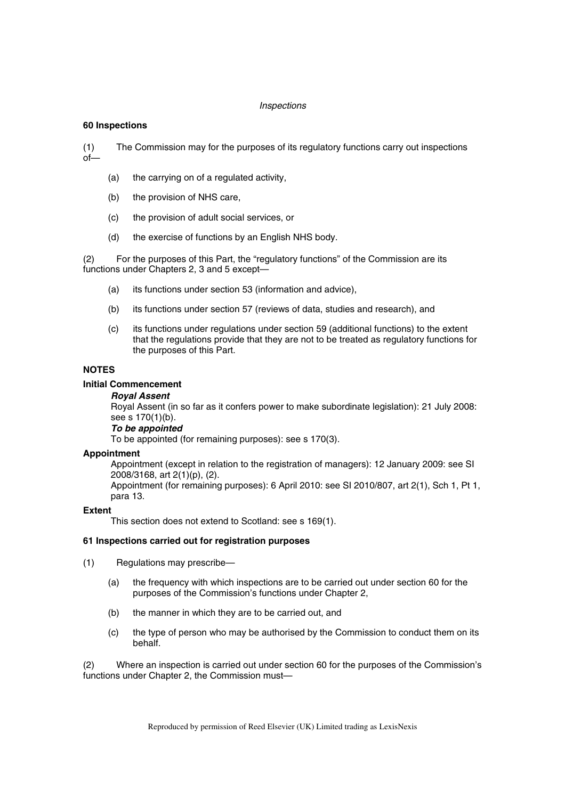#### *Inspections*

#### **60 Inspections**

(1) The Commission may for the purposes of its regulatory functions carry out inspections  $of$ 

- (a) the carrying on of a regulated activity,
- (b) the provision of NHS care,
- (c) the provision of adult social services, or
- (d) the exercise of functions by an English NHS body.

(2) For the purposes of this Part, the "regulatory functions" of the Commission are its functions under Chapters 2, 3 and 5 except—

- (a) its functions under section 53 (information and advice),
- (b) its functions under section 57 (reviews of data, studies and research), and
- (c) its functions under regulations under section 59 (additional functions) to the extent that the regulations provide that they are not to be treated as regulatory functions for the purposes of this Part.

## **NOTES**

## **Initial Commencement**

#### *Royal Assent*

Royal Assent (in so far as it confers power to make subordinate legislation): 21 July 2008: see s 170(1)(b).

#### *To be appointed*

To be appointed (for remaining purposes): see s 170(3).

#### **Appointment**

Appointment (except in relation to the registration of managers): 12 January 2009: see SI 2008/3168, art 2(1)(p), (2).

Appointment (for remaining purposes): 6 April 2010: see SI 2010/807, art 2(1), Sch 1, Pt 1, para 13.

#### **Extent**

This section does not extend to Scotland: see s 169(1).

## **61 Inspections carried out for registration purposes**

- (1) Regulations may prescribe—
	- (a) the frequency with which inspections are to be carried out under section 60 for the purposes of the Commission's functions under Chapter 2,
	- (b) the manner in which they are to be carried out, and
	- (c) the type of person who may be authorised by the Commission to conduct them on its behalf.

(2) Where an inspection is carried out under section 60 for the purposes of the Commission's functions under Chapter 2, the Commission must—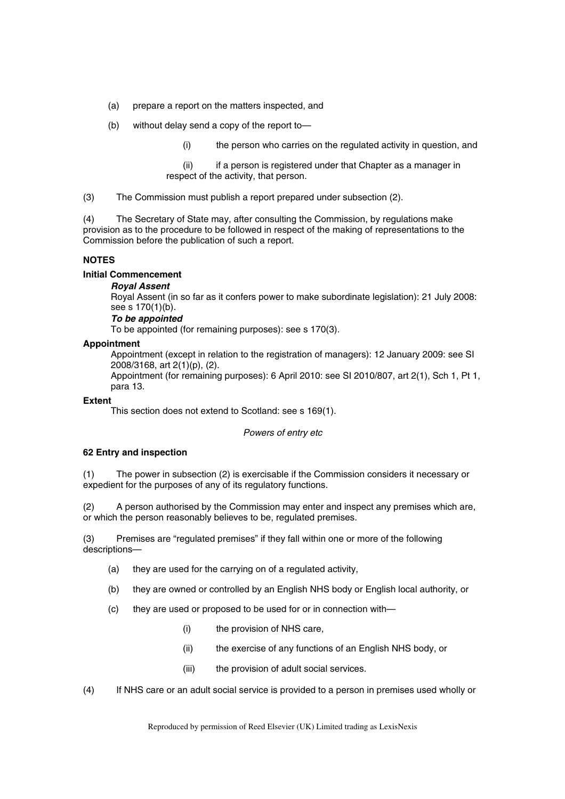- (a) prepare a report on the matters inspected, and
- (b) without delay send a copy of the report to—
	- (i) the person who carries on the regulated activity in question, and
	- (ii) if a person is registered under that Chapter as a manager in respect of the activity, that person.
- (3) The Commission must publish a report prepared under subsection (2).

(4) The Secretary of State may, after consulting the Commission, by regulations make provision as to the procedure to be followed in respect of the making of representations to the Commission before the publication of such a report.

## **NOTES**

#### **Initial Commencement**

#### *Royal Assent*

Royal Assent (in so far as it confers power to make subordinate legislation): 21 July 2008: see s 170(1)(b).

## *To be appointed*

To be appointed (for remaining purposes): see s 170(3).

#### **Appointment**

Appointment (except in relation to the registration of managers): 12 January 2009: see SI 2008/3168, art 2(1)(p), (2).

Appointment (for remaining purposes): 6 April 2010: see SI 2010/807, art 2(1), Sch 1, Pt 1, para 13.

#### **Extent**

This section does not extend to Scotland: see s 169(1).

#### *Powers of entry etc*

## **62 Entry and inspection**

(1) The power in subsection (2) is exercisable if the Commission considers it necessary or expedient for the purposes of any of its regulatory functions.

(2) A person authorised by the Commission may enter and inspect any premises which are, or which the person reasonably believes to be, regulated premises.

(3) Premises are "regulated premises" if they fall within one or more of the following descriptions—

- (a) they are used for the carrying on of a regulated activity,
- (b) they are owned or controlled by an English NHS body or English local authority, or
- (c) they are used or proposed to be used for or in connection with—
	- (i) the provision of NHS care,
	- (ii) the exercise of any functions of an English NHS body, or
	- (iii) the provision of adult social services.
- (4) If NHS care or an adult social service is provided to a person in premises used wholly or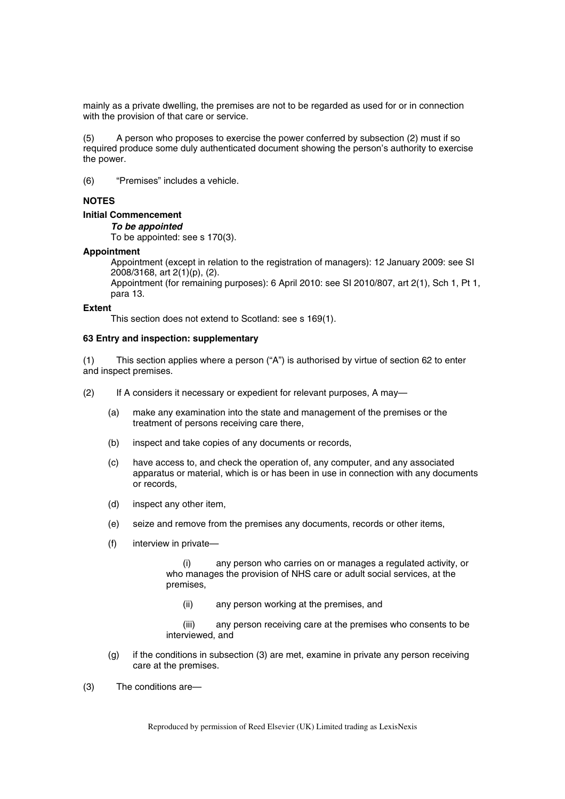mainly as a private dwelling, the premises are not to be regarded as used for or in connection with the provision of that care or service.

(5) A person who proposes to exercise the power conferred by subsection (2) must if so required produce some duly authenticated document showing the person's authority to exercise the power.

(6) "Premises" includes a vehicle.

## **NOTES**

# **Initial Commencement**

*To be appointed* 

To be appointed: see s 170(3).

## **Appointment**

Appointment (except in relation to the registration of managers): 12 January 2009: see SI 2008/3168, art 2(1)(p), (2).

Appointment (for remaining purposes): 6 April 2010: see SI 2010/807, art 2(1), Sch 1, Pt 1, para 13.

### **Extent**

This section does not extend to Scotland: see s 169(1).

#### **63 Entry and inspection: supplementary**

(1) This section applies where a person ("A") is authorised by virtue of section 62 to enter and inspect premises.

(2) If A considers it necessary or expedient for relevant purposes, A may—

- (a) make any examination into the state and management of the premises or the treatment of persons receiving care there,
- (b) inspect and take copies of any documents or records,
- (c) have access to, and check the operation of, any computer, and any associated apparatus or material, which is or has been in use in connection with any documents or records,
- (d) inspect any other item,
- (e) seize and remove from the premises any documents, records or other items,
- (f) interview in private—

(i) any person who carries on or manages a regulated activity, or who manages the provision of NHS care or adult social services, at the premises,

(ii) any person working at the premises, and

(iii) any person receiving care at the premises who consents to be interviewed, and

(g) if the conditions in subsection (3) are met, examine in private any person receiving care at the premises.

(3) The conditions are—

Reproduced by permission of Reed Elsevier (UK) Limited trading as LexisNexis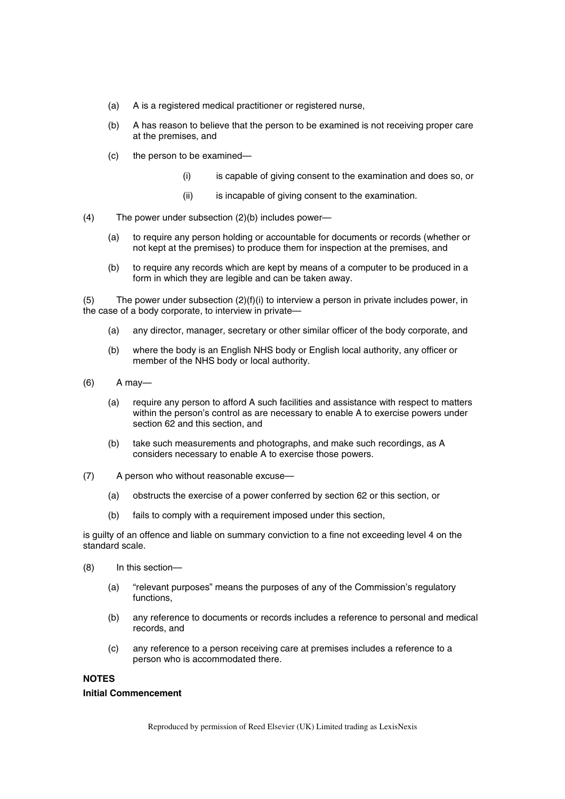- (a) A is a registered medical practitioner or registered nurse,
- (b) A has reason to believe that the person to be examined is not receiving proper care at the premises, and
- (c) the person to be examined—
	- (i) is capable of giving consent to the examination and does so, or
	- (ii) is incapable of giving consent to the examination.
- (4) The power under subsection (2)(b) includes power—
	- (a) to require any person holding or accountable for documents or records (whether or not kept at the premises) to produce them for inspection at the premises, and
	- (b) to require any records which are kept by means of a computer to be produced in a form in which they are legible and can be taken away.

(5) The power under subsection  $(2)(f)(i)$  to interview a person in private includes power, in the case of a body corporate, to interview in private—

- (a) any director, manager, secretary or other similar officer of the body corporate, and
- (b) where the body is an English NHS body or English local authority, any officer or member of the NHS body or local authority.
- (6) A may—
	- (a) require any person to afford A such facilities and assistance with respect to matters within the person's control as are necessary to enable A to exercise powers under section 62 and this section, and
	- (b) take such measurements and photographs, and make such recordings, as A considers necessary to enable A to exercise those powers.
- (7) A person who without reasonable excuse—
	- (a) obstructs the exercise of a power conferred by section 62 or this section, or
	- (b) fails to comply with a requirement imposed under this section,

is guilty of an offence and liable on summary conviction to a fine not exceeding level 4 on the standard scale.

- (8) In this section—
	- (a) "relevant purposes" means the purposes of any of the Commission's regulatory functions,
	- (b) any reference to documents or records includes a reference to personal and medical records, and
	- (c) any reference to a person receiving care at premises includes a reference to a person who is accommodated there.

## **NOTES**

#### **Initial Commencement**

Reproduced by permission of Reed Elsevier (UK) Limited trading as LexisNexis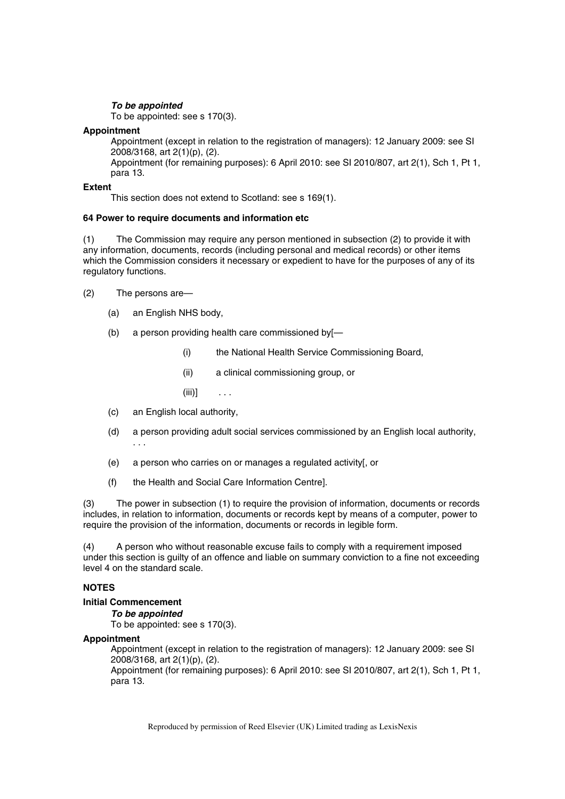## *To be appointed*

To be appointed: see s 170(3).

## **Appointment**

Appointment (except in relation to the registration of managers): 12 January 2009: see SI 2008/3168, art 2(1)(p), (2).

Appointment (for remaining purposes): 6 April 2010: see SI 2010/807, art 2(1), Sch 1, Pt 1, para 13.

## **Extent**

This section does not extend to Scotland: see s 169(1).

## **64 Power to require documents and information etc**

(1) The Commission may require any person mentioned in subsection (2) to provide it with any information, documents, records (including personal and medical records) or other items which the Commission considers it necessary or expedient to have for the purposes of any of its regulatory functions.

- (2) The persons are—
	- (a) an English NHS body,
	- (b) a person providing health care commissioned by[—
		- (i) the National Health Service Commissioning Board,
		- (ii) a clinical commissioning group, or
		- $(iii)$ ] ...
	- (c) an English local authority,
	- (d) a person providing adult social services commissioned by an English local authority, . . .
	- (e) a person who carries on or manages a regulated activity[, or
	- (f) the Health and Social Care Information Centre].

(3) The power in subsection (1) to require the provision of information, documents or records includes, in relation to information, documents or records kept by means of a computer, power to require the provision of the information, documents or records in legible form.

(4) A person who without reasonable excuse fails to comply with a requirement imposed under this section is guilty of an offence and liable on summary conviction to a fine not exceeding level 4 on the standard scale.

## **NOTES**

## **Initial Commencement**

*To be appointed* 

To be appointed: see s 170(3).

## **Appointment**

Appointment (except in relation to the registration of managers): 12 January 2009: see SI 2008/3168, art 2(1)(p), (2).

Appointment (for remaining purposes): 6 April 2010: see SI 2010/807, art 2(1), Sch 1, Pt 1, para 13.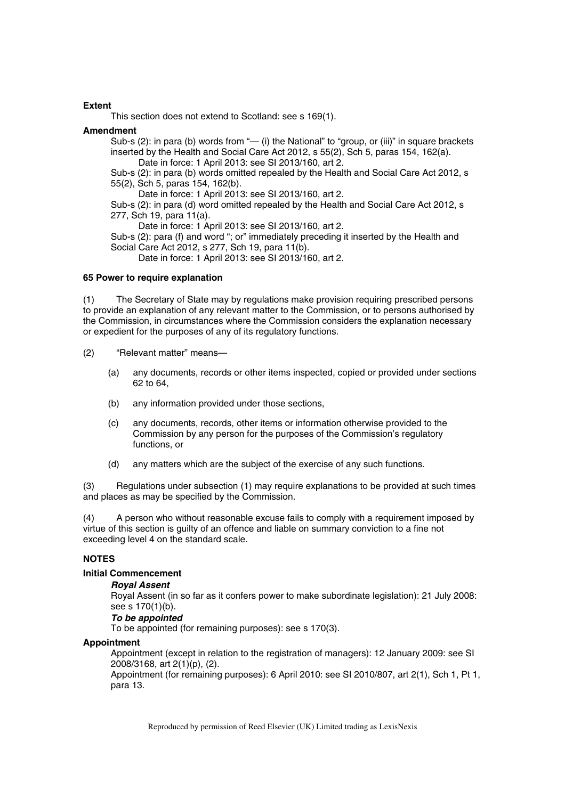#### **Extent**

This section does not extend to Scotland: see s 169(1).

#### **Amendment**

Sub-s (2): in para (b) words from "— (i) the National" to "group, or (iii)" in square brackets inserted by the Health and Social Care Act 2012, s 55(2), Sch 5, paras 154, 162(a). Date in force: 1 April 2013: see SI 2013/160, art 2.

Sub-s (2): in para (b) words omitted repealed by the Health and Social Care Act 2012, s 55(2), Sch 5, paras 154, 162(b).

Date in force: 1 April 2013: see SI 2013/160, art 2.

Sub-s (2): in para (d) word omitted repealed by the Health and Social Care Act 2012, s 277, Sch 19, para 11(a).

Date in force: 1 April 2013: see SI 2013/160, art 2.

Sub-s (2): para (f) and word "; or" immediately preceding it inserted by the Health and Social Care Act 2012, s 277, Sch 19, para 11(b).

Date in force: 1 April 2013: see SI 2013/160, art 2.

#### **65 Power to require explanation**

(1) The Secretary of State may by regulations make provision requiring prescribed persons to provide an explanation of any relevant matter to the Commission, or to persons authorised by the Commission, in circumstances where the Commission considers the explanation necessary or expedient for the purposes of any of its regulatory functions.

(2) "Relevant matter" means—

- (a) any documents, records or other items inspected, copied or provided under sections 62 to 64,
- (b) any information provided under those sections,
- (c) any documents, records, other items or information otherwise provided to the Commission by any person for the purposes of the Commission's regulatory functions, or
- (d) any matters which are the subject of the exercise of any such functions.

(3) Regulations under subsection (1) may require explanations to be provided at such times and places as may be specified by the Commission.

(4) A person who without reasonable excuse fails to comply with a requirement imposed by virtue of this section is guilty of an offence and liable on summary conviction to a fine not exceeding level 4 on the standard scale.

## **NOTES**

# **Initial Commencement**

### *Royal Assent*

Royal Assent (in so far as it confers power to make subordinate legislation): 21 July 2008: see s 170(1)(b).

## *To be appointed*

To be appointed (for remaining purposes): see s 170(3).

#### **Appointment**

Appointment (except in relation to the registration of managers): 12 January 2009: see SI 2008/3168, art 2(1)(p), (2).

Appointment (for remaining purposes): 6 April 2010: see SI 2010/807, art 2(1), Sch 1, Pt 1, para 13.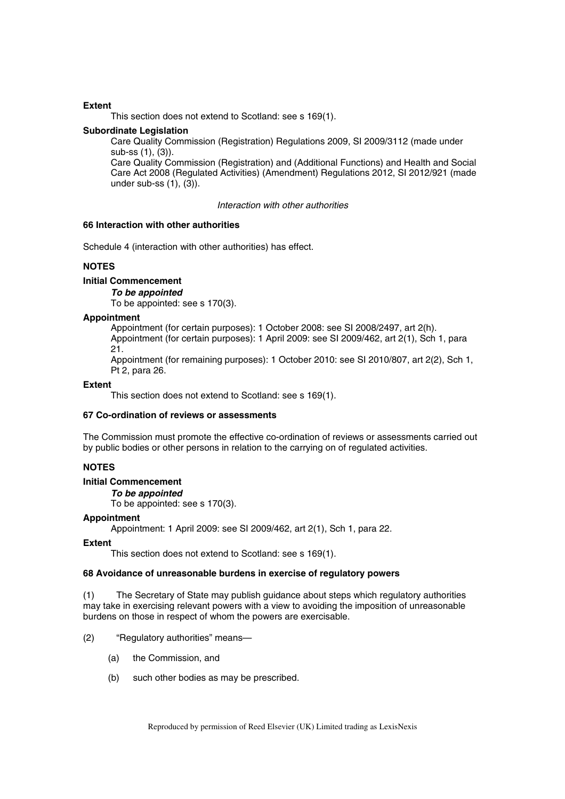#### **Extent**

This section does not extend to Scotland: see s 169(1).

#### **Subordinate Legislation**

Care Quality Commission (Registration) Regulations 2009, SI 2009/3112 (made under sub-ss (1), (3)).

Care Quality Commission (Registration) and (Additional Functions) and Health and Social Care Act 2008 (Regulated Activities) (Amendment) Regulations 2012, SI 2012/921 (made under sub-ss  $(1)$ ,  $(3)$ ).

*Interaction with other authorities* 

## **66 Interaction with other authorities**

Schedule 4 (interaction with other authorities) has effect.

## **NOTES**

## **Initial Commencement**

#### *To be appointed*

To be appointed: see s 170(3).

#### **Appointment**

Appointment (for certain purposes): 1 October 2008: see SI 2008/2497, art 2(h). Appointment (for certain purposes): 1 April 2009: see SI 2009/462, art 2(1), Sch 1, para 21.

Appointment (for remaining purposes): 1 October 2010: see SI 2010/807, art 2(2), Sch 1, Pt 2, para 26.

#### **Extent**

This section does not extend to Scotland: see s 169(1).

## **67 Co-ordination of reviews or assessments**

The Commission must promote the effective co-ordination of reviews or assessments carried out by public bodies or other persons in relation to the carrying on of regulated activities.

## **NOTES**

## **Initial Commencement**

*To be appointed* 

To be appointed: see s 170(3).

#### **Appointment**

Appointment: 1 April 2009: see SI 2009/462, art 2(1), Sch 1, para 22.

#### **Extent**

This section does not extend to Scotland: see s 169(1).

## **68 Avoidance of unreasonable burdens in exercise of regulatory powers**

(1) The Secretary of State may publish guidance about steps which regulatory authorities may take in exercising relevant powers with a view to avoiding the imposition of unreasonable burdens on those in respect of whom the powers are exercisable.

## (2) "Regulatory authorities" means—

- (a) the Commission, and
- (b) such other bodies as may be prescribed.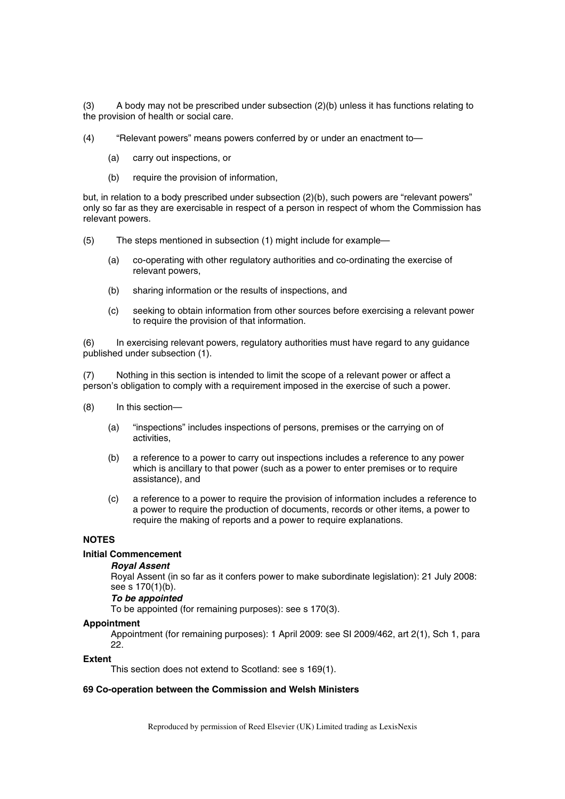(3) A body may not be prescribed under subsection (2)(b) unless it has functions relating to the provision of health or social care.

- (4) "Relevant powers" means powers conferred by or under an enactment to—
	- (a) carry out inspections, or
	- (b) require the provision of information,

but, in relation to a body prescribed under subsection (2)(b), such powers are "relevant powers" only so far as they are exercisable in respect of a person in respect of whom the Commission has relevant powers.

- (5) The steps mentioned in subsection (1) might include for example—
	- (a) co-operating with other regulatory authorities and co-ordinating the exercise of relevant powers,
	- (b) sharing information or the results of inspections, and
	- (c) seeking to obtain information from other sources before exercising a relevant power to require the provision of that information.

(6) In exercising relevant powers, regulatory authorities must have regard to any guidance published under subsection (1).

(7) Nothing in this section is intended to limit the scope of a relevant power or affect a person's obligation to comply with a requirement imposed in the exercise of such a power.

- (8) In this section—
	- (a) "inspections" includes inspections of persons, premises or the carrying on of activities,
	- (b) a reference to a power to carry out inspections includes a reference to any power which is ancillary to that power (such as a power to enter premises or to require assistance), and
	- (c) a reference to a power to require the provision of information includes a reference to a power to require the production of documents, records or other items, a power to require the making of reports and a power to require explanations.

# **NOTES**

#### **Initial Commencement**

#### *Royal Assent*

Royal Assent (in so far as it confers power to make subordinate legislation): 21 July 2008: see s 170(1)(b).

## *To be appointed*

To be appointed (for remaining purposes): see s 170(3).

#### **Appointment**

Appointment (for remaining purposes): 1 April 2009: see SI 2009/462, art 2(1), Sch 1, para 22.

#### **Extent**

This section does not extend to Scotland: see s 169(1).

#### **69 Co-operation between the Commission and Welsh Ministers**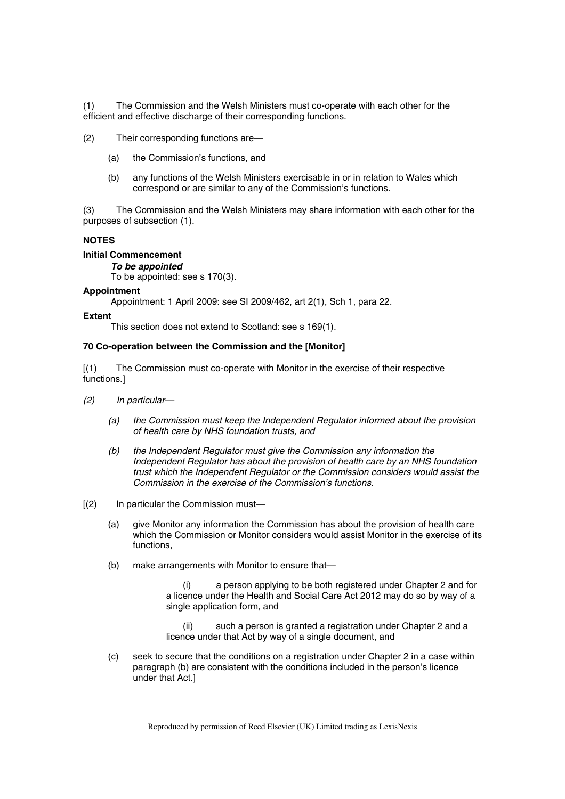(1) The Commission and the Welsh Ministers must co-operate with each other for the efficient and effective discharge of their corresponding functions.

(2) Their corresponding functions are—

- (a) the Commission's functions, and
- (b) any functions of the Welsh Ministers exercisable in or in relation to Wales which correspond or are similar to any of the Commission's functions.

(3) The Commission and the Welsh Ministers may share information with each other for the purposes of subsection (1).

## **NOTES**

## **Initial Commencement**

*To be appointed* 

To be appointed: see s 170(3).

#### **Appointment**

Appointment: 1 April 2009: see SI 2009/462, art 2(1), Sch 1, para 22.

#### **Extent**

This section does not extend to Scotland: see s 169(1).

#### **70 Co-operation between the Commission and the [Monitor]**

[(1) The Commission must co-operate with Monitor in the exercise of their respective functions.]

- *(2) In particular—*
	- *(a) the Commission must keep the Independent Regulator informed about the provision of health care by NHS foundation trusts, and*
	- *(b) the Independent Regulator must give the Commission any information the Independent Regulator has about the provision of health care by an NHS foundation trust which the Independent Regulator or the Commission considers would assist the Commission in the exercise of the Commission's functions.*
- [(2) In particular the Commission must—
	- (a) give Monitor any information the Commission has about the provision of health care which the Commission or Monitor considers would assist Monitor in the exercise of its functions,
	- (b) make arrangements with Monitor to ensure that—

a person applying to be both registered under Chapter 2 and for a licence under the Health and Social Care Act 2012 may do so by way of a single application form, and

(ii) such a person is granted a registration under Chapter 2 and a licence under that Act by way of a single document, and

(c) seek to secure that the conditions on a registration under Chapter 2 in a case within paragraph (b) are consistent with the conditions included in the person's licence under that Act.]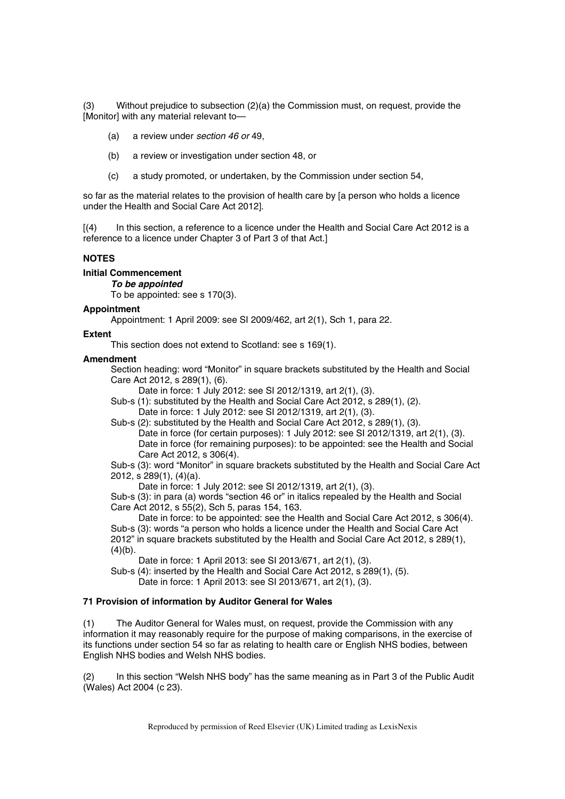(3) Without prejudice to subsection (2)(a) the Commission must, on request, provide the [Monitor] with any material relevant to-

- (a) a review under *section 46 or* 49,
- (b) a review or investigation under section 48, or
- (c) a study promoted, or undertaken, by the Commission under section 54,

so far as the material relates to the provision of health care by [a person who holds a licence under the Health and Social Care Act 2012].

[(4) In this section, a reference to a licence under the Health and Social Care Act 2012 is a reference to a licence under Chapter 3 of Part 3 of that Act.]

#### **NOTES**

**Initial Commencement** 

*To be appointed* 

To be appointed: see s 170(3).

#### **Appointment**

Appointment: 1 April 2009: see SI 2009/462, art 2(1), Sch 1, para 22.

#### **Extent**

This section does not extend to Scotland: see s 169(1).

### **Amendment**

Section heading: word "Monitor" in square brackets substituted by the Health and Social Care Act 2012, s 289(1), (6).

Date in force: 1 July 2012: see SI 2012/1319, art 2(1), (3).

Sub-s (1): substituted by the Health and Social Care Act 2012, s 289(1), (2). Date in force: 1 July 2012: see SI 2012/1319, art 2(1), (3).

Sub-s (2): substituted by the Health and Social Care Act 2012, s 289(1), (3). Date in force (for certain purposes): 1 July 2012: see SI 2012/1319, art 2(1), (3). Date in force (for remaining purposes): to be appointed: see the Health and Social Care Act 2012, s 306(4).

Sub-s (3): word "Monitor" in square brackets substituted by the Health and Social Care Act 2012, s 289(1), (4)(a).

Date in force: 1 July 2012: see SI 2012/1319, art 2(1), (3).

Sub-s (3): in para (a) words "section 46 or" in italics repealed by the Health and Social Care Act 2012, s 55(2), Sch 5, paras 154, 163.

Date in force: to be appointed: see the Health and Social Care Act 2012, s 306(4). Sub-s (3): words "a person who holds a licence under the Health and Social Care Act 2012" in square brackets substituted by the Health and Social Care Act 2012, s 289(1),  $(4)(b)$ .

Date in force: 1 April 2013: see SI 2013/671, art 2(1), (3).

Sub-s (4): inserted by the Health and Social Care Act 2012, s 289(1), (5).

Date in force: 1 April 2013: see SI 2013/671, art 2(1), (3).

#### **71 Provision of information by Auditor General for Wales**

(1) The Auditor General for Wales must, on request, provide the Commission with any information it may reasonably require for the purpose of making comparisons, in the exercise of its functions under section 54 so far as relating to health care or English NHS bodies, between English NHS bodies and Welsh NHS bodies.

(2) In this section "Welsh NHS body" has the same meaning as in Part 3 of the Public Audit (Wales) Act 2004 (c 23).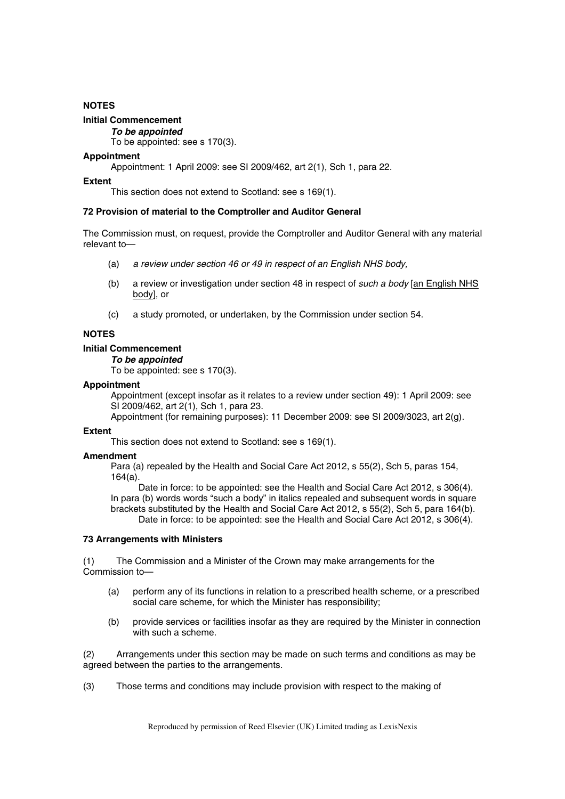## **NOTES**

## **Initial Commencement**

*To be appointed* 

To be appointed: see s 170(3).

#### **Appointment**

Appointment: 1 April 2009: see SI 2009/462, art 2(1), Sch 1, para 22.

#### **Extent**

This section does not extend to Scotland: see s 169(1).

#### **72 Provision of material to the Comptroller and Auditor General**

The Commission must, on request, provide the Comptroller and Auditor General with any material relevant to—

- (a) *a review under section 46 or 49 in respect of an English NHS body,*
- (b) a review or investigation under section 48 in respect of *such a body* [an English NHS body], or
- (c) a study promoted, or undertaken, by the Commission under section 54.

## **NOTES**

# **Initial Commencement**

## *To be appointed*

To be appointed: see s 170(3).

#### **Appointment**

Appointment (except insofar as it relates to a review under section 49): 1 April 2009: see SI 2009/462, art 2(1), Sch 1, para 23.

Appointment (for remaining purposes): 11 December 2009: see SI 2009/3023, art 2(g).

## **Extent**

This section does not extend to Scotland: see s 169(1).

## **Amendment**

Para (a) repealed by the Health and Social Care Act 2012, s 55(2), Sch 5, paras 154, 164(a).

Date in force: to be appointed: see the Health and Social Care Act 2012, s 306(4). In para (b) words words "such a body" in italics repealed and subsequent words in square brackets substituted by the Health and Social Care Act 2012, s 55(2), Sch 5, para 164(b). Date in force: to be appointed: see the Health and Social Care Act 2012, s 306(4).

#### **73 Arrangements with Ministers**

(1) The Commission and a Minister of the Crown may make arrangements for the Commission to—

- (a) perform any of its functions in relation to a prescribed health scheme, or a prescribed social care scheme, for which the Minister has responsibility;
- (b) provide services or facilities insofar as they are required by the Minister in connection with such a scheme.

(2) Arrangements under this section may be made on such terms and conditions as may be agreed between the parties to the arrangements.

(3) Those terms and conditions may include provision with respect to the making of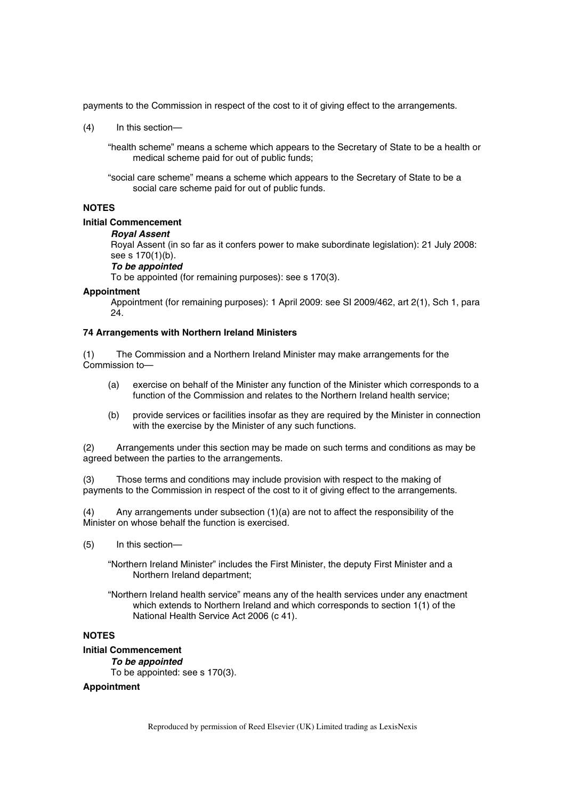payments to the Commission in respect of the cost to it of giving effect to the arrangements.

(4) In this section—

"health scheme" means a scheme which appears to the Secretary of State to be a health or medical scheme paid for out of public funds;

"social care scheme" means a scheme which appears to the Secretary of State to be a social care scheme paid for out of public funds.

## **NOTES**

#### **Initial Commencement**

#### *Royal Assent*

Royal Assent (in so far as it confers power to make subordinate legislation): 21 July 2008: see s 170(1)(b).

## *To be appointed*

To be appointed (for remaining purposes): see s 170(3).

#### **Appointment**

Appointment (for remaining purposes): 1 April 2009: see SI 2009/462, art 2(1), Sch 1, para 24.

### **74 Arrangements with Northern Ireland Ministers**

(1) The Commission and a Northern Ireland Minister may make arrangements for the Commission to—

- (a) exercise on behalf of the Minister any function of the Minister which corresponds to a function of the Commission and relates to the Northern Ireland health service;
- (b) provide services or facilities insofar as they are required by the Minister in connection with the exercise by the Minister of any such functions.

(2) Arrangements under this section may be made on such terms and conditions as may be agreed between the parties to the arrangements.

(3) Those terms and conditions may include provision with respect to the making of payments to the Commission in respect of the cost to it of giving effect to the arrangements.

(4) Any arrangements under subsection (1)(a) are not to affect the responsibility of the Minister on whose behalf the function is exercised.

- (5) In this section—
	- "Northern Ireland Minister" includes the First Minister, the deputy First Minister and a Northern Ireland department;
	- "Northern Ireland health service" means any of the health services under any enactment which extends to Northern Ireland and which corresponds to section 1(1) of the National Health Service Act 2006 (c 41).

# **NOTES**

# **Initial Commencement**

*To be appointed*  To be appointed: see s 170(3).

#### **Appointment**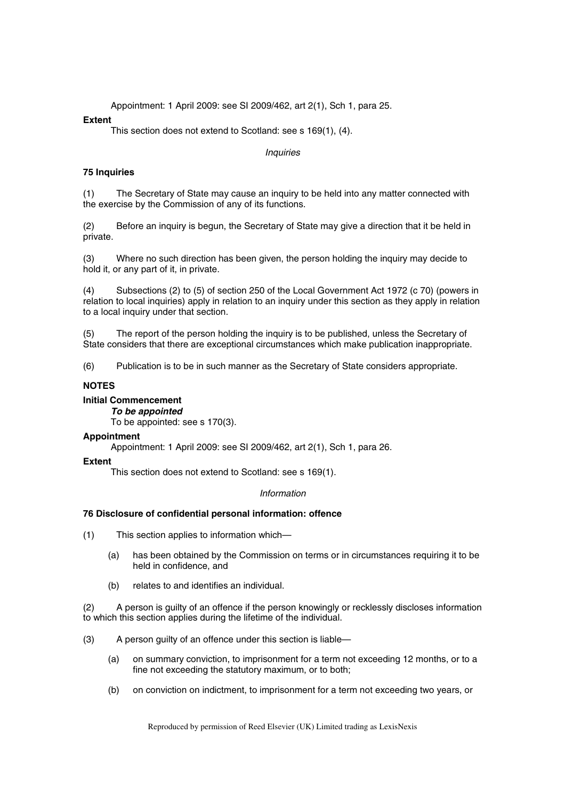Appointment: 1 April 2009: see SI 2009/462, art 2(1), Sch 1, para 25.

## **Extent**

This section does not extend to Scotland: see s 169(1), (4).

*Inquiries* 

## **75 Inquiries**

(1) The Secretary of State may cause an inquiry to be held into any matter connected with the exercise by the Commission of any of its functions.

(2) Before an inquiry is begun, the Secretary of State may give a direction that it be held in private.

(3) Where no such direction has been given, the person holding the inquiry may decide to hold it, or any part of it, in private.

(4) Subsections (2) to (5) of section 250 of the Local Government Act 1972 (c 70) (powers in relation to local inquiries) apply in relation to an inquiry under this section as they apply in relation to a local inquiry under that section.

(5) The report of the person holding the inquiry is to be published, unless the Secretary of State considers that there are exceptional circumstances which make publication inappropriate.

(6) Publication is to be in such manner as the Secretary of State considers appropriate.

## **NOTES**

## **Initial Commencement**

*To be appointed* 

To be appointed: see s 170(3).

## **Appointment**

Appointment: 1 April 2009: see SI 2009/462, art 2(1), Sch 1, para 26.

## **Extent**

This section does not extend to Scotland: see s 169(1).

## *Information*

## **76 Disclosure of confidential personal information: offence**

(1) This section applies to information which—

- (a) has been obtained by the Commission on terms or in circumstances requiring it to be held in confidence, and
- (b) relates to and identifies an individual.

(2) A person is guilty of an offence if the person knowingly or recklessly discloses information to which this section applies during the lifetime of the individual.

- (3) A person guilty of an offence under this section is liable—
	- (a) on summary conviction, to imprisonment for a term not exceeding 12 months, or to a fine not exceeding the statutory maximum, or to both;
	- (b) on conviction on indictment, to imprisonment for a term not exceeding two years, or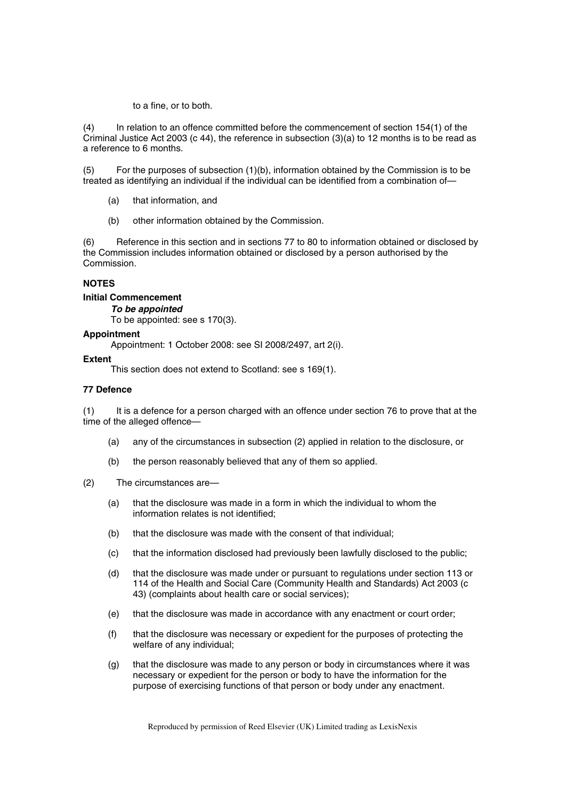to a fine, or to both.

(4) In relation to an offence committed before the commencement of section 154(1) of the Criminal Justice Act 2003 (c 44), the reference in subsection (3)(a) to 12 months is to be read as a reference to 6 months.

(5) For the purposes of subsection (1)(b), information obtained by the Commission is to be treated as identifying an individual if the individual can be identified from a combination of—

(a) that information, and

(b) other information obtained by the Commission.

(6) Reference in this section and in sections 77 to 80 to information obtained or disclosed by the Commission includes information obtained or disclosed by a person authorised by the Commission.

## **NOTES**

**Initial Commencement** 

*To be appointed* 

To be appointed: see s 170(3).

#### **Appointment**

Appointment: 1 October 2008: see SI 2008/2497, art 2(i).

#### **Extent**

This section does not extend to Scotland: see s 169(1).

## **77 Defence**

(1) It is a defence for a person charged with an offence under section 76 to prove that at the time of the alleged offence—

- (a) any of the circumstances in subsection (2) applied in relation to the disclosure, or
- (b) the person reasonably believed that any of them so applied.
- (2) The circumstances are—
	- (a) that the disclosure was made in a form in which the individual to whom the information relates is not identified;
	- (b) that the disclosure was made with the consent of that individual;
	- (c) that the information disclosed had previously been lawfully disclosed to the public;
	- (d) that the disclosure was made under or pursuant to regulations under section 113 or 114 of the Health and Social Care (Community Health and Standards) Act 2003 (c 43) (complaints about health care or social services);
	- (e) that the disclosure was made in accordance with any enactment or court order;
	- (f) that the disclosure was necessary or expedient for the purposes of protecting the welfare of any individual;
	- (g) that the disclosure was made to any person or body in circumstances where it was necessary or expedient for the person or body to have the information for the purpose of exercising functions of that person or body under any enactment.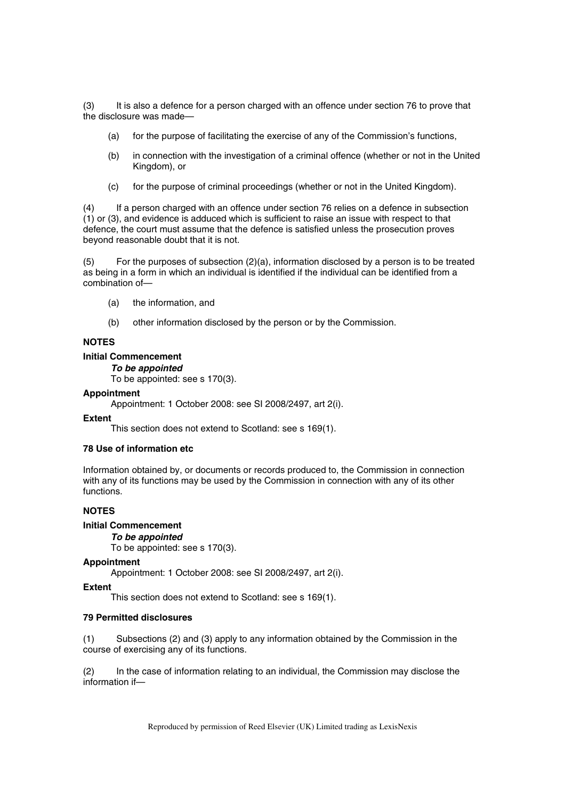(3) It is also a defence for a person charged with an offence under section 76 to prove that the disclosure was made—

- (a) for the purpose of facilitating the exercise of any of the Commission's functions,
- (b) in connection with the investigation of a criminal offence (whether or not in the United Kingdom), or
- (c) for the purpose of criminal proceedings (whether or not in the United Kingdom).

(4) If a person charged with an offence under section 76 relies on a defence in subsection (1) or (3), and evidence is adduced which is sufficient to raise an issue with respect to that defence, the court must assume that the defence is satisfied unless the prosecution proves beyond reasonable doubt that it is not.

(5) For the purposes of subsection (2)(a), information disclosed by a person is to be treated as being in a form in which an individual is identified if the individual can be identified from a combination of—

- (a) the information, and
- (b) other information disclosed by the person or by the Commission.

## **NOTES**

### **Initial Commencement**

*To be appointed*  To be appointed: see s 170(3).

**Appointment** 

Appointment: 1 October 2008: see SI 2008/2497, art 2(i).

#### **Extent**

This section does not extend to Scotland: see s 169(1).

## **78 Use of information etc**

Information obtained by, or documents or records produced to, the Commission in connection with any of its functions may be used by the Commission in connection with any of its other functions.

## **NOTES**

#### **Initial Commencement**

#### *To be appointed*

To be appointed: see s 170(3).

#### **Appointment**

Appointment: 1 October 2008: see SI 2008/2497, art 2(i).

#### **Extent**

This section does not extend to Scotland: see s 169(1).

## **79 Permitted disclosures**

(1) Subsections (2) and (3) apply to any information obtained by the Commission in the course of exercising any of its functions.

(2) In the case of information relating to an individual, the Commission may disclose the information if—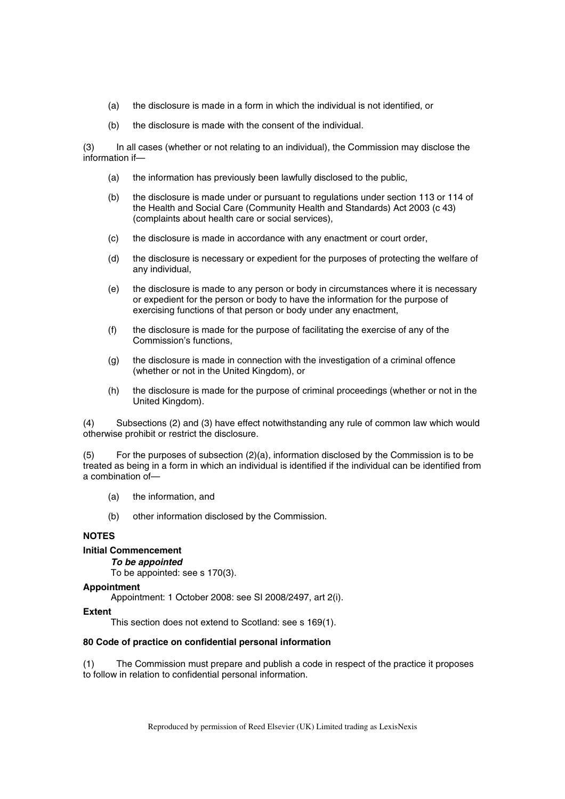- (a) the disclosure is made in a form in which the individual is not identified, or
- (b) the disclosure is made with the consent of the individual.

(3) In all cases (whether or not relating to an individual), the Commission may disclose the information if—

- (a) the information has previously been lawfully disclosed to the public,
- (b) the disclosure is made under or pursuant to regulations under section 113 or 114 of the Health and Social Care (Community Health and Standards) Act 2003 (c 43) (complaints about health care or social services),
- (c) the disclosure is made in accordance with any enactment or court order,
- (d) the disclosure is necessary or expedient for the purposes of protecting the welfare of any individual,
- (e) the disclosure is made to any person or body in circumstances where it is necessary or expedient for the person or body to have the information for the purpose of exercising functions of that person or body under any enactment,
- (f) the disclosure is made for the purpose of facilitating the exercise of any of the Commission's functions,
- (g) the disclosure is made in connection with the investigation of a criminal offence (whether or not in the United Kingdom), or
- (h) the disclosure is made for the purpose of criminal proceedings (whether or not in the United Kingdom).

(4) Subsections (2) and (3) have effect notwithstanding any rule of common law which would otherwise prohibit or restrict the disclosure.

(5) For the purposes of subsection (2)(a), information disclosed by the Commission is to be treated as being in a form in which an individual is identified if the individual can be identified from a combination of—

- (a) the information, and
- (b) other information disclosed by the Commission.

# **NOTES**

## **Initial Commencement**

*To be appointed* 

To be appointed: see s 170(3).

#### **Appointment**

Appointment: 1 October 2008: see SI 2008/2497, art 2(i).

#### **Extent**

This section does not extend to Scotland: see s 169(1).

#### **80 Code of practice on confidential personal information**

(1) The Commission must prepare and publish a code in respect of the practice it proposes to follow in relation to confidential personal information.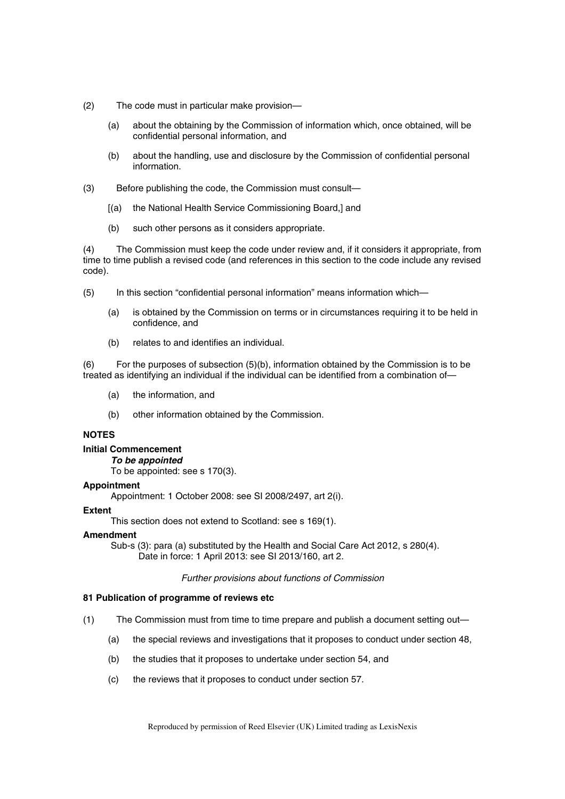- (2) The code must in particular make provision—
	- (a) about the obtaining by the Commission of information which, once obtained, will be confidential personal information, and
	- (b) about the handling, use and disclosure by the Commission of confidential personal information.
- (3) Before publishing the code, the Commission must consult—
	- [(a) the National Health Service Commissioning Board,] and
	- (b) such other persons as it considers appropriate.

(4) The Commission must keep the code under review and, if it considers it appropriate, from time to time publish a revised code (and references in this section to the code include any revised code).

- (5) In this section "confidential personal information" means information which—
	- (a) is obtained by the Commission on terms or in circumstances requiring it to be held in confidence, and
	- (b) relates to and identifies an individual.

(6) For the purposes of subsection (5)(b), information obtained by the Commission is to be treated as identifying an individual if the individual can be identified from a combination of—

- (a) the information, and
- (b) other information obtained by the Commission.

# **NOTES**

## **Initial Commencement**

*To be appointed* 

To be appointed: see s 170(3).

#### **Appointment**

Appointment: 1 October 2008: see SI 2008/2497, art 2(i).

#### **Extent**

This section does not extend to Scotland: see s 169(1).

#### **Amendment**

Sub-s (3): para (a) substituted by the Health and Social Care Act 2012, s 280(4).

Date in force: 1 April 2013: see SI 2013/160, art 2.

## *Further provisions about functions of Commission*

## **81 Publication of programme of reviews etc**

- (1) The Commission must from time to time prepare and publish a document setting out—
	- (a) the special reviews and investigations that it proposes to conduct under section 48,
	- (b) the studies that it proposes to undertake under section 54, and
	- (c) the reviews that it proposes to conduct under section 57.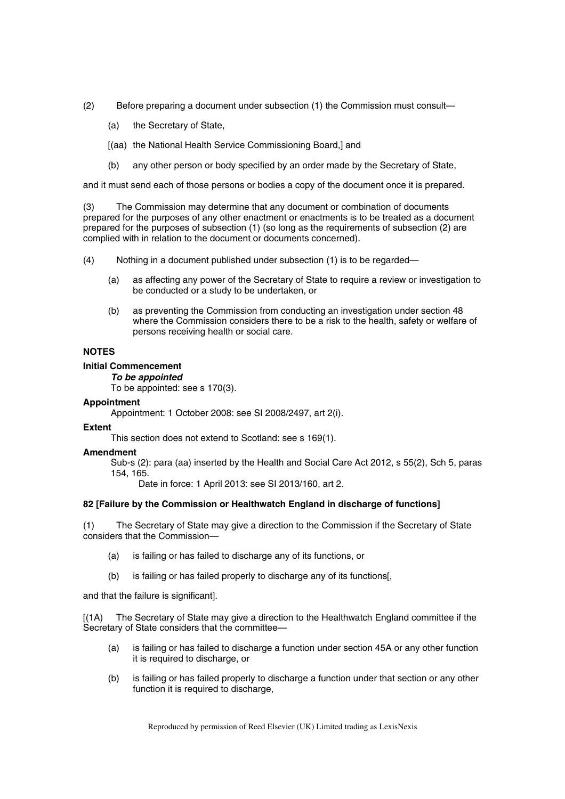- (2) Before preparing a document under subsection (1) the Commission must consult—
	- (a) the Secretary of State,
	- [(aa) the National Health Service Commissioning Board,] and
	- (b) any other person or body specified by an order made by the Secretary of State,

and it must send each of those persons or bodies a copy of the document once it is prepared.

(3) The Commission may determine that any document or combination of documents prepared for the purposes of any other enactment or enactments is to be treated as a document prepared for the purposes of subsection (1) (so long as the requirements of subsection (2) are complied with in relation to the document or documents concerned).

- (4) Nothing in a document published under subsection (1) is to be regarded—
	- (a) as affecting any power of the Secretary of State to require a review or investigation to be conducted or a study to be undertaken, or
	- (b) as preventing the Commission from conducting an investigation under section 48 where the Commission considers there to be a risk to the health, safety or welfare of persons receiving health or social care.

## **NOTES**

## **Initial Commencement**

*To be appointed* 

To be appointed: see s 170(3).

#### **Appointment**

Appointment: 1 October 2008: see SI 2008/2497, art 2(i).

## **Extent**

This section does not extend to Scotland: see s 169(1).

#### **Amendment**

Sub-s (2): para (aa) inserted by the Health and Social Care Act 2012, s 55(2), Sch 5, paras 154, 165.

Date in force: 1 April 2013: see SI 2013/160, art 2.

## **82 [Failure by the Commission or Healthwatch England in discharge of functions]**

(1) The Secretary of State may give a direction to the Commission if the Secretary of State considers that the Commission—

- (a) is failing or has failed to discharge any of its functions, or
- (b) is failing or has failed properly to discharge any of its functions[,

and that the failure is significant].

[(1A) The Secretary of State may give a direction to the Healthwatch England committee if the Secretary of State considers that the committee—

- (a) is failing or has failed to discharge a function under section 45A or any other function it is required to discharge, or
- (b) is failing or has failed properly to discharge a function under that section or any other function it is required to discharge,

Reproduced by permission of Reed Elsevier (UK) Limited trading as LexisNexis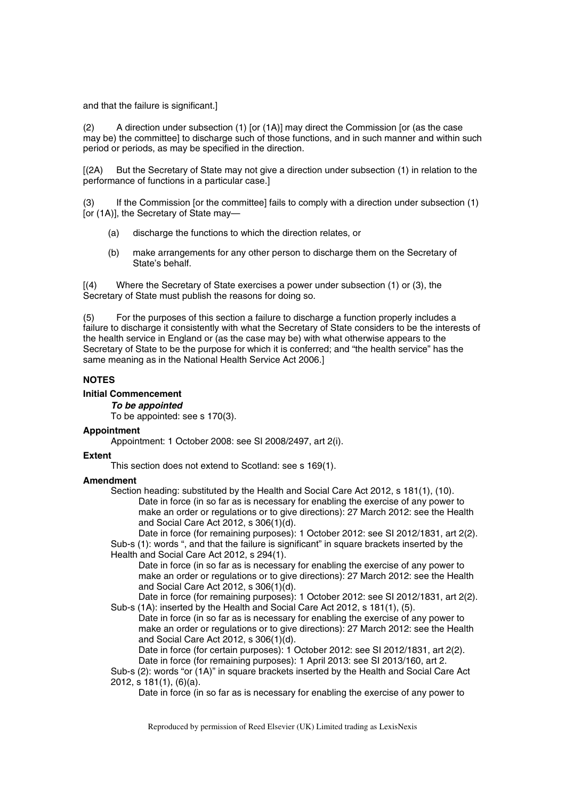and that the failure is significant.]

(2) A direction under subsection (1) [or (1A)] may direct the Commission [or (as the case may be) the committee] to discharge such of those functions, and in such manner and within such period or periods, as may be specified in the direction.

[(2A) But the Secretary of State may not give a direction under subsection (1) in relation to the performance of functions in a particular case.]

(3) If the Commission [or the committee] fails to comply with a direction under subsection (1) [or (1A)], the Secretary of State may—

- (a) discharge the functions to which the direction relates, or
- (b) make arrangements for any other person to discharge them on the Secretary of State's behalf.

[(4) Where the Secretary of State exercises a power under subsection (1) or (3), the Secretary of State must publish the reasons for doing so.

(5) For the purposes of this section a failure to discharge a function properly includes a failure to discharge it consistently with what the Secretary of State considers to be the interests of the health service in England or (as the case may be) with what otherwise appears to the Secretary of State to be the purpose for which it is conferred; and "the health service" has the same meaning as in the National Health Service Act 2006.]

## **NOTES**

## **Initial Commencement**

*To be appointed* 

To be appointed: see s 170(3).

## **Appointment**

Appointment: 1 October 2008: see SI 2008/2497, art 2(i).

## **Extent**

This section does not extend to Scotland: see s 169(1).

## **Amendment**

Section heading: substituted by the Health and Social Care Act 2012, s 181(1), (10). Date in force (in so far as is necessary for enabling the exercise of any power to make an order or regulations or to give directions): 27 March 2012: see the Health and Social Care Act 2012, s 306(1)(d).

Date in force (for remaining purposes): 1 October 2012: see SI 2012/1831, art 2(2). Sub-s (1): words ", and that the failure is significant" in square brackets inserted by the Health and Social Care Act 2012, s 294(1).

Date in force (in so far as is necessary for enabling the exercise of any power to make an order or regulations or to give directions): 27 March 2012: see the Health and Social Care Act 2012, s 306(1)(d).

Date in force (for remaining purposes): 1 October 2012: see SI 2012/1831, art 2(2). Sub-s (1A): inserted by the Health and Social Care Act 2012, s 181(1), (5).

Date in force (in so far as is necessary for enabling the exercise of any power to make an order or regulations or to give directions): 27 March 2012: see the Health and Social Care Act 2012, s 306(1)(d).

Date in force (for certain purposes): 1 October 2012: see SI 2012/1831, art 2(2). Date in force (for remaining purposes): 1 April 2013: see SI 2013/160, art 2.

Sub-s (2): words "or (1A)" in square brackets inserted by the Health and Social Care Act 2012, s 181(1), (6)(a).

Date in force (in so far as is necessary for enabling the exercise of any power to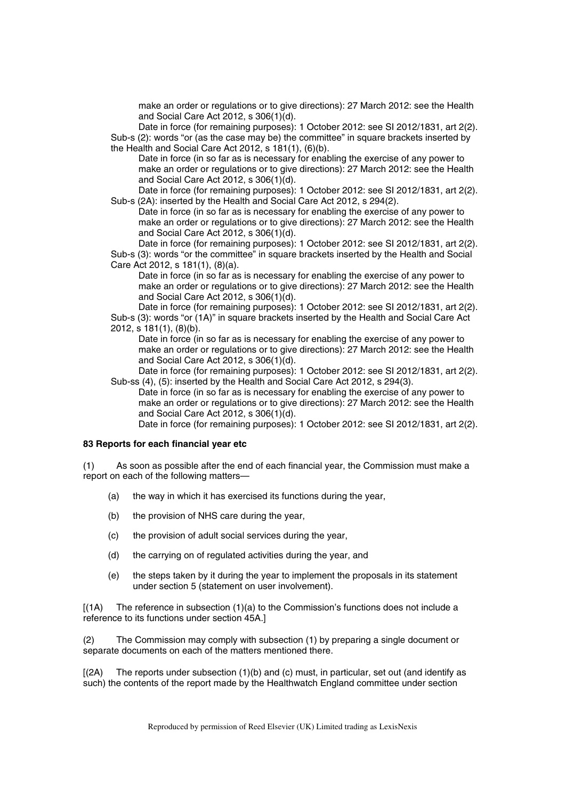make an order or regulations or to give directions): 27 March 2012: see the Health and Social Care Act 2012, s 306(1)(d).

Date in force (for remaining purposes): 1 October 2012: see SI 2012/1831, art 2(2). Sub-s (2): words "or (as the case may be) the committee" in square brackets inserted by the Health and Social Care Act 2012, s 181(1), (6)(b).

Date in force (in so far as is necessary for enabling the exercise of any power to make an order or regulations or to give directions): 27 March 2012: see the Health and Social Care Act 2012, s 306(1)(d).

Date in force (for remaining purposes): 1 October 2012: see SI 2012/1831, art 2(2). Sub-s (2A): inserted by the Health and Social Care Act 2012, s 294(2).

Date in force (in so far as is necessary for enabling the exercise of any power to make an order or regulations or to give directions): 27 March 2012: see the Health and Social Care Act 2012, s 306(1)(d).

Date in force (for remaining purposes): 1 October 2012: see SI 2012/1831, art 2(2). Sub-s (3): words "or the committee" in square brackets inserted by the Health and Social

Care Act 2012, s 181(1), (8)(a). Date in force (in so far as is necessary for enabling the exercise of any power to make an order or regulations or to give directions): 27 March 2012: see the Health and Social Care Act 2012, s 306(1)(d).

Date in force (for remaining purposes): 1 October 2012: see SI 2012/1831, art 2(2). Sub-s (3): words "or (1A)" in square brackets inserted by the Health and Social Care Act 2012, s 181(1), (8)(b).

Date in force (in so far as is necessary for enabling the exercise of any power to make an order or regulations or to give directions): 27 March 2012: see the Health and Social Care Act 2012, s 306(1)(d).

Date in force (for remaining purposes): 1 October 2012: see SI 2012/1831, art 2(2). Sub-ss (4), (5): inserted by the Health and Social Care Act 2012, s 294(3).

Date in force (in so far as is necessary for enabling the exercise of any power to make an order or regulations or to give directions): 27 March 2012: see the Health and Social Care Act 2012, s 306(1)(d).

Date in force (for remaining purposes): 1 October 2012: see SI 2012/1831, art 2(2).

#### **83 Reports for each financial year etc**

(1) As soon as possible after the end of each financial year, the Commission must make a report on each of the following matters—

- (a) the way in which it has exercised its functions during the year,
- (b) the provision of NHS care during the year,
- (c) the provision of adult social services during the year,
- (d) the carrying on of regulated activities during the year, and
- (e) the steps taken by it during the year to implement the proposals in its statement under section 5 (statement on user involvement).

 $[(1A)$  The reference in subsection  $(1)(a)$  to the Commission's functions does not include a reference to its functions under section 45A.]

(2) The Commission may comply with subsection (1) by preparing a single document or separate documents on each of the matters mentioned there.

 $[(2A)$  The reports under subsection  $(1)(b)$  and  $(c)$  must, in particular, set out (and identify as such) the contents of the report made by the Healthwatch England committee under section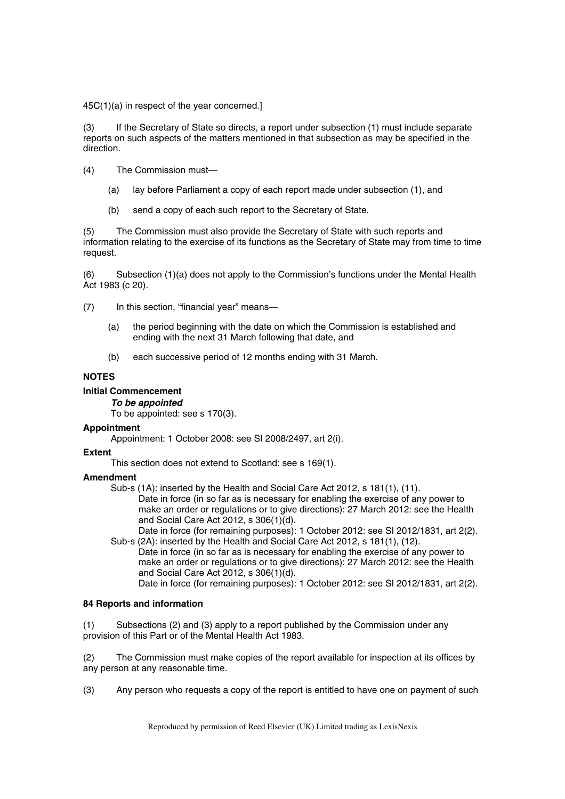45C(1)(a) in respect of the year concerned.]

(3) If the Secretary of State so directs, a report under subsection (1) must include separate reports on such aspects of the matters mentioned in that subsection as may be specified in the direction.

- (4) The Commission must—
	- (a) lay before Parliament a copy of each report made under subsection (1), and
	- (b) send a copy of each such report to the Secretary of State.

(5) The Commission must also provide the Secretary of State with such reports and information relating to the exercise of its functions as the Secretary of State may from time to time request.

(6) Subsection (1)(a) does not apply to the Commission's functions under the Mental Health Act 1983 (c 20).

(7) In this section, "financial year" means—

- (a) the period beginning with the date on which the Commission is established and ending with the next 31 March following that date, and
- (b) each successive period of 12 months ending with 31 March.

### **NOTES**

### **Initial Commencement**

*To be appointed* 

To be appointed: see s 170(3).

# **Appointment**

Appointment: 1 October 2008: see SI 2008/2497, art 2(i).

### **Extent**

This section does not extend to Scotland: see s 169(1).

# **Amendment**

Sub-s (1A): inserted by the Health and Social Care Act 2012, s 181(1), (11).

Date in force (in so far as is necessary for enabling the exercise of any power to make an order or regulations or to give directions): 27 March 2012: see the Health and Social Care Act 2012, s 306(1)(d).

Date in force (for remaining purposes): 1 October 2012: see SI 2012/1831, art 2(2). Sub-s (2A): inserted by the Health and Social Care Act 2012, s 181(1), (12).

Date in force (in so far as is necessary for enabling the exercise of any power to make an order or regulations or to give directions): 27 March 2012: see the Health and Social Care Act 2012, s 306(1)(d).

Date in force (for remaining purposes): 1 October 2012: see SI 2012/1831, art 2(2).

### **84 Reports and information**

(1) Subsections (2) and (3) apply to a report published by the Commission under any provision of this Part or of the Mental Health Act 1983.

(2) The Commission must make copies of the report available for inspection at its offices by any person at any reasonable time.

(3) Any person who requests a copy of the report is entitled to have one on payment of such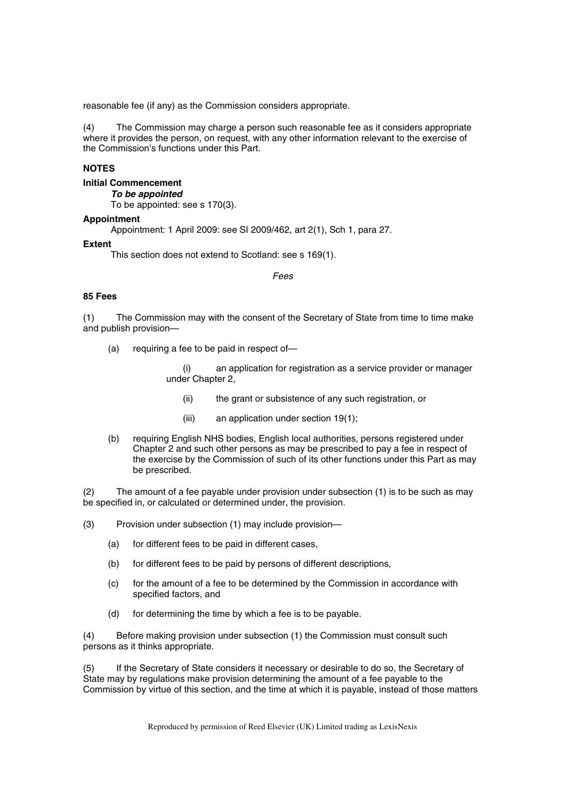reasonable fee (if any) as the Commission considers appropriate.

(4) The Commission may charge a person such reasonable fee as it considers appropriate where it provides the person, on request, with any other information relevant to the exercise of the Commission's functions under this Part.

# **NOTES**

# **Initial Commencement**

*To be appointed* 

To be appointed: see s 170(3).

### **Appointment**

Appointment: 1 April 2009: see SI 2009/462, art 2(1), Sch 1, para 27.

### **Extent**

This section does not extend to Scotland: see s 169(1).

### *Fees*

# **85 Fees**

(1) The Commission may with the consent of the Secretary of State from time to time make and publish provision—

(a) requiring a fee to be paid in respect of—

(i) an application for registration as a service provider or manager under Chapter 2,

- (ii) the grant or subsistence of any such registration, or
- (iii) an application under section 19(1);
- (b) requiring English NHS bodies, English local authorities, persons registered under Chapter 2 and such other persons as may be prescribed to pay a fee in respect of the exercise by the Commission of such of its other functions under this Part as may be prescribed.

(2) The amount of a fee payable under provision under subsection (1) is to be such as may be specified in, or calculated or determined under, the provision.

- (3) Provision under subsection (1) may include provision—
	- (a) for different fees to be paid in different cases,
	- (b) for different fees to be paid by persons of different descriptions,
	- (c) for the amount of a fee to be determined by the Commission in accordance with specified factors, and
	- (d) for determining the time by which a fee is to be payable.

(4) Before making provision under subsection (1) the Commission must consult such persons as it thinks appropriate.

(5) If the Secretary of State considers it necessary or desirable to do so, the Secretary of State may by regulations make provision determining the amount of a fee payable to the Commission by virtue of this section, and the time at which it is payable, instead of those matters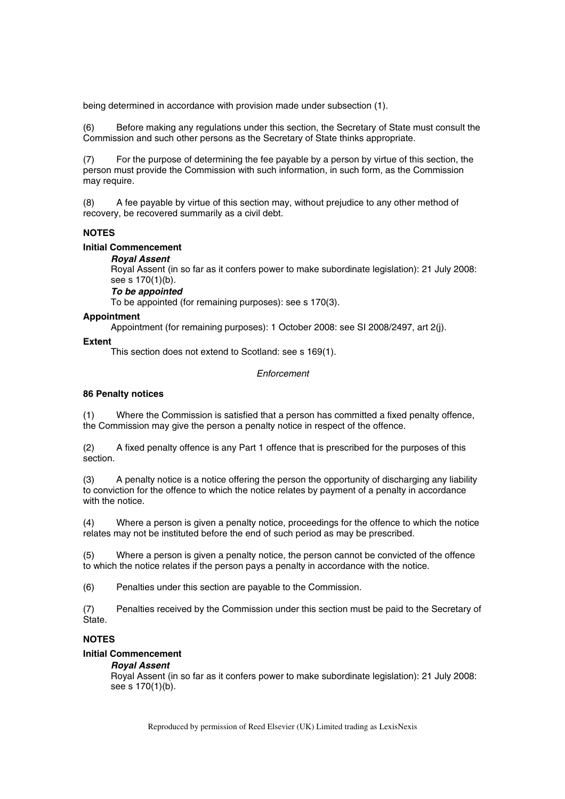being determined in accordance with provision made under subsection (1).

(6) Before making any regulations under this section, the Secretary of State must consult the Commission and such other persons as the Secretary of State thinks appropriate.

(7) For the purpose of determining the fee payable by a person by virtue of this section, the person must provide the Commission with such information, in such form, as the Commission may require.

(8) A fee payable by virtue of this section may, without prejudice to any other method of recovery, be recovered summarily as a civil debt.

# **NOTES**

### **Initial Commencement**

# *Royal Assent*

Royal Assent (in so far as it confers power to make subordinate legislation): 21 July 2008: see s 170(1)(b).

# *To be appointed*

To be appointed (for remaining purposes): see s 170(3).

### **Appointment**

Appointment (for remaining purposes): 1 October 2008: see SI 2008/2497, art 2(j).

### **Extent**

This section does not extend to Scotland: see s 169(1).

### *Enforcement*

# **86 Penalty notices**

(1) Where the Commission is satisfied that a person has committed a fixed penalty offence, the Commission may give the person a penalty notice in respect of the offence.

(2) A fixed penalty offence is any Part 1 offence that is prescribed for the purposes of this section.

(3) A penalty notice is a notice offering the person the opportunity of discharging any liability to conviction for the offence to which the notice relates by payment of a penalty in accordance with the notice.

(4) Where a person is given a penalty notice, proceedings for the offence to which the notice relates may not be instituted before the end of such period as may be prescribed.

(5) Where a person is given a penalty notice, the person cannot be convicted of the offence to which the notice relates if the person pays a penalty in accordance with the notice.

(6) Penalties under this section are payable to the Commission.

(7) Penalties received by the Commission under this section must be paid to the Secretary of State.

# **NOTES**

### **Initial Commencement**

### *Royal Assent*

Royal Assent (in so far as it confers power to make subordinate legislation): 21 July 2008: see s 170(1)(b).

Reproduced by permission of Reed Elsevier (UK) Limited trading as LexisNexis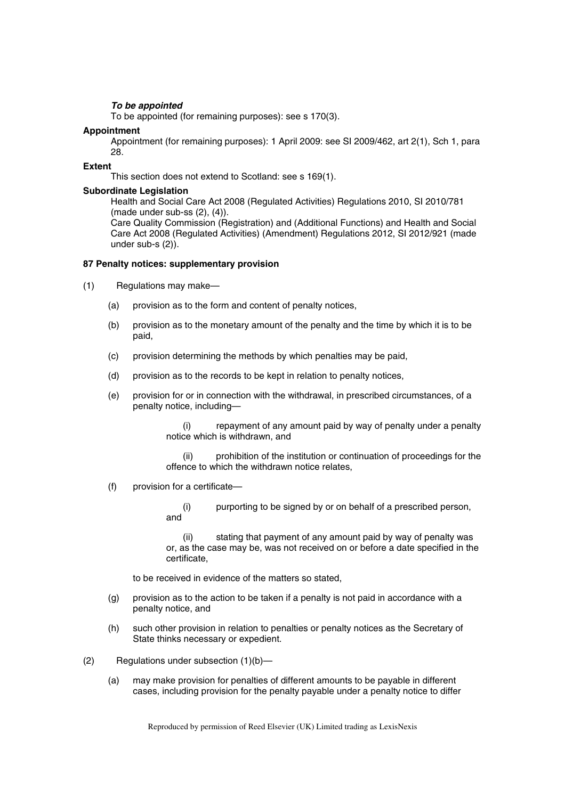# *To be appointed*

To be appointed (for remaining purposes): see s 170(3).

### **Appointment**

Appointment (for remaining purposes): 1 April 2009: see SI 2009/462, art 2(1), Sch 1, para 28.

### **Extent**

This section does not extend to Scotland: see s 169(1).

### **Subordinate Legislation**

Health and Social Care Act 2008 (Regulated Activities) Regulations 2010, SI 2010/781 (made under sub-ss (2), (4)).

Care Quality Commission (Registration) and (Additional Functions) and Health and Social Care Act 2008 (Regulated Activities) (Amendment) Regulations 2012, SI 2012/921 (made under sub-s (2)).

### **87 Penalty notices: supplementary provision**

(1) Regulations may make—

- (a) provision as to the form and content of penalty notices,
- (b) provision as to the monetary amount of the penalty and the time by which it is to be paid,
- (c) provision determining the methods by which penalties may be paid,
- (d) provision as to the records to be kept in relation to penalty notices,
- (e) provision for or in connection with the withdrawal, in prescribed circumstances, of a penalty notice, including—

(i) repayment of any amount paid by way of penalty under a penalty notice which is withdrawn, and

(ii) prohibition of the institution or continuation of proceedings for the offence to which the withdrawn notice relates,

### (f) provision for a certificate—

(i) purporting to be signed by or on behalf of a prescribed person, and

(ii) stating that payment of any amount paid by way of penalty was or, as the case may be, was not received on or before a date specified in the certificate,

to be received in evidence of the matters so stated,

- (g) provision as to the action to be taken if a penalty is not paid in accordance with a penalty notice, and
- (h) such other provision in relation to penalties or penalty notices as the Secretary of State thinks necessary or expedient.
- (2) Regulations under subsection (1)(b)—
	- (a) may make provision for penalties of different amounts to be payable in different cases, including provision for the penalty payable under a penalty notice to differ

Reproduced by permission of Reed Elsevier (UK) Limited trading as LexisNexis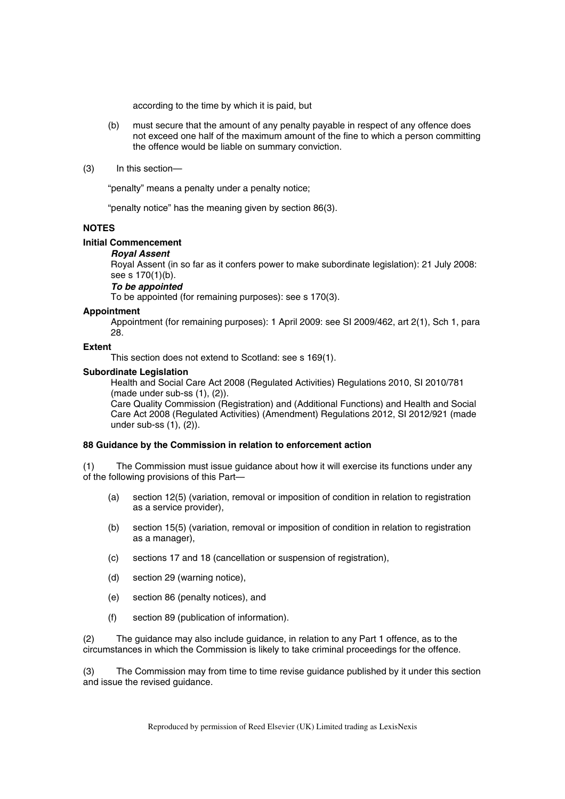according to the time by which it is paid, but

- (b) must secure that the amount of any penalty payable in respect of any offence does not exceed one half of the maximum amount of the fine to which a person committing the offence would be liable on summary conviction.
- (3) In this section—

"penalty" means a penalty under a penalty notice;

"penalty notice" has the meaning given by section 86(3).

# **NOTES**

### **Initial Commencement**

### *Royal Assent*

Royal Assent (in so far as it confers power to make subordinate legislation): 21 July 2008: see s 170(1)(b).

# *To be appointed*

To be appointed (for remaining purposes): see s 170(3).

### **Appointment**

Appointment (for remaining purposes): 1 April 2009: see SI 2009/462, art 2(1), Sch 1, para 28.

### **Extent**

This section does not extend to Scotland: see s 169(1).

### **Subordinate Legislation**

Health and Social Care Act 2008 (Regulated Activities) Regulations 2010, SI 2010/781 (made under sub-ss (1), (2)).

Care Quality Commission (Registration) and (Additional Functions) and Health and Social Care Act 2008 (Regulated Activities) (Amendment) Regulations 2012, SI 2012/921 (made under sub-ss (1), (2)).

### **88 Guidance by the Commission in relation to enforcement action**

(1) The Commission must issue guidance about how it will exercise its functions under any of the following provisions of this Part—

- (a) section 12(5) (variation, removal or imposition of condition in relation to registration as a service provider),
- (b) section 15(5) (variation, removal or imposition of condition in relation to registration as a manager),
- (c) sections 17 and 18 (cancellation or suspension of registration),
- (d) section 29 (warning notice),
- (e) section 86 (penalty notices), and
- (f) section 89 (publication of information).

(2) The guidance may also include guidance, in relation to any Part 1 offence, as to the circumstances in which the Commission is likely to take criminal proceedings for the offence.

(3) The Commission may from time to time revise guidance published by it under this section and issue the revised guidance.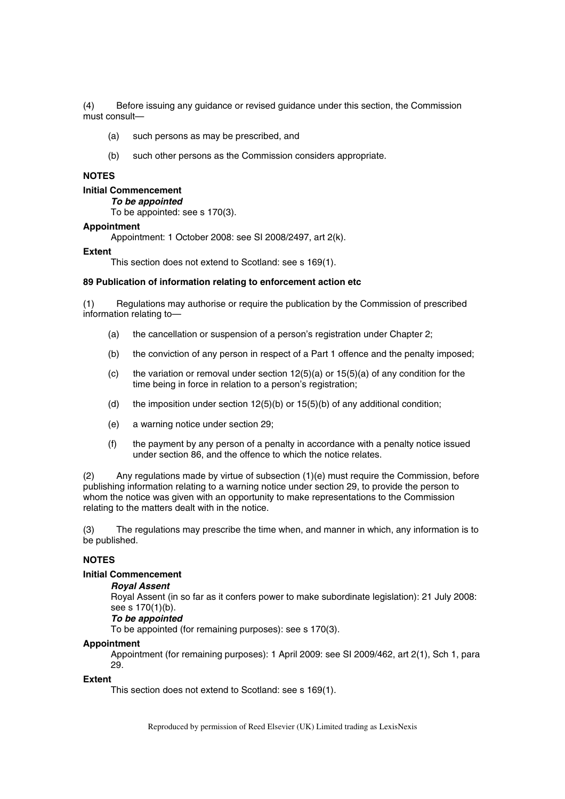(4) Before issuing any guidance or revised guidance under this section, the Commission must consult—

- (a) such persons as may be prescribed, and
- (b) such other persons as the Commission considers appropriate.

### **NOTES**

### **Initial Commencement**

*To be appointed* 

To be appointed: see s 170(3).

## **Appointment**

Appointment: 1 October 2008: see SI 2008/2497, art 2(k).

#### **Extent**

This section does not extend to Scotland: see s 169(1).

#### **89 Publication of information relating to enforcement action etc**

(1) Regulations may authorise or require the publication by the Commission of prescribed information relating to—

- (a) the cancellation or suspension of a person's registration under Chapter 2;
- (b) the conviction of any person in respect of a Part 1 offence and the penalty imposed;
- (c) the variation or removal under section  $12(5)(a)$  or  $15(5)(a)$  of any condition for the time being in force in relation to a person's registration;
- (d) the imposition under section  $12(5)(b)$  or  $15(5)(b)$  of any additional condition;
- (e) a warning notice under section 29;
- (f) the payment by any person of a penalty in accordance with a penalty notice issued under section 86, and the offence to which the notice relates.

(2) Any regulations made by virtue of subsection (1)(e) must require the Commission, before publishing information relating to a warning notice under section 29, to provide the person to whom the notice was given with an opportunity to make representations to the Commission relating to the matters dealt with in the notice.

(3) The regulations may prescribe the time when, and manner in which, any information is to be published.

#### **NOTES**

### **Initial Commencement**

### *Royal Assent*

Royal Assent (in so far as it confers power to make subordinate legislation): 21 July 2008: see s 170(1)(b).

# *To be appointed*

To be appointed (for remaining purposes): see s 170(3).

#### **Appointment**

Appointment (for remaining purposes): 1 April 2009: see SI 2009/462, art 2(1), Sch 1, para 29.

### **Extent**

This section does not extend to Scotland: see s 169(1).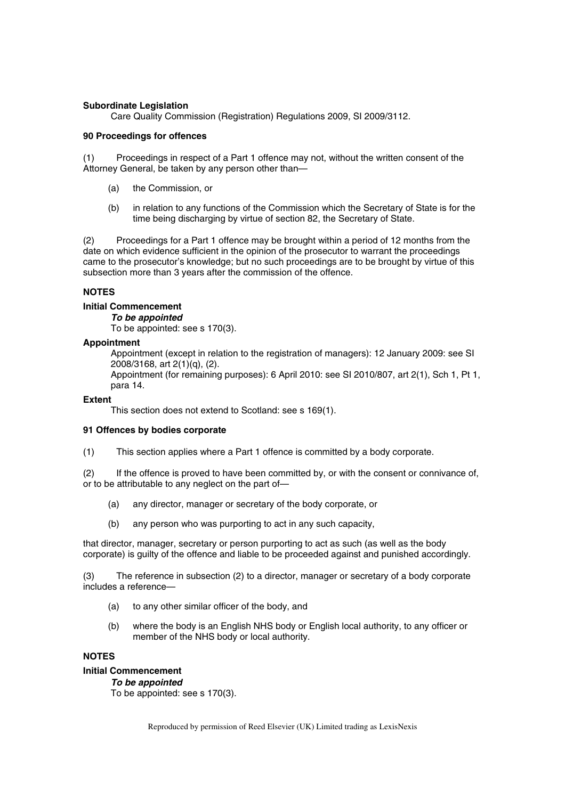# **Subordinate Legislation**

Care Quality Commission (Registration) Regulations 2009, SI 2009/3112.

### **90 Proceedings for offences**

(1) Proceedings in respect of a Part 1 offence may not, without the written consent of the Attorney General, be taken by any person other than—

- (a) the Commission, or
- (b) in relation to any functions of the Commission which the Secretary of State is for the time being discharging by virtue of section 82, the Secretary of State.

(2) Proceedings for a Part 1 offence may be brought within a period of 12 months from the date on which evidence sufficient in the opinion of the prosecutor to warrant the proceedings came to the prosecutor's knowledge; but no such proceedings are to be brought by virtue of this subsection more than 3 years after the commission of the offence.

# **NOTES**

# **Initial Commencement**

*To be appointed* 

To be appointed: see s 170(3).

# **Appointment**

Appointment (except in relation to the registration of managers): 12 January 2009: see SI 2008/3168, art 2(1)(q), (2).

Appointment (for remaining purposes): 6 April 2010: see SI 2010/807, art 2(1), Sch 1, Pt 1, para 14.

### **Extent**

This section does not extend to Scotland: see s 169(1).

# **91 Offences by bodies corporate**

(1) This section applies where a Part 1 offence is committed by a body corporate.

(2) If the offence is proved to have been committed by, or with the consent or connivance of, or to be attributable to any neglect on the part of—

- (a) any director, manager or secretary of the body corporate, or
- (b) any person who was purporting to act in any such capacity,

that director, manager, secretary or person purporting to act as such (as well as the body corporate) is guilty of the offence and liable to be proceeded against and punished accordingly.

(3) The reference in subsection (2) to a director, manager or secretary of a body corporate includes a reference—

- (a) to any other similar officer of the body, and
- (b) where the body is an English NHS body or English local authority, to any officer or member of the NHS body or local authority.

# **NOTES**

# **Initial Commencement**

# *To be appointed*

To be appointed: see s 170(3).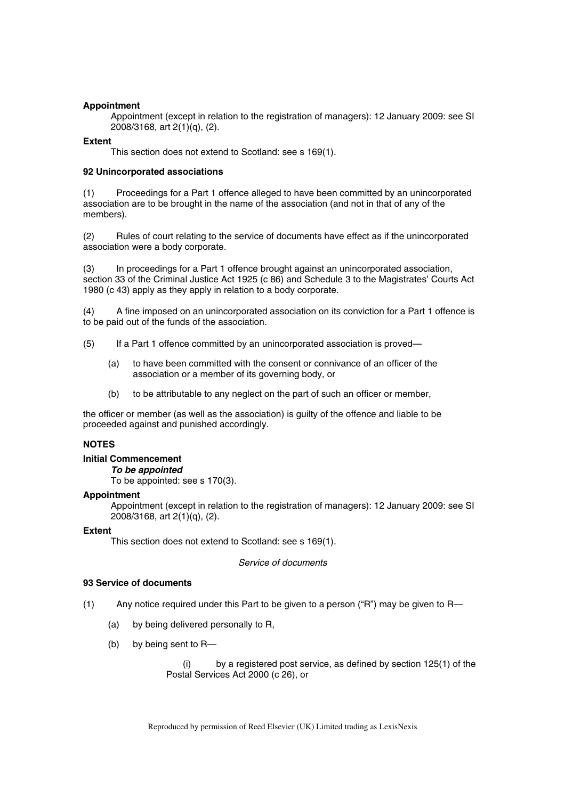### **Appointment**

Appointment (except in relation to the registration of managers): 12 January 2009: see SI 2008/3168, art 2(1)(q), (2).

### **Extent**

This section does not extend to Scotland: see s 169(1).

### **92 Unincorporated associations**

(1) Proceedings for a Part 1 offence alleged to have been committed by an unincorporated association are to be brought in the name of the association (and not in that of any of the members).

(2) Rules of court relating to the service of documents have effect as if the unincorporated association were a body corporate.

(3) In proceedings for a Part 1 offence brought against an unincorporated association, section 33 of the Criminal Justice Act 1925 (c 86) and Schedule 3 to the Magistrates' Courts Act 1980 (c 43) apply as they apply in relation to a body corporate.

(4) A fine imposed on an unincorporated association on its conviction for a Part 1 offence is to be paid out of the funds of the association.

- (5) If a Part 1 offence committed by an unincorporated association is proved—
	- (a) to have been committed with the consent or connivance of an officer of the association or a member of its governing body, or
	- (b) to be attributable to any neglect on the part of such an officer or member,

the officer or member (as well as the association) is guilty of the offence and liable to be proceeded against and punished accordingly.

# **NOTES**

### **Initial Commencement**

*To be appointed* 

To be appointed: see s 170(3).

### **Appointment**

Appointment (except in relation to the registration of managers): 12 January 2009: see SI 2008/3168, art 2(1)(q), (2).

### **Extent**

This section does not extend to Scotland: see s 169(1).

*Service of documents* 

### **93 Service of documents**

- (1) Any notice required under this Part to be given to a person ("R") may be given to R—
	- (a) by being delivered personally to R,
	- (b) by being sent to R—

by a registered post service, as defined by section 125(1) of the Postal Services Act 2000 (c 26), or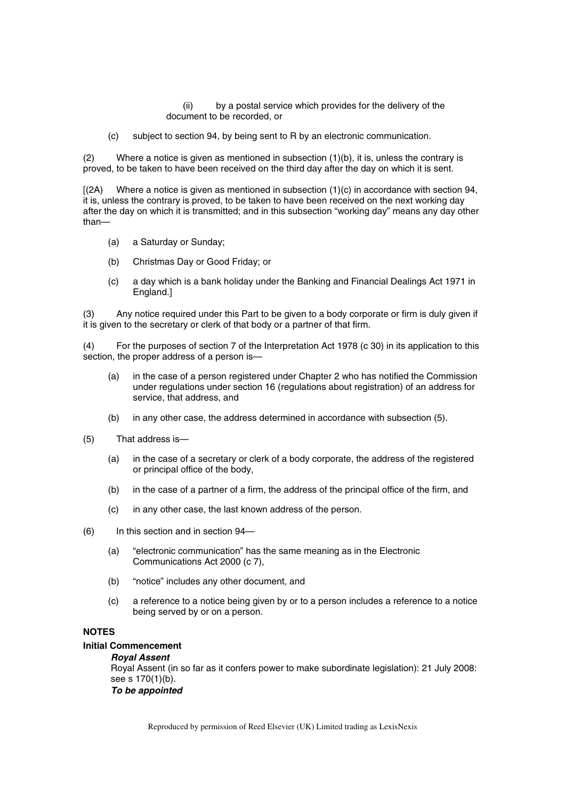(ii) by a postal service which provides for the delivery of the document to be recorded, or

(c) subject to section 94, by being sent to R by an electronic communication.

(2) Where a notice is given as mentioned in subsection (1)(b), it is, unless the contrary is proved, to be taken to have been received on the third day after the day on which it is sent.

 $[(2A)$  Where a notice is given as mentioned in subsection  $(1)(c)$  in accordance with section 94, it is, unless the contrary is proved, to be taken to have been received on the next working day after the day on which it is transmitted; and in this subsection "working day" means any day other than—

- (a) a Saturday or Sunday;
- (b) Christmas Day or Good Friday; or
- (c) a day which is a bank holiday under the Banking and Financial Dealings Act 1971 in England.]

(3) Any notice required under this Part to be given to a body corporate or firm is duly given if it is given to the secretary or clerk of that body or a partner of that firm.

(4) For the purposes of section 7 of the Interpretation Act 1978 (c 30) in its application to this section, the proper address of a person is—

- (a) in the case of a person registered under Chapter 2 who has notified the Commission under regulations under section 16 (regulations about registration) of an address for service, that address, and
- (b) in any other case, the address determined in accordance with subsection (5).
- (5) That address is—
	- (a) in the case of a secretary or clerk of a body corporate, the address of the registered or principal office of the body,
	- (b) in the case of a partner of a firm, the address of the principal office of the firm, and
	- (c) in any other case, the last known address of the person.
- (6) In this section and in section 94—
	- (a) "electronic communication" has the same meaning as in the Electronic Communications Act 2000 (c 7),
	- (b) "notice" includes any other document, and
	- (c) a reference to a notice being given by or to a person includes a reference to a notice being served by or on a person.

# **NOTES**

# **Initial Commencement**

*Royal Assent*  Royal Assent (in so far as it confers power to make subordinate legislation): 21 July 2008: see s 170(1)(b).

*To be appointed*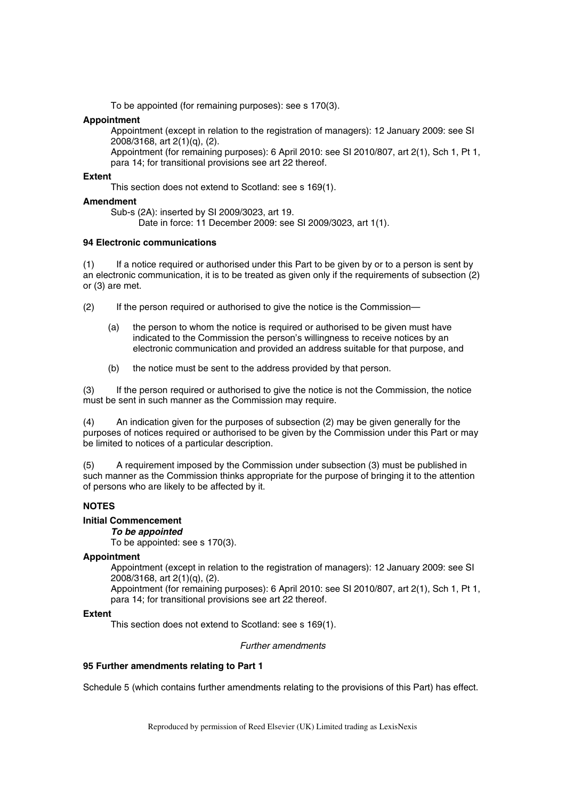To be appointed (for remaining purposes): see s 170(3).

### **Appointment**

Appointment (except in relation to the registration of managers): 12 January 2009: see SI 2008/3168, art 2(1)(q), (2).

Appointment (for remaining purposes): 6 April 2010: see SI 2010/807, art 2(1), Sch 1, Pt 1, para 14; for transitional provisions see art 22 thereof.

### **Extent**

This section does not extend to Scotland: see s 169(1).

### **Amendment**

Sub-s (2A): inserted by SI 2009/3023, art 19.

Date in force: 11 December 2009: see SI 2009/3023, art 1(1).

### **94 Electronic communications**

(1) If a notice required or authorised under this Part to be given by or to a person is sent by an electronic communication, it is to be treated as given only if the requirements of subsection (2) or (3) are met.

(2) If the person required or authorised to give the notice is the Commission—

- (a) the person to whom the notice is required or authorised to be given must have indicated to the Commission the person's willingness to receive notices by an electronic communication and provided an address suitable for that purpose, and
- (b) the notice must be sent to the address provided by that person.

(3) If the person required or authorised to give the notice is not the Commission, the notice must be sent in such manner as the Commission may require.

(4) An indication given for the purposes of subsection (2) may be given generally for the purposes of notices required or authorised to be given by the Commission under this Part or may be limited to notices of a particular description.

(5) A requirement imposed by the Commission under subsection (3) must be published in such manner as the Commission thinks appropriate for the purpose of bringing it to the attention of persons who are likely to be affected by it.

# **NOTES**

# **Initial Commencement**

*To be appointed* 

To be appointed: see s 170(3).

# **Appointment**

Appointment (except in relation to the registration of managers): 12 January 2009: see SI 2008/3168, art 2(1)(q), (2).

Appointment (for remaining purposes): 6 April 2010: see SI 2010/807, art 2(1), Sch 1, Pt 1, para 14; for transitional provisions see art 22 thereof.

### **Extent**

This section does not extend to Scotland: see s 169(1).

*Further amendments* 

### **95 Further amendments relating to Part 1**

Schedule 5 (which contains further amendments relating to the provisions of this Part) has effect.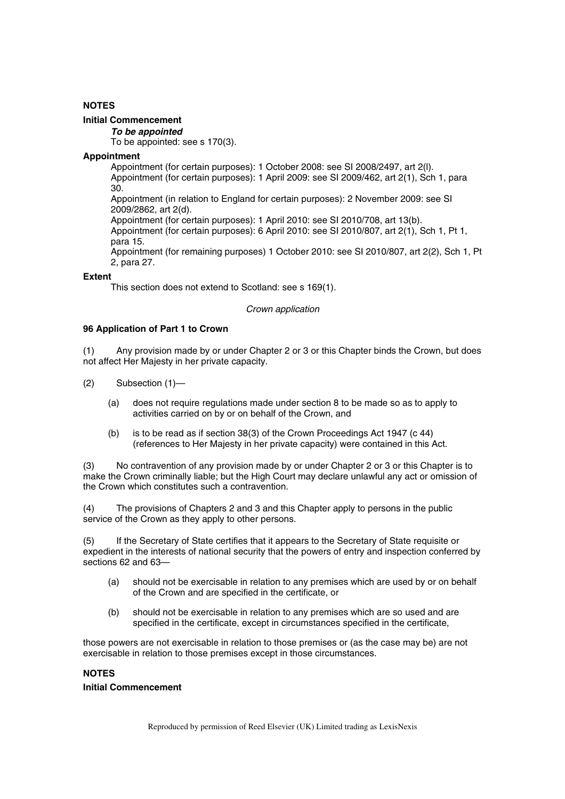# **NOTES**

# **Initial Commencement**

*To be appointed* 

To be appointed: see s 170(3).

### **Appointment**

Appointment (for certain purposes): 1 October 2008: see SI 2008/2497, art 2(l). Appointment (for certain purposes): 1 April 2009: see SI 2009/462, art 2(1), Sch 1, para

30.

Appointment (in relation to England for certain purposes): 2 November 2009: see SI 2009/2862, art 2(d).

Appointment (for certain purposes): 1 April 2010: see SI 2010/708, art 13(b).

Appointment (for certain purposes): 6 April 2010: see SI 2010/807, art 2(1), Sch 1, Pt 1, para 15.

Appointment (for remaining purposes) 1 October 2010: see SI 2010/807, art 2(2), Sch 1, Pt 2, para 27.

# **Extent**

This section does not extend to Scotland: see s 169(1).

### *Crown application*

### **96 Application of Part 1 to Crown**

(1) Any provision made by or under Chapter 2 or 3 or this Chapter binds the Crown, but does not affect Her Majesty in her private capacity.

- (2) Subsection (1)—
	- (a) does not require regulations made under section 8 to be made so as to apply to activities carried on by or on behalf of the Crown, and
	- (b) is to be read as if section 38(3) of the Crown Proceedings Act 1947 (c 44) (references to Her Majesty in her private capacity) were contained in this Act.

(3) No contravention of any provision made by or under Chapter 2 or 3 or this Chapter is to make the Crown criminally liable; but the High Court may declare unlawful any act or omission of the Crown which constitutes such a contravention.

(4) The provisions of Chapters 2 and 3 and this Chapter apply to persons in the public service of the Crown as they apply to other persons.

(5) If the Secretary of State certifies that it appears to the Secretary of State requisite or expedient in the interests of national security that the powers of entry and inspection conferred by sections 62 and 63—

- (a) should not be exercisable in relation to any premises which are used by or on behalf of the Crown and are specified in the certificate, or
- (b) should not be exercisable in relation to any premises which are so used and are specified in the certificate, except in circumstances specified in the certificate,

those powers are not exercisable in relation to those premises or (as the case may be) are not exercisable in relation to those premises except in those circumstances.

# **NOTES**

### **Initial Commencement**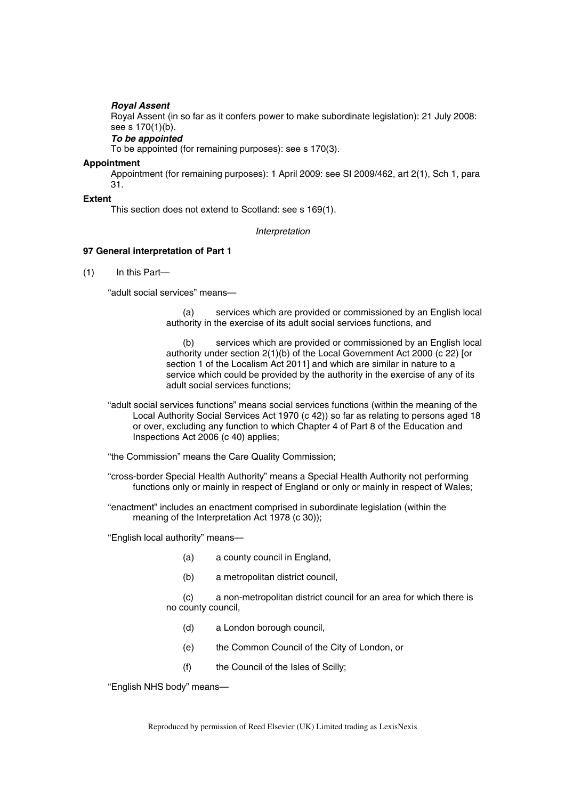### *Royal Assent*

Royal Assent (in so far as it confers power to make subordinate legislation): 21 July 2008: see s 170(1)(b).

# *To be appointed*

To be appointed (for remaining purposes): see s 170(3).

#### **Appointment**

Appointment (for remaining purposes): 1 April 2009: see SI 2009/462, art 2(1), Sch 1, para 31.

#### **Extent**

This section does not extend to Scotland: see s 169(1).

*Interpretation* 

### **97 General interpretation of Part 1**

(1) In this Part—

"adult social services" means—

(a) services which are provided or commissioned by an English local authority in the exercise of its adult social services functions, and

(b) services which are provided or commissioned by an English local authority under section 2(1)(b) of the Local Government Act 2000 (c 22) [or section 1 of the Localism Act 2011] and which are similar in nature to a service which could be provided by the authority in the exercise of any of its adult social services functions;

"adult social services functions" means social services functions (within the meaning of the Local Authority Social Services Act 1970 (c 42)) so far as relating to persons aged 18 or over, excluding any function to which Chapter 4 of Part 8 of the Education and Inspections Act 2006 (c 40) applies;

"the Commission" means the Care Quality Commission;

"cross-border Special Health Authority" means a Special Health Authority not performing functions only or mainly in respect of England or only or mainly in respect of Wales;

"enactment" includes an enactment comprised in subordinate legislation (within the meaning of the Interpretation Act 1978 (c 30));

"English local authority" means—

- (a) a county council in England,
- (b) a metropolitan district council,

(c) a non-metropolitan district council for an area for which there is no county council,

- (d) a London borough council,
- (e) the Common Council of the City of London, or
- (f) the Council of the Isles of Scilly;

"English NHS body" means—

Reproduced by permission of Reed Elsevier (UK) Limited trading as LexisNexis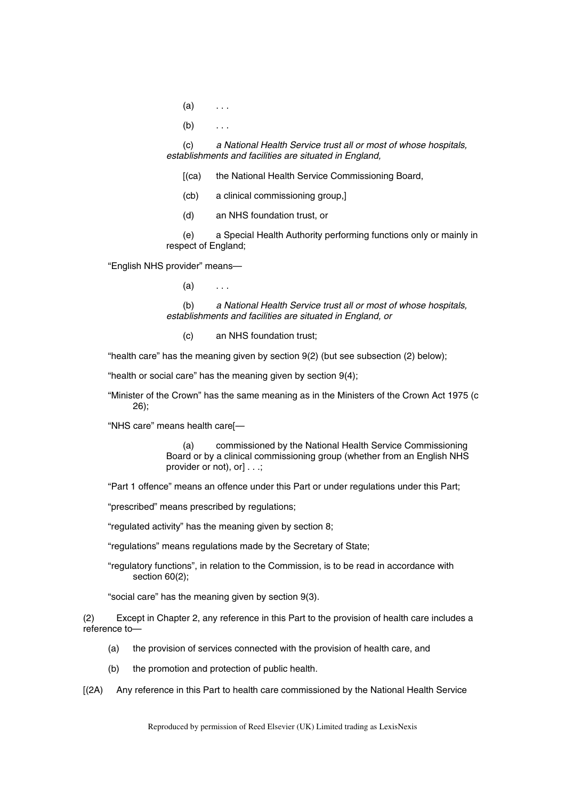- $(a)$  ...
- $(b)$  ...

(c) *a National Health Service trust all or most of whose hospitals, establishments and facilities are situated in England,*

[(ca) the National Health Service Commissioning Board,

- (cb) a clinical commissioning group,]
- (d) an NHS foundation trust, or

(e) a Special Health Authority performing functions only or mainly in respect of England;

"English NHS provider" means—

 $(a)$  ...

(b) *a National Health Service trust all or most of whose hospitals, establishments and facilities are situated in England, or*

(c) an NHS foundation trust;

"health care" has the meaning given by section 9(2) (but see subsection (2) below);

"health or social care" has the meaning given by section 9(4);

"Minister of the Crown" has the same meaning as in the Ministers of the Crown Act 1975 (c 26);

"NHS care" means health care[—

(a) commissioned by the National Health Service Commissioning Board or by a clinical commissioning group (whether from an English NHS provider or not), or] . . .;

"Part 1 offence" means an offence under this Part or under regulations under this Part;

"prescribed" means prescribed by regulations;

"regulated activity" has the meaning given by section 8;

"regulations" means regulations made by the Secretary of State;

"regulatory functions", in relation to the Commission, is to be read in accordance with section 60(2);

"social care" has the meaning given by section 9(3).

(2) Except in Chapter 2, any reference in this Part to the provision of health care includes a reference to—

- (a) the provision of services connected with the provision of health care, and
- (b) the promotion and protection of public health.
- [(2A) Any reference in this Part to health care commissioned by the National Health Service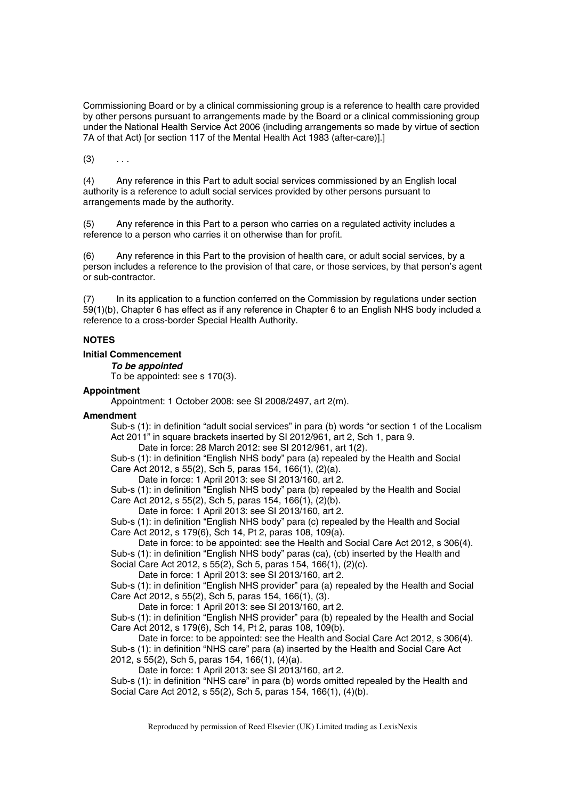Commissioning Board or by a clinical commissioning group is a reference to health care provided by other persons pursuant to arrangements made by the Board or a clinical commissioning group under the National Health Service Act 2006 (including arrangements so made by virtue of section 7A of that Act) [or section 117 of the Mental Health Act 1983 (after-care)].]

 $(3)$  ...

(4) Any reference in this Part to adult social services commissioned by an English local authority is a reference to adult social services provided by other persons pursuant to arrangements made by the authority.

(5) Any reference in this Part to a person who carries on a regulated activity includes a reference to a person who carries it on otherwise than for profit.

(6) Any reference in this Part to the provision of health care, or adult social services, by a person includes a reference to the provision of that care, or those services, by that person's agent or sub-contractor.

In its application to a function conferred on the Commission by regulations under section 59(1)(b), Chapter 6 has effect as if any reference in Chapter 6 to an English NHS body included a reference to a cross-border Special Health Authority.

# **NOTES**

# **Initial Commencement**

*To be appointed*  To be appointed: see s 170(3).

# **Appointment**

Appointment: 1 October 2008: see SI 2008/2497, art 2(m).

# **Amendment**

Sub-s (1): in definition "adult social services" in para (b) words "or section 1 of the Localism Act 2011" in square brackets inserted by SI 2012/961, art 2, Sch 1, para 9.

Date in force: 28 March 2012: see SI 2012/961, art 1(2).

Sub-s (1): in definition "English NHS body" para (a) repealed by the Health and Social Care Act 2012, s 55(2), Sch 5, paras 154, 166(1), (2)(a).

Date in force: 1 April 2013: see SI 2013/160, art 2.

Sub-s (1): in definition "English NHS body" para (b) repealed by the Health and Social Care Act 2012, s 55(2), Sch 5, paras 154, 166(1), (2)(b).

Date in force: 1 April 2013: see SI 2013/160, art 2.

Sub-s (1): in definition "English NHS body" para (c) repealed by the Health and Social Care Act 2012, s 179(6), Sch 14, Pt 2, paras 108, 109(a).

Date in force: to be appointed: see the Health and Social Care Act 2012, s 306(4).

Sub-s (1): in definition "English NHS body" paras (ca), (cb) inserted by the Health and

Social Care Act 2012, s 55(2), Sch 5, paras 154, 166(1), (2)(c).

Date in force: 1 April 2013: see SI 2013/160, art 2.

Sub-s (1): in definition "English NHS provider" para (a) repealed by the Health and Social Care Act 2012, s 55(2), Sch 5, paras 154, 166(1), (3).

Date in force: 1 April 2013: see SI 2013/160, art 2.

Sub-s (1): in definition "English NHS provider" para (b) repealed by the Health and Social Care Act 2012, s 179(6), Sch 14, Pt 2, paras 108, 109(b).

Date in force: to be appointed: see the Health and Social Care Act 2012, s 306(4). Sub-s (1): in definition "NHS care" para (a) inserted by the Health and Social Care Act 2012, s 55(2), Sch 5, paras 154, 166(1), (4)(a).

Date in force: 1 April 2013: see SI 2013/160, art 2.

Sub-s (1): in definition "NHS care" in para (b) words omitted repealed by the Health and Social Care Act 2012, s 55(2), Sch 5, paras 154, 166(1), (4)(b).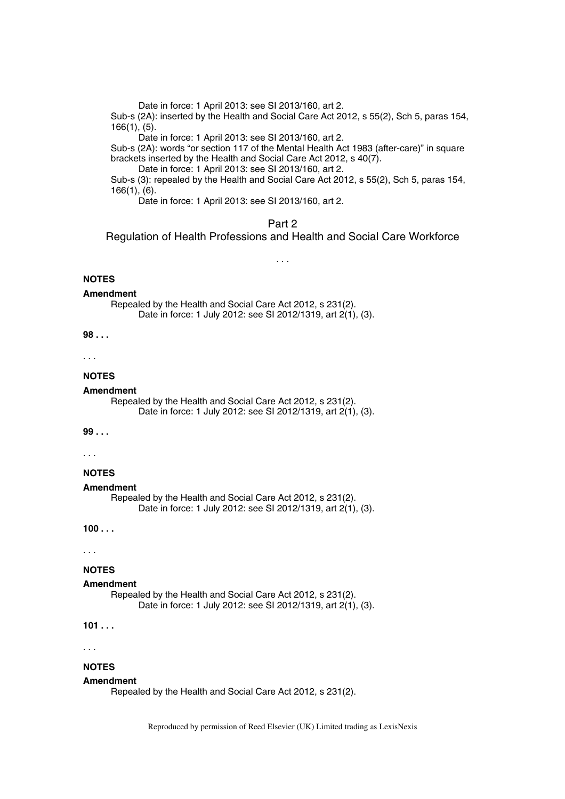Date in force: 1 April 2013: see SI 2013/160, art 2.

Sub-s (2A): inserted by the Health and Social Care Act 2012, s 55(2), Sch 5, paras 154, 166(1), (5).

Date in force: 1 April 2013: see SI 2013/160, art 2.

Sub-s (2A): words "or section 117 of the Mental Health Act 1983 (after-care)" in square brackets inserted by the Health and Social Care Act 2012, s 40(7).

Date in force: 1 April 2013: see SI 2013/160, art 2.

Sub-s (3): repealed by the Health and Social Care Act 2012, s 55(2), Sch 5, paras 154, 166(1), (6).

Date in force: 1 April 2013: see SI 2013/160, art 2.

# Part 2

Regulation of Health Professions and Health and Social Care Workforce

*. . .* 

# **NOTES**

#### **Amendment**

Repealed by the Health and Social Care Act 2012, s 231(2). Date in force: 1 July 2012: see SI 2012/1319, art 2(1), (3).

**98 . . .** 

. . .

### **NOTES**

#### **Amendment**

Repealed by the Health and Social Care Act 2012, s 231(2). Date in force: 1 July 2012: see SI 2012/1319, art 2(1), (3).

### **99 . . .**

. . .

# **NOTES**

#### **Amendment**

Repealed by the Health and Social Care Act 2012, s 231(2). Date in force: 1 July 2012: see SI 2012/1319, art 2(1), (3).

**100 . . .** 

. . .

# **NOTES**

#### **Amendment**

Repealed by the Health and Social Care Act 2012, s 231(2). Date in force: 1 July 2012: see SI 2012/1319, art 2(1), (3).

## **101 . . .**

. . .

# **NOTES**

#### **Amendment**

Repealed by the Health and Social Care Act 2012, s 231(2).

Reproduced by permission of Reed Elsevier (UK) Limited trading as LexisNexis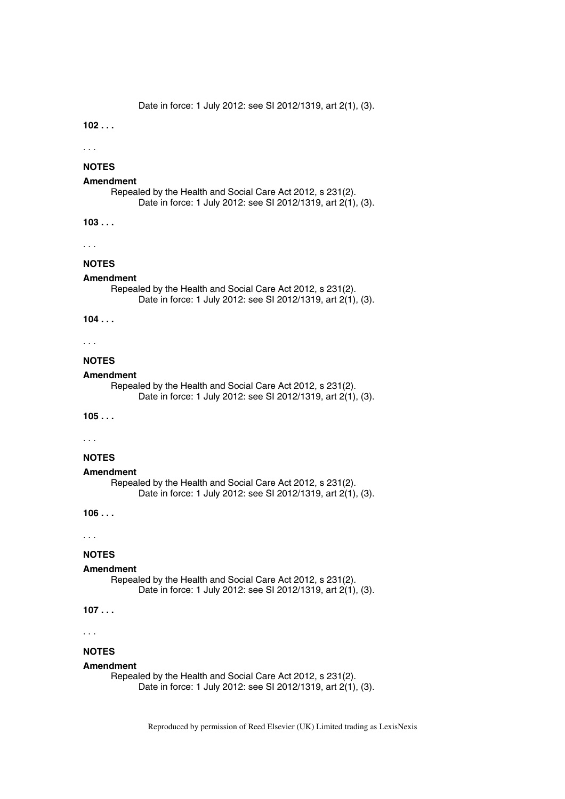Date in force: 1 July 2012: see SI 2012/1319, art 2(1), (3).

**102 . . .** 

. . .

# **NOTES**

### **Amendment**

Repealed by the Health and Social Care Act 2012, s 231(2). Date in force: 1 July 2012: see SI 2012/1319, art 2(1), (3).

**103 . . .** 

. . .

# **NOTES**

### **Amendment**

Repealed by the Health and Social Care Act 2012, s 231(2). Date in force: 1 July 2012: see SI 2012/1319, art 2(1), (3).

**104 . . .** 

#### . . .

#### **NOTES**

#### **Amendment**

Repealed by the Health and Social Care Act 2012, s 231(2). Date in force: 1 July 2012: see SI 2012/1319, art 2(1), (3).

### **105 . . .**

. . .

# **NOTES**

#### **Amendment**

Repealed by the Health and Social Care Act 2012, s 231(2). Date in force: 1 July 2012: see SI 2012/1319, art 2(1), (3).

**106 . . .** 

. . .

# **NOTES**

#### **Amendment**

Repealed by the Health and Social Care Act 2012, s 231(2). Date in force: 1 July 2012: see SI 2012/1319, art 2(1), (3).

# **107 . . .**

. . .

### **NOTES**

#### **Amendment**

Repealed by the Health and Social Care Act 2012, s 231(2). Date in force: 1 July 2012: see SI 2012/1319, art 2(1), (3).

Reproduced by permission of Reed Elsevier (UK) Limited trading as LexisNexis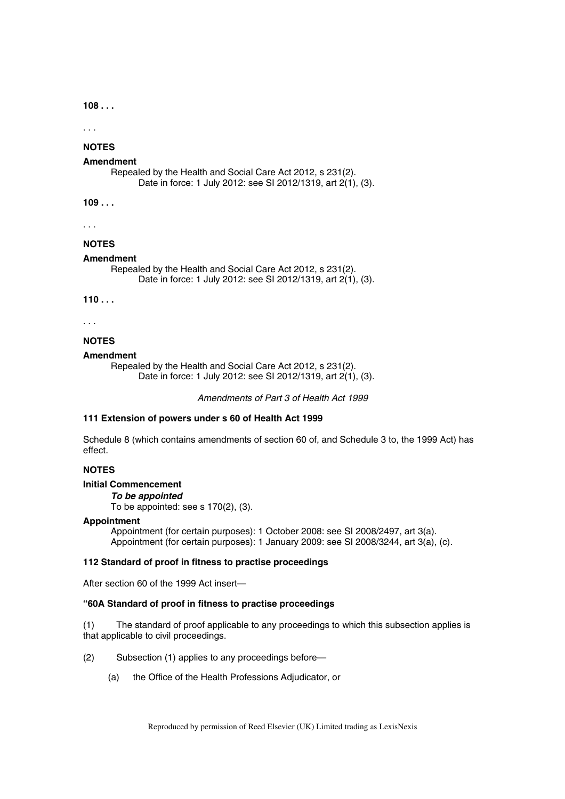**108 . . .** 

. . .

# **NOTES**

# **Amendment**

Repealed by the Health and Social Care Act 2012, s 231(2). Date in force: 1 July 2012: see SI 2012/1319, art 2(1), (3).

**109 . . .** 

. . .

# **NOTES**

## **Amendment**

Repealed by the Health and Social Care Act 2012, s 231(2). Date in force: 1 July 2012: see SI 2012/1319, art 2(1), (3).

**110 . . .** 

. . .

### **NOTES**

#### **Amendment**

Repealed by the Health and Social Care Act 2012, s 231(2). Date in force: 1 July 2012: see SI 2012/1319, art 2(1), (3).

*Amendments of Part 3 of Health Act 1999* 

### **111 Extension of powers under s 60 of Health Act 1999**

Schedule 8 (which contains amendments of section 60 of, and Schedule 3 to, the 1999 Act) has effect.

# **NOTES**

# **Initial Commencement**

*To be appointed* 

To be appointed: see s 170(2), (3).

# **Appointment**

Appointment (for certain purposes): 1 October 2008: see SI 2008/2497, art 3(a). Appointment (for certain purposes): 1 January 2009: see SI 2008/3244, art 3(a), (c).

# **112 Standard of proof in fitness to practise proceedings**

After section 60 of the 1999 Act insert—

### **"60A Standard of proof in fitness to practise proceedings**

(1) The standard of proof applicable to any proceedings to which this subsection applies is that applicable to civil proceedings.

(2) Subsection (1) applies to any proceedings before—

(a) the Office of the Health Professions Adjudicator, or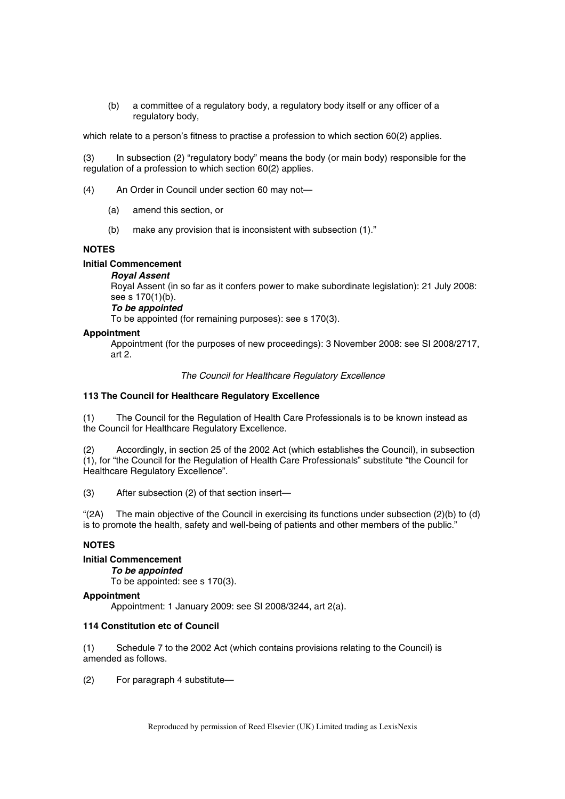(b) a committee of a regulatory body, a regulatory body itself or any officer of a regulatory body,

which relate to a person's fitness to practise a profession to which section 60(2) applies.

(3) In subsection (2) "regulatory body" means the body (or main body) responsible for the regulation of a profession to which section 60(2) applies.

(4) An Order in Council under section 60 may not—

- (a) amend this section, or
- (b) make any provision that is inconsistent with subsection (1)."

# **NOTES**

# **Initial Commencement**

# *Royal Assent*

Royal Assent (in so far as it confers power to make subordinate legislation): 21 July 2008: see s 170(1)(b).

# *To be appointed*

To be appointed (for remaining purposes): see s 170(3).

# **Appointment**

Appointment (for the purposes of new proceedings): 3 November 2008: see SI 2008/2717, art 2.

# *The Council for Healthcare Regulatory Excellence*

# **113 The Council for Healthcare Regulatory Excellence**

(1) The Council for the Regulation of Health Care Professionals is to be known instead as the Council for Healthcare Regulatory Excellence.

(2) Accordingly, in section 25 of the 2002 Act (which establishes the Council), in subsection (1), for "the Council for the Regulation of Health Care Professionals" substitute "the Council for Healthcare Regulatory Excellence".

(3) After subsection (2) of that section insert—

"(2A) The main objective of the Council in exercising its functions under subsection (2)(b) to (d) is to promote the health, safety and well-being of patients and other members of the public."

# **NOTES**

# **Initial Commencement**

*To be appointed* 

To be appointed: see s 170(3).

# **Appointment**

Appointment: 1 January 2009: see SI 2008/3244, art 2(a).

# **114 Constitution etc of Council**

(1) Schedule 7 to the 2002 Act (which contains provisions relating to the Council) is amended as follows.

(2) For paragraph 4 substitute—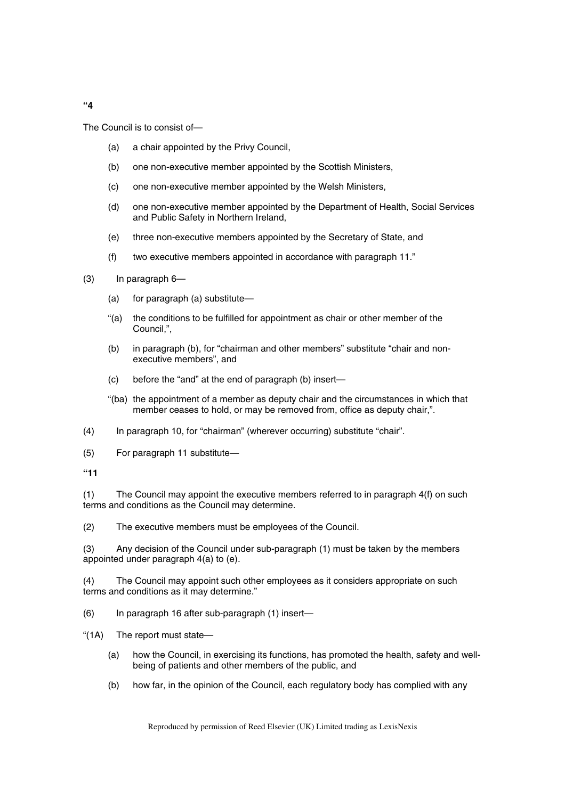The Council is to consist of—

- (a) a chair appointed by the Privy Council,
- (b) one non-executive member appointed by the Scottish Ministers,
- (c) one non-executive member appointed by the Welsh Ministers,
- (d) one non-executive member appointed by the Department of Health, Social Services and Public Safety in Northern Ireland,
- (e) three non-executive members appointed by the Secretary of State, and
- (f) two executive members appointed in accordance with paragraph 11."
- (3) In paragraph 6—
	- (a) for paragraph (a) substitute—
	- "(a) the conditions to be fulfilled for appointment as chair or other member of the Council,",
	- (b) in paragraph (b), for "chairman and other members" substitute "chair and nonexecutive members", and
	- (c) before the "and" at the end of paragraph (b) insert—
	- "(ba) the appointment of a member as deputy chair and the circumstances in which that member ceases to hold, or may be removed from, office as deputy chair,".
- (4) In paragraph 10, for "chairman" (wherever occurring) substitute "chair".
- (5) For paragraph 11 substitute—

**"11** 

(1) The Council may appoint the executive members referred to in paragraph 4(f) on such terms and conditions as the Council may determine.

(2) The executive members must be employees of the Council.

(3) Any decision of the Council under sub-paragraph (1) must be taken by the members appointed under paragraph 4(a) to (e).

(4) The Council may appoint such other employees as it considers appropriate on such terms and conditions as it may determine."

(6) In paragraph 16 after sub-paragraph (1) insert—

"(1A) The report must state—

- (a) how the Council, in exercising its functions, has promoted the health, safety and wellbeing of patients and other members of the public, and
- (b) how far, in the opinion of the Council, each regulatory body has complied with any

Reproduced by permission of Reed Elsevier (UK) Limited trading as LexisNexis

**"4**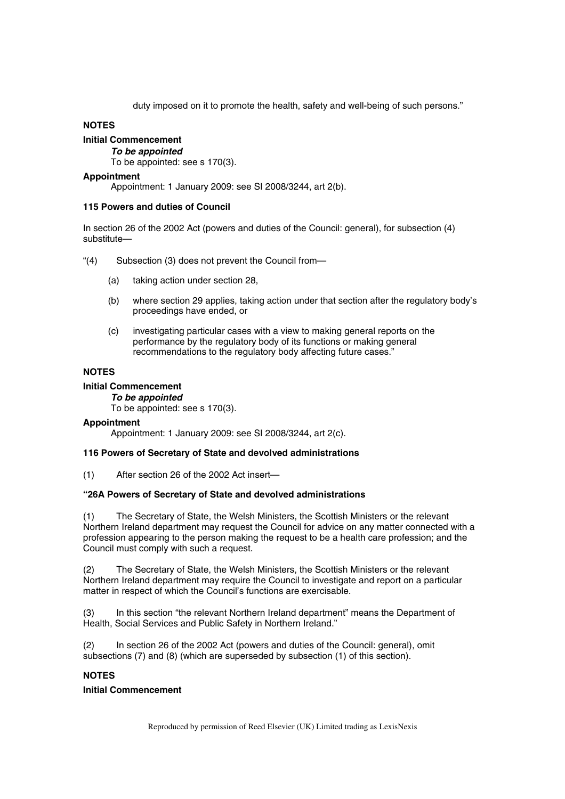duty imposed on it to promote the health, safety and well-being of such persons."

# **NOTES**

# **Initial Commencement**

# *To be appointed*

To be appointed: see s 170(3).

# **Appointment**

Appointment: 1 January 2009: see SI 2008/3244, art 2(b).

# **115 Powers and duties of Council**

In section 26 of the 2002 Act (powers and duties of the Council: general), for subsection (4) substitute—

- "(4) Subsection (3) does not prevent the Council from—
	- (a) taking action under section 28,
	- (b) where section 29 applies, taking action under that section after the regulatory body's proceedings have ended, or
	- (c) investigating particular cases with a view to making general reports on the performance by the regulatory body of its functions or making general recommendations to the regulatory body affecting future cases."

# **NOTES**

# **Initial Commencement**

*To be appointed*  To be appointed: see s 170(3).

# **Appointment**

Appointment: 1 January 2009: see SI 2008/3244, art 2(c).

# **116 Powers of Secretary of State and devolved administrations**

(1) After section 26 of the 2002 Act insert—

# **"26A Powers of Secretary of State and devolved administrations**

(1) The Secretary of State, the Welsh Ministers, the Scottish Ministers or the relevant Northern Ireland department may request the Council for advice on any matter connected with a profession appearing to the person making the request to be a health care profession; and the Council must comply with such a request.

(2) The Secretary of State, the Welsh Ministers, the Scottish Ministers or the relevant Northern Ireland department may require the Council to investigate and report on a particular matter in respect of which the Council's functions are exercisable.

(3) In this section "the relevant Northern Ireland department" means the Department of Health, Social Services and Public Safety in Northern Ireland."

(2) In section 26 of the 2002 Act (powers and duties of the Council: general), omit subsections (7) and (8) (which are superseded by subsection (1) of this section).

# **NOTES**

# **Initial Commencement**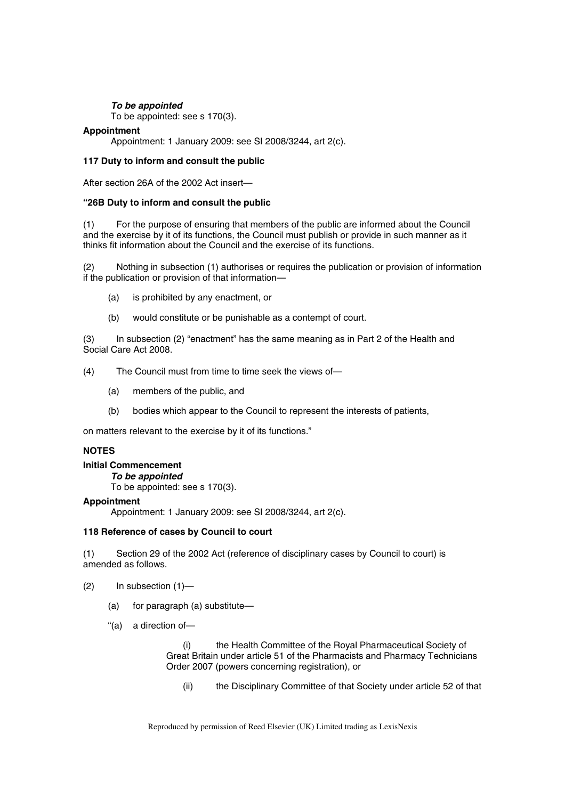# *To be appointed*

To be appointed: see s 170(3).

# **Appointment**

Appointment: 1 January 2009: see SI 2008/3244, art 2(c).

# **117 Duty to inform and consult the public**

After section 26A of the 2002 Act insert—

# **"26B Duty to inform and consult the public**

(1) For the purpose of ensuring that members of the public are informed about the Council and the exercise by it of its functions, the Council must publish or provide in such manner as it thinks fit information about the Council and the exercise of its functions.

(2) Nothing in subsection (1) authorises or requires the publication or provision of information if the publication or provision of that information—

- (a) is prohibited by any enactment, or
- (b) would constitute or be punishable as a contempt of court.

(3) In subsection (2) "enactment" has the same meaning as in Part 2 of the Health and Social Care Act 2008.

(4) The Council must from time to time seek the views of—

- (a) members of the public, and
- (b) bodies which appear to the Council to represent the interests of patients,

on matters relevant to the exercise by it of its functions."

# **NOTES**

## **Initial Commencement**

*To be appointed* 

To be appointed: see s 170(3).

# **Appointment**

Appointment: 1 January 2009: see SI 2008/3244, art 2(c).

# **118 Reference of cases by Council to court**

(1) Section 29 of the 2002 Act (reference of disciplinary cases by Council to court) is amended as follows.

(2) In subsection (1)—

- (a) for paragraph (a) substitute—
- "(a) a direction of—

(i) the Health Committee of the Royal Pharmaceutical Society of Great Britain under article 51 of the Pharmacists and Pharmacy Technicians Order 2007 (powers concerning registration), or

(ii) the Disciplinary Committee of that Society under article 52 of that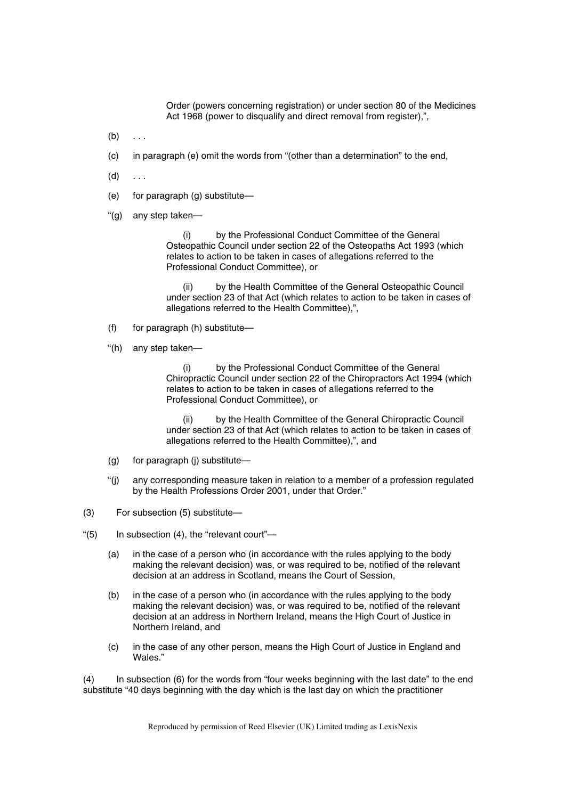Order (powers concerning registration) or under section 80 of the Medicines Act 1968 (power to disqualify and direct removal from register),",

- $(b) \ldots$
- (c) in paragraph (e) omit the words from "(other than a determination" to the end,
- $(d)$  ...
- (e) for paragraph (g) substitute—
- "(g) any step taken—

(i) by the Professional Conduct Committee of the General Osteopathic Council under section 22 of the Osteopaths Act 1993 (which relates to action to be taken in cases of allegations referred to the Professional Conduct Committee), or

(ii) by the Health Committee of the General Osteopathic Council under section 23 of that Act (which relates to action to be taken in cases of allegations referred to the Health Committee),",

- (f) for paragraph (h) substitute—
- "(h) any step taken—

(i) by the Professional Conduct Committee of the General Chiropractic Council under section 22 of the Chiropractors Act 1994 (which relates to action to be taken in cases of allegations referred to the Professional Conduct Committee), or

(ii) by the Health Committee of the General Chiropractic Council under section 23 of that Act (which relates to action to be taken in cases of allegations referred to the Health Committee),", and

- (g) for paragraph (j) substitute—
- "(j) any corresponding measure taken in relation to a member of a profession regulated by the Health Professions Order 2001, under that Order."
- (3) For subsection (5) substitute—
- "(5) In subsection (4), the "relevant court"—
	- (a) in the case of a person who (in accordance with the rules applying to the body making the relevant decision) was, or was required to be, notified of the relevant decision at an address in Scotland, means the Court of Session,
	- (b) in the case of a person who (in accordance with the rules applying to the body making the relevant decision) was, or was required to be, notified of the relevant decision at an address in Northern Ireland, means the High Court of Justice in Northern Ireland, and
	- (c) in the case of any other person, means the High Court of Justice in England and Wales."

(4) In subsection (6) for the words from "four weeks beginning with the last date" to the end substitute "40 days beginning with the day which is the last day on which the practitioner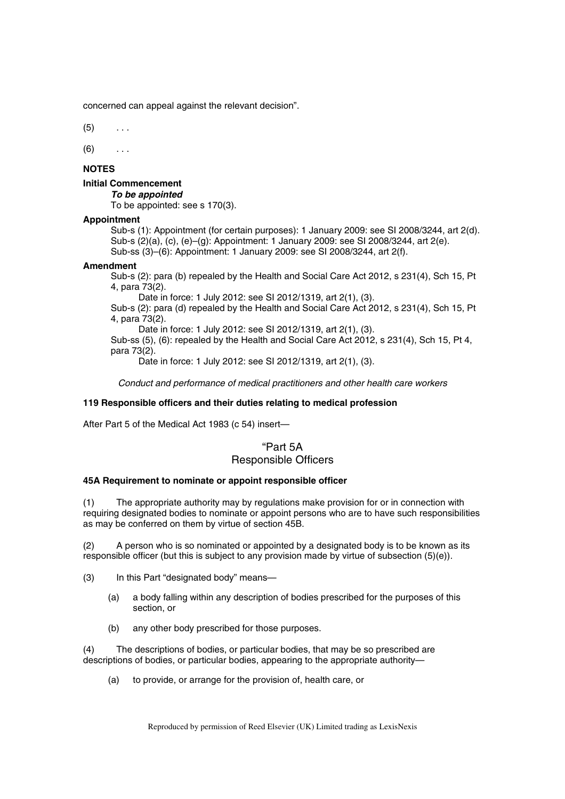concerned can appeal against the relevant decision".

 $(5)$  ...

 $(6)$  ...

# **NOTES**

# **Initial Commencement**

*To be appointed* 

To be appointed: see s 170(3).

# **Appointment**

Sub-s (1): Appointment (for certain purposes): 1 January 2009: see SI 2008/3244, art 2(d). Sub-s (2)(a), (c), (e)–(g): Appointment: 1 January 2009: see SI 2008/3244, art 2(e). Sub-ss (3)–(6): Appointment: 1 January 2009: see SI 2008/3244, art 2(f).

### **Amendment**

Sub-s (2): para (b) repealed by the Health and Social Care Act 2012, s 231(4), Sch 15, Pt 4, para 73(2).

Date in force: 1 July 2012: see SI 2012/1319, art 2(1), (3).

Sub-s (2): para (d) repealed by the Health and Social Care Act 2012, s 231(4), Sch 15, Pt 4, para 73(2).

Date in force: 1 July 2012: see SI 2012/1319, art 2(1), (3).

Sub-ss  $(5)$ ,  $(6)$ : repealed by the Health and Social Care Act  $2012$ , s 231(4), Sch 15, Pt 4, para 73(2).

Date in force: 1 July 2012: see SI 2012/1319, art 2(1), (3).

*Conduct and performance of medical practitioners and other health care workers* 

# **119 Responsible officers and their duties relating to medical profession**

After Part 5 of the Medical Act 1983 (c 54) insert—

# "Part 5A Responsible Officers

### **45A Requirement to nominate or appoint responsible officer**

(1) The appropriate authority may by regulations make provision for or in connection with requiring designated bodies to nominate or appoint persons who are to have such responsibilities as may be conferred on them by virtue of section 45B.

(2) A person who is so nominated or appointed by a designated body is to be known as its responsible officer (but this is subject to any provision made by virtue of subsection (5)(e)).

(3) In this Part "designated body" means—

- (a) a body falling within any description of bodies prescribed for the purposes of this section, or
- (b) any other body prescribed for those purposes.

(4) The descriptions of bodies, or particular bodies, that may be so prescribed are descriptions of bodies, or particular bodies, appearing to the appropriate authority—

(a) to provide, or arrange for the provision of, health care, or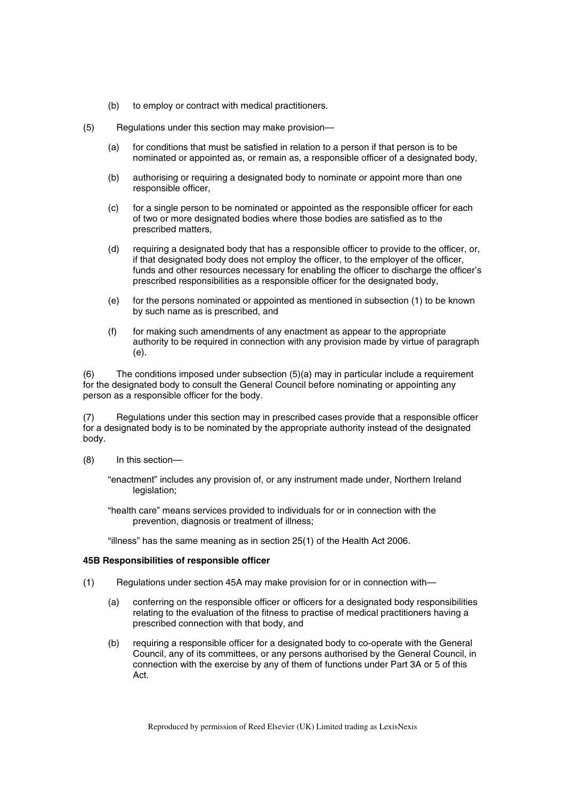- (b) to employ or contract with medical practitioners.
- (5) Regulations under this section may make provision—
	- (a) for conditions that must be satisfied in relation to a person if that person is to be nominated or appointed as, or remain as, a responsible officer of a designated body,
	- (b) authorising or requiring a designated body to nominate or appoint more than one responsible officer,
	- (c) for a single person to be nominated or appointed as the responsible officer for each of two or more designated bodies where those bodies are satisfied as to the prescribed matters,
	- (d) requiring a designated body that has a responsible officer to provide to the officer, or, if that designated body does not employ the officer, to the employer of the officer, funds and other resources necessary for enabling the officer to discharge the officer's prescribed responsibilities as a responsible officer for the designated body,
	- (e) for the persons nominated or appointed as mentioned in subsection (1) to be known by such name as is prescribed, and
	- (f) for making such amendments of any enactment as appear to the appropriate authority to be required in connection with any provision made by virtue of paragraph (e).

(6) The conditions imposed under subsection (5)(a) may in particular include a requirement for the designated body to consult the General Council before nominating or appointing any person as a responsible officer for the body.

(7) Regulations under this section may in prescribed cases provide that a responsible officer for a designated body is to be nominated by the appropriate authority instead of the designated body.

(8) In this section—

"enactment" includes any provision of, or any instrument made under, Northern Ireland legislation;

"health care" means services provided to individuals for or in connection with the prevention, diagnosis or treatment of illness;

"illness" has the same meaning as in section 25(1) of the Health Act 2006.

### **45B Responsibilities of responsible officer**

- (1) Regulations under section 45A may make provision for or in connection with—
	- (a) conferring on the responsible officer or officers for a designated body responsibilities relating to the evaluation of the fitness to practise of medical practitioners having a prescribed connection with that body, and
	- (b) requiring a responsible officer for a designated body to co-operate with the General Council, any of its committees, or any persons authorised by the General Council, in connection with the exercise by any of them of functions under Part 3A or 5 of this Act.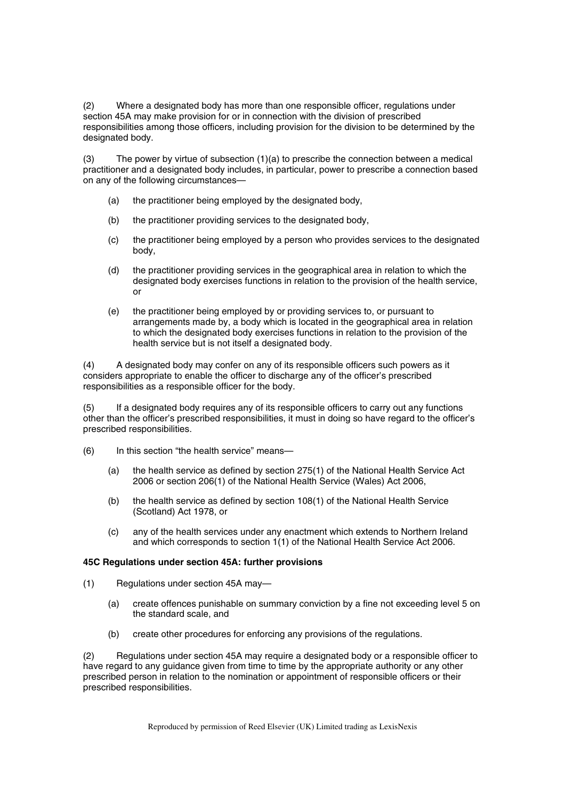(2) Where a designated body has more than one responsible officer, regulations under section 45A may make provision for or in connection with the division of prescribed responsibilities among those officers, including provision for the division to be determined by the designated body.

(3) The power by virtue of subsection (1)(a) to prescribe the connection between a medical practitioner and a designated body includes, in particular, power to prescribe a connection based on any of the following circumstances—

- (a) the practitioner being employed by the designated body,
- (b) the practitioner providing services to the designated body,
- (c) the practitioner being employed by a person who provides services to the designated body,
- (d) the practitioner providing services in the geographical area in relation to which the designated body exercises functions in relation to the provision of the health service, or
- (e) the practitioner being employed by or providing services to, or pursuant to arrangements made by, a body which is located in the geographical area in relation to which the designated body exercises functions in relation to the provision of the health service but is not itself a designated body.

(4) A designated body may confer on any of its responsible officers such powers as it considers appropriate to enable the officer to discharge any of the officer's prescribed responsibilities as a responsible officer for the body.

(5) If a designated body requires any of its responsible officers to carry out any functions other than the officer's prescribed responsibilities, it must in doing so have regard to the officer's prescribed responsibilities.

- (6) In this section "the health service" means—
	- (a) the health service as defined by section 275(1) of the National Health Service Act 2006 or section 206(1) of the National Health Service (Wales) Act 2006,
	- (b) the health service as defined by section 108(1) of the National Health Service (Scotland) Act 1978, or
	- (c) any of the health services under any enactment which extends to Northern Ireland and which corresponds to section 1(1) of the National Health Service Act 2006.

# **45C Regulations under section 45A: further provisions**

- (1) Regulations under section 45A may—
	- (a) create offences punishable on summary conviction by a fine not exceeding level 5 on the standard scale, and
	- (b) create other procedures for enforcing any provisions of the regulations.

(2) Regulations under section 45A may require a designated body or a responsible officer to have regard to any guidance given from time to time by the appropriate authority or any other prescribed person in relation to the nomination or appointment of responsible officers or their prescribed responsibilities.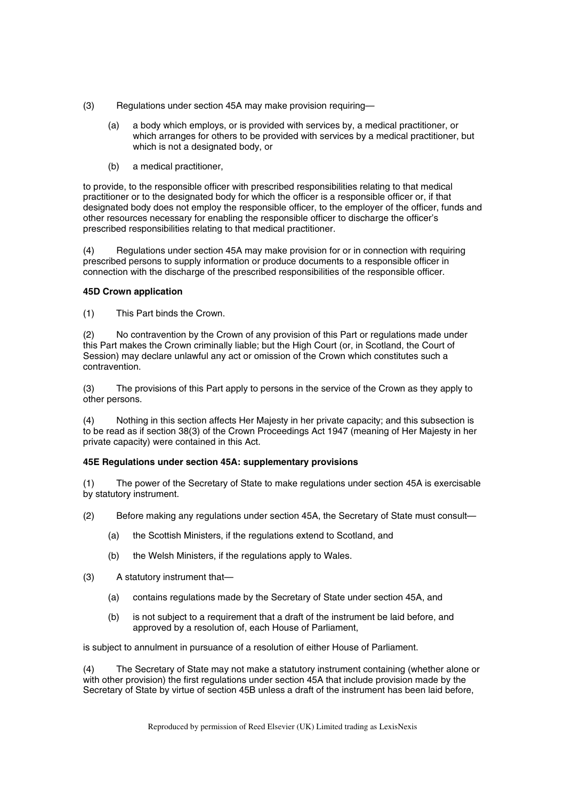- (3) Regulations under section 45A may make provision requiring—
	- (a) a body which employs, or is provided with services by, a medical practitioner, or which arranges for others to be provided with services by a medical practitioner, but which is not a designated body, or
	- (b) a medical practitioner,

to provide, to the responsible officer with prescribed responsibilities relating to that medical practitioner or to the designated body for which the officer is a responsible officer or, if that designated body does not employ the responsible officer, to the employer of the officer, funds and other resources necessary for enabling the responsible officer to discharge the officer's prescribed responsibilities relating to that medical practitioner.

(4) Regulations under section 45A may make provision for or in connection with requiring prescribed persons to supply information or produce documents to a responsible officer in connection with the discharge of the prescribed responsibilities of the responsible officer.

# **45D Crown application**

(1) This Part binds the Crown.

(2) No contravention by the Crown of any provision of this Part or regulations made under this Part makes the Crown criminally liable; but the High Court (or, in Scotland, the Court of Session) may declare unlawful any act or omission of the Crown which constitutes such a contravention.

(3) The provisions of this Part apply to persons in the service of the Crown as they apply to other persons.

(4) Nothing in this section affects Her Majesty in her private capacity; and this subsection is to be read as if section 38(3) of the Crown Proceedings Act 1947 (meaning of Her Majesty in her private capacity) were contained in this Act.

# **45E Regulations under section 45A: supplementary provisions**

(1) The power of the Secretary of State to make regulations under section 45A is exercisable by statutory instrument.

- (2) Before making any regulations under section 45A, the Secretary of State must consult—
	- (a) the Scottish Ministers, if the regulations extend to Scotland, and
	- (b) the Welsh Ministers, if the regulations apply to Wales.
- (3) A statutory instrument that—
	- (a) contains regulations made by the Secretary of State under section 45A, and
	- (b) is not subject to a requirement that a draft of the instrument be laid before, and approved by a resolution of, each House of Parliament,

is subject to annulment in pursuance of a resolution of either House of Parliament.

(4) The Secretary of State may not make a statutory instrument containing (whether alone or with other provision) the first regulations under section 45A that include provision made by the Secretary of State by virtue of section 45B unless a draft of the instrument has been laid before,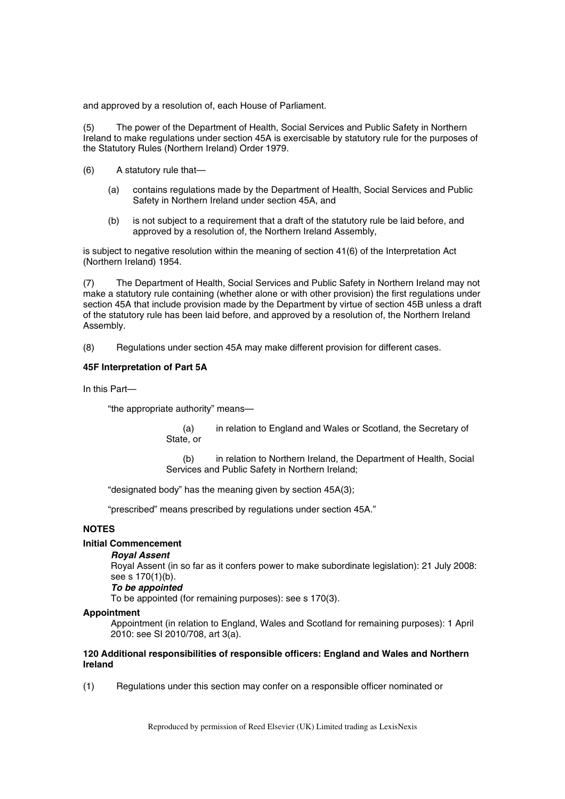and approved by a resolution of, each House of Parliament.

(5) The power of the Department of Health, Social Services and Public Safety in Northern Ireland to make regulations under section 45A is exercisable by statutory rule for the purposes of the Statutory Rules (Northern Ireland) Order 1979.

- (6) A statutory rule that—
	- (a) contains regulations made by the Department of Health, Social Services and Public Safety in Northern Ireland under section 45A, and
	- (b) is not subject to a requirement that a draft of the statutory rule be laid before, and approved by a resolution of, the Northern Ireland Assembly,

is subject to negative resolution within the meaning of section 41(6) of the Interpretation Act (Northern Ireland) 1954.

(7) The Department of Health, Social Services and Public Safety in Northern Ireland may not make a statutory rule containing (whether alone or with other provision) the first regulations under section 45A that include provision made by the Department by virtue of section 45B unless a draft of the statutory rule has been laid before, and approved by a resolution of, the Northern Ireland Assembly.

(8) Regulations under section 45A may make different provision for different cases.

### **45F Interpretation of Part 5A**

In this Part—

"the appropriate authority" means—

(a) in relation to England and Wales or Scotland, the Secretary of State, or

(b) in relation to Northern Ireland, the Department of Health, Social Services and Public Safety in Northern Ireland;

"designated body" has the meaning given by section 45A(3);

"prescribed" means prescribed by regulations under section 45A."

# **NOTES**

# **Initial Commencement**

# *Royal Assent*

Royal Assent (in so far as it confers power to make subordinate legislation): 21 July 2008: see s 170(1)(b).

### *To be appointed*

To be appointed (for remaining purposes): see s 170(3).

### **Appointment**

Appointment (in relation to England, Wales and Scotland for remaining purposes): 1 April 2010: see SI 2010/708, art 3(a).

### **120 Additional responsibilities of responsible officers: England and Wales and Northern Ireland**

(1) Regulations under this section may confer on a responsible officer nominated or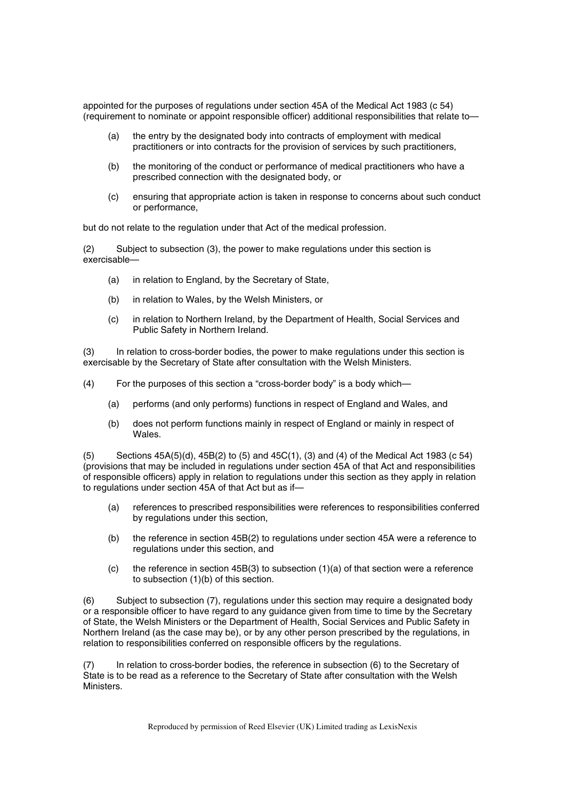appointed for the purposes of regulations under section 45A of the Medical Act 1983 (c 54) (requirement to nominate or appoint responsible officer) additional responsibilities that relate to—

- (a) the entry by the designated body into contracts of employment with medical practitioners or into contracts for the provision of services by such practitioners,
- (b) the monitoring of the conduct or performance of medical practitioners who have a prescribed connection with the designated body, or
- (c) ensuring that appropriate action is taken in response to concerns about such conduct or performance,

but do not relate to the regulation under that Act of the medical profession.

(2) Subject to subsection (3), the power to make regulations under this section is exercisable—

- (a) in relation to England, by the Secretary of State,
- (b) in relation to Wales, by the Welsh Ministers, or
- (c) in relation to Northern Ireland, by the Department of Health, Social Services and Public Safety in Northern Ireland.

(3) In relation to cross-border bodies, the power to make regulations under this section is exercisable by the Secretary of State after consultation with the Welsh Ministers.

- (4) For the purposes of this section a "cross-border body" is a body which—
	- (a) performs (and only performs) functions in respect of England and Wales, and
	- (b) does not perform functions mainly in respect of England or mainly in respect of Wales.

(5) Sections 45A(5)(d), 45B(2) to (5) and 45C(1), (3) and (4) of the Medical Act 1983 (c 54) (provisions that may be included in regulations under section 45A of that Act and responsibilities of responsible officers) apply in relation to regulations under this section as they apply in relation to regulations under section 45A of that Act but as if—

- (a) references to prescribed responsibilities were references to responsibilities conferred by regulations under this section,
- (b) the reference in section 45B(2) to regulations under section 45A were a reference to regulations under this section, and
- (c) the reference in section 45B(3) to subsection  $(1)(a)$  of that section were a reference to subsection (1)(b) of this section.

(6) Subject to subsection (7), regulations under this section may require a designated body or a responsible officer to have regard to any guidance given from time to time by the Secretary of State, the Welsh Ministers or the Department of Health, Social Services and Public Safety in Northern Ireland (as the case may be), or by any other person prescribed by the regulations, in relation to responsibilities conferred on responsible officers by the regulations.

(7) In relation to cross-border bodies, the reference in subsection (6) to the Secretary of State is to be read as a reference to the Secretary of State after consultation with the Welsh Ministers.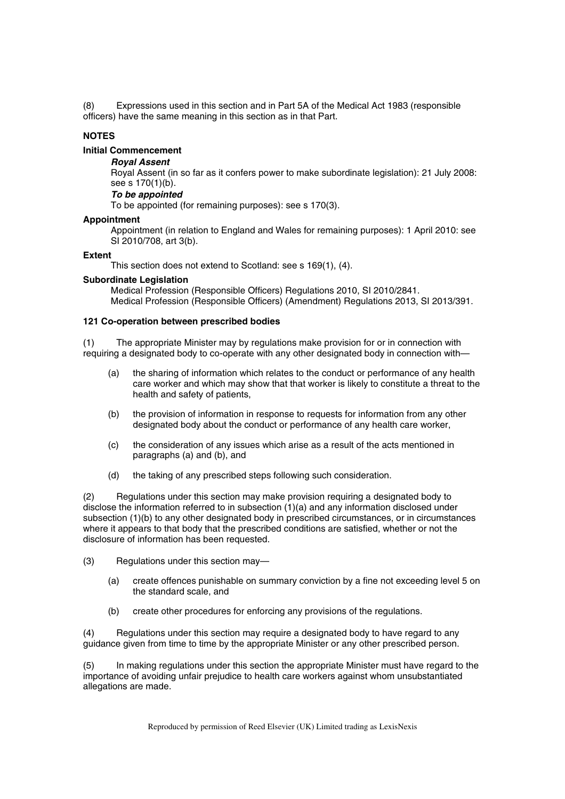(8) Expressions used in this section and in Part 5A of the Medical Act 1983 (responsible officers) have the same meaning in this section as in that Part.

# **NOTES**

# **Initial Commencement**

# *Royal Assent*

Royal Assent (in so far as it confers power to make subordinate legislation): 21 July 2008: see s 170(1)(b).

### *To be appointed*

To be appointed (for remaining purposes): see s 170(3).

# **Appointment**

Appointment (in relation to England and Wales for remaining purposes): 1 April 2010: see SI 2010/708, art 3(b).

### **Extent**

This section does not extend to Scotland: see s 169(1), (4).

### **Subordinate Legislation**

Medical Profession (Responsible Officers) Regulations 2010, SI 2010/2841. Medical Profession (Responsible Officers) (Amendment) Regulations 2013, SI 2013/391.

### **121 Co-operation between prescribed bodies**

(1) The appropriate Minister may by regulations make provision for or in connection with requiring a designated body to co-operate with any other designated body in connection with—

- (a) the sharing of information which relates to the conduct or performance of any health care worker and which may show that that worker is likely to constitute a threat to the health and safety of patients,
- (b) the provision of information in response to requests for information from any other designated body about the conduct or performance of any health care worker,
- (c) the consideration of any issues which arise as a result of the acts mentioned in paragraphs (a) and (b), and
- (d) the taking of any prescribed steps following such consideration.

(2) Regulations under this section may make provision requiring a designated body to disclose the information referred to in subsection (1)(a) and any information disclosed under subsection (1)(b) to any other designated body in prescribed circumstances, or in circumstances where it appears to that body that the prescribed conditions are satisfied, whether or not the disclosure of information has been requested.

- (3) Regulations under this section may—
	- (a) create offences punishable on summary conviction by a fine not exceeding level 5 on the standard scale, and
	- (b) create other procedures for enforcing any provisions of the regulations.

(4) Regulations under this section may require a designated body to have regard to any guidance given from time to time by the appropriate Minister or any other prescribed person.

(5) In making regulations under this section the appropriate Minister must have regard to the importance of avoiding unfair prejudice to health care workers against whom unsubstantiated allegations are made.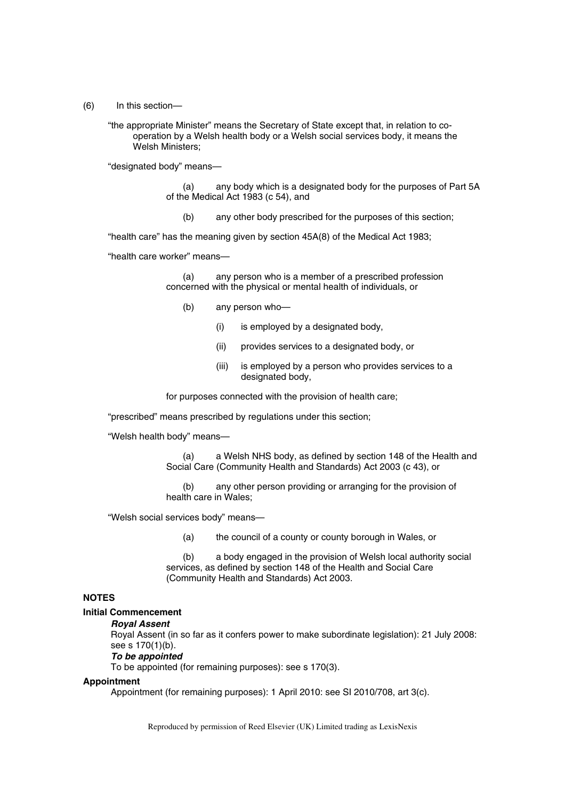(6) In this section—

"the appropriate Minister" means the Secretary of State except that, in relation to cooperation by a Welsh health body or a Welsh social services body, it means the Welsh Ministers;

"designated body" means—

(a) any body which is a designated body for the purposes of Part 5A of the Medical Act 1983 (c 54), and

(b) any other body prescribed for the purposes of this section;

"health care" has the meaning given by section 45A(8) of the Medical Act 1983;

"health care worker" means—

(a) any person who is a member of a prescribed profession concerned with the physical or mental health of individuals, or

- (b) any person who—
	- (i) is employed by a designated body,
	- (ii) provides services to a designated body, or
	- (iii) is employed by a person who provides services to a designated body,

for purposes connected with the provision of health care;

"prescribed" means prescribed by regulations under this section;

"Welsh health body" means—

(a) a Welsh NHS body, as defined by section 148 of the Health and Social Care (Community Health and Standards) Act 2003 (c 43), or

(b) any other person providing or arranging for the provision of health care in Wales;

"Welsh social services body" means—

(a) the council of a county or county borough in Wales, or

(b) a body engaged in the provision of Welsh local authority social services, as defined by section 148 of the Health and Social Care (Community Health and Standards) Act 2003.

# **NOTES**

### **Initial Commencement**

#### *Royal Assent*

Royal Assent (in so far as it confers power to make subordinate legislation): 21 July 2008: see s 170(1)(b).

#### *To be appointed*

To be appointed (for remaining purposes): see s 170(3).

#### **Appointment**

Appointment (for remaining purposes): 1 April 2010: see SI 2010/708, art 3(c).

Reproduced by permission of Reed Elsevier (UK) Limited trading as LexisNexis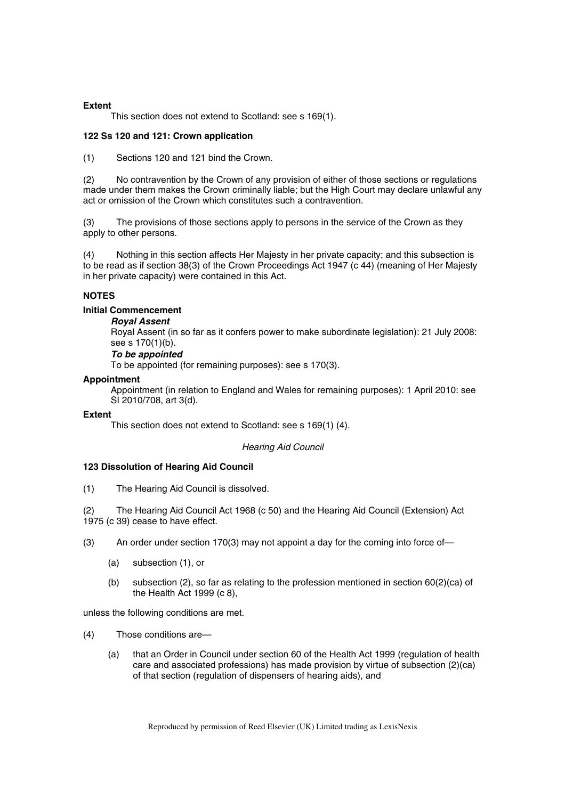### **Extent**

This section does not extend to Scotland: see s 169(1).

### **122 Ss 120 and 121: Crown application**

(1) Sections 120 and 121 bind the Crown.

(2) No contravention by the Crown of any provision of either of those sections or regulations made under them makes the Crown criminally liable; but the High Court may declare unlawful any act or omission of the Crown which constitutes such a contravention.

(3) The provisions of those sections apply to persons in the service of the Crown as they apply to other persons.

Nothing in this section affects Her Majesty in her private capacity; and this subsection is to be read as if section 38(3) of the Crown Proceedings Act 1947 (c 44) (meaning of Her Majesty in her private capacity) were contained in this Act.

### **NOTES**

# **Initial Commencement**

*Royal Assent* 

Royal Assent (in so far as it confers power to make subordinate legislation): 21 July 2008: see s 170(1)(b).

# *To be appointed*

To be appointed (for remaining purposes): see s 170(3).

### **Appointment**

Appointment (in relation to England and Wales for remaining purposes): 1 April 2010: see SI 2010/708, art 3(d).

### **Extent**

This section does not extend to Scotland: see s 169(1) (4).

### *Hearing Aid Council*

### **123 Dissolution of Hearing Aid Council**

(1) The Hearing Aid Council is dissolved.

(2) The Hearing Aid Council Act 1968 (c 50) and the Hearing Aid Council (Extension) Act 1975 (c 39) cease to have effect.

- (3) An order under section 170(3) may not appoint a day for the coming into force of—
	- (a) subsection (1), or
	- (b) subsection  $(2)$ , so far as relating to the profession mentioned in section  $60(2)(ca)$  of the Health Act 1999 (c 8),

unless the following conditions are met.

- (4) Those conditions are—
	- (a) that an Order in Council under section 60 of the Health Act 1999 (regulation of health care and associated professions) has made provision by virtue of subsection (2)(ca) of that section (regulation of dispensers of hearing aids), and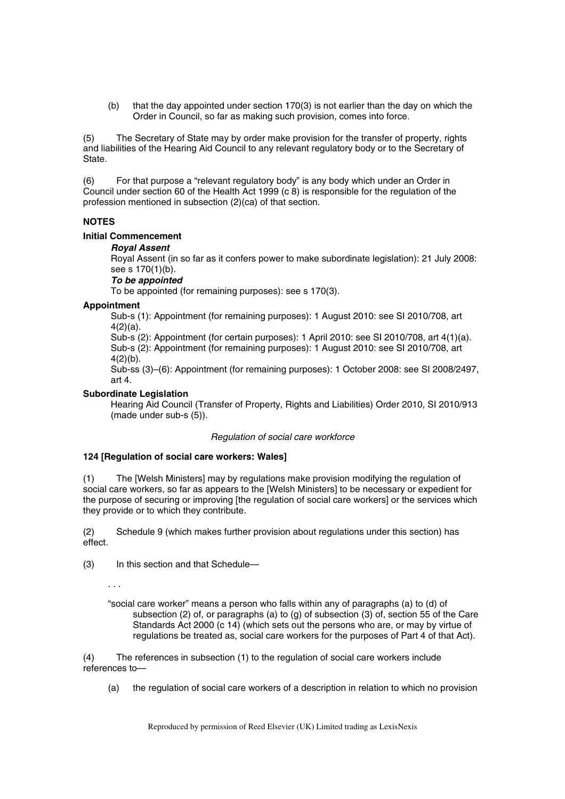(b) that the day appointed under section 170(3) is not earlier than the day on which the Order in Council, so far as making such provision, comes into force.

(5) The Secretary of State may by order make provision for the transfer of property, rights and liabilities of the Hearing Aid Council to any relevant regulatory body or to the Secretary of State.

(6) For that purpose a "relevant regulatory body" is any body which under an Order in Council under section 60 of the Health Act 1999 (c 8) is responsible for the regulation of the profession mentioned in subsection (2)(ca) of that section.

# **NOTES**

# **Initial Commencement**

### *Royal Assent*

Royal Assent (in so far as it confers power to make subordinate legislation): 21 July 2008: see s 170(1)(b).

# *To be appointed*

To be appointed (for remaining purposes): see s 170(3).

# **Appointment**

Sub-s (1): Appointment (for remaining purposes): 1 August 2010: see SI 2010/708, art 4(2)(a).

Sub-s (2): Appointment (for certain purposes): 1 April 2010: see SI 2010/708, art 4(1)(a). Sub-s (2): Appointment (for remaining purposes): 1 August 2010: see SI 2010/708, art  $4(2)(b)$ .

Sub-ss (3)–(6): Appointment (for remaining purposes): 1 October 2008: see SI 2008/2497, art 4.

# **Subordinate Legislation**

Hearing Aid Council (Transfer of Property, Rights and Liabilities) Order 2010, SI 2010/913 (made under sub-s (5)).

### *Regulation of social care workforce*

# **124 [Regulation of social care workers: Wales]**

(1) The [Welsh Ministers] may by regulations make provision modifying the regulation of social care workers, so far as appears to the [Welsh Ministers] to be necessary or expedient for the purpose of securing or improving [the regulation of social care workers] or the services which they provide or to which they contribute.

(2) Schedule 9 (which makes further provision about regulations under this section) has effect.

(3) In this section and that Schedule—

. . .

"social care worker" means a person who falls within any of paragraphs (a) to (d) of subsection (2) of, or paragraphs (a) to (g) of subsection (3) of, section 55 of the Care Standards Act 2000 (c 14) (which sets out the persons who are, or may by virtue of regulations be treated as, social care workers for the purposes of Part 4 of that Act).

(4) The references in subsection (1) to the regulation of social care workers include references to—

(a) the regulation of social care workers of a description in relation to which no provision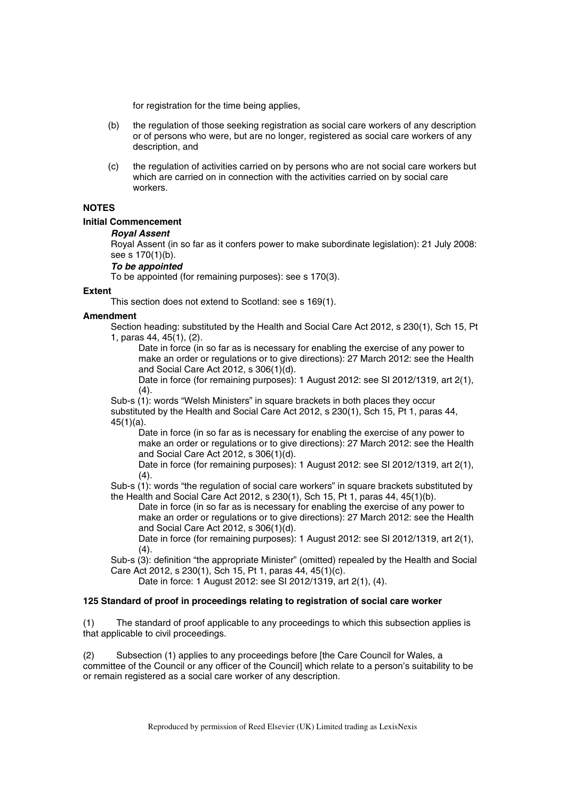for registration for the time being applies,

- (b) the regulation of those seeking registration as social care workers of any description or of persons who were, but are no longer, registered as social care workers of any description, and
- (c) the regulation of activities carried on by persons who are not social care workers but which are carried on in connection with the activities carried on by social care workers.

# **NOTES**

# **Initial Commencement**

# *Royal Assent*

Royal Assent (in so far as it confers power to make subordinate legislation): 21 July 2008: see s 170(1)(b).

# *To be appointed*

To be appointed (for remaining purposes): see s 170(3).

# **Extent**

This section does not extend to Scotland: see s 169(1).

# **Amendment**

Section heading: substituted by the Health and Social Care Act 2012, s 230(1), Sch 15, Pt 1, paras 44, 45(1), (2).

Date in force (in so far as is necessary for enabling the exercise of any power to make an order or regulations or to give directions): 27 March 2012: see the Health and Social Care Act 2012, s 306(1)(d).

Date in force (for remaining purposes): 1 August 2012: see SI 2012/1319, art 2(1),  $(4).$ 

Sub-s (1): words "Welsh Ministers" in square brackets in both places they occur substituted by the Health and Social Care Act 2012, s 230(1), Sch 15, Pt 1, paras 44, 45(1)(a).

Date in force (in so far as is necessary for enabling the exercise of any power to make an order or regulations or to give directions): 27 March 2012: see the Health and Social Care Act 2012, s 306(1)(d).

Date in force (for remaining purposes): 1 August 2012: see SI 2012/1319, art 2(1),  $(4).$ 

Sub-s (1): words "the regulation of social care workers" in square brackets substituted by the Health and Social Care Act 2012, s 230(1), Sch 15, Pt 1, paras 44, 45(1)(b).

Date in force (in so far as is necessary for enabling the exercise of any power to make an order or regulations or to give directions): 27 March 2012: see the Health and Social Care Act 2012, s 306(1)(d).

Date in force (for remaining purposes): 1 August 2012: see SI 2012/1319, art 2(1),  $(4).$ 

Sub-s (3): definition "the appropriate Minister" (omitted) repealed by the Health and Social Care Act 2012, s 230(1), Sch 15, Pt 1, paras 44, 45(1)(c).

Date in force: 1 August 2012: see SI 2012/1319, art 2(1), (4).

# **125 Standard of proof in proceedings relating to registration of social care worker**

(1) The standard of proof applicable to any proceedings to which this subsection applies is that applicable to civil proceedings.

(2) Subsection (1) applies to any proceedings before [the Care Council for Wales, a committee of the Council or any officer of the Council] which relate to a person's suitability to be or remain registered as a social care worker of any description.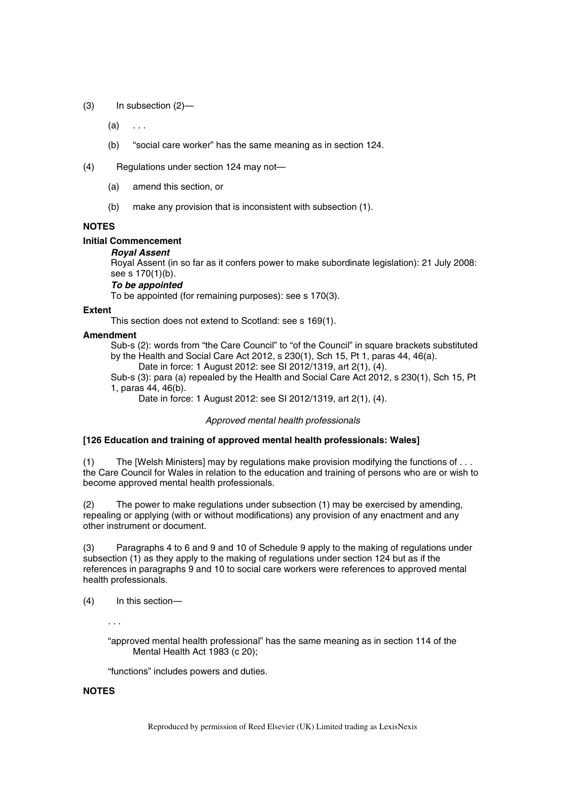(3) In subsection (2)—

 $(a) \dots$ 

(b) "social care worker" has the same meaning as in section 124.

(4) Regulations under section 124 may not—

- (a) amend this section, or
- (b) make any provision that is inconsistent with subsection (1).

# **NOTES**

# **Initial Commencement**

# *Royal Assent*

Royal Assent (in so far as it confers power to make subordinate legislation): 21 July 2008: see s 170(1)(b).

# *To be appointed*

To be appointed (for remaining purposes): see s 170(3).

### **Extent**

This section does not extend to Scotland: see s 169(1).

# **Amendment**

Sub-s (2): words from "the Care Council" to "of the Council" in square brackets substituted by the Health and Social Care Act 2012, s 230(1), Sch 15, Pt 1, paras 44, 46(a).

Date in force: 1 August 2012: see SI 2012/1319, art 2(1), (4).

Sub-s (3): para (a) repealed by the Health and Social Care Act 2012, s 230(1), Sch 15, Pt 1, paras 44, 46(b).

Date in force: 1 August 2012: see SI 2012/1319, art 2(1), (4).

# *Approved mental health professionals*

# **[126 Education and training of approved mental health professionals: Wales]**

(1) The [Welsh Ministers] may by regulations make provision modifying the functions of . . . the Care Council for Wales in relation to the education and training of persons who are or wish to become approved mental health professionals.

(2) The power to make regulations under subsection (1) may be exercised by amending, repealing or applying (with or without modifications) any provision of any enactment and any other instrument or document.

(3) Paragraphs 4 to 6 and 9 and 10 of Schedule 9 apply to the making of regulations under subsection (1) as they apply to the making of regulations under section 124 but as if the references in paragraphs 9 and 10 to social care workers were references to approved mental health professionals.

(4) In this section—

. . .

"approved mental health professional" has the same meaning as in section 114 of the Mental Health Act 1983 (c 20);

"functions" includes powers and duties.

# **NOTES**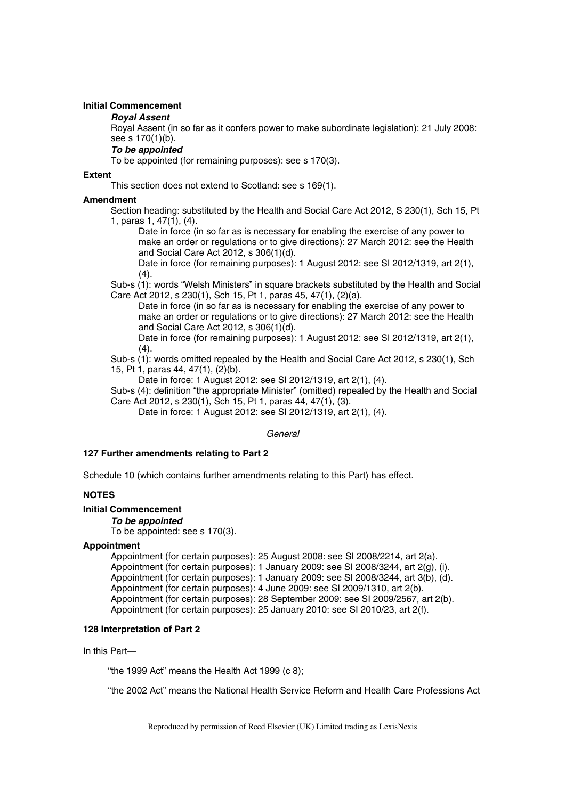### **Initial Commencement**

### *Royal Assent*

Royal Assent (in so far as it confers power to make subordinate legislation): 21 July 2008: see s 170(1)(b).

# *To be appointed*

To be appointed (for remaining purposes): see s 170(3).

### **Extent**

This section does not extend to Scotland: see s 169(1).

### **Amendment**

Section heading: substituted by the Health and Social Care Act 2012, S 230(1), Sch 15, Pt 1, paras 1, 47(1), (4).

Date in force (in so far as is necessary for enabling the exercise of any power to make an order or regulations or to give directions): 27 March 2012: see the Health and Social Care Act 2012, s 306(1)(d).

Date in force (for remaining purposes): 1 August 2012: see SI 2012/1319, art 2(1),  $(4).$ 

Sub-s (1): words "Welsh Ministers" in square brackets substituted by the Health and Social Care Act 2012, s 230(1), Sch 15, Pt 1, paras 45, 47(1), (2)(a).

Date in force (in so far as is necessary for enabling the exercise of any power to make an order or regulations or to give directions): 27 March 2012: see the Health and Social Care Act 2012, s 306(1)(d).

Date in force (for remaining purposes): 1 August 2012: see SI 2012/1319, art 2(1),  $(4).$ 

Sub-s (1): words omitted repealed by the Health and Social Care Act 2012, s 230(1), Sch 15, Pt 1, paras 44, 47(1), (2)(b).

Date in force: 1 August 2012: see SI 2012/1319, art 2(1), (4).

Sub-s (4): definition "the appropriate Minister" (omitted) repealed by the Health and Social Care Act 2012, s 230(1), Sch 15, Pt 1, paras 44, 47(1), (3).

Date in force: 1 August 2012: see SI 2012/1319, art 2(1), (4).

### *General*

# **127 Further amendments relating to Part 2**

Schedule 10 (which contains further amendments relating to this Part) has effect.

# **NOTES**

# **Initial Commencement**

*To be appointed* 

To be appointed: see s 170(3).

# **Appointment**

Appointment (for certain purposes): 25 August 2008: see SI 2008/2214, art 2(a). Appointment (for certain purposes): 1 January 2009: see SI 2008/3244, art 2(g), (i). Appointment (for certain purposes): 1 January 2009: see SI 2008/3244, art 3(b), (d). Appointment (for certain purposes): 4 June 2009: see SI 2009/1310, art 2(b). Appointment (for certain purposes): 28 September 2009: see SI 2009/2567, art 2(b). Appointment (for certain purposes): 25 January 2010: see SI 2010/23, art 2(f).

# **128 Interpretation of Part 2**

In this Part—

"the 1999 Act" means the Health Act 1999 (c 8);

"the 2002 Act" means the National Health Service Reform and Health Care Professions Act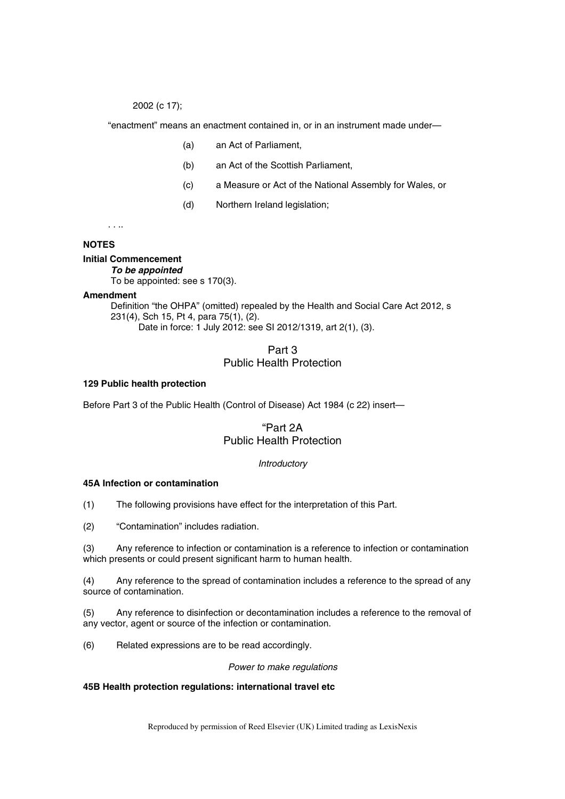2002 (c 17);

"enactment" means an enactment contained in, or in an instrument made under—

- (a) an Act of Parliament,
- (b) an Act of the Scottish Parliament,
- (c) a Measure or Act of the National Assembly for Wales, or
- (d) Northern Ireland legislation;

. . ..

# **NOTES**

### **Initial Commencement**

*To be appointed* 

To be appointed: see s 170(3).

### **Amendment**

Definition "the OHPA" (omitted) repealed by the Health and Social Care Act 2012, s 231(4), Sch 15, Pt 4, para 75(1), (2). Date in force: 1 July 2012: see SI 2012/1319, art 2(1), (3).

# Part 3 Public Health Protection

### **129 Public health protection**

Before Part 3 of the Public Health (Control of Disease) Act 1984 (c 22) insert—

# "Part 2A Public Health Protection

# *Introductory*

# **45A Infection or contamination**

(1) The following provisions have effect for the interpretation of this Part.

(2) "Contamination" includes radiation.

(3) Any reference to infection or contamination is a reference to infection or contamination which presents or could present significant harm to human health.

(4) Any reference to the spread of contamination includes a reference to the spread of any source of contamination.

(5) Any reference to disinfection or decontamination includes a reference to the removal of any vector, agent or source of the infection or contamination.

(6) Related expressions are to be read accordingly.

### *Power to make regulations*

### **45B Health protection regulations: international travel etc**

Reproduced by permission of Reed Elsevier (UK) Limited trading as LexisNexis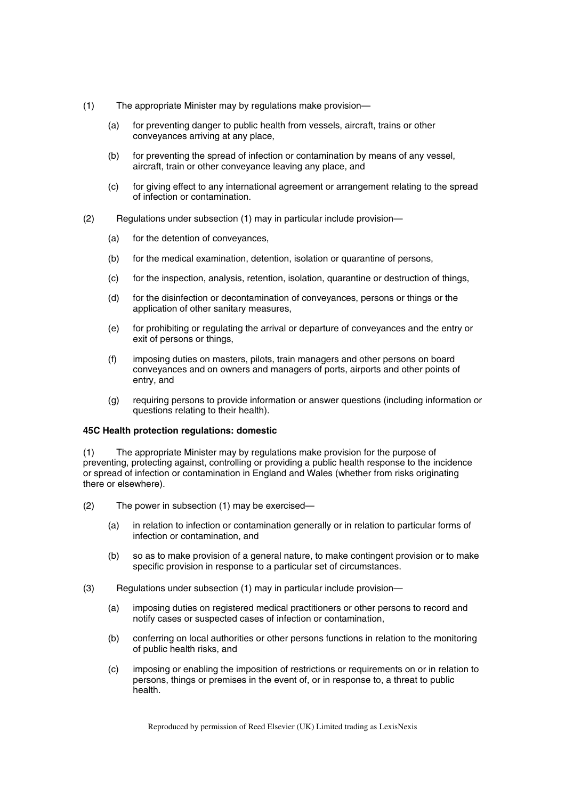- (1) The appropriate Minister may by regulations make provision—
	- (a) for preventing danger to public health from vessels, aircraft, trains or other conveyances arriving at any place,
	- (b) for preventing the spread of infection or contamination by means of any vessel, aircraft, train or other conveyance leaving any place, and
	- (c) for giving effect to any international agreement or arrangement relating to the spread of infection or contamination.
- (2) Regulations under subsection (1) may in particular include provision—
	- (a) for the detention of conveyances,
	- (b) for the medical examination, detention, isolation or quarantine of persons,
	- (c) for the inspection, analysis, retention, isolation, quarantine or destruction of things,
	- (d) for the disinfection or decontamination of conveyances, persons or things or the application of other sanitary measures,
	- (e) for prohibiting or regulating the arrival or departure of conveyances and the entry or exit of persons or things,
	- (f) imposing duties on masters, pilots, train managers and other persons on board conveyances and on owners and managers of ports, airports and other points of entry, and
	- (g) requiring persons to provide information or answer questions (including information or questions relating to their health).

#### **45C Health protection regulations: domestic**

(1) The appropriate Minister may by regulations make provision for the purpose of preventing, protecting against, controlling or providing a public health response to the incidence or spread of infection or contamination in England and Wales (whether from risks originating there or elsewhere).

- (2) The power in subsection (1) may be exercised—
	- (a) in relation to infection or contamination generally or in relation to particular forms of infection or contamination, and
	- (b) so as to make provision of a general nature, to make contingent provision or to make specific provision in response to a particular set of circumstances.
- (3) Regulations under subsection (1) may in particular include provision—
	- (a) imposing duties on registered medical practitioners or other persons to record and notify cases or suspected cases of infection or contamination,
	- (b) conferring on local authorities or other persons functions in relation to the monitoring of public health risks, and
	- (c) imposing or enabling the imposition of restrictions or requirements on or in relation to persons, things or premises in the event of, or in response to, a threat to public health.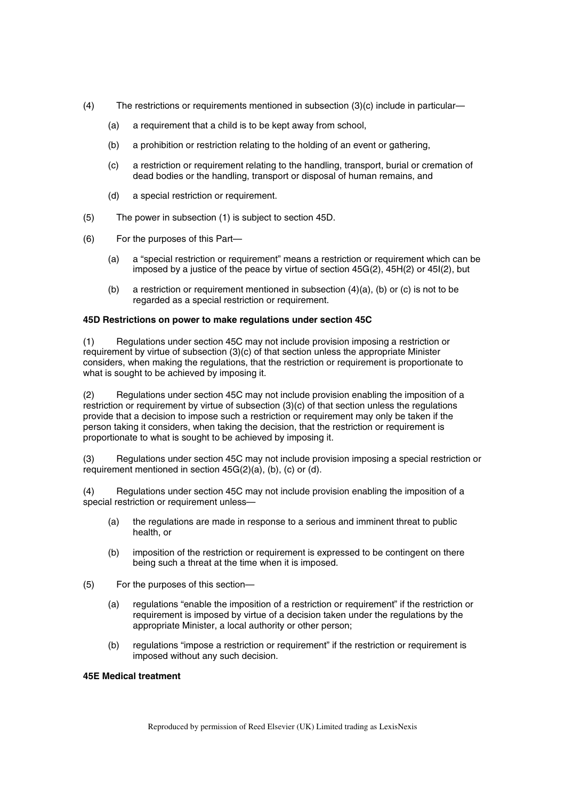- (4) The restrictions or requirements mentioned in subsection (3)(c) include in particular—
	- (a) a requirement that a child is to be kept away from school,
	- (b) a prohibition or restriction relating to the holding of an event or gathering,
	- (c) a restriction or requirement relating to the handling, transport, burial or cremation of dead bodies or the handling, transport or disposal of human remains, and
	- (d) a special restriction or requirement.
- (5) The power in subsection (1) is subject to section 45D.
- (6) For the purposes of this Part—
	- (a) a "special restriction or requirement" means a restriction or requirement which can be imposed by a justice of the peace by virtue of section 45G(2), 45H(2) or 45I(2), but
	- (b) a restriction or requirement mentioned in subsection  $(4)(a)$ , (b) or (c) is not to be regarded as a special restriction or requirement.

# **45D Restrictions on power to make regulations under section 45C**

(1) Regulations under section 45C may not include provision imposing a restriction or requirement by virtue of subsection (3)(c) of that section unless the appropriate Minister considers, when making the regulations, that the restriction or requirement is proportionate to what is sought to be achieved by imposing it.

(2) Regulations under section 45C may not include provision enabling the imposition of a restriction or requirement by virtue of subsection (3)(c) of that section unless the regulations provide that a decision to impose such a restriction or requirement may only be taken if the person taking it considers, when taking the decision, that the restriction or requirement is proportionate to what is sought to be achieved by imposing it.

(3) Regulations under section 45C may not include provision imposing a special restriction or requirement mentioned in section 45G(2)(a), (b), (c) or (d).

(4) Regulations under section 45C may not include provision enabling the imposition of a special restriction or requirement unless—

- (a) the regulations are made in response to a serious and imminent threat to public health, or
- (b) imposition of the restriction or requirement is expressed to be contingent on there being such a threat at the time when it is imposed.
- (5) For the purposes of this section—
	- (a) regulations "enable the imposition of a restriction or requirement" if the restriction or requirement is imposed by virtue of a decision taken under the regulations by the appropriate Minister, a local authority or other person;
	- (b) regulations "impose a restriction or requirement" if the restriction or requirement is imposed without any such decision.

# **45E Medical treatment**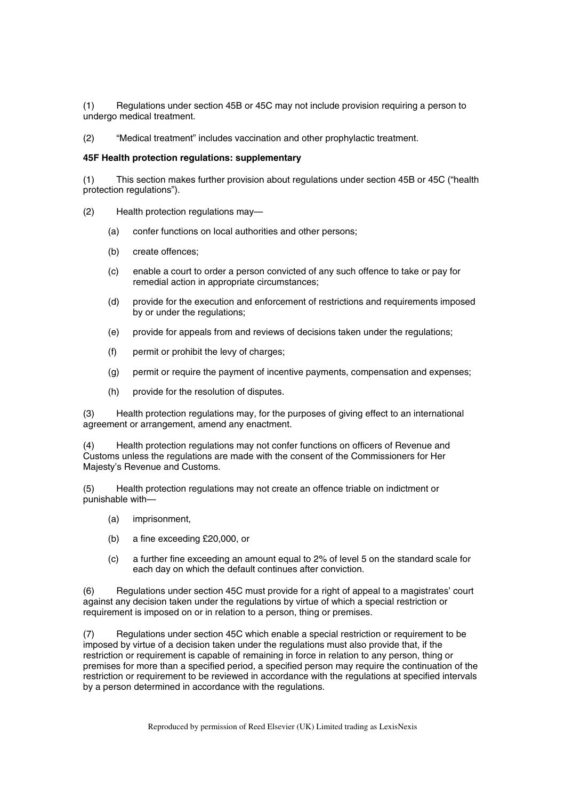(1) Regulations under section 45B or 45C may not include provision requiring a person to undergo medical treatment.

(2) "Medical treatment" includes vaccination and other prophylactic treatment.

#### **45F Health protection regulations: supplementary**

(1) This section makes further provision about regulations under section 45B or 45C ("health protection regulations").

- (2) Health protection regulations may—
	- (a) confer functions on local authorities and other persons;
	- (b) create offences;
	- (c) enable a court to order a person convicted of any such offence to take or pay for remedial action in appropriate circumstances;
	- (d) provide for the execution and enforcement of restrictions and requirements imposed by or under the regulations;
	- (e) provide for appeals from and reviews of decisions taken under the regulations;
	- (f) permit or prohibit the levy of charges;
	- (g) permit or require the payment of incentive payments, compensation and expenses;
	- (h) provide for the resolution of disputes.

(3) Health protection regulations may, for the purposes of giving effect to an international agreement or arrangement, amend any enactment.

(4) Health protection regulations may not confer functions on officers of Revenue and Customs unless the regulations are made with the consent of the Commissioners for Her Majesty's Revenue and Customs.

(5) Health protection regulations may not create an offence triable on indictment or punishable with—

- (a) imprisonment,
- (b) a fine exceeding £20,000, or
- (c) a further fine exceeding an amount equal to 2% of level 5 on the standard scale for each day on which the default continues after conviction.

(6) Regulations under section 45C must provide for a right of appeal to a magistrates' court against any decision taken under the regulations by virtue of which a special restriction or requirement is imposed on or in relation to a person, thing or premises.

(7) Regulations under section 45C which enable a special restriction or requirement to be imposed by virtue of a decision taken under the regulations must also provide that, if the restriction or requirement is capable of remaining in force in relation to any person, thing or premises for more than a specified period, a specified person may require the continuation of the restriction or requirement to be reviewed in accordance with the regulations at specified intervals by a person determined in accordance with the regulations.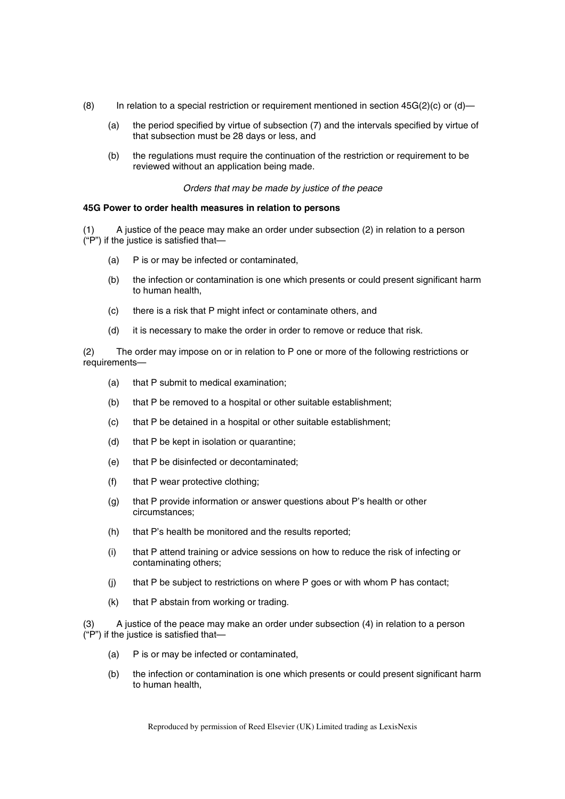- (8) In relation to a special restriction or requirement mentioned in section  $45G(2)(c)$  or (d)—
	- (a) the period specified by virtue of subsection (7) and the intervals specified by virtue of that subsection must be 28 days or less, and
	- (b) the regulations must require the continuation of the restriction or requirement to be reviewed without an application being made.

#### *Orders that may be made by justice of the peace*

#### **45G Power to order health measures in relation to persons**

A justice of the peace may make an order under subsection (2) in relation to a person ("P") if the justice is satisfied that—

- (a) P is or may be infected or contaminated,
- (b) the infection or contamination is one which presents or could present significant harm to human health,
- (c) there is a risk that P might infect or contaminate others, and
- (d) it is necessary to make the order in order to remove or reduce that risk.

(2) The order may impose on or in relation to P one or more of the following restrictions or requirements—

- (a) that P submit to medical examination;
- (b) that P be removed to a hospital or other suitable establishment;
- (c) that P be detained in a hospital or other suitable establishment;
- (d) that P be kept in isolation or quarantine;
- (e) that P be disinfected or decontaminated;
- (f) that P wear protective clothing;
- (g) that P provide information or answer questions about P's health or other circumstances;
- (h) that P's health be monitored and the results reported;
- (i) that P attend training or advice sessions on how to reduce the risk of infecting or contaminating others;
- (j) that P be subject to restrictions on where P goes or with whom P has contact;
- (k) that P abstain from working or trading.

(3) A justice of the peace may make an order under subsection (4) in relation to a person ("P") if the justice is satisfied that—

- (a) P is or may be infected or contaminated,
- (b) the infection or contamination is one which presents or could present significant harm to human health,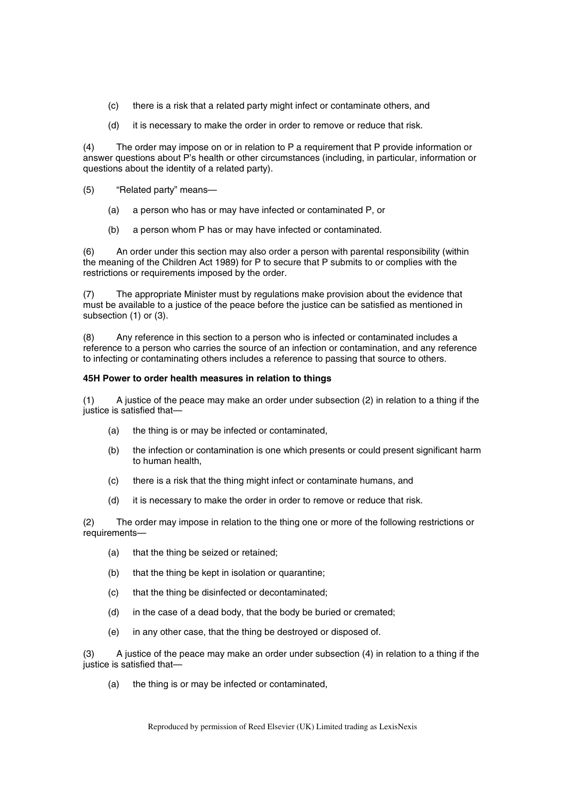- (c) there is a risk that a related party might infect or contaminate others, and
- (d) it is necessary to make the order in order to remove or reduce that risk.

(4) The order may impose on or in relation to P a requirement that P provide information or answer questions about P's health or other circumstances (including, in particular, information or questions about the identity of a related party).

- (5) "Related party" means—
	- (a) a person who has or may have infected or contaminated P, or
	- (b) a person whom P has or may have infected or contaminated.

(6) An order under this section may also order a person with parental responsibility (within the meaning of the Children Act 1989) for P to secure that P submits to or complies with the restrictions or requirements imposed by the order.

(7) The appropriate Minister must by regulations make provision about the evidence that must be available to a justice of the peace before the justice can be satisfied as mentioned in subsection (1) or (3).

(8) Any reference in this section to a person who is infected or contaminated includes a reference to a person who carries the source of an infection or contamination, and any reference to infecting or contaminating others includes a reference to passing that source to others.

#### **45H Power to order health measures in relation to things**

(1) A justice of the peace may make an order under subsection (2) in relation to a thing if the justice is satisfied that—

- (a) the thing is or may be infected or contaminated,
- (b) the infection or contamination is one which presents or could present significant harm to human health,
- (c) there is a risk that the thing might infect or contaminate humans, and
- (d) it is necessary to make the order in order to remove or reduce that risk.

(2) The order may impose in relation to the thing one or more of the following restrictions or requirements—

- (a) that the thing be seized or retained;
- (b) that the thing be kept in isolation or quarantine;
- (c) that the thing be disinfected or decontaminated;
- (d) in the case of a dead body, that the body be buried or cremated;
- (e) in any other case, that the thing be destroyed or disposed of.

(3) A justice of the peace may make an order under subsection (4) in relation to a thing if the justice is satisfied that—

(a) the thing is or may be infected or contaminated,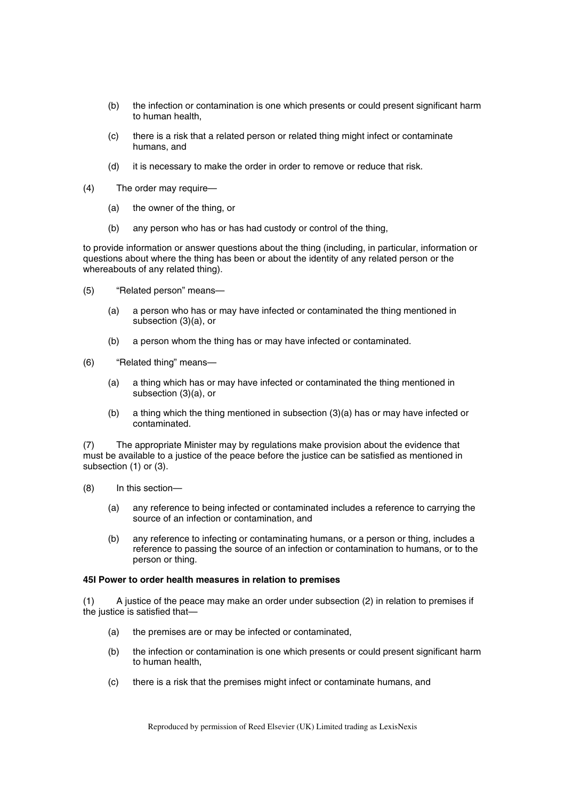- (b) the infection or contamination is one which presents or could present significant harm to human health,
- (c) there is a risk that a related person or related thing might infect or contaminate humans, and
- (d) it is necessary to make the order in order to remove or reduce that risk.
- (4) The order may require—
	- (a) the owner of the thing, or
	- (b) any person who has or has had custody or control of the thing,

to provide information or answer questions about the thing (including, in particular, information or questions about where the thing has been or about the identity of any related person or the whereabouts of any related thing).

- (5) "Related person" means—
	- (a) a person who has or may have infected or contaminated the thing mentioned in subsection (3)(a), or
	- (b) a person whom the thing has or may have infected or contaminated.
- (6) "Related thing" means—
	- (a) a thing which has or may have infected or contaminated the thing mentioned in subsection (3)(a), or
	- (b) a thing which the thing mentioned in subsection (3)(a) has or may have infected or contaminated.

(7) The appropriate Minister may by regulations make provision about the evidence that must be available to a justice of the peace before the justice can be satisfied as mentioned in subsection (1) or (3).

- (8) In this section—
	- (a) any reference to being infected or contaminated includes a reference to carrying the source of an infection or contamination, and
	- (b) any reference to infecting or contaminating humans, or a person or thing, includes a reference to passing the source of an infection or contamination to humans, or to the person or thing.

#### **45I Power to order health measures in relation to premises**

(1) A justice of the peace may make an order under subsection (2) in relation to premises if the justice is satisfied that—

- (a) the premises are or may be infected or contaminated,
- (b) the infection or contamination is one which presents or could present significant harm to human health,
- (c) there is a risk that the premises might infect or contaminate humans, and

Reproduced by permission of Reed Elsevier (UK) Limited trading as LexisNexis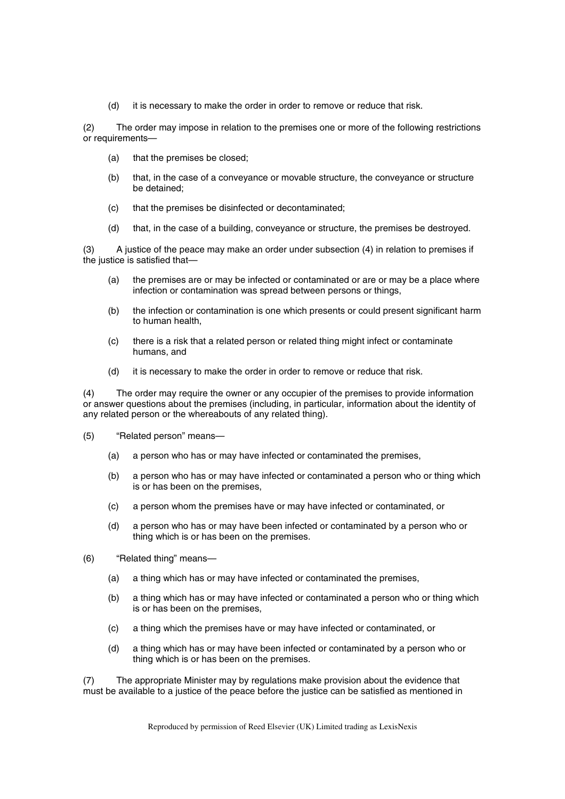(d) it is necessary to make the order in order to remove or reduce that risk.

(2) The order may impose in relation to the premises one or more of the following restrictions or requirements—

- (a) that the premises be closed;
- (b) that, in the case of a conveyance or movable structure, the conveyance or structure be detained;
- (c) that the premises be disinfected or decontaminated;
- (d) that, in the case of a building, conveyance or structure, the premises be destroyed.

(3) A justice of the peace may make an order under subsection (4) in relation to premises if the justice is satisfied that—

- (a) the premises are or may be infected or contaminated or are or may be a place where infection or contamination was spread between persons or things,
- (b) the infection or contamination is one which presents or could present significant harm to human health,
- (c) there is a risk that a related person or related thing might infect or contaminate humans, and
- (d) it is necessary to make the order in order to remove or reduce that risk.

(4) The order may require the owner or any occupier of the premises to provide information or answer questions about the premises (including, in particular, information about the identity of any related person or the whereabouts of any related thing).

- (5) "Related person" means—
	- (a) a person who has or may have infected or contaminated the premises,
	- (b) a person who has or may have infected or contaminated a person who or thing which is or has been on the premises,
	- (c) a person whom the premises have or may have infected or contaminated, or
	- (d) a person who has or may have been infected or contaminated by a person who or thing which is or has been on the premises.
- (6) "Related thing" means—
	- (a) a thing which has or may have infected or contaminated the premises,
	- (b) a thing which has or may have infected or contaminated a person who or thing which is or has been on the premises,
	- (c) a thing which the premises have or may have infected or contaminated, or
	- (d) a thing which has or may have been infected or contaminated by a person who or thing which is or has been on the premises.

(7) The appropriate Minister may by regulations make provision about the evidence that must be available to a justice of the peace before the justice can be satisfied as mentioned in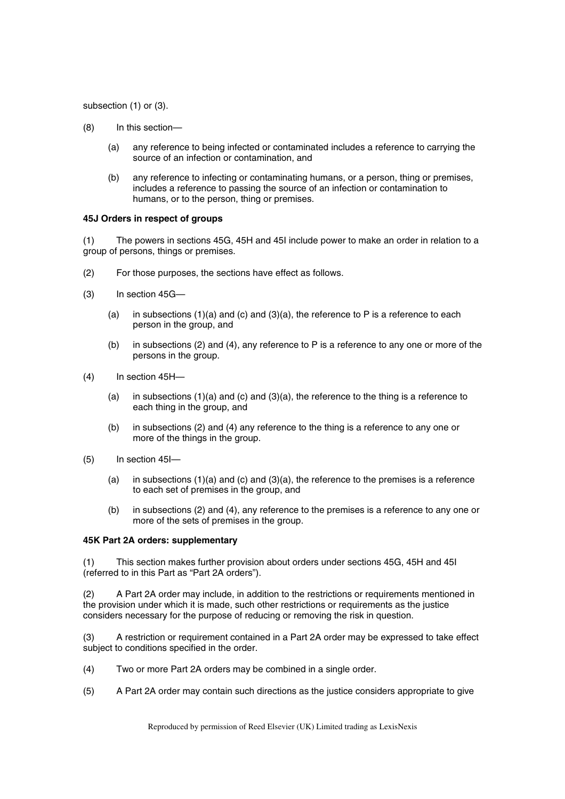subsection (1) or (3).

- (8) In this section—
	- (a) any reference to being infected or contaminated includes a reference to carrying the source of an infection or contamination, and
	- (b) any reference to infecting or contaminating humans, or a person, thing or premises, includes a reference to passing the source of an infection or contamination to humans, or to the person, thing or premises.

#### **45J Orders in respect of groups**

(1) The powers in sections 45G, 45H and 45I include power to make an order in relation to a group of persons, things or premises.

- (2) For those purposes, the sections have effect as follows.
- (3) In section 45G—
	- (a) in subsections  $(1)(a)$  and  $(c)$  and  $(3)(a)$ , the reference to P is a reference to each person in the group, and
	- (b) in subsections (2) and (4), any reference to P is a reference to any one or more of the persons in the group.
- (4) In section 45H—
	- (a) in subsections  $(1)(a)$  and  $(c)$  and  $(3)(a)$ , the reference to the thing is a reference to each thing in the group, and
	- (b) in subsections (2) and (4) any reference to the thing is a reference to any one or more of the things in the group.
- (5) In section 45I—
	- (a) in subsections (1)(a) and (c) and (3)(a), the reference to the premises is a reference to each set of premises in the group, and
	- (b) in subsections (2) and (4), any reference to the premises is a reference to any one or more of the sets of premises in the group.

#### **45K Part 2A orders: supplementary**

(1) This section makes further provision about orders under sections 45G, 45H and 45I (referred to in this Part as "Part 2A orders").

(2) A Part 2A order may include, in addition to the restrictions or requirements mentioned in the provision under which it is made, such other restrictions or requirements as the justice considers necessary for the purpose of reducing or removing the risk in question.

(3) A restriction or requirement contained in a Part 2A order may be expressed to take effect subject to conditions specified in the order.

- (4) Two or more Part 2A orders may be combined in a single order.
- (5) A Part 2A order may contain such directions as the justice considers appropriate to give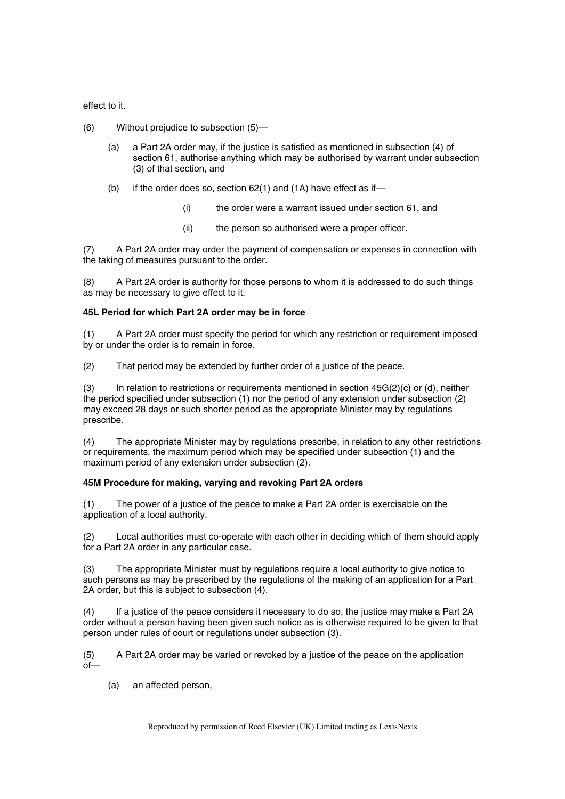effect to it.

- (6) Without prejudice to subsection (5)—
	- (a) a Part 2A order may, if the justice is satisfied as mentioned in subsection (4) of section 61, authorise anything which may be authorised by warrant under subsection (3) of that section, and
	- (b) if the order does so, section 62(1) and (1A) have effect as if—
		- (i) the order were a warrant issued under section 61, and
		- (ii) the person so authorised were a proper officer.

(7) A Part 2A order may order the payment of compensation or expenses in connection with the taking of measures pursuant to the order.

(8) A Part 2A order is authority for those persons to whom it is addressed to do such things as may be necessary to give effect to it.

# **45L Period for which Part 2A order may be in force**

(1) A Part 2A order must specify the period for which any restriction or requirement imposed by or under the order is to remain in force.

(2) That period may be extended by further order of a justice of the peace.

(3) In relation to restrictions or requirements mentioned in section  $45G(2)(c)$  or (d), neither the period specified under subsection (1) nor the period of any extension under subsection (2) may exceed 28 days or such shorter period as the appropriate Minister may by regulations prescribe.

(4) The appropriate Minister may by regulations prescribe, in relation to any other restrictions or requirements, the maximum period which may be specified under subsection (1) and the maximum period of any extension under subsection (2).

# **45M Procedure for making, varying and revoking Part 2A orders**

(1) The power of a justice of the peace to make a Part 2A order is exercisable on the application of a local authority.

(2) Local authorities must co-operate with each other in deciding which of them should apply for a Part 2A order in any particular case.

(3) The appropriate Minister must by regulations require a local authority to give notice to such persons as may be prescribed by the regulations of the making of an application for a Part 2A order, but this is subject to subsection (4).

(4) If a justice of the peace considers it necessary to do so, the justice may make a Part 2A order without a person having been given such notice as is otherwise required to be given to that person under rules of court or regulations under subsection (3).

(5) A Part 2A order may be varied or revoked by a justice of the peace on the application of—

(a) an affected person,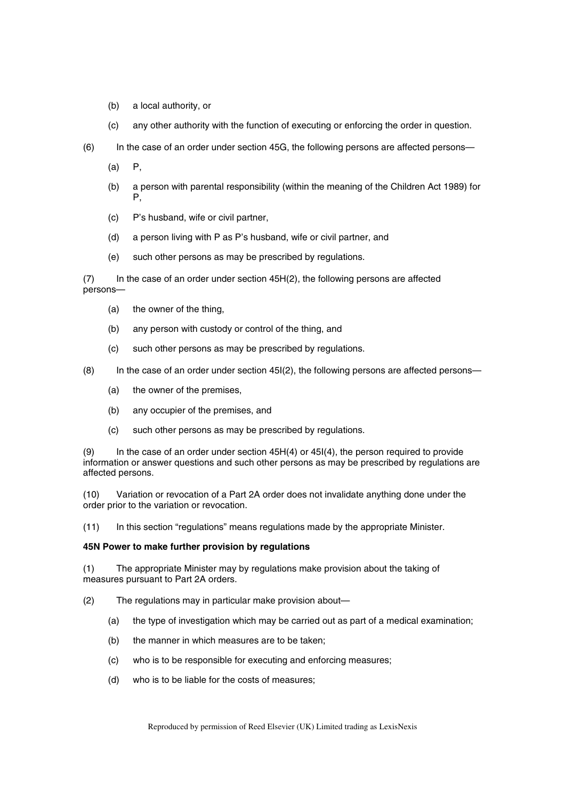- (b) a local authority, or
- (c) any other authority with the function of executing or enforcing the order in question.
- (6) In the case of an order under section 45G, the following persons are affected persons—
	- $(a)$   $P$ .
	- (b) a person with parental responsibility (within the meaning of the Children Act 1989) for P,
	- (c) P's husband, wife or civil partner,
	- (d) a person living with P as P's husband, wife or civil partner, and
	- (e) such other persons as may be prescribed by regulations.

(7) In the case of an order under section 45H(2), the following persons are affected persons—

- (a) the owner of the thing,
- (b) any person with custody or control of the thing, and
- (c) such other persons as may be prescribed by regulations.

 $(8)$  In the case of an order under section 45I $(2)$ , the following persons are affected persons—

- (a) the owner of the premises,
- (b) any occupier of the premises, and
- (c) such other persons as may be prescribed by regulations.

(9) In the case of an order under section 45H(4) or 45I(4), the person required to provide information or answer questions and such other persons as may be prescribed by regulations are affected persons.

(10) Variation or revocation of a Part 2A order does not invalidate anything done under the order prior to the variation or revocation.

(11) In this section "regulations" means regulations made by the appropriate Minister.

# **45N Power to make further provision by regulations**

(1) The appropriate Minister may by regulations make provision about the taking of measures pursuant to Part 2A orders.

- (2) The regulations may in particular make provision about—
	- (a) the type of investigation which may be carried out as part of a medical examination;
	- (b) the manner in which measures are to be taken;
	- (c) who is to be responsible for executing and enforcing measures;
	- (d) who is to be liable for the costs of measures;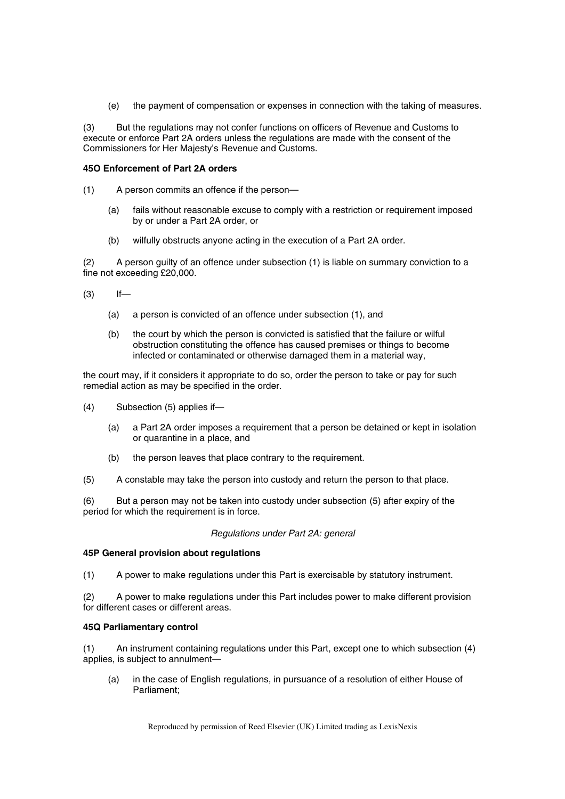(e) the payment of compensation or expenses in connection with the taking of measures.

(3) But the regulations may not confer functions on officers of Revenue and Customs to execute or enforce Part 2A orders unless the regulations are made with the consent of the Commissioners for Her Majesty's Revenue and Customs.

# **45O Enforcement of Part 2A orders**

- (1) A person commits an offence if the person—
	- (a) fails without reasonable excuse to comply with a restriction or requirement imposed by or under a Part 2A order, or
	- (b) wilfully obstructs anyone acting in the execution of a Part 2A order.

(2) A person guilty of an offence under subsection (1) is liable on summary conviction to a fine not exceeding £20,000.

- $(3)$  If—
	- (a) a person is convicted of an offence under subsection (1), and
	- (b) the court by which the person is convicted is satisfied that the failure or wilful obstruction constituting the offence has caused premises or things to become infected or contaminated or otherwise damaged them in a material way,

the court may, if it considers it appropriate to do so, order the person to take or pay for such remedial action as may be specified in the order.

- (4) Subsection (5) applies if—
	- (a) a Part 2A order imposes a requirement that a person be detained or kept in isolation or quarantine in a place, and
	- (b) the person leaves that place contrary to the requirement.
- (5) A constable may take the person into custody and return the person to that place.

(6) But a person may not be taken into custody under subsection (5) after expiry of the period for which the requirement is in force.

# *Regulations under Part 2A: general*

# **45P General provision about regulations**

(1) A power to make regulations under this Part is exercisable by statutory instrument.

(2) A power to make regulations under this Part includes power to make different provision for different cases or different areas.

# **45Q Parliamentary control**

(1) An instrument containing regulations under this Part, except one to which subsection (4) applies, is subject to annulment—

(a) in the case of English regulations, in pursuance of a resolution of either House of Parliament;

Reproduced by permission of Reed Elsevier (UK) Limited trading as LexisNexis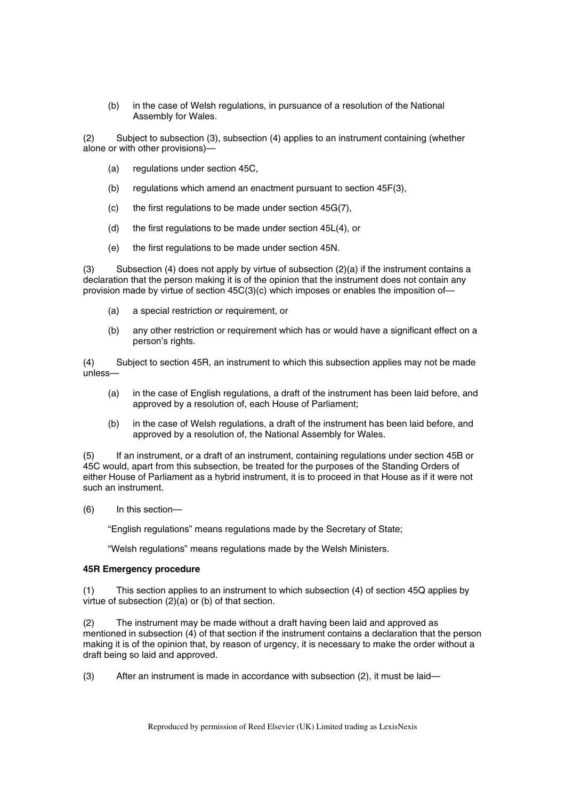(b) in the case of Welsh regulations, in pursuance of a resolution of the National Assembly for Wales.

(2) Subject to subsection (3), subsection (4) applies to an instrument containing (whether alone or with other provisions)—

- (a) regulations under section 45C,
- (b) regulations which amend an enactment pursuant to section 45F(3),
- (c) the first regulations to be made under section 45G(7),
- (d) the first regulations to be made under section 45L(4), or
- (e) the first regulations to be made under section 45N.

(3) Subsection (4) does not apply by virtue of subsection  $(2)(a)$  if the instrument contains a declaration that the person making it is of the opinion that the instrument does not contain any provision made by virtue of section 45C(3)(c) which imposes or enables the imposition of—

- (a) a special restriction or requirement, or
- (b) any other restriction or requirement which has or would have a significant effect on a person's rights.

(4) Subject to section 45R, an instrument to which this subsection applies may not be made unless—

- (a) in the case of English regulations, a draft of the instrument has been laid before, and approved by a resolution of, each House of Parliament;
- (b) in the case of Welsh regulations, a draft of the instrument has been laid before, and approved by a resolution of, the National Assembly for Wales.

(5) If an instrument, or a draft of an instrument, containing regulations under section 45B or 45C would, apart from this subsection, be treated for the purposes of the Standing Orders of either House of Parliament as a hybrid instrument, it is to proceed in that House as if it were not such an instrument.

(6) In this section—

"English regulations" means regulations made by the Secretary of State;

"Welsh regulations" means regulations made by the Welsh Ministers.

# **45R Emergency procedure**

(1) This section applies to an instrument to which subsection (4) of section 45Q applies by virtue of subsection (2)(a) or (b) of that section.

(2) The instrument may be made without a draft having been laid and approved as mentioned in subsection (4) of that section if the instrument contains a declaration that the person making it is of the opinion that, by reason of urgency, it is necessary to make the order without a draft being so laid and approved.

(3) After an instrument is made in accordance with subsection (2), it must be laid—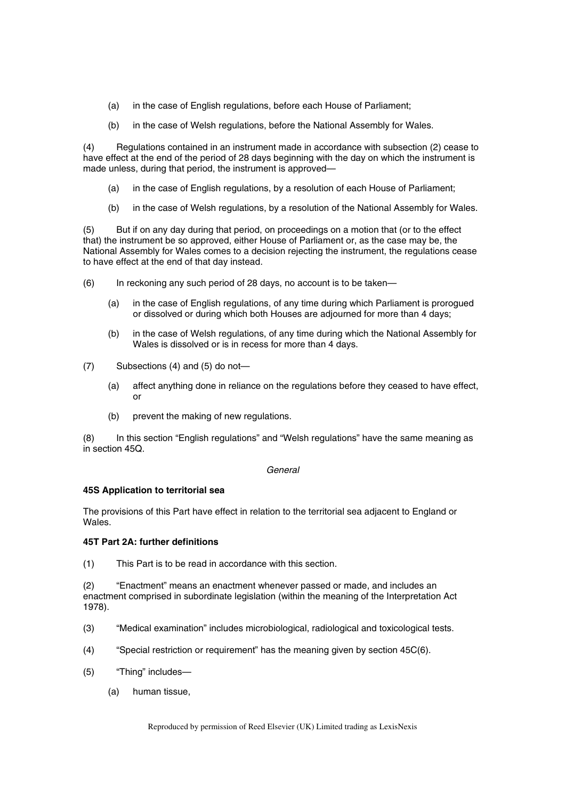- (a) in the case of English regulations, before each House of Parliament;
- (b) in the case of Welsh regulations, before the National Assembly for Wales.

(4) Regulations contained in an instrument made in accordance with subsection (2) cease to have effect at the end of the period of 28 days beginning with the day on which the instrument is made unless, during that period, the instrument is approved—

- (a) in the case of English regulations, by a resolution of each House of Parliament;
- (b) in the case of Welsh regulations, by a resolution of the National Assembly for Wales.

(5) But if on any day during that period, on proceedings on a motion that (or to the effect that) the instrument be so approved, either House of Parliament or, as the case may be, the National Assembly for Wales comes to a decision rejecting the instrument, the regulations cease to have effect at the end of that day instead.

- (6) In reckoning any such period of 28 days, no account is to be taken—
	- (a) in the case of English regulations, of any time during which Parliament is prorogued or dissolved or during which both Houses are adjourned for more than 4 days;
	- (b) in the case of Welsh regulations, of any time during which the National Assembly for Wales is dissolved or is in recess for more than 4 days.
- (7) Subsections (4) and (5) do not—
	- (a) affect anything done in reliance on the regulations before they ceased to have effect, or
	- (b) prevent the making of new regulations.

(8) In this section "English regulations" and "Welsh regulations" have the same meaning as in section 45Q.

# *General*

# **45S Application to territorial sea**

The provisions of this Part have effect in relation to the territorial sea adjacent to England or Wales.

# **45T Part 2A: further definitions**

(1) This Part is to be read in accordance with this section.

(2) "Enactment" means an enactment whenever passed or made, and includes an enactment comprised in subordinate legislation (within the meaning of the Interpretation Act 1978).

- (3) "Medical examination" includes microbiological, radiological and toxicological tests.
- (4) "Special restriction or requirement" has the meaning given by section 45C(6).
- (5) "Thing" includes—
	- (a) human tissue,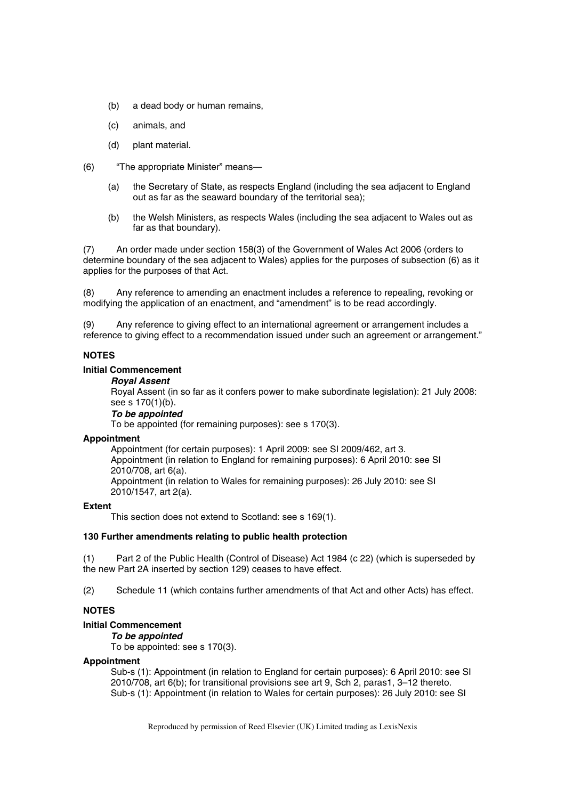- (b) a dead body or human remains,
- (c) animals, and
- (d) plant material.
- (6) "The appropriate Minister" means—
	- (a) the Secretary of State, as respects England (including the sea adjacent to England out as far as the seaward boundary of the territorial sea);
	- (b) the Welsh Ministers, as respects Wales (including the sea adjacent to Wales out as far as that boundary).

(7) An order made under section 158(3) of the Government of Wales Act 2006 (orders to determine boundary of the sea adjacent to Wales) applies for the purposes of subsection (6) as it applies for the purposes of that Act.

(8) Any reference to amending an enactment includes a reference to repealing, revoking or modifying the application of an enactment, and "amendment" is to be read accordingly.

(9) Any reference to giving effect to an international agreement or arrangement includes a reference to giving effect to a recommendation issued under such an agreement or arrangement."

# **NOTES**

# **Initial Commencement**

## *Royal Assent*

Royal Assent (in so far as it confers power to make subordinate legislation): 21 July 2008: see s 170(1)(b).

*To be appointed* 

To be appointed (for remaining purposes): see s 170(3).

#### **Appointment**

Appointment (for certain purposes): 1 April 2009: see SI 2009/462, art 3. Appointment (in relation to England for remaining purposes): 6 April 2010: see SI 2010/708, art 6(a). Appointment (in relation to Wales for remaining purposes): 26 July 2010: see SI 2010/1547, art 2(a).

#### **Extent**

This section does not extend to Scotland: see s 169(1).

#### **130 Further amendments relating to public health protection**

(1) Part 2 of the Public Health (Control of Disease) Act 1984 (c 22) (which is superseded by the new Part 2A inserted by section 129) ceases to have effect.

(2) Schedule 11 (which contains further amendments of that Act and other Acts) has effect.

# **NOTES**

#### **Initial Commencement**

*To be appointed* 

To be appointed: see s 170(3).

#### **Appointment**

Sub-s (1): Appointment (in relation to England for certain purposes): 6 April 2010: see SI 2010/708, art 6(b); for transitional provisions see art 9, Sch 2, paras1, 3–12 thereto. Sub-s (1): Appointment (in relation to Wales for certain purposes): 26 July 2010: see SI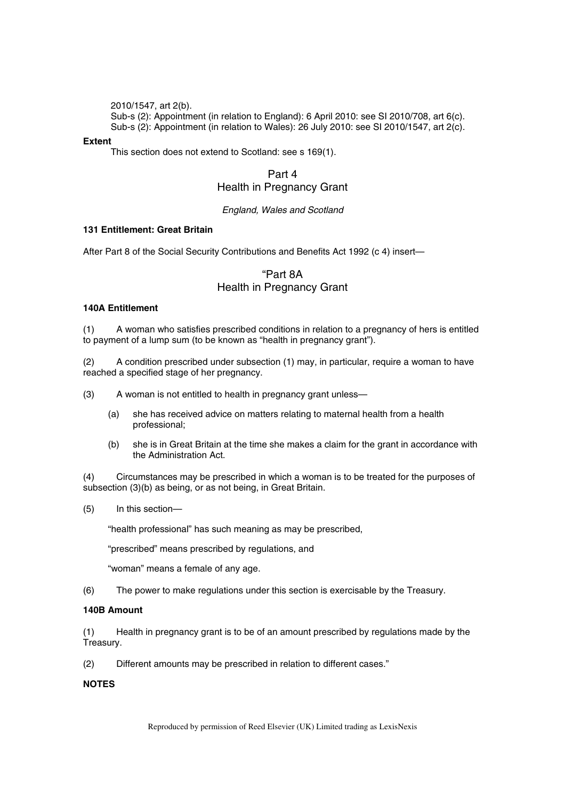2010/1547, art 2(b).

Sub-s (2): Appointment (in relation to England): 6 April 2010: see SI 2010/708, art 6(c). Sub-s (2): Appointment (in relation to Wales): 26 July 2010: see SI 2010/1547, art 2(c).

# **Extent**

This section does not extend to Scotland: see s 169(1).

# Part 4 Health in Pregnancy Grant

# *England, Wales and Scotland*

# **131 Entitlement: Great Britain**

After Part 8 of the Social Security Contributions and Benefits Act 1992 (c 4) insert—

# "Part 8A Health in Pregnancy Grant

# **140A Entitlement**

(1) A woman who satisfies prescribed conditions in relation to a pregnancy of hers is entitled to payment of a lump sum (to be known as "health in pregnancy grant").

(2) A condition prescribed under subsection (1) may, in particular, require a woman to have reached a specified stage of her pregnancy.

- (3) A woman is not entitled to health in pregnancy grant unless—
	- (a) she has received advice on matters relating to maternal health from a health professional;
	- (b) she is in Great Britain at the time she makes a claim for the grant in accordance with the Administration Act.

(4) Circumstances may be prescribed in which a woman is to be treated for the purposes of subsection (3)(b) as being, or as not being, in Great Britain.

(5) In this section—

"health professional" has such meaning as may be prescribed,

"prescribed" means prescribed by regulations, and

"woman" means a female of any age.

(6) The power to make regulations under this section is exercisable by the Treasury.

# **140B Amount**

(1) Health in pregnancy grant is to be of an amount prescribed by regulations made by the Treasury.

(2) Different amounts may be prescribed in relation to different cases."

# **NOTES**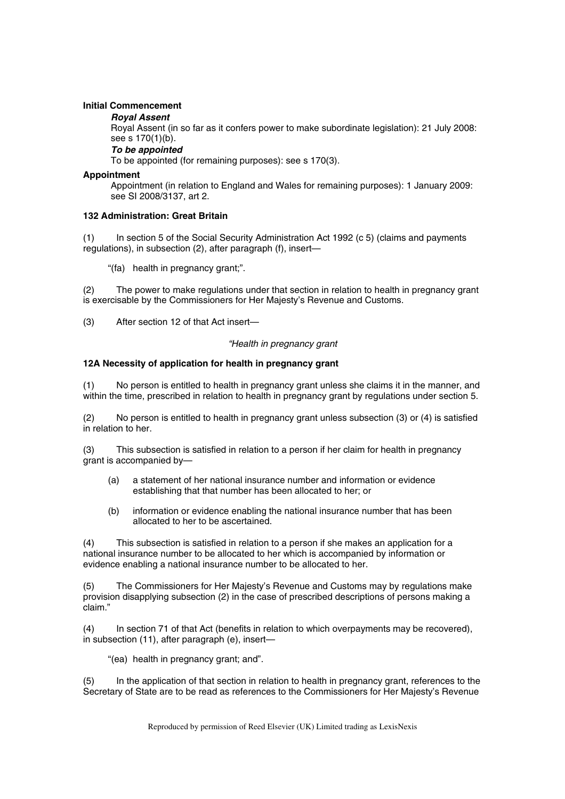# **Initial Commencement**

#### *Royal Assent*

Royal Assent (in so far as it confers power to make subordinate legislation): 21 July 2008: see s 170(1)(b).

*To be appointed* 

To be appointed (for remaining purposes): see s 170(3).

#### **Appointment**

Appointment (in relation to England and Wales for remaining purposes): 1 January 2009: see SI 2008/3137, art 2.

# **132 Administration: Great Britain**

(1) In section 5 of the Social Security Administration Act 1992 (c 5) (claims and payments regulations), in subsection (2), after paragraph (f), insert—

"(fa) health in pregnancy grant;".

(2) The power to make regulations under that section in relation to health in pregnancy grant is exercisable by the Commissioners for Her Majesty's Revenue and Customs.

(3) After section 12 of that Act insert—

#### *"Health in pregnancy grant*

# **12A Necessity of application for health in pregnancy grant**

(1) No person is entitled to health in pregnancy grant unless she claims it in the manner, and within the time, prescribed in relation to health in pregnancy grant by regulations under section 5.

(2) No person is entitled to health in pregnancy grant unless subsection (3) or (4) is satisfied in relation to her.

(3) This subsection is satisfied in relation to a person if her claim for health in pregnancy grant is accompanied by—

- (a) a statement of her national insurance number and information or evidence establishing that that number has been allocated to her; or
- (b) information or evidence enabling the national insurance number that has been allocated to her to be ascertained.

(4) This subsection is satisfied in relation to a person if she makes an application for a national insurance number to be allocated to her which is accompanied by information or evidence enabling a national insurance number to be allocated to her.

(5) The Commissioners for Her Majesty's Revenue and Customs may by regulations make provision disapplying subsection (2) in the case of prescribed descriptions of persons making a claim."

(4) In section 71 of that Act (benefits in relation to which overpayments may be recovered), in subsection (11), after paragraph (e), insert—

"(ea) health in pregnancy grant; and".

In the application of that section in relation to health in pregnancy grant, references to the Secretary of State are to be read as references to the Commissioners for Her Majesty's Revenue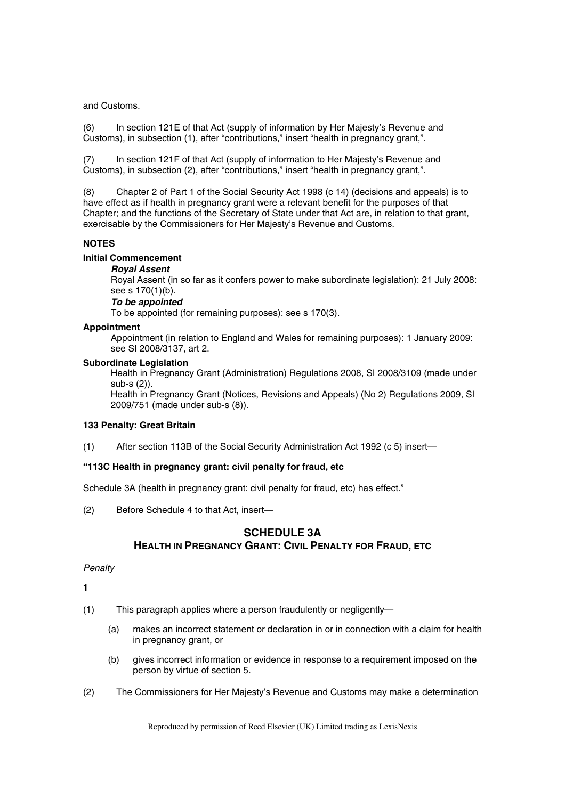and Customs.

(6) In section 121E of that Act (supply of information by Her Majesty's Revenue and Customs), in subsection (1), after "contributions," insert "health in pregnancy grant,".

(7) In section 121F of that Act (supply of information to Her Majesty's Revenue and Customs), in subsection (2), after "contributions," insert "health in pregnancy grant,".

(8) Chapter 2 of Part 1 of the Social Security Act 1998 (c 14) (decisions and appeals) is to have effect as if health in pregnancy grant were a relevant benefit for the purposes of that Chapter; and the functions of the Secretary of State under that Act are, in relation to that grant, exercisable by the Commissioners for Her Majesty's Revenue and Customs.

# **NOTES**

# **Initial Commencement**

# *Royal Assent*

Royal Assent (in so far as it confers power to make subordinate legislation): 21 July 2008: see s 170(1)(b).

# *To be appointed*

To be appointed (for remaining purposes): see s 170(3).

# **Appointment**

Appointment (in relation to England and Wales for remaining purposes): 1 January 2009: see SI 2008/3137, art 2.

# **Subordinate Legislation**

Health in Pregnancy Grant (Administration) Regulations 2008, SI 2008/3109 (made under sub-s (2)).

Health in Pregnancy Grant (Notices, Revisions and Appeals) (No 2) Regulations 2009, SI 2009/751 (made under sub-s (8)).

# **133 Penalty: Great Britain**

(1) After section 113B of the Social Security Administration Act 1992 (c 5) insert—

# **"113C Health in pregnancy grant: civil penalty for fraud, etc**

Schedule 3A (health in pregnancy grant: civil penalty for fraud, etc) has effect."

(2) Before Schedule 4 to that Act, insert—

# **SCHEDULE 3A HEALTH IN PREGNANCY GRANT: CIVIL PENALTY FOR FRAUD, ETC**

# *Penalty*

**1** 

- (1) This paragraph applies where a person fraudulently or negligently—
	- (a) makes an incorrect statement or declaration in or in connection with a claim for health in pregnancy grant, or
	- (b) gives incorrect information or evidence in response to a requirement imposed on the person by virtue of section 5.
- (2) The Commissioners for Her Majesty's Revenue and Customs may make a determination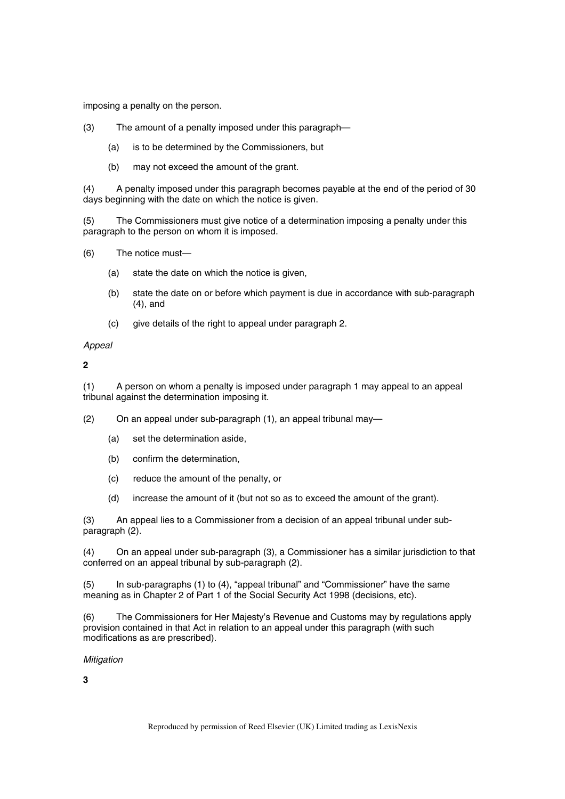imposing a penalty on the person.

- (3) The amount of a penalty imposed under this paragraph—
	- (a) is to be determined by the Commissioners, but
	- (b) may not exceed the amount of the grant.

(4) A penalty imposed under this paragraph becomes payable at the end of the period of 30 days beginning with the date on which the notice is given.

(5) The Commissioners must give notice of a determination imposing a penalty under this paragraph to the person on whom it is imposed.

- (6) The notice must—
	- (a) state the date on which the notice is given,
	- (b) state the date on or before which payment is due in accordance with sub-paragraph (4), and
	- (c) give details of the right to appeal under paragraph 2.

#### *Appeal*

**2** 

(1) A person on whom a penalty is imposed under paragraph 1 may appeal to an appeal tribunal against the determination imposing it.

(2) On an appeal under sub-paragraph (1), an appeal tribunal may—

- (a) set the determination aside,
- (b) confirm the determination,
- (c) reduce the amount of the penalty, or
- (d) increase the amount of it (but not so as to exceed the amount of the grant).

(3) An appeal lies to a Commissioner from a decision of an appeal tribunal under subparagraph (2).

(4) On an appeal under sub-paragraph (3), a Commissioner has a similar jurisdiction to that conferred on an appeal tribunal by sub-paragraph (2).

(5) In sub-paragraphs (1) to (4), "appeal tribunal" and "Commissioner" have the same meaning as in Chapter 2 of Part 1 of the Social Security Act 1998 (decisions, etc).

(6) The Commissioners for Her Majesty's Revenue and Customs may by regulations apply provision contained in that Act in relation to an appeal under this paragraph (with such modifications as are prescribed).

## *Mitigation*

**3**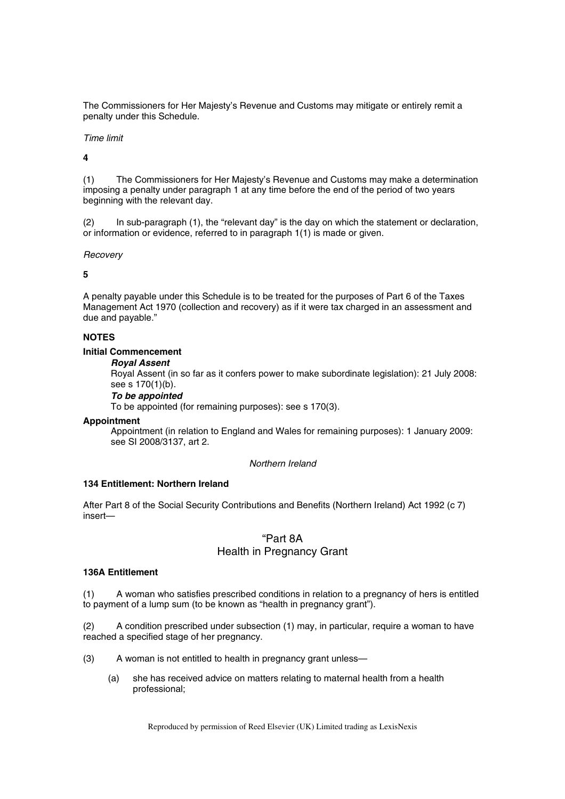The Commissioners for Her Majesty's Revenue and Customs may mitigate or entirely remit a penalty under this Schedule.

#### *Time limit*

**4** 

(1) The Commissioners for Her Majesty's Revenue and Customs may make a determination imposing a penalty under paragraph 1 at any time before the end of the period of two years beginning with the relevant day.

(2) In sub-paragraph (1), the "relevant day" is the day on which the statement or declaration, or information or evidence, referred to in paragraph 1(1) is made or given.

*Recovery* 

**5** 

A penalty payable under this Schedule is to be treated for the purposes of Part 6 of the Taxes Management Act 1970 (collection and recovery) as if it were tax charged in an assessment and due and payable."

# **NOTES**

## **Initial Commencement**

# *Royal Assent*

Royal Assent (in so far as it confers power to make subordinate legislation): 21 July 2008: see s 170(1)(b).

#### *To be appointed*

To be appointed (for remaining purposes): see s 170(3).

# **Appointment**

Appointment (in relation to England and Wales for remaining purposes): 1 January 2009: see SI 2008/3137, art 2.

#### *Northern Ireland*

# **134 Entitlement: Northern Ireland**

After Part 8 of the Social Security Contributions and Benefits (Northern Ireland) Act 1992 (c 7) insert—

# "Part 8A Health in Pregnancy Grant

#### **136A Entitlement**

(1) A woman who satisfies prescribed conditions in relation to a pregnancy of hers is entitled to payment of a lump sum (to be known as "health in pregnancy grant").

(2) A condition prescribed under subsection (1) may, in particular, require a woman to have reached a specified stage of her pregnancy.

- (3) A woman is not entitled to health in pregnancy grant unless—
	- (a) she has received advice on matters relating to maternal health from a health professional;

Reproduced by permission of Reed Elsevier (UK) Limited trading as LexisNexis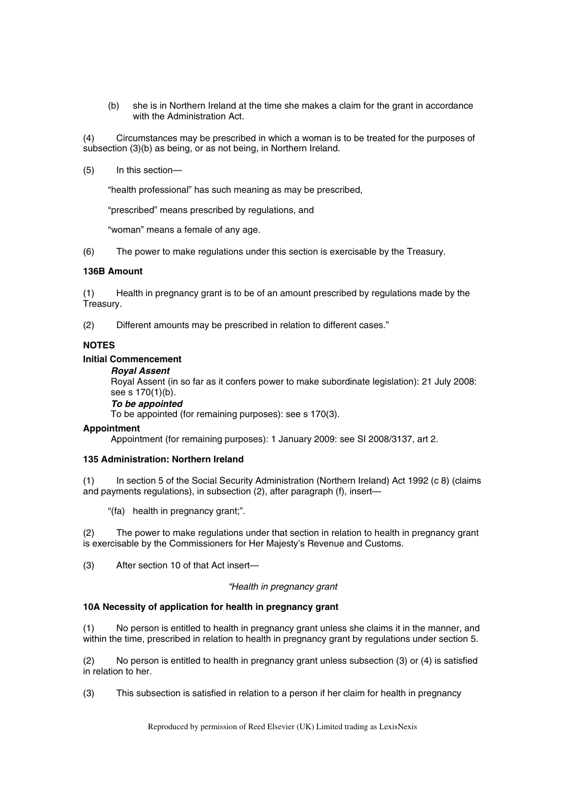(b) she is in Northern Ireland at the time she makes a claim for the grant in accordance with the Administration Act.

(4) Circumstances may be prescribed in which a woman is to be treated for the purposes of subsection (3)(b) as being, or as not being, in Northern Ireland.

(5) In this section—

"health professional" has such meaning as may be prescribed,

"prescribed" means prescribed by regulations, and

"woman" means a female of any age.

(6) The power to make regulations under this section is exercisable by the Treasury.

#### **136B Amount**

(1) Health in pregnancy grant is to be of an amount prescribed by regulations made by the Treasury.

(2) Different amounts may be prescribed in relation to different cases."

# **NOTES**

# **Initial Commencement**

#### *Royal Assent*

Royal Assent (in so far as it confers power to make subordinate legislation): 21 July 2008: see s 170(1)(b).

# *To be appointed*

To be appointed (for remaining purposes): see s 170(3).

#### **Appointment**

Appointment (for remaining purposes): 1 January 2009: see SI 2008/3137, art 2.

# **135 Administration: Northern Ireland**

(1) In section 5 of the Social Security Administration (Northern Ireland) Act 1992 (c 8) (claims and payments regulations), in subsection (2), after paragraph (f), insert—

"(fa) health in pregnancy grant;".

(2) The power to make regulations under that section in relation to health in pregnancy grant is exercisable by the Commissioners for Her Majesty's Revenue and Customs.

(3) After section 10 of that Act insert—

# *"Health in pregnancy grant*

# **10A Necessity of application for health in pregnancy grant**

(1) No person is entitled to health in pregnancy grant unless she claims it in the manner, and within the time, prescribed in relation to health in pregnancy grant by regulations under section 5.

(2) No person is entitled to health in pregnancy grant unless subsection (3) or (4) is satisfied in relation to her.

(3) This subsection is satisfied in relation to a person if her claim for health in pregnancy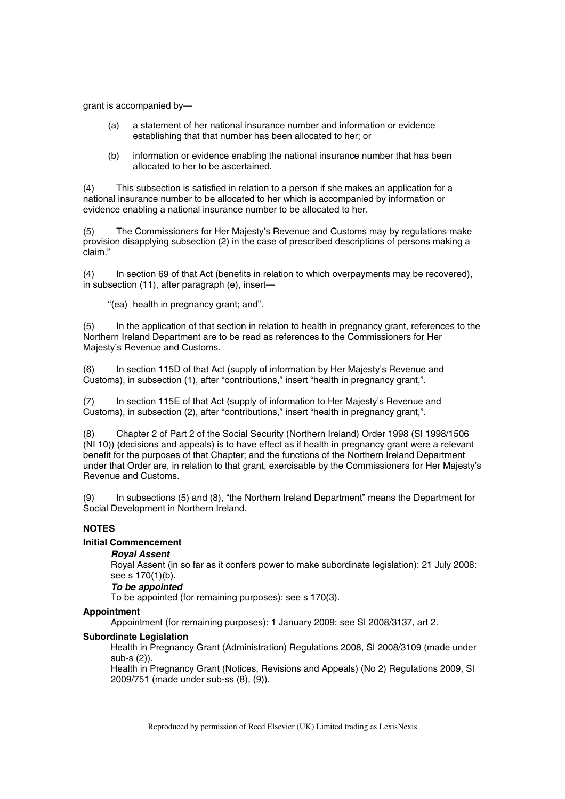grant is accompanied by—

- (a) a statement of her national insurance number and information or evidence establishing that that number has been allocated to her; or
- (b) information or evidence enabling the national insurance number that has been allocated to her to be ascertained.

(4) This subsection is satisfied in relation to a person if she makes an application for a national insurance number to be allocated to her which is accompanied by information or evidence enabling a national insurance number to be allocated to her.

(5) The Commissioners for Her Majesty's Revenue and Customs may by regulations make provision disapplying subsection (2) in the case of prescribed descriptions of persons making a claim."

(4) In section 69 of that Act (benefits in relation to which overpayments may be recovered), in subsection (11), after paragraph (e), insert—

"(ea) health in pregnancy grant; and".

(5) In the application of that section in relation to health in pregnancy grant, references to the Northern Ireland Department are to be read as references to the Commissioners for Her Majesty's Revenue and Customs.

(6) In section 115D of that Act (supply of information by Her Majesty's Revenue and Customs), in subsection (1), after "contributions," insert "health in pregnancy grant,".

(7) In section 115E of that Act (supply of information to Her Majesty's Revenue and Customs), in subsection (2), after "contributions," insert "health in pregnancy grant,".

(8) Chapter 2 of Part 2 of the Social Security (Northern Ireland) Order 1998 (SI 1998/1506 (NI 10)) (decisions and appeals) is to have effect as if health in pregnancy grant were a relevant benefit for the purposes of that Chapter; and the functions of the Northern Ireland Department under that Order are, in relation to that grant, exercisable by the Commissioners for Her Majesty's Revenue and Customs.

(9) In subsections (5) and (8), "the Northern Ireland Department" means the Department for Social Development in Northern Ireland.

# **NOTES**

# **Initial Commencement**

# *Royal Assent*

Royal Assent (in so far as it confers power to make subordinate legislation): 21 July 2008: see s 170(1)(b).

# *To be appointed*

To be appointed (for remaining purposes): see s 170(3).

#### **Appointment**

Appointment (for remaining purposes): 1 January 2009: see SI 2008/3137, art 2.

#### **Subordinate Legislation**

Health in Pregnancy Grant (Administration) Regulations 2008, SI 2008/3109 (made under sub-s (2)).

Health in Pregnancy Grant (Notices, Revisions and Appeals) (No 2) Regulations 2009, SI 2009/751 (made under sub-ss (8), (9)).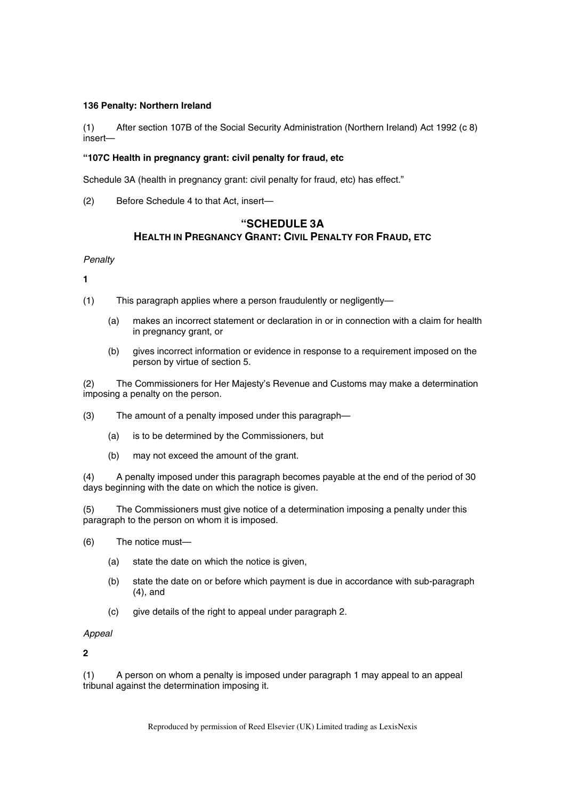# **136 Penalty: Northern Ireland**

(1) After section 107B of the Social Security Administration (Northern Ireland) Act 1992 (c 8) insert—

# **"107C Health in pregnancy grant: civil penalty for fraud, etc**

Schedule 3A (health in pregnancy grant: civil penalty for fraud, etc) has effect."

(2) Before Schedule 4 to that Act, insert—

# **"SCHEDULE 3A HEALTH IN PREGNANCY GRANT: CIVIL PENALTY FOR FRAUD, ETC**

*Penalty* 

**1** 

- (1) This paragraph applies where a person fraudulently or negligently—
	- (a) makes an incorrect statement or declaration in or in connection with a claim for health in pregnancy grant, or
	- (b) gives incorrect information or evidence in response to a requirement imposed on the person by virtue of section 5.

(2) The Commissioners for Her Majesty's Revenue and Customs may make a determination imposing a penalty on the person.

- (3) The amount of a penalty imposed under this paragraph—
	- (a) is to be determined by the Commissioners, but
	- (b) may not exceed the amount of the grant.

(4) A penalty imposed under this paragraph becomes payable at the end of the period of 30 days beginning with the date on which the notice is given.

(5) The Commissioners must give notice of a determination imposing a penalty under this paragraph to the person on whom it is imposed.

- (6) The notice must—
	- (a) state the date on which the notice is given,
	- (b) state the date on or before which payment is due in accordance with sub-paragraph (4), and
	- (c) give details of the right to appeal under paragraph 2.

*Appeal* 

**2** 

(1) A person on whom a penalty is imposed under paragraph 1 may appeal to an appeal tribunal against the determination imposing it.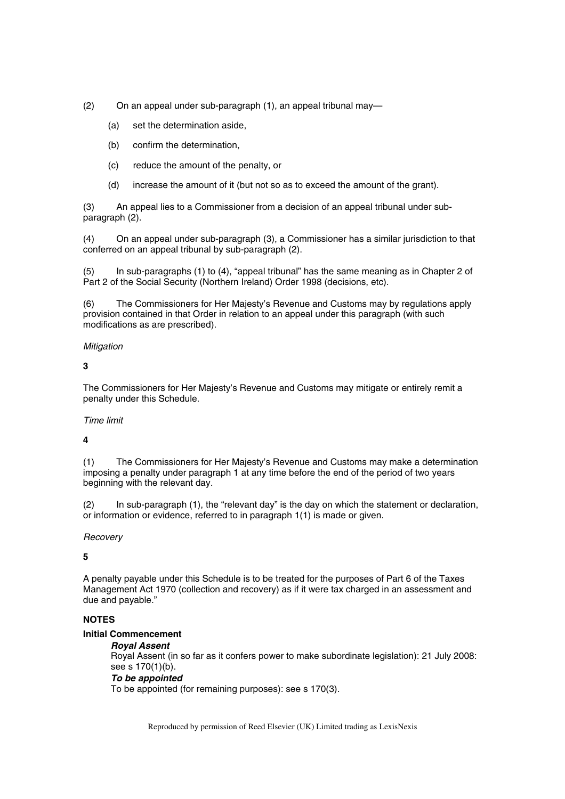- (2) On an appeal under sub-paragraph (1), an appeal tribunal may—
	- (a) set the determination aside,
	- (b) confirm the determination,
	- (c) reduce the amount of the penalty, or
	- (d) increase the amount of it (but not so as to exceed the amount of the grant).

(3) An appeal lies to a Commissioner from a decision of an appeal tribunal under subparagraph (2).

(4) On an appeal under sub-paragraph (3), a Commissioner has a similar jurisdiction to that conferred on an appeal tribunal by sub-paragraph (2).

(5) In sub-paragraphs (1) to (4), "appeal tribunal" has the same meaning as in Chapter 2 of Part 2 of the Social Security (Northern Ireland) Order 1998 (decisions, etc).

(6) The Commissioners for Her Majesty's Revenue and Customs may by regulations apply provision contained in that Order in relation to an appeal under this paragraph (with such modifications as are prescribed).

# *Mitigation*

# **3**

The Commissioners for Her Majesty's Revenue and Customs may mitigate or entirely remit a penalty under this Schedule.

# *Time limit*

# **4**

(1) The Commissioners for Her Majesty's Revenue and Customs may make a determination imposing a penalty under paragraph 1 at any time before the end of the period of two years beginning with the relevant day.

(2) In sub-paragraph (1), the "relevant day" is the day on which the statement or declaration, or information or evidence, referred to in paragraph 1(1) is made or given.

# *Recovery*

# **5**

A penalty payable under this Schedule is to be treated for the purposes of Part 6 of the Taxes Management Act 1970 (collection and recovery) as if it were tax charged in an assessment and due and payable."

# **NOTES**

# **Initial Commencement**

# *Royal Assent*

Royal Assent (in so far as it confers power to make subordinate legislation): 21 July 2008: see s 170(1)(b). *To be appointed* 

To be appointed (for remaining purposes): see s 170(3).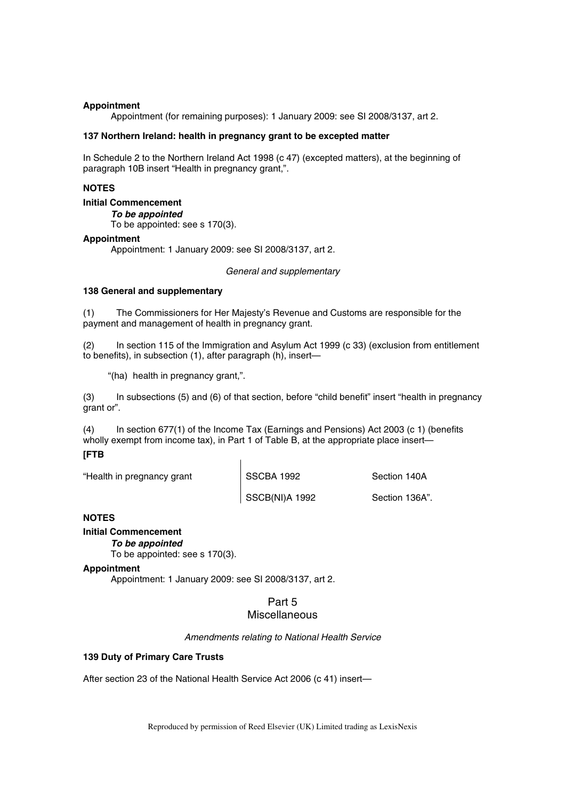## **Appointment**

Appointment (for remaining purposes): 1 January 2009: see SI 2008/3137, art 2.

#### **137 Northern Ireland: health in pregnancy grant to be excepted matter**

In Schedule 2 to the Northern Ireland Act 1998 (c 47) (excepted matters), at the beginning of paragraph 10B insert "Health in pregnancy grant,".

## **NOTES**

# **Initial Commencement**

*To be appointed* 

To be appointed: see s 170(3).

#### **Appointment**

Appointment: 1 January 2009: see SI 2008/3137, art 2.

*General and supplementary* 

#### **138 General and supplementary**

(1) The Commissioners for Her Majesty's Revenue and Customs are responsible for the payment and management of health in pregnancy grant.

(2) In section 115 of the Immigration and Asylum Act 1999 (c 33) (exclusion from entitlement to benefits), in subsection (1), after paragraph (h), insert—

"(ha) health in pregnancy grant,".

(3) In subsections (5) and (6) of that section, before "child benefit" insert "health in pregnancy grant or".

(4) In section 677(1) of the Income Tax (Earnings and Pensions) Act 2003 (c 1) (benefits wholly exempt from income tax), in Part 1 of Table B, at the appropriate place insert—

# **[FTB**

"Health in pregnancy grant SSCBA 1992 Section 140A

SSCB(NI)A 1992 Section 136A".

# **NOTES**

# **Initial Commencement**

#### *To be appointed*

To be appointed: see s 170(3).

# **Appointment**

Appointment: 1 January 2009: see SI 2008/3137, art 2.

# Part 5 Miscellaneous

*Amendments relating to National Health Service* 

# **139 Duty of Primary Care Trusts**

After section 23 of the National Health Service Act 2006 (c 41) insert—

Reproduced by permission of Reed Elsevier (UK) Limited trading as LexisNexis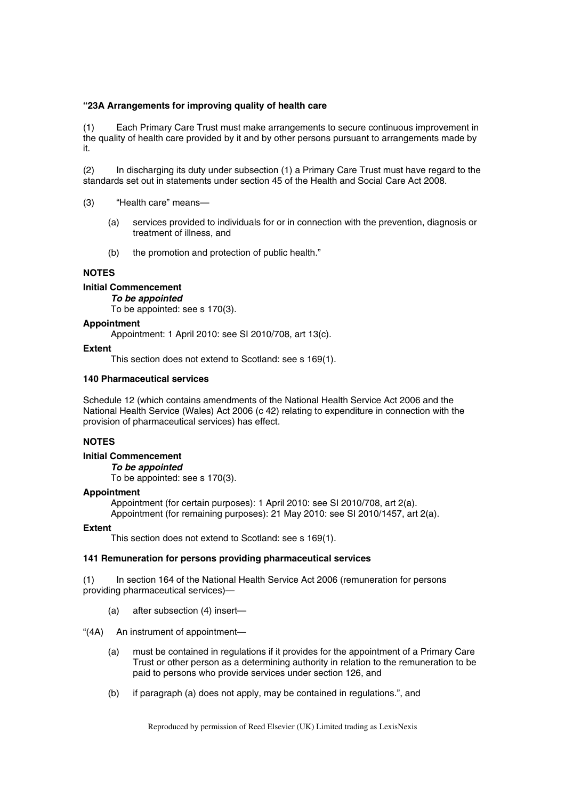## **"23A Arrangements for improving quality of health care**

(1) Each Primary Care Trust must make arrangements to secure continuous improvement in the quality of health care provided by it and by other persons pursuant to arrangements made by it.

(2) In discharging its duty under subsection (1) a Primary Care Trust must have regard to the standards set out in statements under section 45 of the Health and Social Care Act 2008.

- (3) "Health care" means—
	- (a) services provided to individuals for or in connection with the prevention, diagnosis or treatment of illness, and
	- (b) the promotion and protection of public health."

## **NOTES**

#### **Initial Commencement**

*To be appointed* 

To be appointed: see s 170(3).

#### **Appointment**

Appointment: 1 April 2010: see SI 2010/708, art 13(c).

#### **Extent**

This section does not extend to Scotland: see s 169(1).

# **140 Pharmaceutical services**

Schedule 12 (which contains amendments of the National Health Service Act 2006 and the National Health Service (Wales) Act 2006 (c 42) relating to expenditure in connection with the provision of pharmaceutical services) has effect.

# **NOTES**

#### **Initial Commencement**

*To be appointed*  To be appointed: see s 170(3).

#### **Appointment**

Appointment (for certain purposes): 1 April 2010: see SI 2010/708, art 2(a). Appointment (for remaining purposes): 21 May 2010: see SI 2010/1457, art 2(a).

#### **Extent**

This section does not extend to Scotland: see s 169(1).

# **141 Remuneration for persons providing pharmaceutical services**

(1) In section 164 of the National Health Service Act 2006 (remuneration for persons providing pharmaceutical services)—

- (a) after subsection (4) insert—
- "(4A) An instrument of appointment—
	- (a) must be contained in regulations if it provides for the appointment of a Primary Care Trust or other person as a determining authority in relation to the remuneration to be paid to persons who provide services under section 126, and
	- (b) if paragraph (a) does not apply, may be contained in regulations.", and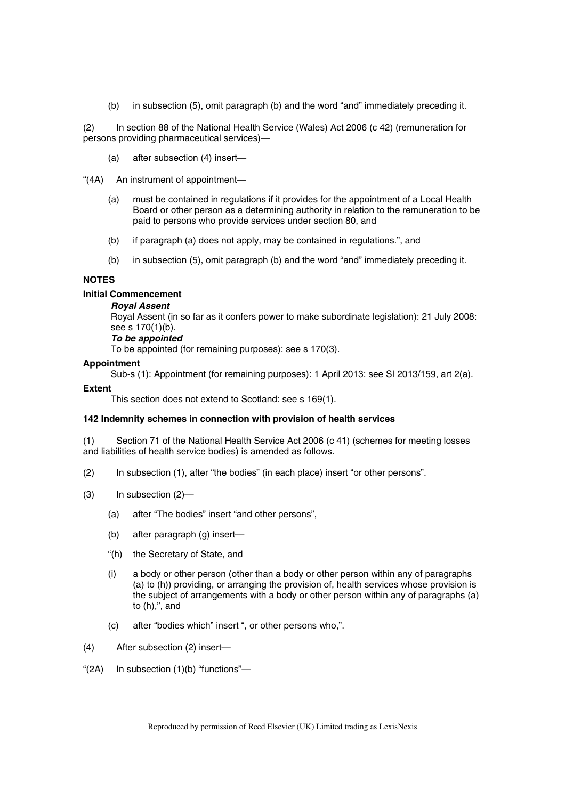(b) in subsection (5), omit paragraph (b) and the word "and" immediately preceding it.

(2) In section 88 of the National Health Service (Wales) Act 2006 (c 42) (remuneration for persons providing pharmaceutical services)—

(a) after subsection (4) insert—

"(4A) An instrument of appointment—

- (a) must be contained in regulations if it provides for the appointment of a Local Health Board or other person as a determining authority in relation to the remuneration to be paid to persons who provide services under section 80, and
- (b) if paragraph (a) does not apply, may be contained in regulations.", and
- (b) in subsection (5), omit paragraph (b) and the word "and" immediately preceding it.

### **NOTES**

### **Initial Commencement**

#### *Royal Assent*

Royal Assent (in so far as it confers power to make subordinate legislation): 21 July 2008: see s 170(1)(b).

## *To be appointed*

To be appointed (for remaining purposes): see s 170(3).

#### **Appointment**

Sub-s (1): Appointment (for remaining purposes): 1 April 2013: see SI 2013/159, art 2(a).

#### **Extent**

This section does not extend to Scotland: see s 169(1).

#### **142 Indemnity schemes in connection with provision of health services**

(1) Section 71 of the National Health Service Act 2006 (c 41) (schemes for meeting losses and liabilities of health service bodies) is amended as follows.

- (2) In subsection (1), after "the bodies" (in each place) insert "or other persons".
- (3) In subsection (2)—
	- (a) after "The bodies" insert "and other persons",
	- (b) after paragraph (g) insert—
	- "(h) the Secretary of State, and
	- (i) a body or other person (other than a body or other person within any of paragraphs (a) to (h)) providing, or arranging the provision of, health services whose provision is the subject of arrangements with a body or other person within any of paragraphs (a) to (h),", and
	- (c) after "bodies which" insert ", or other persons who,".
- (4) After subsection (2) insert—
- "(2A) In subsection (1)(b) "functions"—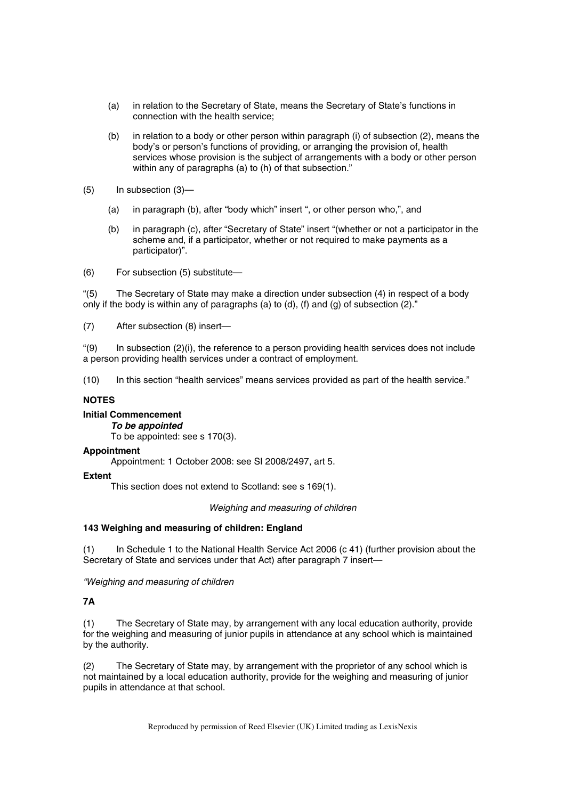- (a) in relation to the Secretary of State, means the Secretary of State's functions in connection with the health service;
- (b) in relation to a body or other person within paragraph (i) of subsection (2), means the body's or person's functions of providing, or arranging the provision of, health services whose provision is the subject of arrangements with a body or other person within any of paragraphs (a) to (h) of that subsection."
- (5) In subsection (3)—
	- (a) in paragraph (b), after "body which" insert ", or other person who,", and
	- (b) in paragraph (c), after "Secretary of State" insert "(whether or not a participator in the scheme and, if a participator, whether or not required to make payments as a participator)".

(6) For subsection (5) substitute—

"(5) The Secretary of State may make a direction under subsection (4) in respect of a body only if the body is within any of paragraphs (a) to (d), (f) and (g) of subsection (2)."

(7) After subsection (8) insert—

 $"$ (9) In subsection (2)(i), the reference to a person providing health services does not include a person providing health services under a contract of employment.

(10) In this section "health services" means services provided as part of the health service."

# **NOTES**

# **Initial Commencement**

## *To be appointed*

To be appointed: see s 170(3).

#### **Appointment**

Appointment: 1 October 2008: see SI 2008/2497, art 5.

#### **Extent**

This section does not extend to Scotland: see s 169(1).

*Weighing and measuring of children* 

## **143 Weighing and measuring of children: England**

(1) In Schedule 1 to the National Health Service Act 2006 (c 41) (further provision about the Secretary of State and services under that Act) after paragraph 7 insert—

*"Weighing and measuring of children* 

# **7A**

(1) The Secretary of State may, by arrangement with any local education authority, provide for the weighing and measuring of junior pupils in attendance at any school which is maintained by the authority.

(2) The Secretary of State may, by arrangement with the proprietor of any school which is not maintained by a local education authority, provide for the weighing and measuring of junior pupils in attendance at that school.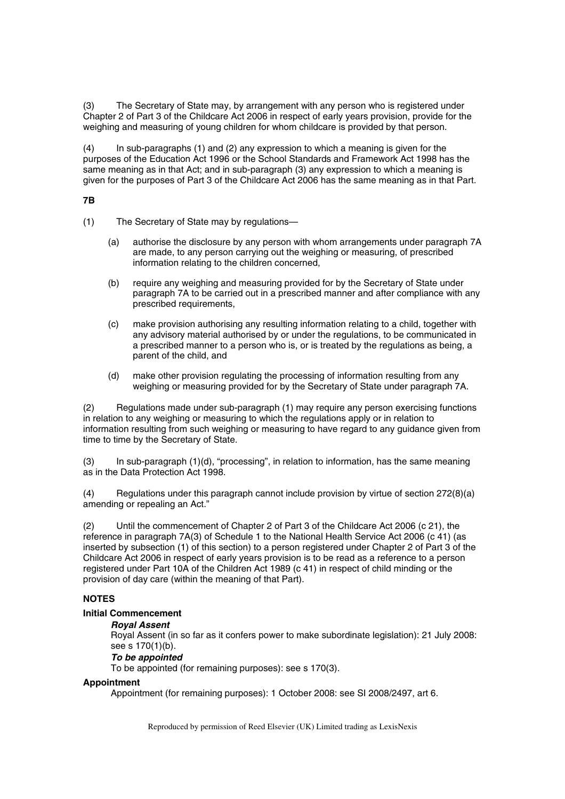(3) The Secretary of State may, by arrangement with any person who is registered under Chapter 2 of Part 3 of the Childcare Act 2006 in respect of early years provision, provide for the weighing and measuring of young children for whom childcare is provided by that person.

(4) In sub-paragraphs (1) and (2) any expression to which a meaning is given for the purposes of the Education Act 1996 or the School Standards and Framework Act 1998 has the same meaning as in that Act; and in sub-paragraph (3) any expression to which a meaning is given for the purposes of Part 3 of the Childcare Act 2006 has the same meaning as in that Part.

# **7B**

- (1) The Secretary of State may by regulations—
	- (a) authorise the disclosure by any person with whom arrangements under paragraph 7A are made, to any person carrying out the weighing or measuring, of prescribed information relating to the children concerned,
	- (b) require any weighing and measuring provided for by the Secretary of State under paragraph 7A to be carried out in a prescribed manner and after compliance with any prescribed requirements,
	- (c) make provision authorising any resulting information relating to a child, together with any advisory material authorised by or under the regulations, to be communicated in a prescribed manner to a person who is, or is treated by the regulations as being, a parent of the child, and
	- (d) make other provision regulating the processing of information resulting from any weighing or measuring provided for by the Secretary of State under paragraph 7A.

(2) Regulations made under sub-paragraph (1) may require any person exercising functions in relation to any weighing or measuring to which the regulations apply or in relation to information resulting from such weighing or measuring to have regard to any guidance given from time to time by the Secretary of State.

(3) In sub-paragraph (1)(d), "processing", in relation to information, has the same meaning as in the Data Protection Act 1998.

(4) Regulations under this paragraph cannot include provision by virtue of section 272(8)(a) amending or repealing an Act."

(2) Until the commencement of Chapter 2 of Part 3 of the Childcare Act 2006 (c 21), the reference in paragraph 7A(3) of Schedule 1 to the National Health Service Act 2006 (c 41) (as inserted by subsection (1) of this section) to a person registered under Chapter 2 of Part 3 of the Childcare Act 2006 in respect of early years provision is to be read as a reference to a person registered under Part 10A of the Children Act 1989 (c 41) in respect of child minding or the provision of day care (within the meaning of that Part).

# **NOTES**

# **Initial Commencement**

# *Royal Assent*

Royal Assent (in so far as it confers power to make subordinate legislation): 21 July 2008: see s 170(1)(b).

# *To be appointed*

To be appointed (for remaining purposes): see s 170(3).

# **Appointment**

Appointment (for remaining purposes): 1 October 2008: see SI 2008/2497, art 6.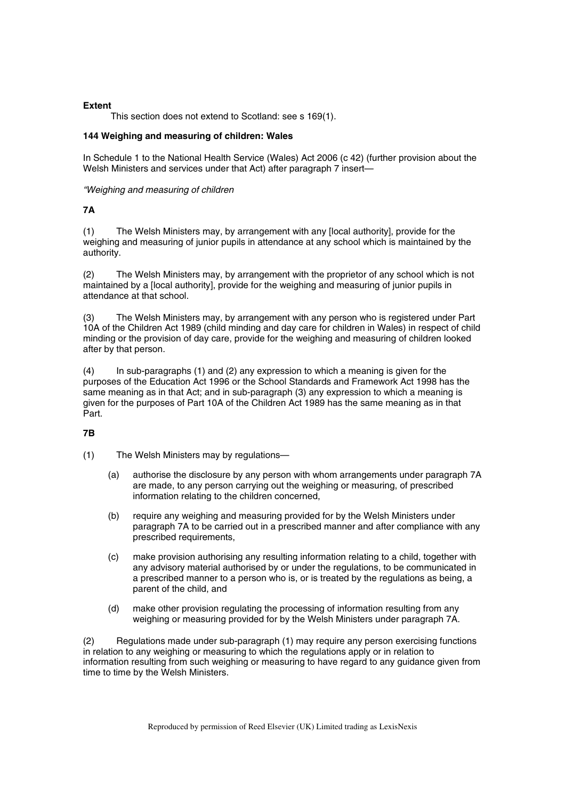## **Extent**

This section does not extend to Scotland: see s 169(1).

# **144 Weighing and measuring of children: Wales**

In Schedule 1 to the National Health Service (Wales) Act 2006 (c 42) (further provision about the Welsh Ministers and services under that Act) after paragraph 7 insert—

#### *"Weighing and measuring of children*

# **7A**

(1) The Welsh Ministers may, by arrangement with any [local authority], provide for the weighing and measuring of junior pupils in attendance at any school which is maintained by the authority.

(2) The Welsh Ministers may, by arrangement with the proprietor of any school which is not maintained by a [local authority], provide for the weighing and measuring of junior pupils in attendance at that school.

(3) The Welsh Ministers may, by arrangement with any person who is registered under Part 10A of the Children Act 1989 (child minding and day care for children in Wales) in respect of child minding or the provision of day care, provide for the weighing and measuring of children looked after by that person.

(4) In sub-paragraphs (1) and (2) any expression to which a meaning is given for the purposes of the Education Act 1996 or the School Standards and Framework Act 1998 has the same meaning as in that Act; and in sub-paragraph (3) any expression to which a meaning is given for the purposes of Part 10A of the Children Act 1989 has the same meaning as in that Part.

# **7B**

(1) The Welsh Ministers may by regulations—

- (a) authorise the disclosure by any person with whom arrangements under paragraph 7A are made, to any person carrying out the weighing or measuring, of prescribed information relating to the children concerned,
- (b) require any weighing and measuring provided for by the Welsh Ministers under paragraph 7A to be carried out in a prescribed manner and after compliance with any prescribed requirements,
- (c) make provision authorising any resulting information relating to a child, together with any advisory material authorised by or under the regulations, to be communicated in a prescribed manner to a person who is, or is treated by the regulations as being, a parent of the child, and
- (d) make other provision regulating the processing of information resulting from any weighing or measuring provided for by the Welsh Ministers under paragraph 7A.

(2) Regulations made under sub-paragraph (1) may require any person exercising functions in relation to any weighing or measuring to which the regulations apply or in relation to information resulting from such weighing or measuring to have regard to any guidance given from time to time by the Welsh Ministers.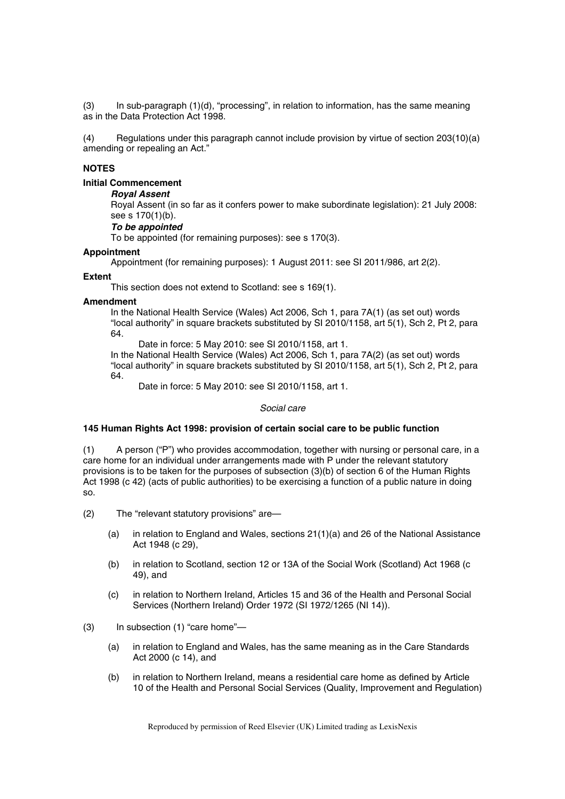$(3)$  In sub-paragraph  $(1)(d)$ , "processing", in relation to information, has the same meaning as in the Data Protection Act 1998.

(4) Regulations under this paragraph cannot include provision by virtue of section 203(10)(a) amending or repealing an Act."

# **NOTES**

**Initial Commencement** 

# *Royal Assent*

Royal Assent (in so far as it confers power to make subordinate legislation): 21 July 2008: see s 170(1)(b).

#### *To be appointed*

To be appointed (for remaining purposes): see s 170(3).

#### **Appointment**

Appointment (for remaining purposes): 1 August 2011: see SI 2011/986, art 2(2).

#### **Extent**

This section does not extend to Scotland: see s 169(1).

#### **Amendment**

In the National Health Service (Wales) Act 2006, Sch 1, para 7A(1) (as set out) words "local authority" in square brackets substituted by SI 2010/1158, art 5(1), Sch 2, Pt 2, para 64.

Date in force: 5 May 2010: see SI 2010/1158, art 1.

In the National Health Service (Wales) Act 2006, Sch 1, para 7A(2) (as set out) words "local authority" in square brackets substituted by SI 2010/1158, art 5(1), Sch 2, Pt 2, para 64.

Date in force: 5 May 2010: see SI 2010/1158, art 1.

#### *Social care*

#### **145 Human Rights Act 1998: provision of certain social care to be public function**

(1) A person ("P") who provides accommodation, together with nursing or personal care, in a care home for an individual under arrangements made with P under the relevant statutory provisions is to be taken for the purposes of subsection (3)(b) of section 6 of the Human Rights Act 1998 (c 42) (acts of public authorities) to be exercising a function of a public nature in doing so.

- (2) The "relevant statutory provisions" are—
	- (a) in relation to England and Wales, sections 21(1)(a) and 26 of the National Assistance Act 1948 (c 29),
	- (b) in relation to Scotland, section 12 or 13A of the Social Work (Scotland) Act 1968 (c 49), and
	- (c) in relation to Northern Ireland, Articles 15 and 36 of the Health and Personal Social Services (Northern Ireland) Order 1972 (SI 1972/1265 (NI 14)).

## (3) In subsection (1) "care home"—

- (a) in relation to England and Wales, has the same meaning as in the Care Standards Act 2000 (c 14), and
- (b) in relation to Northern Ireland, means a residential care home as defined by Article 10 of the Health and Personal Social Services (Quality, Improvement and Regulation)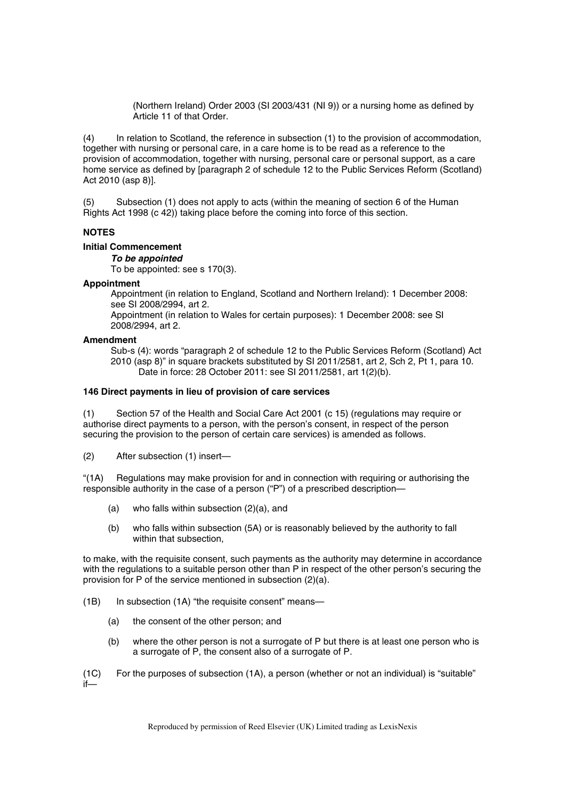(Northern Ireland) Order 2003 (SI 2003/431 (NI 9)) or a nursing home as defined by Article 11 of that Order.

(4) In relation to Scotland, the reference in subsection (1) to the provision of accommodation, together with nursing or personal care, in a care home is to be read as a reference to the provision of accommodation, together with nursing, personal care or personal support, as a care home service as defined by [paragraph 2 of schedule 12 to the Public Services Reform (Scotland) Act 2010 (asp 8)].

(5) Subsection (1) does not apply to acts (within the meaning of section 6 of the Human Rights Act 1998 (c 42)) taking place before the coming into force of this section.

# **NOTES**

# **Initial Commencement**

*To be appointed* 

To be appointed: see s 170(3).

#### **Appointment**

Appointment (in relation to England, Scotland and Northern Ireland): 1 December 2008: see SI 2008/2994, art 2.

Appointment (in relation to Wales for certain purposes): 1 December 2008: see SI 2008/2994, art 2.

#### **Amendment**

Sub-s (4): words "paragraph 2 of schedule 12 to the Public Services Reform (Scotland) Act 2010 (asp 8)" in square brackets substituted by SI 2011/2581, art 2, Sch 2, Pt 1, para 10. Date in force: 28 October 2011: see SI 2011/2581, art 1(2)(b).

## **146 Direct payments in lieu of provision of care services**

(1) Section 57 of the Health and Social Care Act 2001 (c 15) (regulations may require or authorise direct payments to a person, with the person's consent, in respect of the person securing the provision to the person of certain care services) is amended as follows.

(2) After subsection (1) insert—

"(1A) Regulations may make provision for and in connection with requiring or authorising the responsible authority in the case of a person ("P") of a prescribed description—

- (a) who falls within subsection (2)(a), and
- (b) who falls within subsection (5A) or is reasonably believed by the authority to fall within that subsection.

to make, with the requisite consent, such payments as the authority may determine in accordance with the regulations to a suitable person other than P in respect of the other person's securing the provision for P of the service mentioned in subsection (2)(a).

- (1B) In subsection (1A) "the requisite consent" means—
	- (a) the consent of the other person; and
	- (b) where the other person is not a surrogate of P but there is at least one person who is a surrogate of P, the consent also of a surrogate of P.

(1C) For the purposes of subsection (1A), a person (whether or not an individual) is "suitable" if—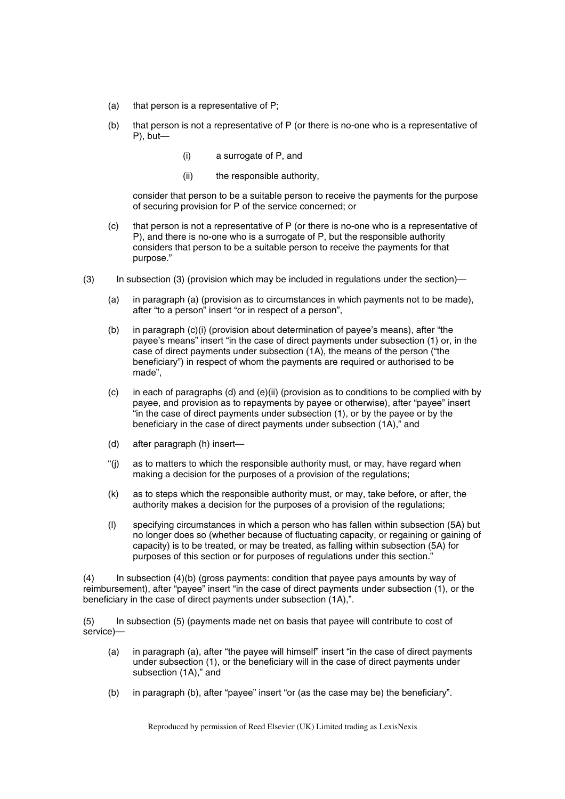- (a) that person is a representative of P;
- (b) that person is not a representative of P (or there is no-one who is a representative of P), but—
	- (i) a surrogate of P, and
	- (ii) the responsible authority,

consider that person to be a suitable person to receive the payments for the purpose of securing provision for P of the service concerned; or

- (c) that person is not a representative of P (or there is no-one who is a representative of P), and there is no-one who is a surrogate of P, but the responsible authority considers that person to be a suitable person to receive the payments for that purpose."
- (3) In subsection (3) (provision which may be included in regulations under the section)—
	- (a) in paragraph (a) (provision as to circumstances in which payments not to be made), after "to a person" insert "or in respect of a person",
	- (b) in paragraph (c)(i) (provision about determination of payee's means), after "the payee's means" insert "in the case of direct payments under subsection (1) or, in the case of direct payments under subsection (1A), the means of the person ("the beneficiary") in respect of whom the payments are required or authorised to be made",
	- (c) in each of paragraphs (d) and (e)(ii) (provision as to conditions to be complied with by payee, and provision as to repayments by payee or otherwise), after "payee" insert "in the case of direct payments under subsection (1), or by the payee or by the beneficiary in the case of direct payments under subsection (1A)," and
	- (d) after paragraph (h) insert—
	- "(j) as to matters to which the responsible authority must, or may, have regard when making a decision for the purposes of a provision of the regulations;
	- (k) as to steps which the responsible authority must, or may, take before, or after, the authority makes a decision for the purposes of a provision of the regulations;
	- (l) specifying circumstances in which a person who has fallen within subsection (5A) but no longer does so (whether because of fluctuating capacity, or regaining or gaining of capacity) is to be treated, or may be treated, as falling within subsection (5A) for purposes of this section or for purposes of regulations under this section."

(4) In subsection (4)(b) (gross payments: condition that payee pays amounts by way of reimbursement), after "payee" insert "in the case of direct payments under subsection (1), or the beneficiary in the case of direct payments under subsection (1A),".

(5) In subsection (5) (payments made net on basis that payee will contribute to cost of service)—

- (a) in paragraph (a), after "the payee will himself" insert "in the case of direct payments under subsection (1), or the beneficiary will in the case of direct payments under subsection (1A)," and
- (b) in paragraph (b), after "payee" insert "or (as the case may be) the beneficiary".

Reproduced by permission of Reed Elsevier (UK) Limited trading as LexisNexis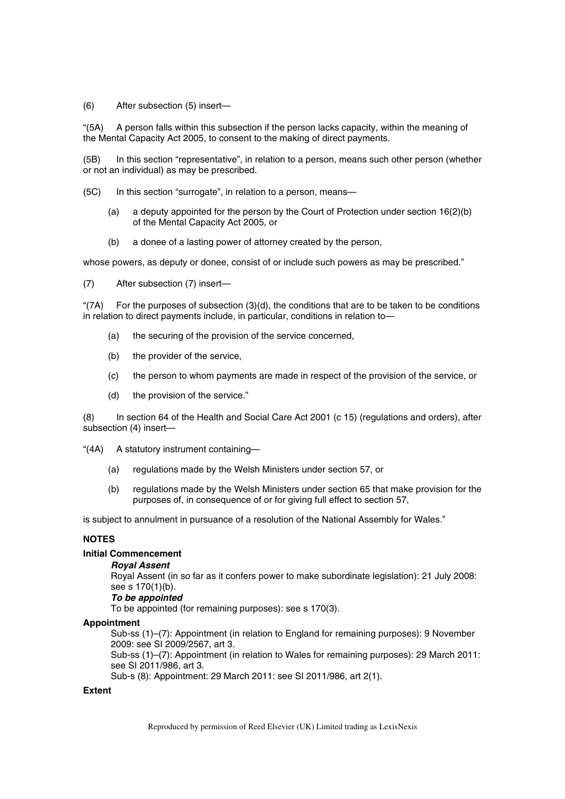(6) After subsection (5) insert—

"(5A) A person falls within this subsection if the person lacks capacity, within the meaning of the Mental Capacity Act 2005, to consent to the making of direct payments.

(5B) In this section "representative", in relation to a person, means such other person (whether or not an individual) as may be prescribed.

(5C) In this section "surrogate", in relation to a person, means—

- (a) a deputy appointed for the person by the Court of Protection under section  $16(2)(b)$ of the Mental Capacity Act 2005, or
- (b) a donee of a lasting power of attorney created by the person,

whose powers, as deputy or donee, consist of or include such powers as may be prescribed."

(7) After subsection (7) insert—

"(7A) For the purposes of subsection (3)(d), the conditions that are to be taken to be conditions in relation to direct payments include, in particular, conditions in relation to—

- (a) the securing of the provision of the service concerned,
- (b) the provider of the service,
- (c) the person to whom payments are made in respect of the provision of the service, or
- (d) the provision of the service."

(8) In section 64 of the Health and Social Care Act 2001 (c 15) (regulations and orders), after subsection (4) insert—

"(4A) A statutory instrument containing—

- (a) regulations made by the Welsh Ministers under section 57, or
- (b) regulations made by the Welsh Ministers under section 65 that make provision for the purposes of, in consequence of or for giving full effect to section 57,

is subject to annulment in pursuance of a resolution of the National Assembly for Wales."

# **NOTES**

#### **Initial Commencement**

#### *Royal Assent*

Royal Assent (in so far as it confers power to make subordinate legislation): 21 July 2008: see s 170(1)(b).

# *To be appointed*

To be appointed (for remaining purposes): see s 170(3).

#### **Appointment**

Sub-ss (1)–(7): Appointment (in relation to England for remaining purposes): 9 November 2009: see SI 2009/2567, art 3.

Sub-ss (1)–(7): Appointment (in relation to Wales for remaining purposes): 29 March 2011: see SI 2011/986, art 3.

Sub-s (8): Appointment: 29 March 2011: see SI 2011/986, art 2(1).

# **Extent**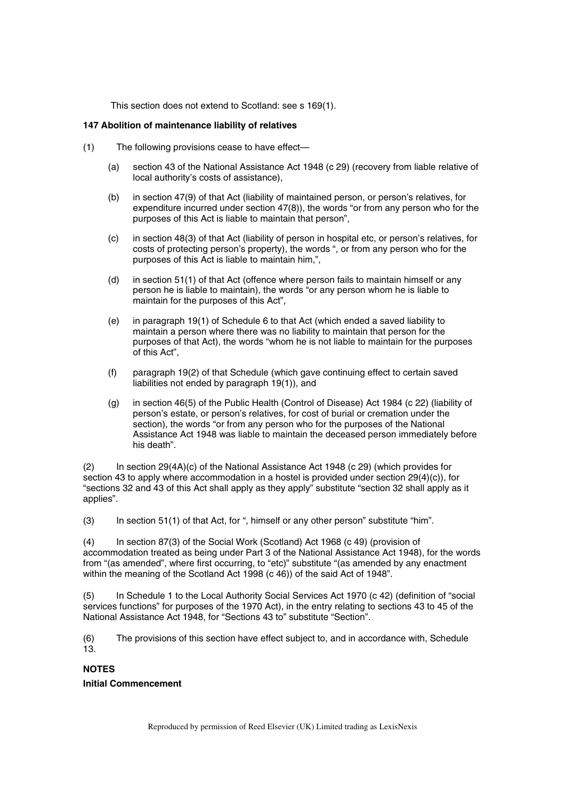This section does not extend to Scotland: see s 169(1).

#### **147 Abolition of maintenance liability of relatives**

- (1) The following provisions cease to have effect—
	- (a) section 43 of the National Assistance Act 1948 (c 29) (recovery from liable relative of local authority's costs of assistance),
	- (b) in section 47(9) of that Act (liability of maintained person, or person's relatives, for expenditure incurred under section 47(8)), the words "or from any person who for the purposes of this Act is liable to maintain that person",
	- (c) in section 48(3) of that Act (liability of person in hospital etc, or person's relatives, for costs of protecting person's property), the words ", or from any person who for the purposes of this Act is liable to maintain him,",
	- (d) in section 51(1) of that Act (offence where person fails to maintain himself or any person he is liable to maintain), the words "or any person whom he is liable to maintain for the purposes of this Act",
	- (e) in paragraph 19(1) of Schedule 6 to that Act (which ended a saved liability to maintain a person where there was no liability to maintain that person for the purposes of that Act), the words "whom he is not liable to maintain for the purposes of this Act",
	- (f) paragraph 19(2) of that Schedule (which gave continuing effect to certain saved liabilities not ended by paragraph 19(1)), and
	- (g) in section 46(5) of the Public Health (Control of Disease) Act 1984 (c 22) (liability of person's estate, or person's relatives, for cost of burial or cremation under the section), the words "or from any person who for the purposes of the National Assistance Act 1948 was liable to maintain the deceased person immediately before his death".

(2) In section 29(4A)(c) of the National Assistance Act 1948 (c 29) (which provides for section 43 to apply where accommodation in a hostel is provided under section 29(4)(c)), for "sections 32 and 43 of this Act shall apply as they apply" substitute "section 32 shall apply as it applies".

(3) In section 51(1) of that Act, for ", himself or any other person" substitute "him".

(4) In section 87(3) of the Social Work (Scotland) Act 1968 (c 49) (provision of accommodation treated as being under Part 3 of the National Assistance Act 1948), for the words from "(as amended", where first occurring, to "etc)" substitute "(as amended by any enactment within the meaning of the Scotland Act 1998 (c 46)) of the said Act of 1948".

(5) In Schedule 1 to the Local Authority Social Services Act 1970 (c 42) (definition of "social services functions" for purposes of the 1970 Act), in the entry relating to sections 43 to 45 of the National Assistance Act 1948, for "Sections 43 to" substitute "Section".

(6) The provisions of this section have effect subject to, and in accordance with, Schedule 13.

# **NOTES**

#### **Initial Commencement**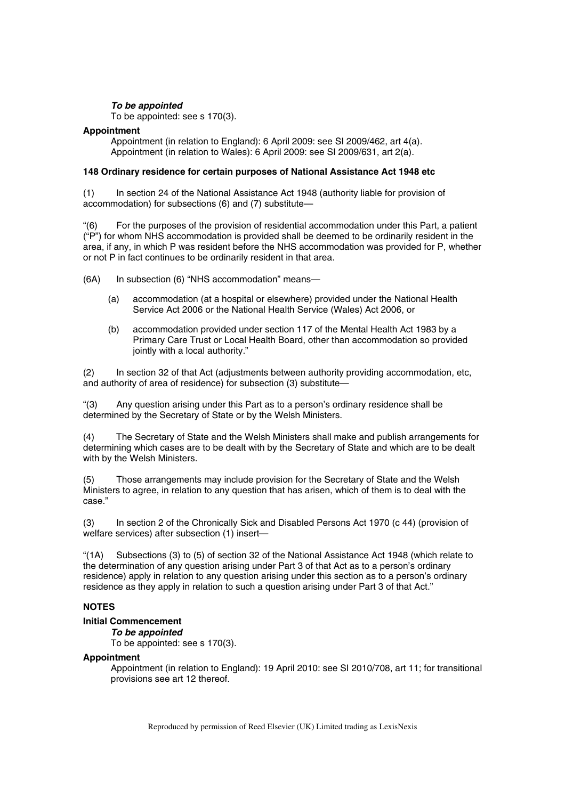# *To be appointed*

To be appointed: see s 170(3).

## **Appointment**

Appointment (in relation to England): 6 April 2009: see SI 2009/462, art 4(a). Appointment (in relation to Wales): 6 April 2009: see SI 2009/631, art 2(a).

#### **148 Ordinary residence for certain purposes of National Assistance Act 1948 etc**

(1) In section 24 of the National Assistance Act 1948 (authority liable for provision of accommodation) for subsections (6) and (7) substitute—

"(6) For the purposes of the provision of residential accommodation under this Part, a patient ("P") for whom NHS accommodation is provided shall be deemed to be ordinarily resident in the area, if any, in which P was resident before the NHS accommodation was provided for P, whether or not P in fact continues to be ordinarily resident in that area.

(6A) In subsection (6) "NHS accommodation" means—

- (a) accommodation (at a hospital or elsewhere) provided under the National Health Service Act 2006 or the National Health Service (Wales) Act 2006, or
- (b) accommodation provided under section 117 of the Mental Health Act 1983 by a Primary Care Trust or Local Health Board, other than accommodation so provided jointly with a local authority."

(2) In section 32 of that Act (adjustments between authority providing accommodation, etc, and authority of area of residence) for subsection (3) substitute—

Any question arising under this Part as to a person's ordinary residence shall be determined by the Secretary of State or by the Welsh Ministers.

(4) The Secretary of State and the Welsh Ministers shall make and publish arrangements for determining which cases are to be dealt with by the Secretary of State and which are to be dealt with by the Welsh Ministers.

(5) Those arrangements may include provision for the Secretary of State and the Welsh Ministers to agree, in relation to any question that has arisen, which of them is to deal with the case."

(3) In section 2 of the Chronically Sick and Disabled Persons Act 1970 (c 44) (provision of welfare services) after subsection (1) insert—

"(1A) Subsections (3) to (5) of section 32 of the National Assistance Act 1948 (which relate to the determination of any question arising under Part 3 of that Act as to a person's ordinary residence) apply in relation to any question arising under this section as to a person's ordinary residence as they apply in relation to such a question arising under Part 3 of that Act."

# **NOTES**

# **Initial Commencement**

*To be appointed* 

To be appointed: see s 170(3).

## **Appointment**

Appointment (in relation to England): 19 April 2010: see SI 2010/708, art 11; for transitional provisions see art 12 thereof.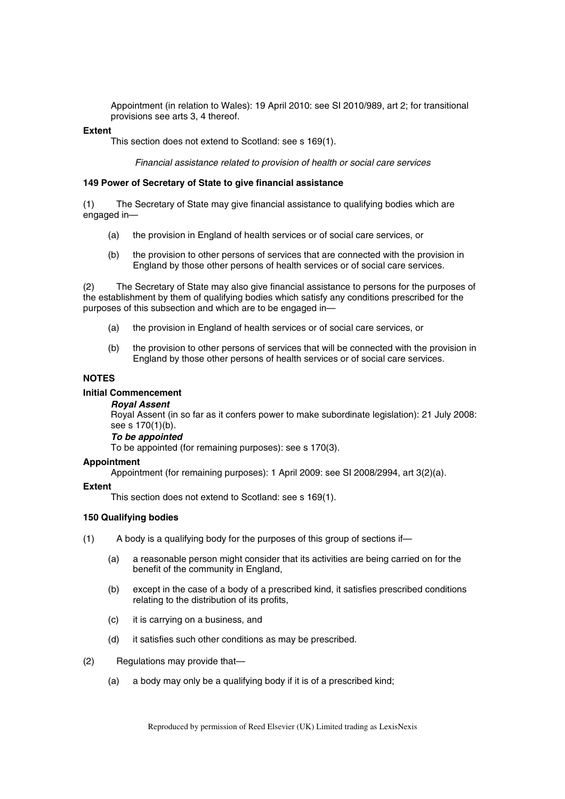Appointment (in relation to Wales): 19 April 2010: see SI 2010/989, art 2; for transitional provisions see arts 3, 4 thereof.

#### **Extent**

This section does not extend to Scotland: see s 169(1).

*Financial assistance related to provision of health or social care services* 

## **149 Power of Secretary of State to give financial assistance**

(1) The Secretary of State may give financial assistance to qualifying bodies which are engaged in—

- (a) the provision in England of health services or of social care services, or
- (b) the provision to other persons of services that are connected with the provision in England by those other persons of health services or of social care services.

(2) The Secretary of State may also give financial assistance to persons for the purposes of the establishment by them of qualifying bodies which satisfy any conditions prescribed for the purposes of this subsection and which are to be engaged in—

- (a) the provision in England of health services or of social care services, or
- (b) the provision to other persons of services that will be connected with the provision in England by those other persons of health services or of social care services.

# **NOTES**

#### **Initial Commencement**

#### *Royal Assent*

Royal Assent (in so far as it confers power to make subordinate legislation): 21 July 2008: see s 170(1)(b).

# *To be appointed*

To be appointed (for remaining purposes): see s 170(3).

#### **Appointment**

Appointment (for remaining purposes): 1 April 2009: see SI 2008/2994, art 3(2)(a).

#### **Extent**

This section does not extend to Scotland: see s 169(1).

# **150 Qualifying bodies**

- (1) A body is a qualifying body for the purposes of this group of sections if—
	- (a) a reasonable person might consider that its activities are being carried on for the benefit of the community in England,
	- (b) except in the case of a body of a prescribed kind, it satisfies prescribed conditions relating to the distribution of its profits,
	- (c) it is carrying on a business, and
	- (d) it satisfies such other conditions as may be prescribed.
- (2) Regulations may provide that—
	- (a) a body may only be a qualifying body if it is of a prescribed kind;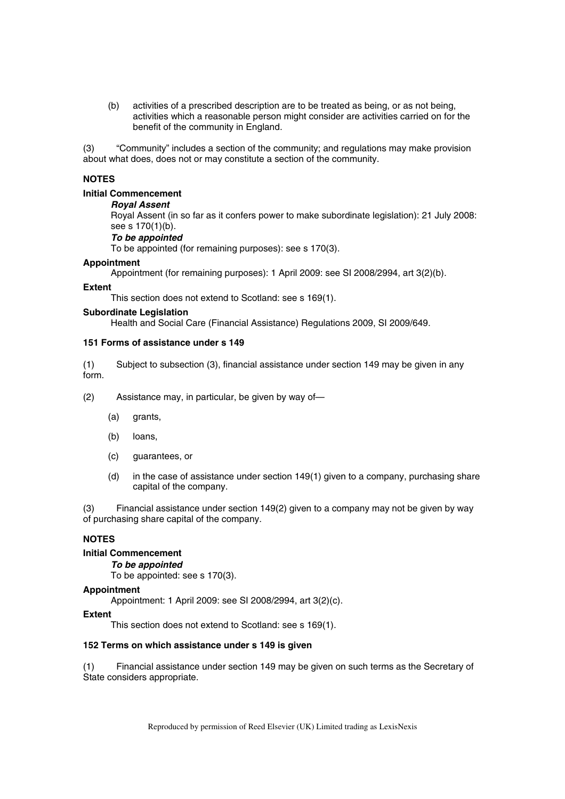(b) activities of a prescribed description are to be treated as being, or as not being, activities which a reasonable person might consider are activities carried on for the benefit of the community in England.

(3) "Community" includes a section of the community; and regulations may make provision about what does, does not or may constitute a section of the community.

## **NOTES**

#### **Initial Commencement**

#### *Royal Assent*

Royal Assent (in so far as it confers power to make subordinate legislation): 21 July 2008: see s 170(1)(b).

## *To be appointed*

To be appointed (for remaining purposes): see s 170(3).

#### **Appointment**

Appointment (for remaining purposes): 1 April 2009: see SI 2008/2994, art 3(2)(b).

#### **Extent**

This section does not extend to Scotland: see s 169(1).

#### **Subordinate Legislation**

Health and Social Care (Financial Assistance) Regulations 2009, SI 2009/649.

## **151 Forms of assistance under s 149**

(1) Subject to subsection (3), financial assistance under section 149 may be given in any form.

(2) Assistance may, in particular, be given by way of—

- (a) grants,
- (b) loans,
- (c) guarantees, or
- (d) in the case of assistance under section  $149(1)$  given to a company, purchasing share capital of the company.

(3) Financial assistance under section 149(2) given to a company may not be given by way of purchasing share capital of the company.

## **NOTES**

## **Initial Commencement**

*To be appointed* 

To be appointed: see s 170(3).

# **Appointment**

Appointment: 1 April 2009: see SI 2008/2994, art 3(2)(c).

#### **Extent**

This section does not extend to Scotland: see s 169(1).

#### **152 Terms on which assistance under s 149 is given**

(1) Financial assistance under section 149 may be given on such terms as the Secretary of State considers appropriate.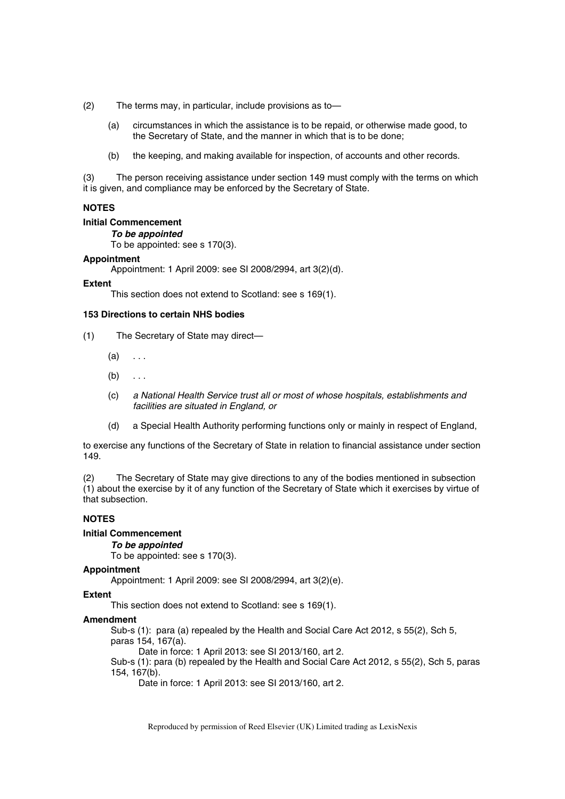(2) The terms may, in particular, include provisions as to—

- (a) circumstances in which the assistance is to be repaid, or otherwise made good, to the Secretary of State, and the manner in which that is to be done;
- (b) the keeping, and making available for inspection, of accounts and other records.

(3) The person receiving assistance under section 149 must comply with the terms on which it is given, and compliance may be enforced by the Secretary of State.

#### **NOTES**

## **Initial Commencement**

*To be appointed* 

To be appointed: see s 170(3).

#### **Appointment**

Appointment: 1 April 2009: see SI 2008/2994, art 3(2)(d).

#### **Extent**

This section does not extend to Scotland: see s 169(1).

#### **153 Directions to certain NHS bodies**

- (1) The Secretary of State may direct—
	- $(a) \dots$
	- $(b) \ldots$
	- (c) *a National Health Service trust all or most of whose hospitals, establishments and facilities are situated in England, or*
	- (d) a Special Health Authority performing functions only or mainly in respect of England,

to exercise any functions of the Secretary of State in relation to financial assistance under section 149.

(2) The Secretary of State may give directions to any of the bodies mentioned in subsection (1) about the exercise by it of any function of the Secretary of State which it exercises by virtue of that subsection.

## **NOTES**

## **Initial Commencement**

#### *To be appointed*

To be appointed: see s 170(3).

#### **Appointment**

Appointment: 1 April 2009: see SI 2008/2994, art 3(2)(e).

#### **Extent**

This section does not extend to Scotland: see s 169(1).

#### **Amendment**

Sub-s (1): para (a) repealed by the Health and Social Care Act 2012, s 55(2), Sch 5, paras 154, 167(a).

Date in force: 1 April 2013: see SI 2013/160, art 2.

Sub-s (1): para (b) repealed by the Health and Social Care Act 2012, s 55(2), Sch 5, paras 154, 167(b).

Date in force: 1 April 2013: see SI 2013/160, art 2.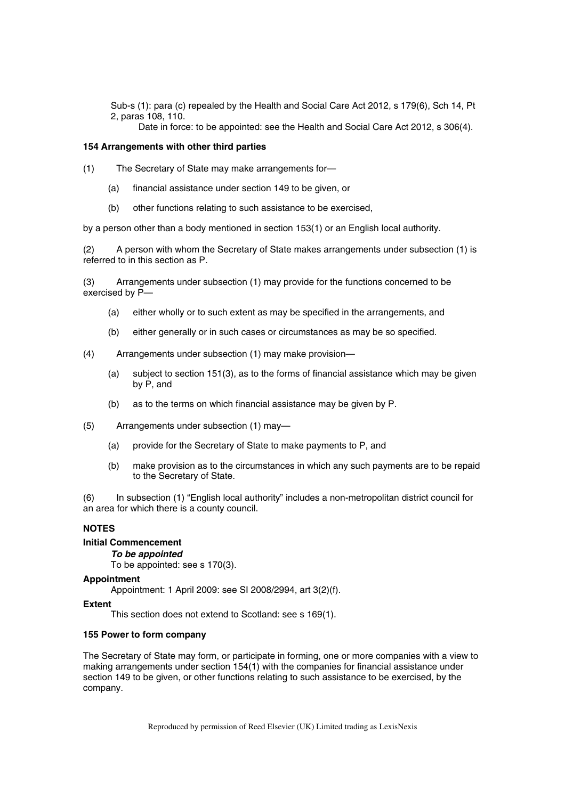Sub-s (1): para (c) repealed by the Health and Social Care Act 2012, s 179(6), Sch 14, Pt 2, paras 108, 110.

Date in force: to be appointed: see the Health and Social Care Act 2012, s 306(4).

#### **154 Arrangements with other third parties**

(1) The Secretary of State may make arrangements for—

- (a) financial assistance under section 149 to be given, or
- (b) other functions relating to such assistance to be exercised,

by a person other than a body mentioned in section 153(1) or an English local authority.

(2) A person with whom the Secretary of State makes arrangements under subsection (1) is referred to in this section as P.

(3) Arrangements under subsection (1) may provide for the functions concerned to be exercised by P—

- (a) either wholly or to such extent as may be specified in the arrangements, and
- (b) either generally or in such cases or circumstances as may be so specified.
- (4) Arrangements under subsection (1) may make provision—
	- (a) subject to section 151(3), as to the forms of financial assistance which may be given by P, and
	- (b) as to the terms on which financial assistance may be given by P.
- (5) Arrangements under subsection (1) may—
	- (a) provide for the Secretary of State to make payments to P, and
	- (b) make provision as to the circumstances in which any such payments are to be repaid to the Secretary of State.

(6) In subsection (1) "English local authority" includes a non-metropolitan district council for an area for which there is a county council.

## **NOTES**

#### **Initial Commencement**

## *To be appointed*

To be appointed: see s 170(3).

#### **Appointment**

Appointment: 1 April 2009: see SI 2008/2994, art 3(2)(f).

#### **Extent**

This section does not extend to Scotland: see s 169(1).

#### **155 Power to form company**

The Secretary of State may form, or participate in forming, one or more companies with a view to making arrangements under section 154(1) with the companies for financial assistance under section 149 to be given, or other functions relating to such assistance to be exercised, by the company.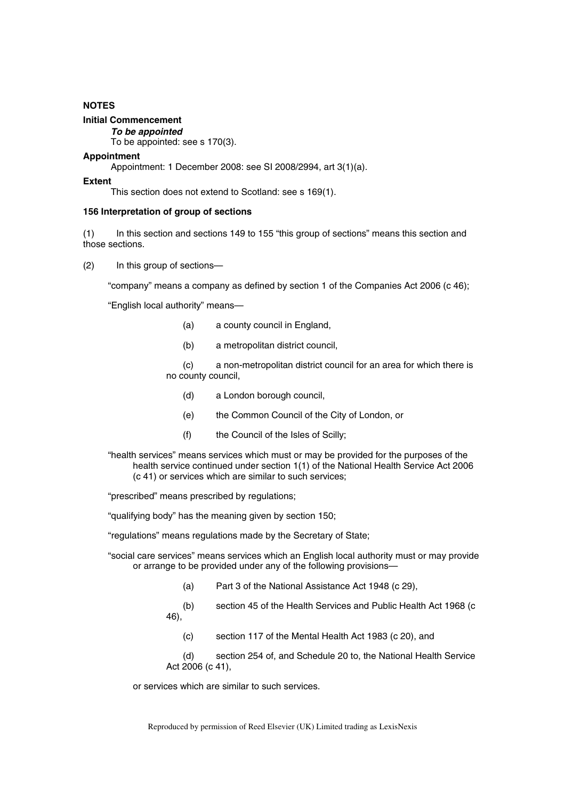## **NOTES**

## **Initial Commencement**

*To be appointed* 

To be appointed: see s 170(3).

#### **Appointment**

Appointment: 1 December 2008: see SI 2008/2994, art 3(1)(a).

#### **Extent**

This section does not extend to Scotland: see s 169(1).

### **156 Interpretation of group of sections**

(1) In this section and sections 149 to 155 "this group of sections" means this section and those sections.

(2) In this group of sections—

"company" means a company as defined by section 1 of the Companies Act 2006 (c 46);

"English local authority" means—

- (a) a county council in England,
- (b) a metropolitan district council,

(c) a non-metropolitan district council for an area for which there is no county council,

- (d) a London borough council,
- (e) the Common Council of the City of London, or
- (f) the Council of the Isles of Scilly;

"health services" means services which must or may be provided for the purposes of the health service continued under section 1(1) of the National Health Service Act 2006 (c 41) or services which are similar to such services;

"prescribed" means prescribed by regulations;

"qualifying body" has the meaning given by section 150;

"regulations" means regulations made by the Secretary of State;

"social care services" means services which an English local authority must or may provide or arrange to be provided under any of the following provisions—

- (a) Part 3 of the National Assistance Act 1948 (c 29),
- (b) section 45 of the Health Services and Public Health Act 1968 (c 46),
	- (c) section 117 of the Mental Health Act 1983 (c 20), and

(d) section 254 of, and Schedule 20 to, the National Health Service Act 2006 (c 41),

or services which are similar to such services.

Reproduced by permission of Reed Elsevier (UK) Limited trading as LexisNexis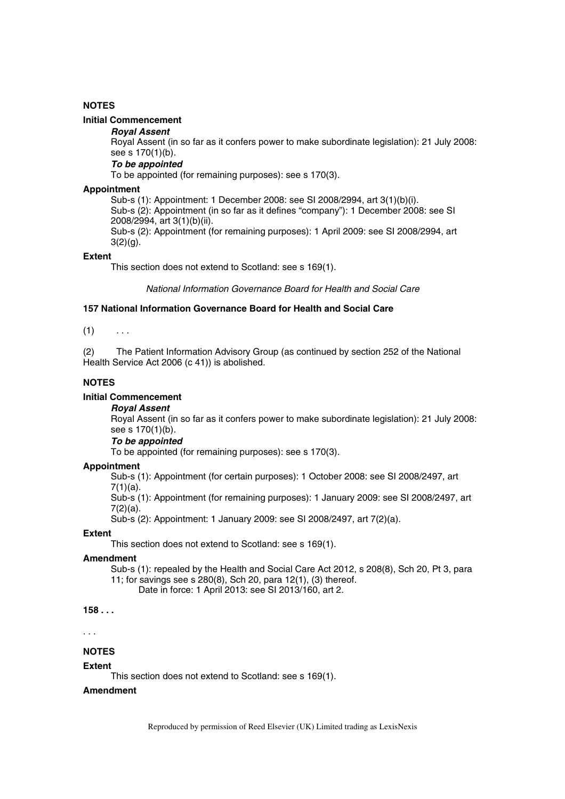## **NOTES**

## **Initial Commencement**

#### *Royal Assent*

Royal Assent (in so far as it confers power to make subordinate legislation): 21 July 2008: see s 170(1)(b).

#### *To be appointed*

To be appointed (for remaining purposes): see s 170(3).

#### **Appointment**

Sub-s (1): Appointment: 1 December 2008: see SI 2008/2994, art 3(1)(b)(i). Sub-s (2): Appointment (in so far as it defines "company"): 1 December 2008: see SI 2008/2994, art 3(1)(b)(ii).

Sub-s (2): Appointment (for remaining purposes): 1 April 2009: see SI 2008/2994, art  $3(2)(g)$ .

### **Extent**

This section does not extend to Scotland: see s 169(1).

*National Information Governance Board for Health and Social Care* 

#### **157 National Information Governance Board for Health and Social Care**

 $(1)$  ...

(2) The Patient Information Advisory Group (as continued by section 252 of the National Health Service Act 2006 (c 41)) is abolished.

#### **NOTES**

#### **Initial Commencement**

*Royal Assent* 

Royal Assent (in so far as it confers power to make subordinate legislation): 21 July 2008: see s 170(1)(b).

*To be appointed* 

To be appointed (for remaining purposes): see s 170(3).

#### **Appointment**

Sub-s (1): Appointment (for certain purposes): 1 October 2008: see SI 2008/2497, art 7(1)(a).

Sub-s (1): Appointment (for remaining purposes): 1 January 2009: see SI 2008/2497, art 7(2)(a).

Sub-s (2): Appointment: 1 January 2009: see SI 2008/2497, art 7(2)(a).

## **Extent**

This section does not extend to Scotland: see s 169(1).

## **Amendment**

Sub-s (1): repealed by the Health and Social Care Act 2012, s 208(8), Sch 20, Pt 3, para 11; for savings see s 280(8), Sch 20, para 12(1), (3) thereof. Date in force: 1 April 2013: see SI 2013/160, art 2.

**158 . . .** 

## . . .

## **NOTES**

#### **Extent**

This section does not extend to Scotland: see s 169(1).

## **Amendment**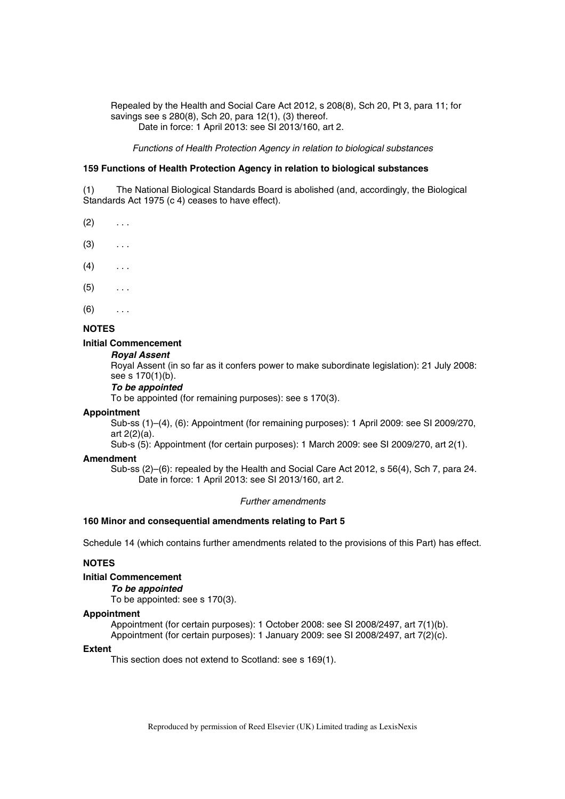Repealed by the Health and Social Care Act 2012, s 208(8), Sch 20, Pt 3, para 11; for savings see s 280(8), Sch 20, para 12(1), (3) thereof. Date in force: 1 April 2013: see SI 2013/160, art 2.

*Functions of Health Protection Agency in relation to biological substances* 

## **159 Functions of Health Protection Agency in relation to biological substances**

(1) The National Biological Standards Board is abolished (and, accordingly, the Biological Standards Act 1975 (c 4) ceases to have effect).

- $(2) \quad \ldots$
- $(3)$  ...
- $(4)$  ...
- $(5)$  ...
- $(6)$  ...

## **NOTES**

#### **Initial Commencement**

*Royal Assent* 

Royal Assent (in so far as it confers power to make subordinate legislation): 21 July 2008: see s 170(1)(b).

#### *To be appointed*

To be appointed (for remaining purposes): see s 170(3).

#### **Appointment**

Sub-ss (1)–(4), (6): Appointment (for remaining purposes): 1 April 2009: see SI 2009/270, art 2(2)(a).

Sub-s (5): Appointment (for certain purposes): 1 March 2009: see SI 2009/270, art 2(1).

#### **Amendment**

Sub-ss (2)–(6): repealed by the Health and Social Care Act 2012, s 56(4), Sch 7, para 24. Date in force: 1 April 2013: see SI 2013/160, art 2.

#### *Further amendments*

#### **160 Minor and consequential amendments relating to Part 5**

Schedule 14 (which contains further amendments related to the provisions of this Part) has effect.

## **NOTES**

#### **Initial Commencement**

*To be appointed* 

To be appointed: see s 170(3).

#### **Appointment**

Appointment (for certain purposes): 1 October 2008: see SI 2008/2497, art 7(1)(b).

Appointment (for certain purposes): 1 January 2009: see SI 2008/2497, art 7(2)(c).

#### **Extent**

This section does not extend to Scotland: see s 169(1).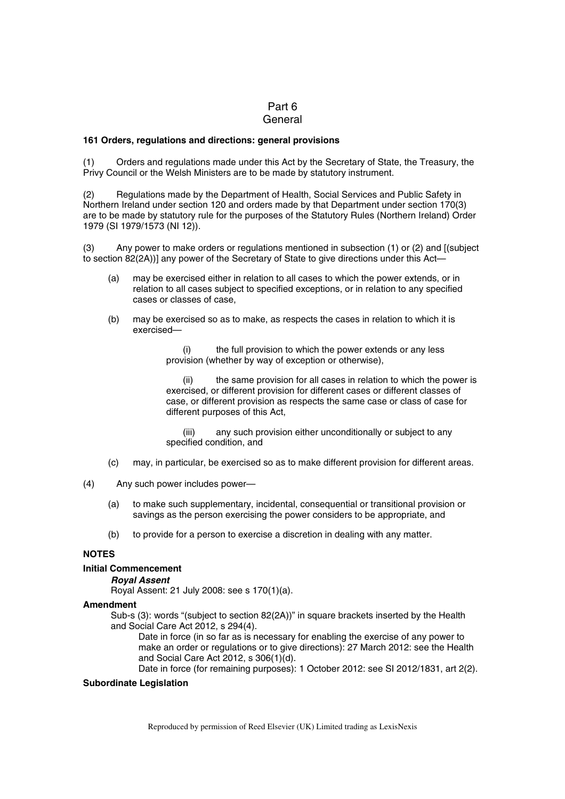## Part 6 **General**

#### **161 Orders, regulations and directions: general provisions**

(1) Orders and regulations made under this Act by the Secretary of State, the Treasury, the Privy Council or the Welsh Ministers are to be made by statutory instrument.

(2) Regulations made by the Department of Health, Social Services and Public Safety in Northern Ireland under section 120 and orders made by that Department under section 170(3) are to be made by statutory rule for the purposes of the Statutory Rules (Northern Ireland) Order 1979 (SI 1979/1573 (NI 12)).

(3) Any power to make orders or regulations mentioned in subsection (1) or (2) and [(subject to section 82(2A))] any power of the Secretary of State to give directions under this Act—

- (a) may be exercised either in relation to all cases to which the power extends, or in relation to all cases subject to specified exceptions, or in relation to any specified cases or classes of case,
- (b) may be exercised so as to make, as respects the cases in relation to which it is exercised—

(i) the full provision to which the power extends or any less provision (whether by way of exception or otherwise),

the same provision for all cases in relation to which the power is exercised, or different provision for different cases or different classes of case, or different provision as respects the same case or class of case for different purposes of this Act,

(iii) any such provision either unconditionally or subject to any specified condition, and

- (c) may, in particular, be exercised so as to make different provision for different areas.
- (4) Any such power includes power—
	- (a) to make such supplementary, incidental, consequential or transitional provision or savings as the person exercising the power considers to be appropriate, and
	- (b) to provide for a person to exercise a discretion in dealing with any matter.

## **NOTES**

#### **Initial Commencement**

#### *Royal Assent*

Royal Assent: 21 July 2008: see s 170(1)(a).

#### **Amendment**

Sub-s (3): words "(subject to section 82(2A))" in square brackets inserted by the Health and Social Care Act 2012, s 294(4).

Date in force (in so far as is necessary for enabling the exercise of any power to make an order or regulations or to give directions): 27 March 2012: see the Health and Social Care Act 2012, s 306(1)(d).

Date in force (for remaining purposes): 1 October 2012: see SI 2012/1831, art 2(2).

#### **Subordinate Legislation**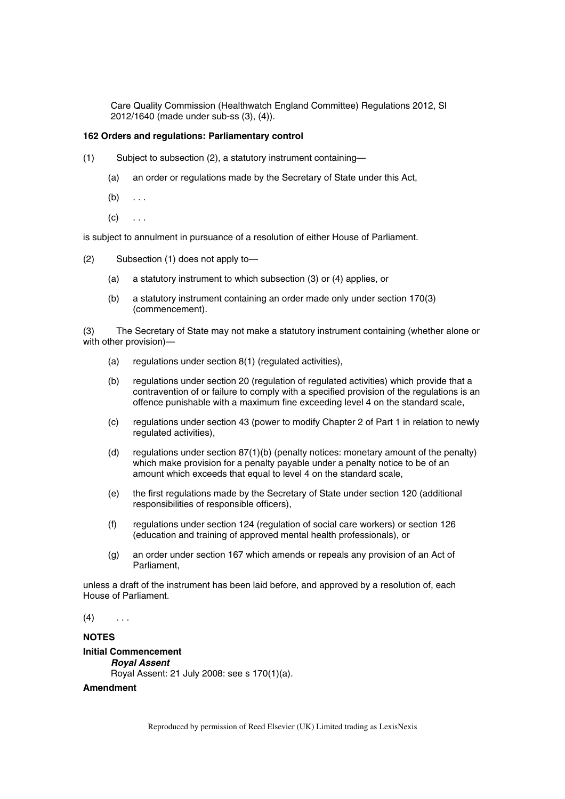Care Quality Commission (Healthwatch England Committee) Regulations 2012, SI 2012/1640 (made under sub-ss (3), (4)).

#### **162 Orders and regulations: Parliamentary control**

- (1) Subject to subsection (2), a statutory instrument containing—
	- (a) an order or regulations made by the Secretary of State under this Act,
	- $(b) \ldots$
	- $(c) \quad \ldots$

is subject to annulment in pursuance of a resolution of either House of Parliament.

- (2) Subsection (1) does not apply to—
	- (a) a statutory instrument to which subsection (3) or (4) applies, or
	- (b) a statutory instrument containing an order made only under section 170(3) (commencement).

(3) The Secretary of State may not make a statutory instrument containing (whether alone or with other provision)—

- (a) regulations under section 8(1) (regulated activities),
- (b) regulations under section 20 (regulation of regulated activities) which provide that a contravention of or failure to comply with a specified provision of the regulations is an offence punishable with a maximum fine exceeding level 4 on the standard scale,
- (c) regulations under section 43 (power to modify Chapter 2 of Part 1 in relation to newly regulated activities),
- (d) regulations under section 87(1)(b) (penalty notices: monetary amount of the penalty) which make provision for a penalty payable under a penalty notice to be of an amount which exceeds that equal to level 4 on the standard scale,
- (e) the first regulations made by the Secretary of State under section 120 (additional responsibilities of responsible officers),
- (f) regulations under section 124 (regulation of social care workers) or section 126 (education and training of approved mental health professionals), or
- (g) an order under section 167 which amends or repeals any provision of an Act of Parliament,

unless a draft of the instrument has been laid before, and approved by a resolution of, each House of Parliament.

 $(4)$  ...

#### **NOTES**

## **Initial Commencement**

*Royal Assent*  Royal Assent: 21 July 2008: see s 170(1)(a).

#### **Amendment**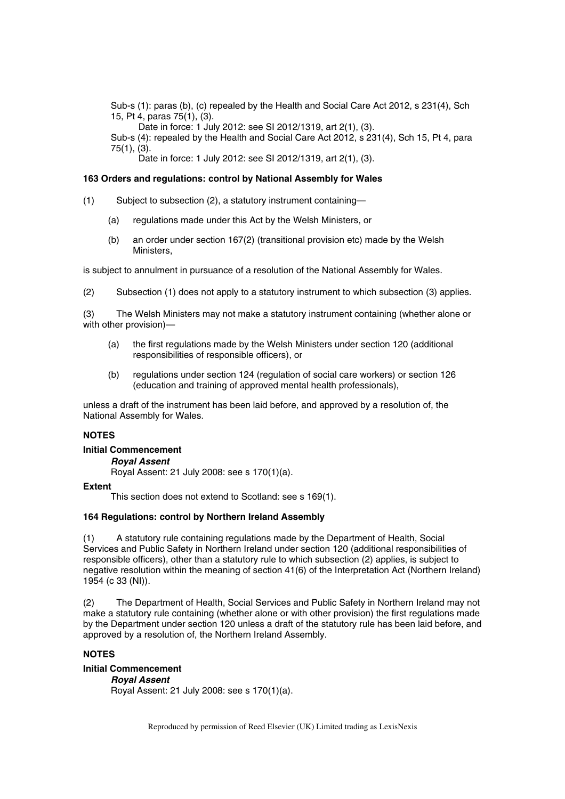Sub-s (1): paras (b), (c) repealed by the Health and Social Care Act 2012, s 231(4), Sch 15, Pt 4, paras 75(1), (3).

Date in force: 1 July 2012: see SI 2012/1319, art 2(1), (3).

Sub-s (4): repealed by the Health and Social Care Act 2012, s 231(4), Sch 15, Pt 4, para 75(1), (3).

Date in force: 1 July 2012: see SI 2012/1319, art 2(1), (3).

#### **163 Orders and regulations: control by National Assembly for Wales**

- (1) Subject to subsection (2), a statutory instrument containing—
	- (a) regulations made under this Act by the Welsh Ministers, or
	- (b) an order under section 167(2) (transitional provision etc) made by the Welsh Ministers,

is subject to annulment in pursuance of a resolution of the National Assembly for Wales.

(2) Subsection (1) does not apply to a statutory instrument to which subsection (3) applies.

(3) The Welsh Ministers may not make a statutory instrument containing (whether alone or with other provision)—

- (a) the first regulations made by the Welsh Ministers under section 120 (additional responsibilities of responsible officers), or
- (b) regulations under section 124 (regulation of social care workers) or section 126 (education and training of approved mental health professionals),

unless a draft of the instrument has been laid before, and approved by a resolution of, the National Assembly for Wales.

## **NOTES**

#### **Initial Commencement**

*Royal Assent* 

Royal Assent: 21 July 2008: see s 170(1)(a).

#### **Extent**

This section does not extend to Scotland: see s 169(1).

## **164 Regulations: control by Northern Ireland Assembly**

(1) A statutory rule containing regulations made by the Department of Health, Social Services and Public Safety in Northern Ireland under section 120 (additional responsibilities of responsible officers), other than a statutory rule to which subsection (2) applies, is subject to negative resolution within the meaning of section 41(6) of the Interpretation Act (Northern Ireland) 1954 (c 33 (NI)).

(2) The Department of Health, Social Services and Public Safety in Northern Ireland may not make a statutory rule containing (whether alone or with other provision) the first regulations made by the Department under section 120 unless a draft of the statutory rule has been laid before, and approved by a resolution of, the Northern Ireland Assembly.

## **NOTES**

**Initial Commencement**  *Royal Assent* 

Royal Assent: 21 July 2008: see s 170(1)(a).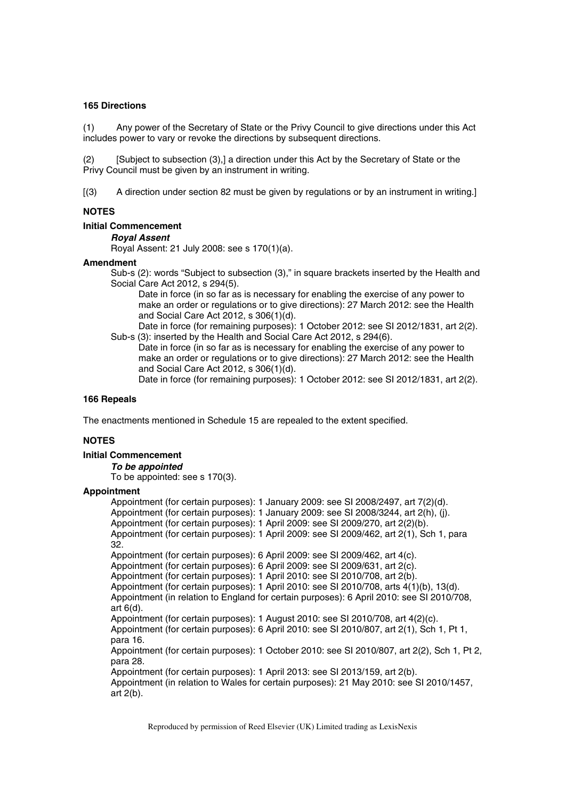## **165 Directions**

(1) Any power of the Secretary of State or the Privy Council to give directions under this Act includes power to vary or revoke the directions by subsequent directions.

(2) [Subject to subsection (3),] a direction under this Act by the Secretary of State or the Privy Council must be given by an instrument in writing.

[(3) A direction under section 82 must be given by regulations or by an instrument in writing.]

## **NOTES**

#### **Initial Commencement**

#### *Royal Assent*

Royal Assent: 21 July 2008: see s 170(1)(a).

#### **Amendment**

Sub-s (2): words "Subject to subsection (3)," in square brackets inserted by the Health and Social Care Act 2012, s 294(5).

Date in force (in so far as is necessary for enabling the exercise of any power to make an order or regulations or to give directions): 27 March 2012: see the Health and Social Care Act 2012, s 306(1)(d).

Date in force (for remaining purposes): 1 October 2012: see SI 2012/1831, art 2(2). Sub-s (3): inserted by the Health and Social Care Act 2012, s 294(6).

Date in force (in so far as is necessary for enabling the exercise of any power to make an order or regulations or to give directions): 27 March 2012: see the Health and Social Care Act 2012, s 306(1)(d).

Date in force (for remaining purposes): 1 October 2012: see SI 2012/1831, art 2(2).

## **166 Repeals**

The enactments mentioned in Schedule 15 are repealed to the extent specified.

## **NOTES**

## **Initial Commencement**

*To be appointed* 

To be appointed: see s 170(3).

## **Appointment**

Appointment (for certain purposes): 1 January 2009: see SI 2008/2497, art 7(2)(d). Appointment (for certain purposes): 1 January 2009: see SI 2008/3244, art 2(h), (j). Appointment (for certain purposes): 1 April 2009: see SI 2009/270, art 2(2)(b). Appointment (for certain purposes): 1 April 2009: see SI 2009/462, art 2(1), Sch 1, para 32. Appointment (for certain purposes): 6 April 2009: see SI 2009/462, art 4(c). Appointment (for certain purposes): 6 April 2009: see SI 2009/631, art 2(c). Appointment (for certain purposes): 1 April 2010: see SI 2010/708, art 2(b). Appointment (for certain purposes): 1 April 2010: see SI 2010/708, arts 4(1)(b), 13(d). Appointment (in relation to England for certain purposes): 6 April 2010: see SI 2010/708, art 6(d). Appointment (for certain purposes): 1 August 2010: see SI 2010/708, art 4(2)(c). Appointment (for certain purposes): 6 April 2010: see SI 2010/807, art 2(1), Sch 1, Pt 1, para 16. Appointment (for certain purposes): 1 October 2010: see SI 2010/807, art 2(2), Sch 1, Pt 2, para 28. Appointment (for certain purposes): 1 April 2013: see SI 2013/159, art 2(b). Appointment (in relation to Wales for certain purposes): 21 May 2010: see SI 2010/1457, art 2(b).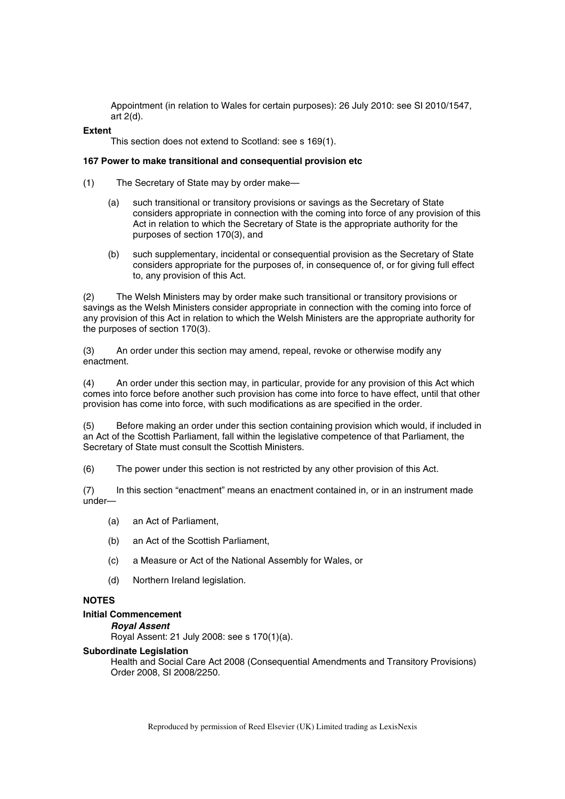Appointment (in relation to Wales for certain purposes): 26 July 2010: see SI 2010/1547, art 2(d).

#### **Extent**

This section does not extend to Scotland: see s 169(1).

## **167 Power to make transitional and consequential provision etc**

- (1) The Secretary of State may by order make—
	- (a) such transitional or transitory provisions or savings as the Secretary of State considers appropriate in connection with the coming into force of any provision of this Act in relation to which the Secretary of State is the appropriate authority for the purposes of section 170(3), and
	- (b) such supplementary, incidental or consequential provision as the Secretary of State considers appropriate for the purposes of, in consequence of, or for giving full effect to, any provision of this Act.

(2) The Welsh Ministers may by order make such transitional or transitory provisions or savings as the Welsh Ministers consider appropriate in connection with the coming into force of any provision of this Act in relation to which the Welsh Ministers are the appropriate authority for the purposes of section 170(3).

(3) An order under this section may amend, repeal, revoke or otherwise modify any enactment.

(4) An order under this section may, in particular, provide for any provision of this Act which comes into force before another such provision has come into force to have effect, until that other provision has come into force, with such modifications as are specified in the order.

(5) Before making an order under this section containing provision which would, if included in an Act of the Scottish Parliament, fall within the legislative competence of that Parliament, the Secretary of State must consult the Scottish Ministers.

(6) The power under this section is not restricted by any other provision of this Act.

(7) In this section "enactment" means an enactment contained in, or in an instrument made under—

- (a) an Act of Parliament,
- (b) an Act of the Scottish Parliament,
- (c) a Measure or Act of the National Assembly for Wales, or
- (d) Northern Ireland legislation.

# **NOTES**

#### **Initial Commencement**

*Royal Assent* 

Royal Assent: 21 July 2008: see s 170(1)(a).

#### **Subordinate Legislation**

Health and Social Care Act 2008 (Consequential Amendments and Transitory Provisions) Order 2008, SI 2008/2250.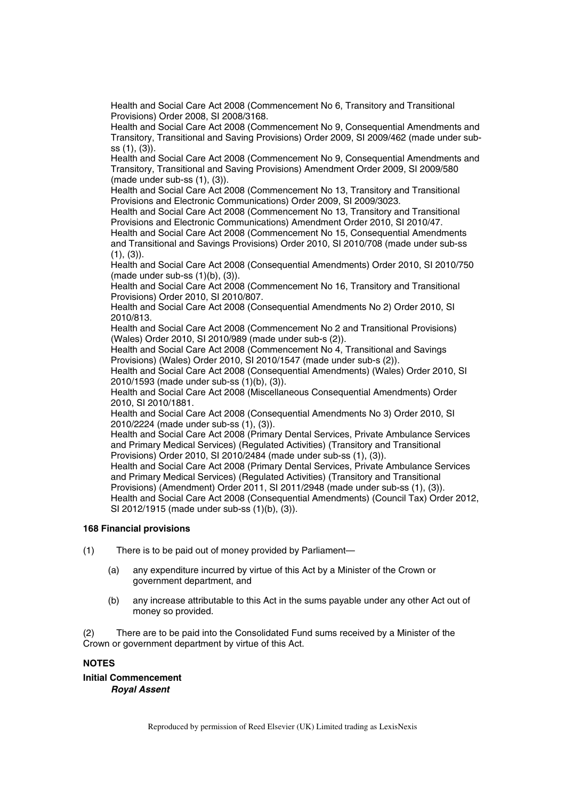Health and Social Care Act 2008 (Commencement No 6, Transitory and Transitional Provisions) Order 2008, SI 2008/3168.

Health and Social Care Act 2008 (Commencement No 9, Consequential Amendments and Transitory, Transitional and Saving Provisions) Order 2009, SI 2009/462 (made under subss (1), (3)).

Health and Social Care Act 2008 (Commencement No 9, Consequential Amendments and Transitory, Transitional and Saving Provisions) Amendment Order 2009, SI 2009/580 (made under sub-ss (1), (3)).

Health and Social Care Act 2008 (Commencement No 13, Transitory and Transitional Provisions and Electronic Communications) Order 2009, SI 2009/3023.

Health and Social Care Act 2008 (Commencement No 13, Transitory and Transitional Provisions and Electronic Communications) Amendment Order 2010, SI 2010/47.

Health and Social Care Act 2008 (Commencement No 15, Consequential Amendments and Transitional and Savings Provisions) Order 2010, SI 2010/708 (made under sub-ss  $(1), (3)$ ).

Health and Social Care Act 2008 (Consequential Amendments) Order 2010, SI 2010/750 (made under sub-ss  $(1)(b)$ ,  $(3)$ ).

Health and Social Care Act 2008 (Commencement No 16, Transitory and Transitional Provisions) Order 2010, SI 2010/807.

Health and Social Care Act 2008 (Consequential Amendments No 2) Order 2010, SI 2010/813.

Health and Social Care Act 2008 (Commencement No 2 and Transitional Provisions) (Wales) Order 2010, SI 2010/989 (made under sub-s (2)).

Health and Social Care Act 2008 (Commencement No 4, Transitional and Savings Provisions) (Wales) Order 2010, SI 2010/1547 (made under sub-s (2)).

Health and Social Care Act 2008 (Consequential Amendments) (Wales) Order 2010, SI 2010/1593 (made under sub-ss (1)(b), (3)).

Health and Social Care Act 2008 (Miscellaneous Consequential Amendments) Order 2010, SI 2010/1881.

Health and Social Care Act 2008 (Consequential Amendments No 3) Order 2010, SI 2010/2224 (made under sub-ss (1), (3)).

Health and Social Care Act 2008 (Primary Dental Services, Private Ambulance Services and Primary Medical Services) (Regulated Activities) (Transitory and Transitional Provisions) Order 2010, SI 2010/2484 (made under sub-ss (1), (3)).

Health and Social Care Act 2008 (Primary Dental Services, Private Ambulance Services and Primary Medical Services) (Regulated Activities) (Transitory and Transitional Provisions) (Amendment) Order 2011, SI 2011/2948 (made under sub-ss (1), (3)). Health and Social Care Act 2008 (Consequential Amendments) (Council Tax) Order 2012, SI 2012/1915 (made under sub-ss (1)(b), (3)).

## **168 Financial provisions**

- (1) There is to be paid out of money provided by Parliament—
	- (a) any expenditure incurred by virtue of this Act by a Minister of the Crown or government department, and
	- (b) any increase attributable to this Act in the sums payable under any other Act out of money so provided.

(2) There are to be paid into the Consolidated Fund sums received by a Minister of the Crown or government department by virtue of this Act.

## **NOTES**

**Initial Commencement**  *Royal Assent*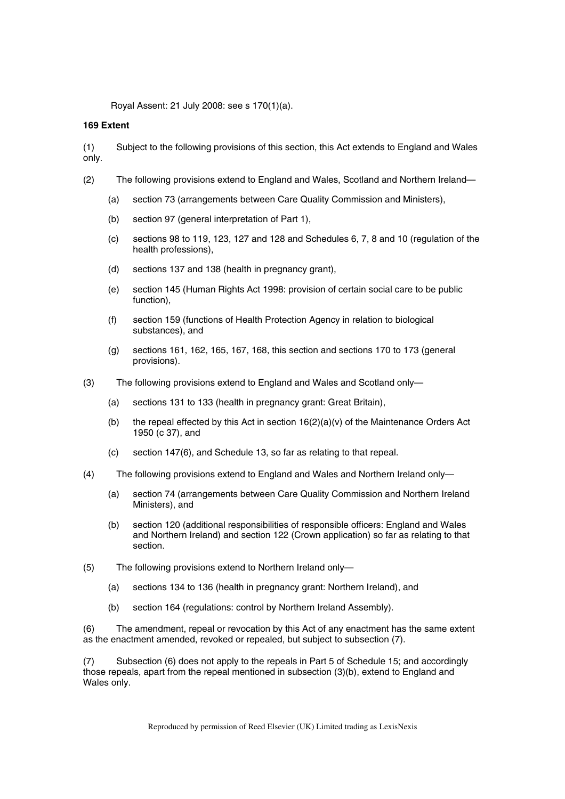Royal Assent: 21 July 2008: see s 170(1)(a).

#### **169 Extent**

(1) Subject to the following provisions of this section, this Act extends to England and Wales only.

- (2) The following provisions extend to England and Wales, Scotland and Northern Ireland—
	- (a) section 73 (arrangements between Care Quality Commission and Ministers),
	- (b) section 97 (general interpretation of Part 1),
	- (c) sections 98 to 119, 123, 127 and 128 and Schedules 6, 7, 8 and 10 (regulation of the health professions),
	- (d) sections 137 and 138 (health in pregnancy grant),
	- (e) section 145 (Human Rights Act 1998: provision of certain social care to be public function),
	- (f) section 159 (functions of Health Protection Agency in relation to biological substances), and
	- (g) sections 161, 162, 165, 167, 168, this section and sections 170 to 173 (general provisions).
- (3) The following provisions extend to England and Wales and Scotland only—
	- (a) sections 131 to 133 (health in pregnancy grant: Great Britain),
	- (b) the repeal effected by this Act in section  $16(2)(a)(v)$  of the Maintenance Orders Act 1950 (c 37), and
	- (c) section 147(6), and Schedule 13, so far as relating to that repeal.
- (4) The following provisions extend to England and Wales and Northern Ireland only—
	- (a) section 74 (arrangements between Care Quality Commission and Northern Ireland Ministers), and
	- (b) section 120 (additional responsibilities of responsible officers: England and Wales and Northern Ireland) and section 122 (Crown application) so far as relating to that section.
- (5) The following provisions extend to Northern Ireland only—
	- (a) sections 134 to 136 (health in pregnancy grant: Northern Ireland), and
	- (b) section 164 (regulations: control by Northern Ireland Assembly).

(6) The amendment, repeal or revocation by this Act of any enactment has the same extent as the enactment amended, revoked or repealed, but subject to subsection (7).

(7) Subsection (6) does not apply to the repeals in Part 5 of Schedule 15; and accordingly those repeals, apart from the repeal mentioned in subsection (3)(b), extend to England and Wales only.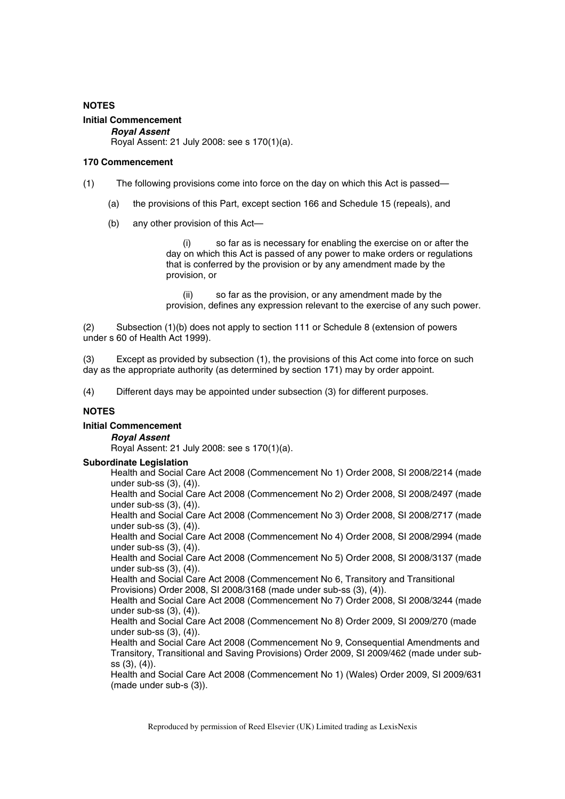## **NOTES**

## **Initial Commencement**

*Royal Assent*  Royal Assent: 21 July 2008: see s 170(1)(a).

#### **170 Commencement**

- (1) The following provisions come into force on the day on which this Act is passed—
	- (a) the provisions of this Part, except section 166 and Schedule 15 (repeals), and
	- (b) any other provision of this Act—

(i) so far as is necessary for enabling the exercise on or after the day on which this Act is passed of any power to make orders or regulations that is conferred by the provision or by any amendment made by the provision, or

(ii) so far as the provision, or any amendment made by the provision, defines any expression relevant to the exercise of any such power.

(2) Subsection (1)(b) does not apply to section 111 or Schedule 8 (extension of powers under s 60 of Health Act 1999).

(3) Except as provided by subsection (1), the provisions of this Act come into force on such day as the appropriate authority (as determined by section 171) may by order appoint.

(4) Different days may be appointed under subsection (3) for different purposes.

## **NOTES**

## **Initial Commencement**

#### *Royal Assent*

Royal Assent: 21 July 2008: see s 170(1)(a).

#### **Subordinate Legislation**

Health and Social Care Act 2008 (Commencement No 1) Order 2008, SI 2008/2214 (made under sub-ss (3), (4)).

Health and Social Care Act 2008 (Commencement No 2) Order 2008, SI 2008/2497 (made under sub-ss (3), (4)).

Health and Social Care Act 2008 (Commencement No 3) Order 2008, SI 2008/2717 (made under sub-ss (3), (4)).

Health and Social Care Act 2008 (Commencement No 4) Order 2008, SI 2008/2994 (made under sub-ss (3), (4)).

Health and Social Care Act 2008 (Commencement No 5) Order 2008, SI 2008/3137 (made under sub-ss (3), (4)).

Health and Social Care Act 2008 (Commencement No 6, Transitory and Transitional Provisions) Order 2008, SI 2008/3168 (made under sub-ss (3), (4)).

Health and Social Care Act 2008 (Commencement No 7) Order 2008, SI 2008/3244 (made under sub-ss (3), (4)).

Health and Social Care Act 2008 (Commencement No 8) Order 2009, SI 2009/270 (made under sub-ss (3), (4)).

Health and Social Care Act 2008 (Commencement No 9, Consequential Amendments and Transitory, Transitional and Saving Provisions) Order 2009, SI 2009/462 (made under subss (3), (4)).

Health and Social Care Act 2008 (Commencement No 1) (Wales) Order 2009, SI 2009/631 (made under sub-s (3)).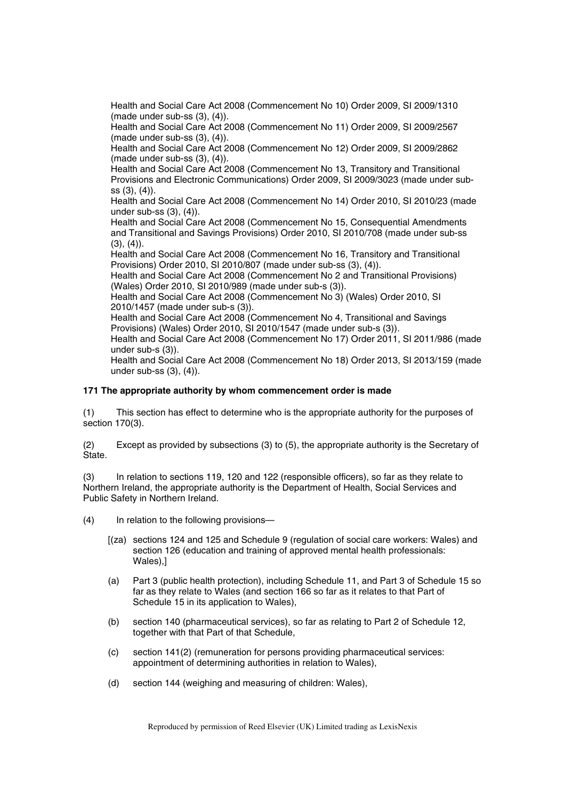Health and Social Care Act 2008 (Commencement No 10) Order 2009, SI 2009/1310 (made under sub-ss (3), (4)).

Health and Social Care Act 2008 (Commencement No 11) Order 2009, SI 2009/2567 (made under sub-ss (3), (4)).

Health and Social Care Act 2008 (Commencement No 12) Order 2009, SI 2009/2862 (made under sub-ss (3), (4)).

Health and Social Care Act 2008 (Commencement No 13, Transitory and Transitional Provisions and Electronic Communications) Order 2009, SI 2009/3023 (made under subss (3), (4)).

Health and Social Care Act 2008 (Commencement No 14) Order 2010, SI 2010/23 (made under sub-ss (3), (4)).

Health and Social Care Act 2008 (Commencement No 15, Consequential Amendments and Transitional and Savings Provisions) Order 2010, SI 2010/708 (made under sub-ss  $(3), (4)$ .

Health and Social Care Act 2008 (Commencement No 16, Transitory and Transitional Provisions) Order 2010, SI 2010/807 (made under sub-ss (3), (4)).

Health and Social Care Act 2008 (Commencement No 2 and Transitional Provisions) (Wales) Order 2010, SI 2010/989 (made under sub-s (3)).

Health and Social Care Act 2008 (Commencement No 3) (Wales) Order 2010, SI 2010/1457 (made under sub-s (3)).

Health and Social Care Act 2008 (Commencement No 4, Transitional and Savings Provisions) (Wales) Order 2010, SI 2010/1547 (made under sub-s (3)).

Health and Social Care Act 2008 (Commencement No 17) Order 2011, SI 2011/986 (made under sub-s (3)).

Health and Social Care Act 2008 (Commencement No 18) Order 2013, SI 2013/159 (made under sub-ss (3), (4)).

## **171 The appropriate authority by whom commencement order is made**

(1) This section has effect to determine who is the appropriate authority for the purposes of section 170(3).

(2) Except as provided by subsections (3) to (5), the appropriate authority is the Secretary of State.

(3) In relation to sections 119, 120 and 122 (responsible officers), so far as they relate to Northern Ireland, the appropriate authority is the Department of Health, Social Services and Public Safety in Northern Ireland.

- (4) In relation to the following provisions—
	- [(za) sections 124 and 125 and Schedule 9 (regulation of social care workers: Wales) and section 126 (education and training of approved mental health professionals: Wales),]
	- (a) Part 3 (public health protection), including Schedule 11, and Part 3 of Schedule 15 so far as they relate to Wales (and section 166 so far as it relates to that Part of Schedule 15 in its application to Wales),
	- (b) section 140 (pharmaceutical services), so far as relating to Part 2 of Schedule 12, together with that Part of that Schedule,
	- (c) section 141(2) (remuneration for persons providing pharmaceutical services: appointment of determining authorities in relation to Wales),
	- (d) section 144 (weighing and measuring of children: Wales),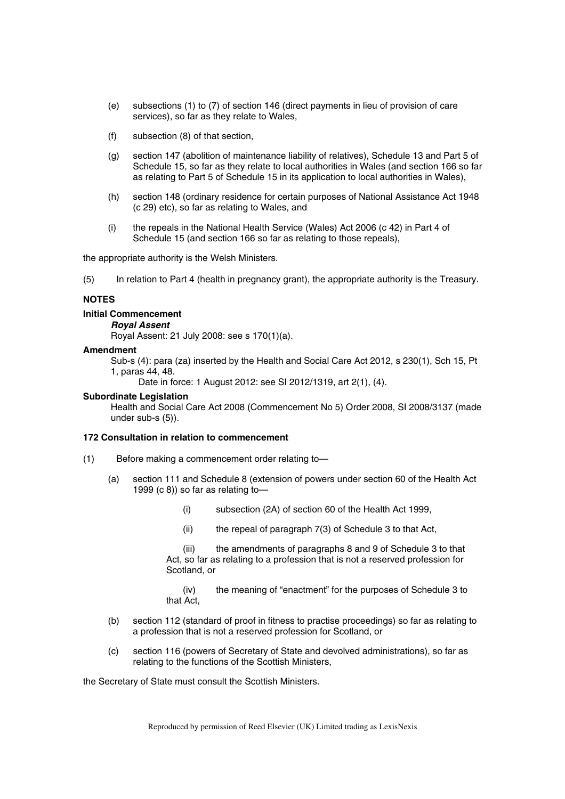- (e) subsections (1) to (7) of section 146 (direct payments in lieu of provision of care services), so far as they relate to Wales,
- (f) subsection (8) of that section,
- (g) section 147 (abolition of maintenance liability of relatives), Schedule 13 and Part 5 of Schedule 15, so far as they relate to local authorities in Wales (and section 166 so far as relating to Part 5 of Schedule 15 in its application to local authorities in Wales),
- (h) section 148 (ordinary residence for certain purposes of National Assistance Act 1948 (c 29) etc), so far as relating to Wales, and
- (i) the repeals in the National Health Service (Wales) Act 2006 (c 42) in Part 4 of Schedule 15 (and section 166 so far as relating to those repeals),

the appropriate authority is the Welsh Ministers.

(5) In relation to Part 4 (health in pregnancy grant), the appropriate authority is the Treasury.

#### **NOTES**

#### **Initial Commencement**

#### *Royal Assent*

Royal Assent: 21 July 2008: see s 170(1)(a).

#### **Amendment**

Sub-s (4): para (za) inserted by the Health and Social Care Act 2012, s 230(1), Sch 15, Pt 1, paras 44, 48.

Date in force: 1 August 2012: see SI 2012/1319, art 2(1), (4).

#### **Subordinate Legislation**

Health and Social Care Act 2008 (Commencement No 5) Order 2008, SI 2008/3137 (made under sub-s (5)).

#### **172 Consultation in relation to commencement**

- (1) Before making a commencement order relating to—
	- (a) section 111 and Schedule 8 (extension of powers under section 60 of the Health Act 1999 (c 8)) so far as relating to—
		- (i) subsection (2A) of section 60 of the Health Act 1999,
		- (ii) the repeal of paragraph 7(3) of Schedule 3 to that Act,

(iii) the amendments of paragraphs 8 and 9 of Schedule 3 to that Act, so far as relating to a profession that is not a reserved profession for Scotland, or

(iv) the meaning of "enactment" for the purposes of Schedule 3 to that Act,

- (b) section 112 (standard of proof in fitness to practise proceedings) so far as relating to a profession that is not a reserved profession for Scotland, or
- (c) section 116 (powers of Secretary of State and devolved administrations), so far as relating to the functions of the Scottish Ministers,

the Secretary of State must consult the Scottish Ministers.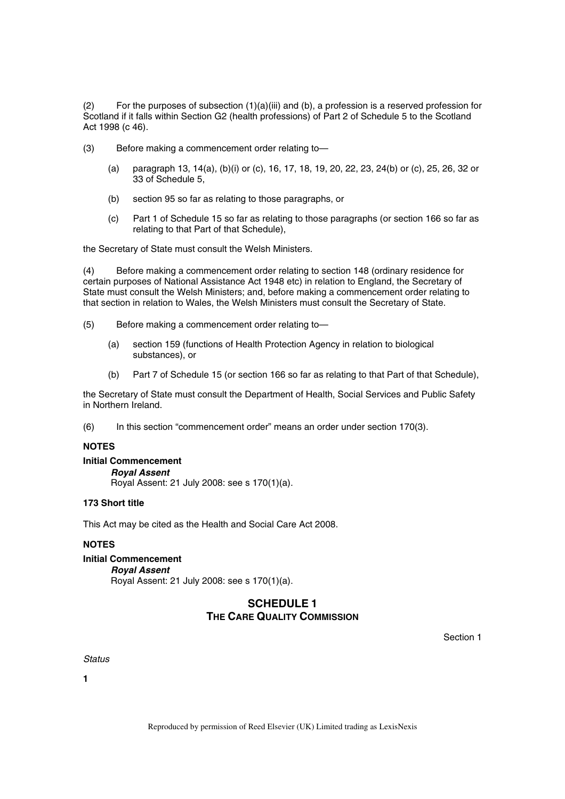(2) For the purposes of subsection (1)(a)(iii) and (b), a profession is a reserved profession for Scotland if it falls within Section G2 (health professions) of Part 2 of Schedule 5 to the Scotland Act 1998 (c 46).

- (3) Before making a commencement order relating to—
	- (a) paragraph 13, 14(a), (b)(i) or (c), 16, 17, 18, 19, 20, 22, 23, 24(b) or (c), 25, 26, 32 or 33 of Schedule 5,
	- (b) section 95 so far as relating to those paragraphs, or
	- (c) Part 1 of Schedule 15 so far as relating to those paragraphs (or section 166 so far as relating to that Part of that Schedule),

the Secretary of State must consult the Welsh Ministers.

(4) Before making a commencement order relating to section 148 (ordinary residence for certain purposes of National Assistance Act 1948 etc) in relation to England, the Secretary of State must consult the Welsh Ministers; and, before making a commencement order relating to that section in relation to Wales, the Welsh Ministers must consult the Secretary of State.

- (5) Before making a commencement order relating to—
	- (a) section 159 (functions of Health Protection Agency in relation to biological substances), or
	- (b) Part 7 of Schedule 15 (or section 166 so far as relating to that Part of that Schedule),

the Secretary of State must consult the Department of Health, Social Services and Public Safety in Northern Ireland.

(6) In this section "commencement order" means an order under section 170(3).

## **NOTES**

#### **Initial Commencement**

*Royal Assent* 

Royal Assent: 21 July 2008: see s 170(1)(a).

## **173 Short title**

This Act may be cited as the Health and Social Care Act 2008.

## **NOTES**

## **Initial Commencement**

#### *Royal Assent*

Royal Assent: 21 July 2008: see s 170(1)(a).

# **SCHEDULE 1 THE CARE QUALITY COMMISSION**

Section 1

## *Status*

**1**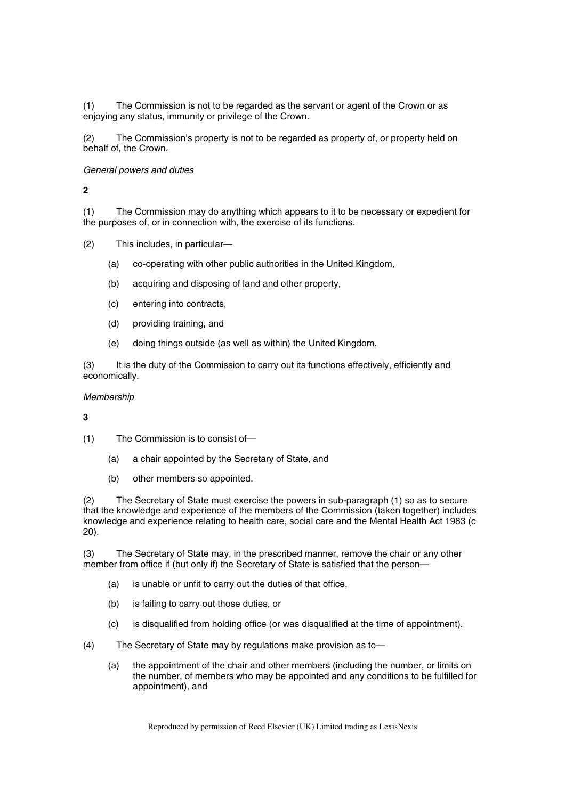(1) The Commission is not to be regarded as the servant or agent of the Crown or as enjoying any status, immunity or privilege of the Crown.

(2) The Commission's property is not to be regarded as property of, or property held on behalf of, the Crown.

## *General powers and duties*

**2** 

(1) The Commission may do anything which appears to it to be necessary or expedient for the purposes of, or in connection with, the exercise of its functions.

(2) This includes, in particular—

- (a) co-operating with other public authorities in the United Kingdom,
- (b) acquiring and disposing of land and other property,
- (c) entering into contracts,
- (d) providing training, and
- (e) doing things outside (as well as within) the United Kingdom.

(3) It is the duty of the Commission to carry out its functions effectively, efficiently and economically.

## *Membership*

**3** 

- (1) The Commission is to consist of—
	- (a) a chair appointed by the Secretary of State, and
	- (b) other members so appointed.

(2) The Secretary of State must exercise the powers in sub-paragraph (1) so as to secure that the knowledge and experience of the members of the Commission (taken together) includes knowledge and experience relating to health care, social care and the Mental Health Act 1983 (c 20).

(3) The Secretary of State may, in the prescribed manner, remove the chair or any other member from office if (but only if) the Secretary of State is satisfied that the person—

- (a) is unable or unfit to carry out the duties of that office,
- (b) is failing to carry out those duties, or
- (c) is disqualified from holding office (or was disqualified at the time of appointment).

(4) The Secretary of State may by regulations make provision as to—

(a) the appointment of the chair and other members (including the number, or limits on the number, of members who may be appointed and any conditions to be fulfilled for appointment), and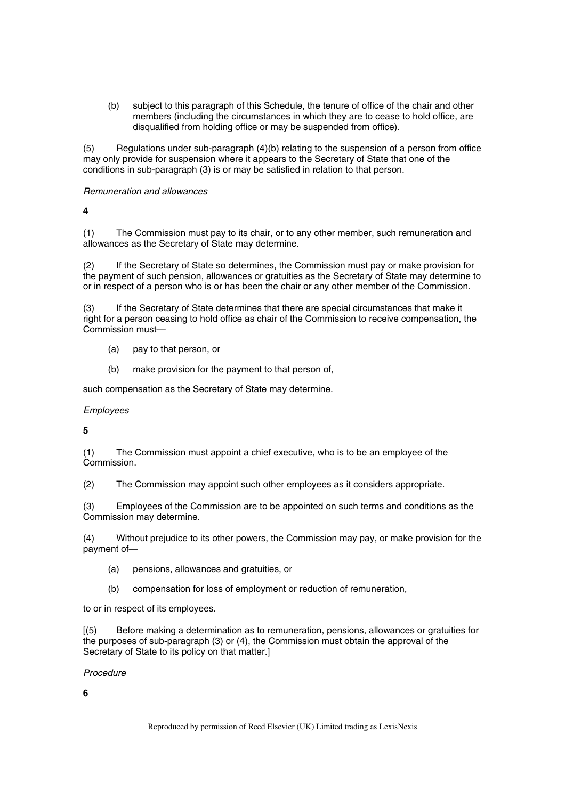(b) subject to this paragraph of this Schedule, the tenure of office of the chair and other members (including the circumstances in which they are to cease to hold office, are disqualified from holding office or may be suspended from office).

(5) Regulations under sub-paragraph (4)(b) relating to the suspension of a person from office may only provide for suspension where it appears to the Secretary of State that one of the conditions in sub-paragraph (3) is or may be satisfied in relation to that person.

## *Remuneration and allowances*

**4** 

(1) The Commission must pay to its chair, or to any other member, such remuneration and allowances as the Secretary of State may determine.

(2) If the Secretary of State so determines, the Commission must pay or make provision for the payment of such pension, allowances or gratuities as the Secretary of State may determine to or in respect of a person who is or has been the chair or any other member of the Commission.

(3) If the Secretary of State determines that there are special circumstances that make it right for a person ceasing to hold office as chair of the Commission to receive compensation, the Commission must—

- (a) pay to that person, or
- (b) make provision for the payment to that person of,

such compensation as the Secretary of State may determine.

## *Employees*

**5** 

(1) The Commission must appoint a chief executive, who is to be an employee of the Commission.

(2) The Commission may appoint such other employees as it considers appropriate.

(3) Employees of the Commission are to be appointed on such terms and conditions as the Commission may determine.

(4) Without prejudice to its other powers, the Commission may pay, or make provision for the payment of—

- (a) pensions, allowances and gratuities, or
- (b) compensation for loss of employment or reduction of remuneration,

to or in respect of its employees.

[(5) Before making a determination as to remuneration, pensions, allowances or gratuities for the purposes of sub-paragraph (3) or (4), the Commission must obtain the approval of the Secretary of State to its policy on that matter.]

*Procedure* 

**6**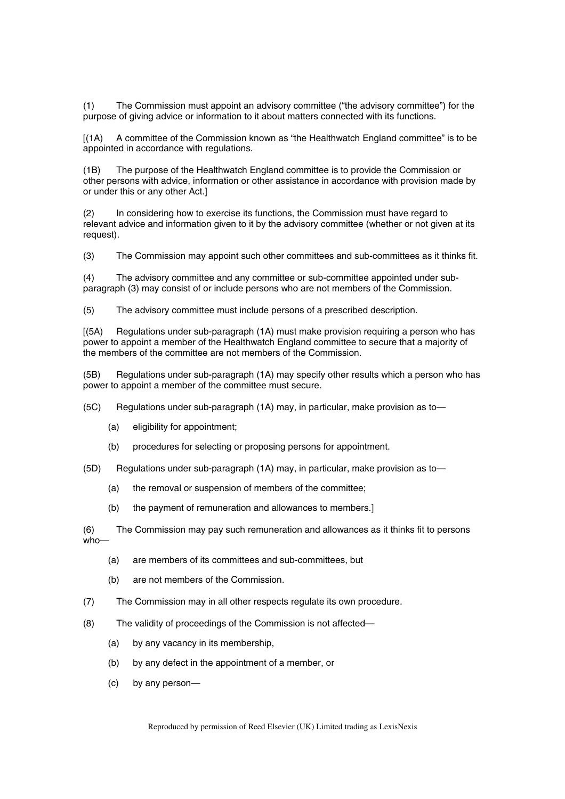(1) The Commission must appoint an advisory committee ("the advisory committee") for the purpose of giving advice or information to it about matters connected with its functions.

[(1A) A committee of the Commission known as "the Healthwatch England committee" is to be appointed in accordance with regulations.

(1B) The purpose of the Healthwatch England committee is to provide the Commission or other persons with advice, information or other assistance in accordance with provision made by or under this or any other Act.]

(2) In considering how to exercise its functions, the Commission must have regard to relevant advice and information given to it by the advisory committee (whether or not given at its request).

(3) The Commission may appoint such other committees and sub-committees as it thinks fit.

(4) The advisory committee and any committee or sub-committee appointed under subparagraph (3) may consist of or include persons who are not members of the Commission.

(5) The advisory committee must include persons of a prescribed description.

[(5A) Regulations under sub-paragraph (1A) must make provision requiring a person who has power to appoint a member of the Healthwatch England committee to secure that a majority of the members of the committee are not members of the Commission.

(5B) Regulations under sub-paragraph (1A) may specify other results which a person who has power to appoint a member of the committee must secure.

(5C) Regulations under sub-paragraph (1A) may, in particular, make provision as to—

- (a) eligibility for appointment;
- (b) procedures for selecting or proposing persons for appointment.
- (5D) Regulations under sub-paragraph (1A) may, in particular, make provision as to—
	- (a) the removal or suspension of members of the committee;
	- (b) the payment of remuneration and allowances to members.]

(6) The Commission may pay such remuneration and allowances as it thinks fit to persons who—

- (a) are members of its committees and sub-committees, but
- (b) are not members of the Commission.
- (7) The Commission may in all other respects regulate its own procedure.
- (8) The validity of proceedings of the Commission is not affected—
	- (a) by any vacancy in its membership,
	- (b) by any defect in the appointment of a member, or
	- (c) by any person—

Reproduced by permission of Reed Elsevier (UK) Limited trading as LexisNexis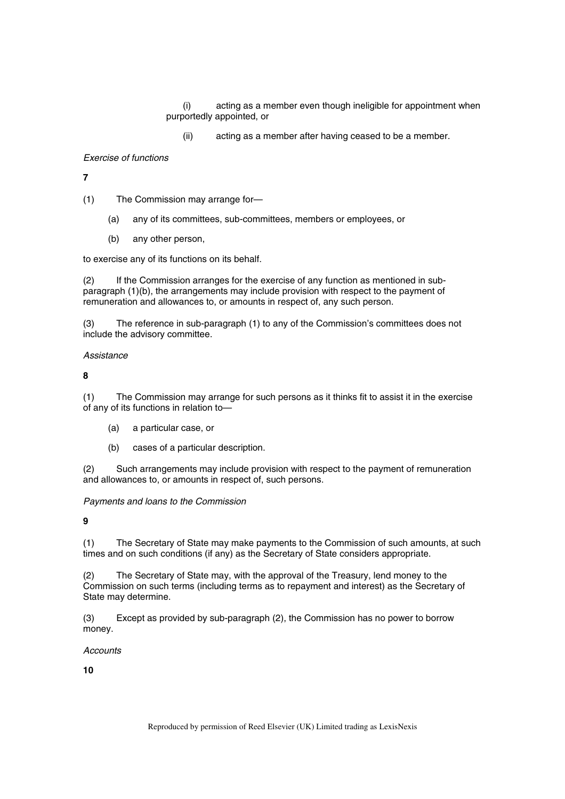(i) acting as a member even though ineligible for appointment when purportedly appointed, or

(ii) acting as a member after having ceased to be a member.

#### *Exercise of functions*

**7** 

(1) The Commission may arrange for—

- (a) any of its committees, sub-committees, members or employees, or
- (b) any other person,

to exercise any of its functions on its behalf.

(2) If the Commission arranges for the exercise of any function as mentioned in subparagraph (1)(b), the arrangements may include provision with respect to the payment of remuneration and allowances to, or amounts in respect of, any such person.

(3) The reference in sub-paragraph (1) to any of the Commission's committees does not include the advisory committee.

## *Assistance*

**8** 

(1) The Commission may arrange for such persons as it thinks fit to assist it in the exercise of any of its functions in relation to—

- (a) a particular case, or
- (b) cases of a particular description.

(2) Such arrangements may include provision with respect to the payment of remuneration and allowances to, or amounts in respect of, such persons.

*Payments and loans to the Commission* 

**9** 

(1) The Secretary of State may make payments to the Commission of such amounts, at such times and on such conditions (if any) as the Secretary of State considers appropriate.

(2) The Secretary of State may, with the approval of the Treasury, lend money to the Commission on such terms (including terms as to repayment and interest) as the Secretary of State may determine.

(3) Except as provided by sub-paragraph (2), the Commission has no power to borrow money.

*Accounts* 

**10**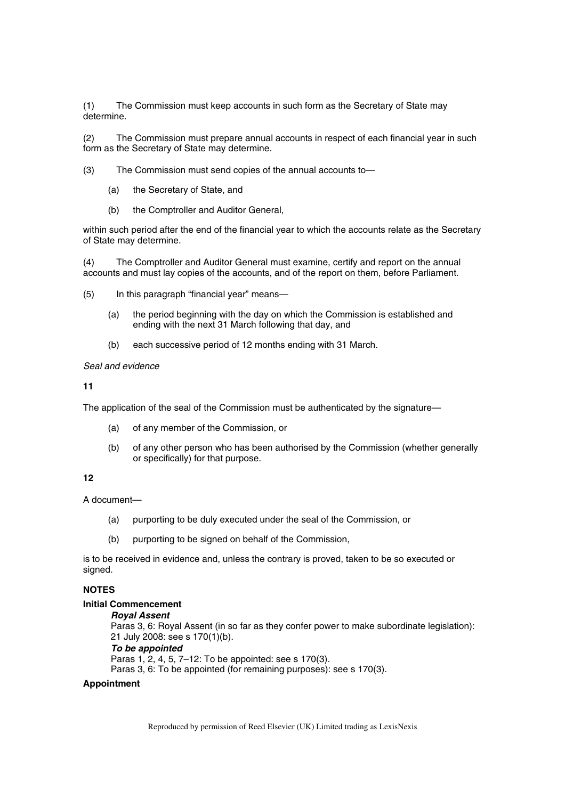(1) The Commission must keep accounts in such form as the Secretary of State may determine.

(2) The Commission must prepare annual accounts in respect of each financial year in such form as the Secretary of State may determine.

(3) The Commission must send copies of the annual accounts to—

- (a) the Secretary of State, and
- (b) the Comptroller and Auditor General,

within such period after the end of the financial year to which the accounts relate as the Secretary of State may determine.

(4) The Comptroller and Auditor General must examine, certify and report on the annual accounts and must lay copies of the accounts, and of the report on them, before Parliament.

- (5) In this paragraph "financial year" means—
	- (a) the period beginning with the day on which the Commission is established and ending with the next 31 March following that day, and
	- (b) each successive period of 12 months ending with 31 March.

#### *Seal and evidence*

#### **11**

The application of the seal of the Commission must be authenticated by the signature—

- (a) of any member of the Commission, or
- (b) of any other person who has been authorised by the Commission (whether generally or specifically) for that purpose.

## **12**

A document—

- (a) purporting to be duly executed under the seal of the Commission, or
- (b) purporting to be signed on behalf of the Commission,

is to be received in evidence and, unless the contrary is proved, taken to be so executed or signed.

## **NOTES**

#### **Initial Commencement**

#### *Royal Assent*

Paras 3, 6: Royal Assent (in so far as they confer power to make subordinate legislation): 21 July 2008: see s 170(1)(b).

#### *To be appointed*

Paras 1, 2, 4, 5, 7–12: To be appointed: see s 170(3).

Paras 3, 6: To be appointed (for remaining purposes): see s 170(3).

## **Appointment**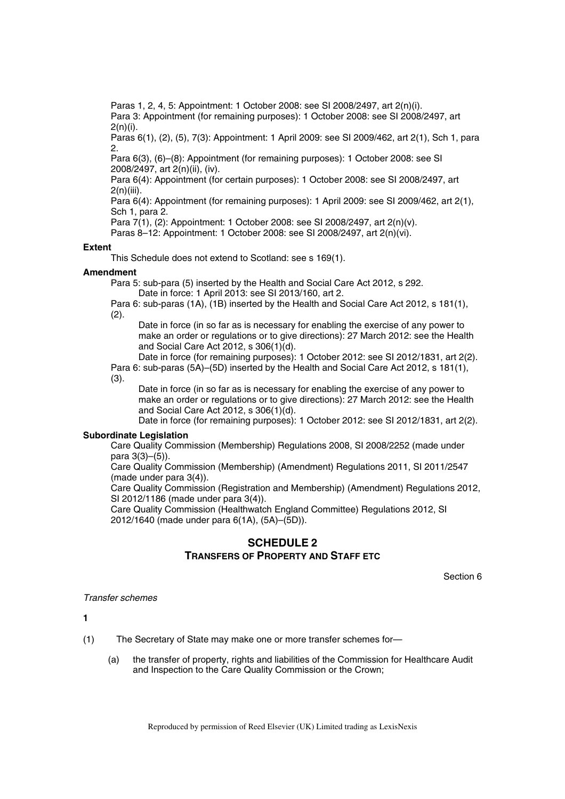Paras 1, 2, 4, 5: Appointment: 1 October 2008: see SI 2008/2497, art 2(n)(i). Para 3: Appointment (for remaining purposes): 1 October 2008: see SI 2008/2497, art 2(n)(i).

Paras 6(1), (2), (5), 7(3): Appointment: 1 April 2009: see SI 2009/462, art 2(1), Sch 1, para 2.

Para 6(3), (6)–(8): Appointment (for remaining purposes): 1 October 2008: see SI 2008/2497, art 2(n)(ii), (iv).

Para 6(4): Appointment (for certain purposes): 1 October 2008: see SI 2008/2497, art 2(n)(iii).

Para 6(4): Appointment (for remaining purposes): 1 April 2009: see SI 2009/462, art 2(1), Sch 1, para 2.

Para 7(1), (2): Appointment: 1 October 2008: see SI 2008/2497, art 2(n)(v).

Paras 8–12: Appointment: 1 October 2008: see SI 2008/2497, art 2(n)(vi).

#### **Extent**

This Schedule does not extend to Scotland: see s 169(1).

#### **Amendment**

Para 5: sub-para (5) inserted by the Health and Social Care Act 2012, s 292.

Date in force: 1 April 2013: see SI 2013/160, art 2.

Para 6: sub-paras (1A), (1B) inserted by the Health and Social Care Act 2012, s 181(1),  $(2).$ 

Date in force (in so far as is necessary for enabling the exercise of any power to make an order or regulations or to give directions): 27 March 2012: see the Health and Social Care Act 2012, s 306(1)(d).

Date in force (for remaining purposes): 1 October 2012: see SI 2012/1831, art 2(2). Para 6: sub-paras (5A)–(5D) inserted by the Health and Social Care Act 2012, s 181(1), (3).

Date in force (in so far as is necessary for enabling the exercise of any power to make an order or regulations or to give directions): 27 March 2012: see the Health and Social Care Act 2012, s 306(1)(d).

Date in force (for remaining purposes): 1 October 2012: see SI 2012/1831, art 2(2).

#### **Subordinate Legislation**

Care Quality Commission (Membership) Regulations 2008, SI 2008/2252 (made under para 3(3)–(5)).

Care Quality Commission (Membership) (Amendment) Regulations 2011, SI 2011/2547 (made under para 3(4)).

Care Quality Commission (Registration and Membership) (Amendment) Regulations 2012, SI 2012/1186 (made under para 3(4)).

Care Quality Commission (Healthwatch England Committee) Regulations 2012, SI 2012/1640 (made under para 6(1A), (5A)–(5D)).

# **SCHEDULE 2 TRANSFERS OF PROPERTY AND STAFF ETC**

Section 6

## *Transfer schemes*

**1** 

(1) The Secretary of State may make one or more transfer schemes for—

(a) the transfer of property, rights and liabilities of the Commission for Healthcare Audit and Inspection to the Care Quality Commission or the Crown;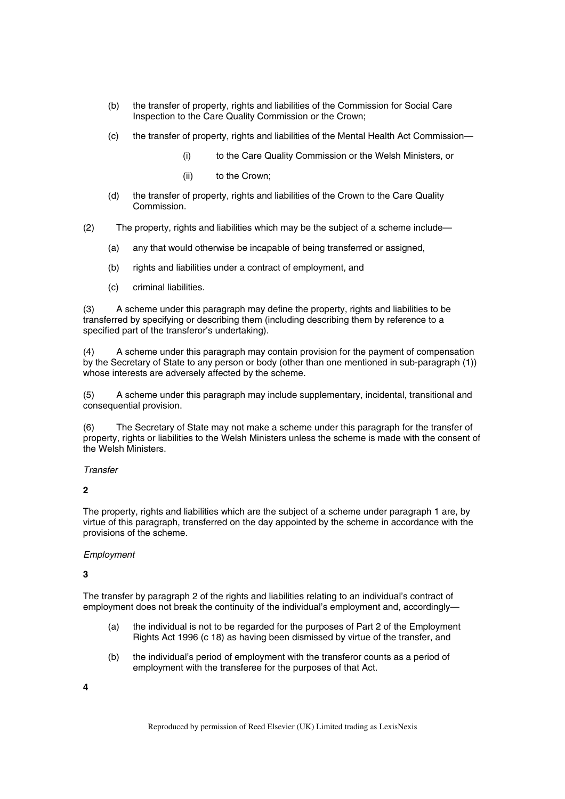- (b) the transfer of property, rights and liabilities of the Commission for Social Care Inspection to the Care Quality Commission or the Crown;
- (c) the transfer of property, rights and liabilities of the Mental Health Act Commission—
	- (i) to the Care Quality Commission or the Welsh Ministers, or
	- (ii) to the Crown;
- (d) the transfer of property, rights and liabilities of the Crown to the Care Quality **Commission**
- (2) The property, rights and liabilities which may be the subject of a scheme include—
	- (a) any that would otherwise be incapable of being transferred or assigned,
	- (b) rights and liabilities under a contract of employment, and
	- (c) criminal liabilities.

(3) A scheme under this paragraph may define the property, rights and liabilities to be transferred by specifying or describing them (including describing them by reference to a specified part of the transferor's undertaking).

(4) A scheme under this paragraph may contain provision for the payment of compensation by the Secretary of State to any person or body (other than one mentioned in sub-paragraph (1)) whose interests are adversely affected by the scheme.

(5) A scheme under this paragraph may include supplementary, incidental, transitional and consequential provision.

(6) The Secretary of State may not make a scheme under this paragraph for the transfer of property, rights or liabilities to the Welsh Ministers unless the scheme is made with the consent of the Welsh Ministers.

*Transfer* 

**2** 

The property, rights and liabilities which are the subject of a scheme under paragraph 1 are, by virtue of this paragraph, transferred on the day appointed by the scheme in accordance with the provisions of the scheme.

## *Employment*

**3** 

The transfer by paragraph 2 of the rights and liabilities relating to an individual's contract of employment does not break the continuity of the individual's employment and, accordingly—

- (a) the individual is not to be regarded for the purposes of Part 2 of the Employment Rights Act 1996 (c 18) as having been dismissed by virtue of the transfer, and
- (b) the individual's period of employment with the transferor counts as a period of employment with the transferee for the purposes of that Act.

**4**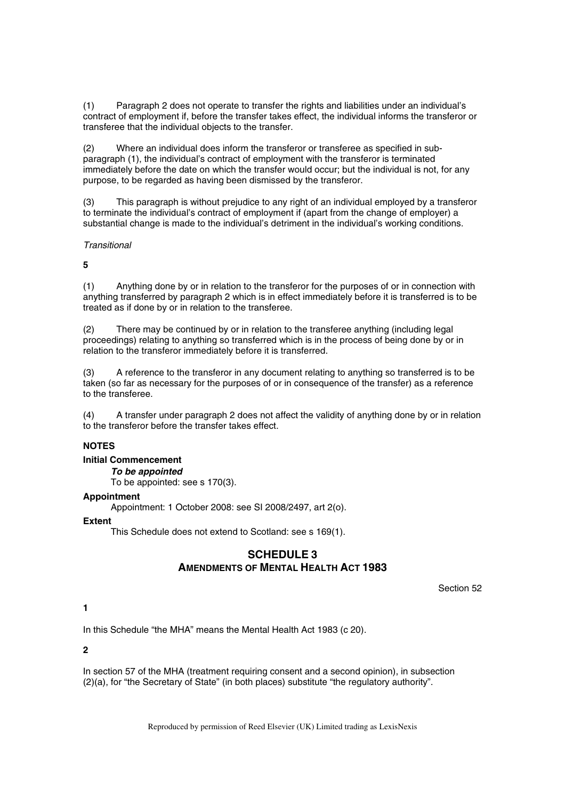(1) Paragraph 2 does not operate to transfer the rights and liabilities under an individual's contract of employment if, before the transfer takes effect, the individual informs the transferor or transferee that the individual objects to the transfer.

(2) Where an individual does inform the transferor or transferee as specified in subparagraph (1), the individual's contract of employment with the transferor is terminated immediately before the date on which the transfer would occur; but the individual is not, for any purpose, to be regarded as having been dismissed by the transferor.

(3) This paragraph is without prejudice to any right of an individual employed by a transferor to terminate the individual's contract of employment if (apart from the change of employer) a substantial change is made to the individual's detriment in the individual's working conditions.

## *Transitional*

**5** 

(1) Anything done by or in relation to the transferor for the purposes of or in connection with anything transferred by paragraph 2 which is in effect immediately before it is transferred is to be treated as if done by or in relation to the transferee.

(2) There may be continued by or in relation to the transferee anything (including legal proceedings) relating to anything so transferred which is in the process of being done by or in relation to the transferor immediately before it is transferred.

(3) A reference to the transferor in any document relating to anything so transferred is to be taken (so far as necessary for the purposes of or in consequence of the transfer) as a reference to the transferee.

(4) A transfer under paragraph 2 does not affect the validity of anything done by or in relation to the transferor before the transfer takes effect.

## **NOTES**

## **Initial Commencement**

*To be appointed* 

To be appointed: see s 170(3).

## **Appointment**

Appointment: 1 October 2008: see SI 2008/2497, art 2(o).

## **Extent**

This Schedule does not extend to Scotland: see s 169(1).

# **SCHEDULE 3 AMENDMENTS OF MENTAL HEALTH ACT 1983**

Section 52

## **1**

In this Schedule "the MHA" means the Mental Health Act 1983 (c 20).

## **2**

In section 57 of the MHA (treatment requiring consent and a second opinion), in subsection (2)(a), for "the Secretary of State" (in both places) substitute "the regulatory authority".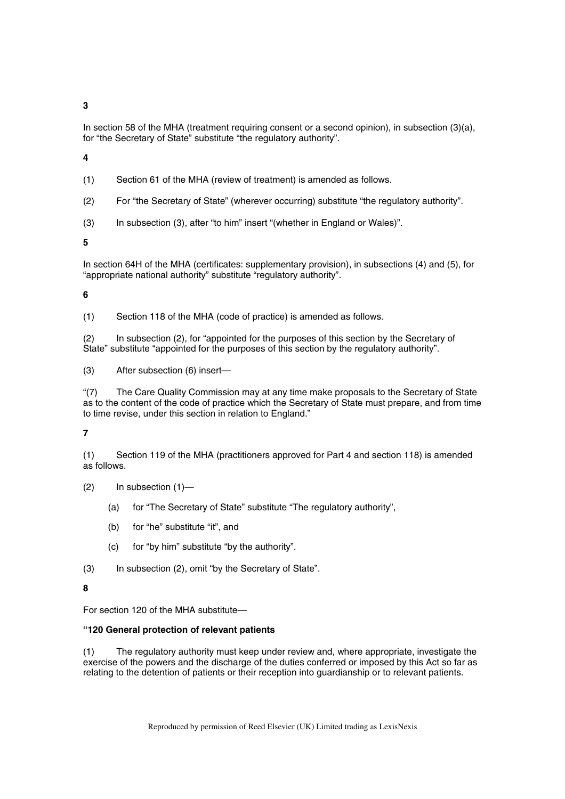**3** 

In section 58 of the MHA (treatment requiring consent or a second opinion), in subsection (3)(a), for "the Secretary of State" substitute "the regulatory authority".

**4** 

(1) Section 61 of the MHA (review of treatment) is amended as follows.

(2) For "the Secretary of State" (wherever occurring) substitute "the regulatory authority".

(3) In subsection (3), after "to him" insert "(whether in England or Wales)".

**5** 

In section 64H of the MHA (certificates: supplementary provision), in subsections (4) and (5), for "appropriate national authority" substitute "regulatory authority".

**6** 

(1) Section 118 of the MHA (code of practice) is amended as follows.

(2) In subsection (2), for "appointed for the purposes of this section by the Secretary of State" substitute "appointed for the purposes of this section by the regulatory authority".

(3) After subsection (6) insert—

"(7) The Care Quality Commission may at any time make proposals to the Secretary of State as to the content of the code of practice which the Secretary of State must prepare, and from time to time revise, under this section in relation to England."

## **7**

(1) Section 119 of the MHA (practitioners approved for Part 4 and section 118) is amended as follows.

- (2) In subsection (1)—
	- (a) for "The Secretary of State" substitute "The regulatory authority",
	- (b) for "he" substitute "it", and
	- (c) for "by him" substitute "by the authority".

(3) In subsection (2), omit "by the Secretary of State".

## **8**

For section 120 of the MHA substitute—

## **"120 General protection of relevant patients**

(1) The regulatory authority must keep under review and, where appropriate, investigate the exercise of the powers and the discharge of the duties conferred or imposed by this Act so far as relating to the detention of patients or their reception into guardianship or to relevant patients.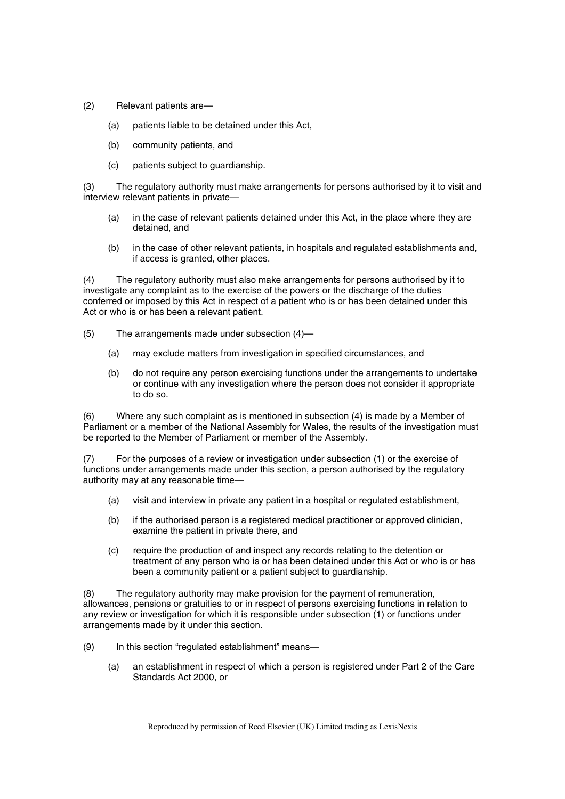- (2) Relevant patients are—
	- (a) patients liable to be detained under this Act,
	- (b) community patients, and
	- (c) patients subject to guardianship.

(3) The regulatory authority must make arrangements for persons authorised by it to visit and interview relevant patients in private—

- (a) in the case of relevant patients detained under this Act, in the place where they are detained, and
- (b) in the case of other relevant patients, in hospitals and regulated establishments and, if access is granted, other places.

(4) The regulatory authority must also make arrangements for persons authorised by it to investigate any complaint as to the exercise of the powers or the discharge of the duties conferred or imposed by this Act in respect of a patient who is or has been detained under this Act or who is or has been a relevant patient.

- (5) The arrangements made under subsection (4)—
	- (a) may exclude matters from investigation in specified circumstances, and
	- (b) do not require any person exercising functions under the arrangements to undertake or continue with any investigation where the person does not consider it appropriate to do so.

(6) Where any such complaint as is mentioned in subsection (4) is made by a Member of Parliament or a member of the National Assembly for Wales, the results of the investigation must be reported to the Member of Parliament or member of the Assembly.

(7) For the purposes of a review or investigation under subsection (1) or the exercise of functions under arrangements made under this section, a person authorised by the regulatory authority may at any reasonable time—

- (a) visit and interview in private any patient in a hospital or regulated establishment,
- (b) if the authorised person is a registered medical practitioner or approved clinician, examine the patient in private there, and
- (c) require the production of and inspect any records relating to the detention or treatment of any person who is or has been detained under this Act or who is or has been a community patient or a patient subject to guardianship.

(8) The regulatory authority may make provision for the payment of remuneration, allowances, pensions or gratuities to or in respect of persons exercising functions in relation to any review or investigation for which it is responsible under subsection (1) or functions under arrangements made by it under this section.

- (9) In this section "regulated establishment" means—
	- (a) an establishment in respect of which a person is registered under Part 2 of the Care Standards Act 2000, or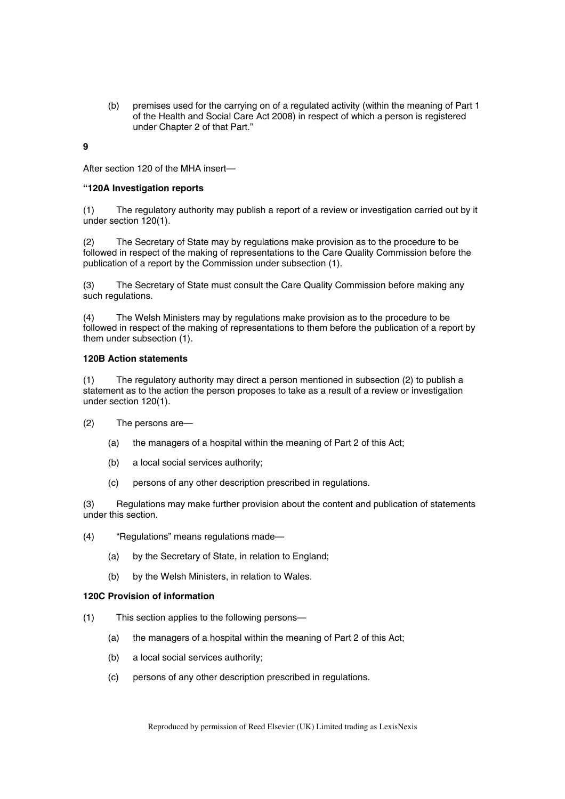(b) premises used for the carrying on of a regulated activity (within the meaning of Part 1 of the Health and Social Care Act 2008) in respect of which a person is registered under Chapter 2 of that Part."

**9** 

After section 120 of the MHA insert—

### **"120A Investigation reports**

(1) The regulatory authority may publish a report of a review or investigation carried out by it under section 120(1).

(2) The Secretary of State may by regulations make provision as to the procedure to be followed in respect of the making of representations to the Care Quality Commission before the publication of a report by the Commission under subsection (1).

(3) The Secretary of State must consult the Care Quality Commission before making any such regulations.

(4) The Welsh Ministers may by regulations make provision as to the procedure to be followed in respect of the making of representations to them before the publication of a report by them under subsection (1).

#### **120B Action statements**

(1) The regulatory authority may direct a person mentioned in subsection (2) to publish a statement as to the action the person proposes to take as a result of a review or investigation under section 120(1).

(2) The persons are—

- (a) the managers of a hospital within the meaning of Part 2 of this Act;
- (b) a local social services authority;
- (c) persons of any other description prescribed in regulations.

(3) Regulations may make further provision about the content and publication of statements under this section.

- (4) "Regulations" means regulations made—
	- (a) by the Secretary of State, in relation to England;
	- (b) by the Welsh Ministers, in relation to Wales.

## **120C Provision of information**

- (1) This section applies to the following persons—
	- (a) the managers of a hospital within the meaning of Part 2 of this Act;
	- (b) a local social services authority;
	- (c) persons of any other description prescribed in regulations.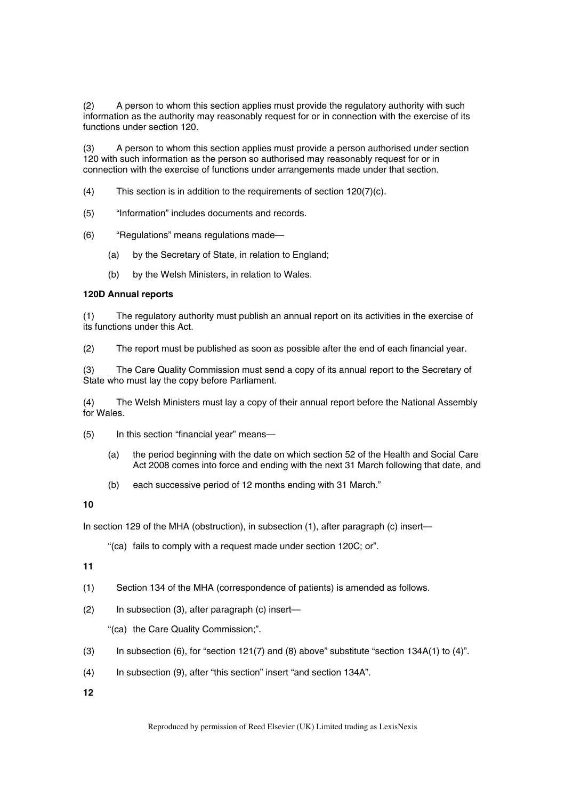(2) A person to whom this section applies must provide the regulatory authority with such information as the authority may reasonably request for or in connection with the exercise of its functions under section 120.

(3) A person to whom this section applies must provide a person authorised under section 120 with such information as the person so authorised may reasonably request for or in connection with the exercise of functions under arrangements made under that section.

- (4) This section is in addition to the requirements of section 120(7)(c).
- (5) "Information" includes documents and records.
- (6) "Regulations" means regulations made—
	- (a) by the Secretary of State, in relation to England;
	- (b) by the Welsh Ministers, in relation to Wales.

## **120D Annual reports**

(1) The regulatory authority must publish an annual report on its activities in the exercise of its functions under this Act.

(2) The report must be published as soon as possible after the end of each financial year.

(3) The Care Quality Commission must send a copy of its annual report to the Secretary of State who must lay the copy before Parliament.

(4) The Welsh Ministers must lay a copy of their annual report before the National Assembly for Wales.

- (5) In this section "financial year" means—
	- (a) the period beginning with the date on which section 52 of the Health and Social Care Act 2008 comes into force and ending with the next 31 March following that date, and
	- (b) each successive period of 12 months ending with 31 March."

## **10**

In section 129 of the MHA (obstruction), in subsection (1), after paragraph (c) insert—

"(ca) fails to comply with a request made under section 120C; or".

**11** 

- (1) Section 134 of the MHA (correspondence of patients) is amended as follows.
- (2) In subsection (3), after paragraph (c) insert—

"(ca) the Care Quality Commission;".

- (3) In subsection (6), for "section 121(7) and (8) above" substitute "section 134A(1) to (4)".
- (4) In subsection (9), after "this section" insert "and section 134A".
- **12**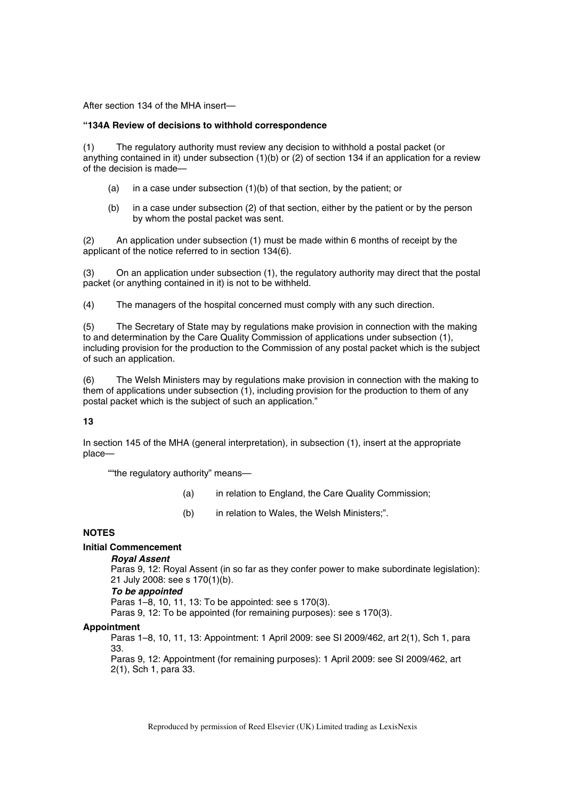After section 134 of the MHA insert—

#### **"134A Review of decisions to withhold correspondence**

(1) The regulatory authority must review any decision to withhold a postal packet (or anything contained in it) under subsection (1)(b) or (2) of section 134 if an application for a review of the decision is made—

- (a) in a case under subsection (1)(b) of that section, by the patient; or
- (b) in a case under subsection (2) of that section, either by the patient or by the person by whom the postal packet was sent.

(2) An application under subsection (1) must be made within 6 months of receipt by the applicant of the notice referred to in section 134(6).

(3) On an application under subsection (1), the regulatory authority may direct that the postal packet (or anything contained in it) is not to be withheld.

(4) The managers of the hospital concerned must comply with any such direction.

(5) The Secretary of State may by regulations make provision in connection with the making to and determination by the Care Quality Commission of applications under subsection (1), including provision for the production to the Commission of any postal packet which is the subject of such an application.

(6) The Welsh Ministers may by regulations make provision in connection with the making to them of applications under subsection (1), including provision for the production to them of any postal packet which is the subject of such an application."

## **13**

In section 145 of the MHA (general interpretation), in subsection (1), insert at the appropriate place—

""the regulatory authority" means—

- (a) in relation to England, the Care Quality Commission;
- (b) in relation to Wales, the Welsh Ministers;".

## **NOTES**

## **Initial Commencement**

*Royal Assent* 

Paras 9, 12: Royal Assent (in so far as they confer power to make subordinate legislation): 21 July 2008: see s 170(1)(b).

#### *To be appointed*

Paras 1–8, 10, 11, 13: To be appointed: see s 170(3).

Paras 9, 12: To be appointed (for remaining purposes): see s 170(3).

## **Appointment**

Paras 1–8, 10, 11, 13: Appointment: 1 April 2009: see SI 2009/462, art 2(1), Sch 1, para 33.

Paras 9, 12: Appointment (for remaining purposes): 1 April 2009: see SI 2009/462, art 2(1), Sch 1, para 33.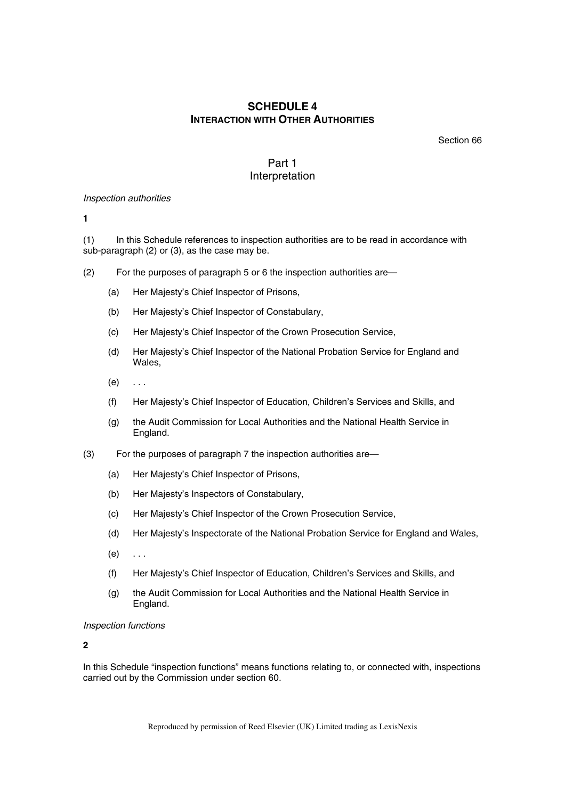# **SCHEDULE 4 INTERACTION WITH OTHER AUTHORITIES**

Section 66

# Part 1 Interpretation

#### *Inspection authorities*

**1** 

(1) In this Schedule references to inspection authorities are to be read in accordance with sub-paragraph (2) or (3), as the case may be.

- (2) For the purposes of paragraph 5 or 6 the inspection authorities are—
	- (a) Her Majesty's Chief Inspector of Prisons,
	- (b) Her Majesty's Chief Inspector of Constabulary,
	- (c) Her Majesty's Chief Inspector of the Crown Prosecution Service,
	- (d) Her Majesty's Chief Inspector of the National Probation Service for England and Wales,
	- $(e) \quad \ldots$
	- (f) Her Majesty's Chief Inspector of Education, Children's Services and Skills, and
	- (g) the Audit Commission for Local Authorities and the National Health Service in England.
- (3) For the purposes of paragraph 7 the inspection authorities are—
	- (a) Her Majesty's Chief Inspector of Prisons,
	- (b) Her Majesty's Inspectors of Constabulary,
	- (c) Her Majesty's Chief Inspector of the Crown Prosecution Service,
	- (d) Her Majesty's Inspectorate of the National Probation Service for England and Wales,
	- $(e) \quad \ldots$
	- (f) Her Majesty's Chief Inspector of Education, Children's Services and Skills, and
	- (g) the Audit Commission for Local Authorities and the National Health Service in England.

#### *Inspection functions*

## **2**

In this Schedule "inspection functions" means functions relating to, or connected with, inspections carried out by the Commission under section 60.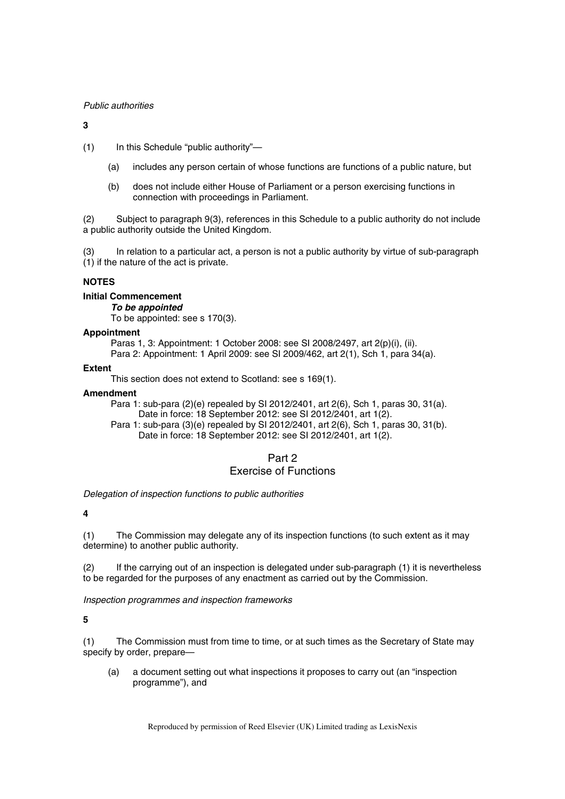## *Public authorities*

## **3**

(1) In this Schedule "public authority"—

- (a) includes any person certain of whose functions are functions of a public nature, but
- (b) does not include either House of Parliament or a person exercising functions in connection with proceedings in Parliament.

(2) Subject to paragraph 9(3), references in this Schedule to a public authority do not include a public authority outside the United Kingdom.

(3) In relation to a particular act, a person is not a public authority by virtue of sub-paragraph (1) if the nature of the act is private.

## **NOTES**

## **Initial Commencement**

*To be appointed* 

To be appointed: see s 170(3).

## **Appointment**

Paras 1, 3: Appointment: 1 October 2008: see SI 2008/2497, art 2(p)(i), (ii).

Para 2: Appointment: 1 April 2009: see SI 2009/462, art 2(1), Sch 1, para 34(a).

## **Extent**

This section does not extend to Scotland: see s 169(1).

## **Amendment**

Para 1: sub-para (2)(e) repealed by SI 2012/2401, art 2(6), Sch 1, paras 30, 31(a). Date in force: 18 September 2012: see SI 2012/2401, art 1(2).

Para 1: sub-para (3)(e) repealed by SI 2012/2401, art 2(6), Sch 1, paras 30, 31(b). Date in force: 18 September 2012: see SI 2012/2401, art 1(2).

## Part 2 Exercise of Functions

*Delegation of inspection functions to public authorities* 

## **4**

(1) The Commission may delegate any of its inspection functions (to such extent as it may determine) to another public authority.

(2) If the carrying out of an inspection is delegated under sub-paragraph (1) it is nevertheless to be regarded for the purposes of any enactment as carried out by the Commission.

*Inspection programmes and inspection frameworks* 

**5** 

(1) The Commission must from time to time, or at such times as the Secretary of State may specify by order, prepare—

(a) a document setting out what inspections it proposes to carry out (an "inspection programme"), and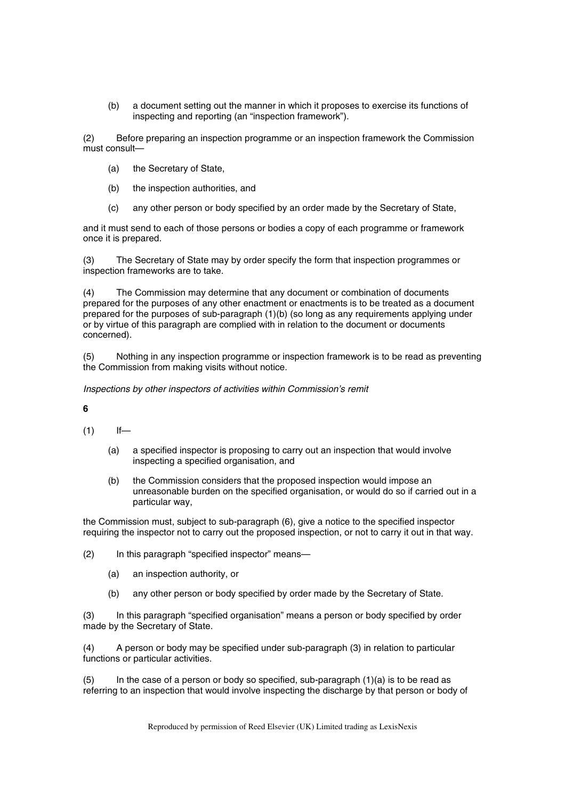(b) a document setting out the manner in which it proposes to exercise its functions of inspecting and reporting (an "inspection framework").

(2) Before preparing an inspection programme or an inspection framework the Commission must consult—

- (a) the Secretary of State,
- (b) the inspection authorities, and
- (c) any other person or body specified by an order made by the Secretary of State,

and it must send to each of those persons or bodies a copy of each programme or framework once it is prepared.

(3) The Secretary of State may by order specify the form that inspection programmes or inspection frameworks are to take.

(4) The Commission may determine that any document or combination of documents prepared for the purposes of any other enactment or enactments is to be treated as a document prepared for the purposes of sub-paragraph (1)(b) (so long as any requirements applying under or by virtue of this paragraph are complied with in relation to the document or documents concerned).

(5) Nothing in any inspection programme or inspection framework is to be read as preventing the Commission from making visits without notice.

*Inspections by other inspectors of activities within Commission's remit* 

**6** 

 $(1)$  If—

- (a) a specified inspector is proposing to carry out an inspection that would involve inspecting a specified organisation, and
- (b) the Commission considers that the proposed inspection would impose an unreasonable burden on the specified organisation, or would do so if carried out in a particular way,

the Commission must, subject to sub-paragraph (6), give a notice to the specified inspector requiring the inspector not to carry out the proposed inspection, or not to carry it out in that way.

(2) In this paragraph "specified inspector" means—

- (a) an inspection authority, or
- (b) any other person or body specified by order made by the Secretary of State.

(3) In this paragraph "specified organisation" means a person or body specified by order made by the Secretary of State.

(4) A person or body may be specified under sub-paragraph (3) in relation to particular functions or particular activities.

(5) In the case of a person or body so specified, sub-paragraph (1)(a) is to be read as referring to an inspection that would involve inspecting the discharge by that person or body of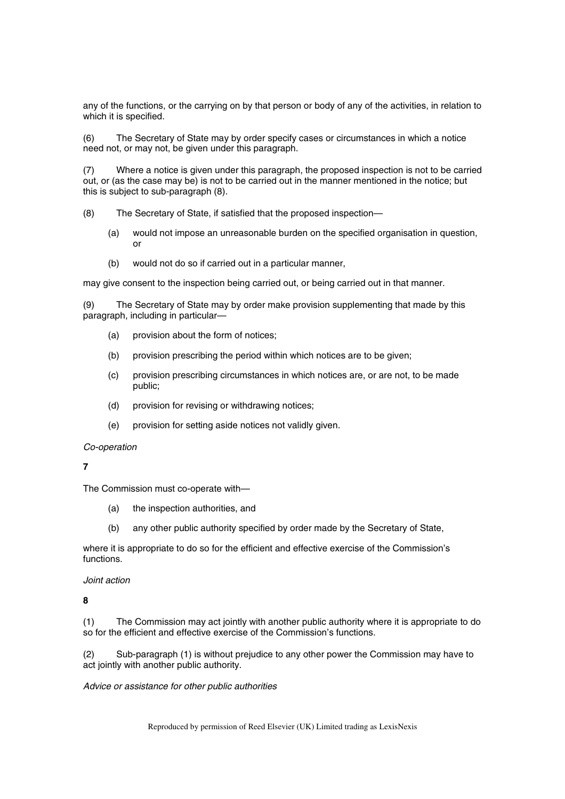any of the functions, or the carrying on by that person or body of any of the activities, in relation to which it is specified.

(6) The Secretary of State may by order specify cases or circumstances in which a notice need not, or may not, be given under this paragraph.

(7) Where a notice is given under this paragraph, the proposed inspection is not to be carried out, or (as the case may be) is not to be carried out in the manner mentioned in the notice; but this is subject to sub-paragraph (8).

(8) The Secretary of State, if satisfied that the proposed inspection—

- (a) would not impose an unreasonable burden on the specified organisation in question, or
- (b) would not do so if carried out in a particular manner,

may give consent to the inspection being carried out, or being carried out in that manner.

(9) The Secretary of State may by order make provision supplementing that made by this paragraph, including in particular—

- (a) provision about the form of notices;
- (b) provision prescribing the period within which notices are to be given;
- (c) provision prescribing circumstances in which notices are, or are not, to be made public;
- (d) provision for revising or withdrawing notices;
- (e) provision for setting aside notices not validly given.

#### *Co-operation*

**7** 

The Commission must co-operate with—

- (a) the inspection authorities, and
- (b) any other public authority specified by order made by the Secretary of State,

where it is appropriate to do so for the efficient and effective exercise of the Commission's functions.

#### *Joint action*

**8** 

(1) The Commission may act jointly with another public authority where it is appropriate to do so for the efficient and effective exercise of the Commission's functions.

(2) Sub-paragraph (1) is without prejudice to any other power the Commission may have to act jointly with another public authority.

#### *Advice or assistance for other public authorities*

Reproduced by permission of Reed Elsevier (UK) Limited trading as LexisNexis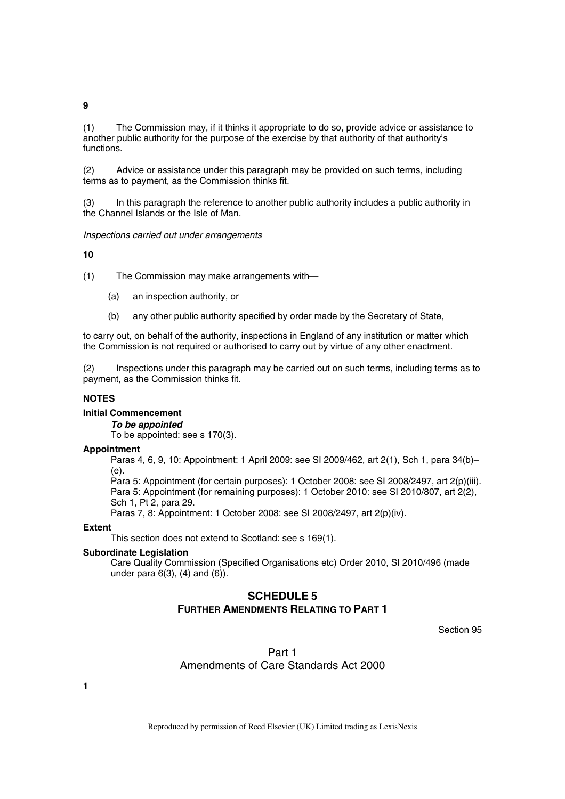#### **9**

(1) The Commission may, if it thinks it appropriate to do so, provide advice or assistance to another public authority for the purpose of the exercise by that authority of that authority's functions.

(2) Advice or assistance under this paragraph may be provided on such terms, including terms as to payment, as the Commission thinks fit.

(3) In this paragraph the reference to another public authority includes a public authority in the Channel Islands or the Isle of Man.

*Inspections carried out under arrangements* 

## **10**

(1) The Commission may make arrangements with—

- (a) an inspection authority, or
- (b) any other public authority specified by order made by the Secretary of State,

to carry out, on behalf of the authority, inspections in England of any institution or matter which the Commission is not required or authorised to carry out by virtue of any other enactment.

(2) Inspections under this paragraph may be carried out on such terms, including terms as to payment, as the Commission thinks fit.

# **NOTES**

## **Initial Commencement**

*To be appointed* 

To be appointed: see s 170(3).

#### **Appointment**

Paras 4, 6, 9, 10: Appointment: 1 April 2009: see SI 2009/462, art 2(1), Sch 1, para 34(b)– (e).

Para 5: Appointment (for certain purposes): 1 October 2008: see SI 2008/2497, art 2(p)(iii). Para 5: Appointment (for remaining purposes): 1 October 2010: see SI 2010/807, art 2(2), Sch 1, Pt 2, para 29.

Paras 7, 8: Appointment: 1 October 2008: see SI 2008/2497, art 2(p)(iv).

#### **Extent**

This section does not extend to Scotland: see s 169(1).

#### **Subordinate Legislation**

Care Quality Commission (Specified Organisations etc) Order 2010, SI 2010/496 (made under para 6(3), (4) and (6)).

# **SCHEDULE 5 FURTHER AMENDMENTS RELATING TO PART 1**

Section 95

Part 1 Amendments of Care Standards Act 2000

**1**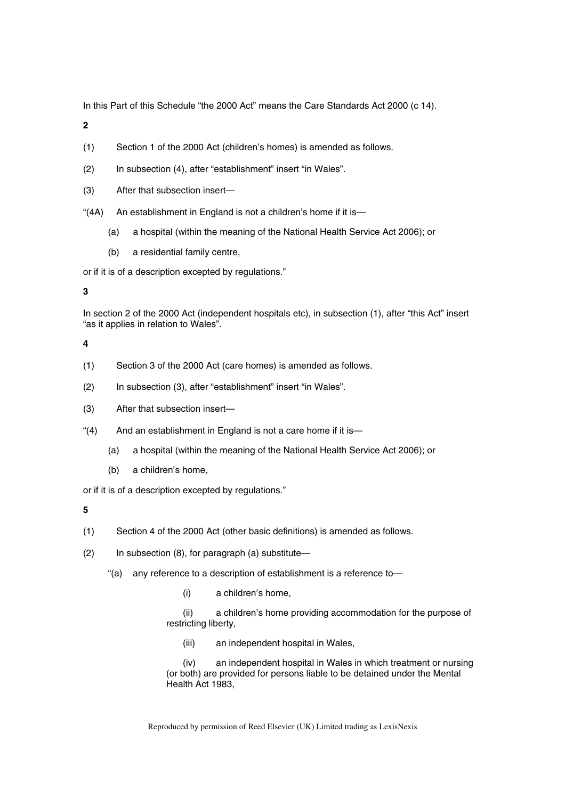In this Part of this Schedule "the 2000 Act" means the Care Standards Act 2000 (c 14).

**2** 

- (1) Section 1 of the 2000 Act (children's homes) is amended as follows.
- (2) In subsection (4), after "establishment" insert "in Wales".
- (3) After that subsection insert—
- "(4A) An establishment in England is not a children's home if it is—
	- (a) a hospital (within the meaning of the National Health Service Act 2006); or
	- (b) a residential family centre,

or if it is of a description excepted by regulations."

**3** 

In section 2 of the 2000 Act (independent hospitals etc), in subsection (1), after "this Act" insert "as it applies in relation to Wales".

**4** 

- (1) Section 3 of the 2000 Act (care homes) is amended as follows.
- (2) In subsection (3), after "establishment" insert "in Wales".
- (3) After that subsection insert—
- "(4) And an establishment in England is not a care home if it is—
	- (a) a hospital (within the meaning of the National Health Service Act 2006); or
	- (b) a children's home,

or if it is of a description excepted by regulations."

**5** 

- (1) Section 4 of the 2000 Act (other basic definitions) is amended as follows.
- (2) In subsection (8), for paragraph (a) substitute—
	- "(a) any reference to a description of establishment is a reference to—
		- (i) a children's home,

(ii) a children's home providing accommodation for the purpose of restricting liberty,

(iii) an independent hospital in Wales,

(iv) an independent hospital in Wales in which treatment or nursing (or both) are provided for persons liable to be detained under the Mental Health Act 1983,

Reproduced by permission of Reed Elsevier (UK) Limited trading as LexisNexis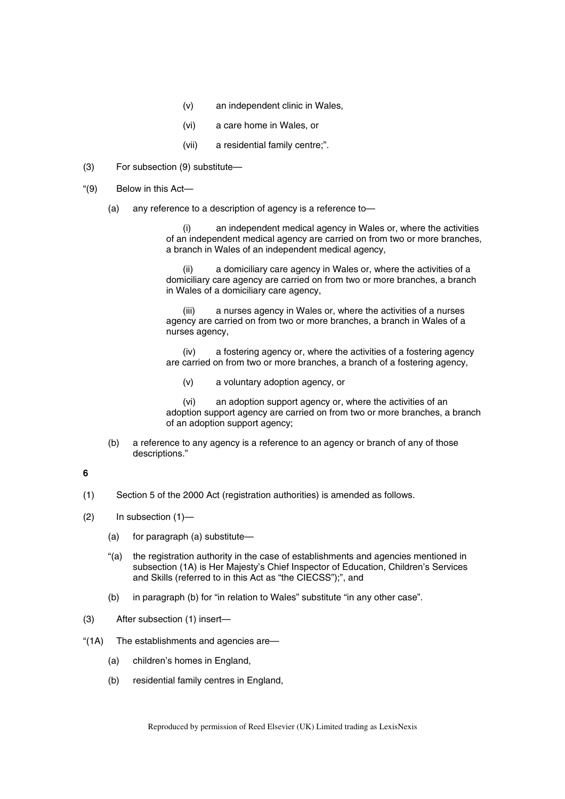- (v) an independent clinic in Wales,
- (vi) a care home in Wales, or
- (vii) a residential family centre;".
- (3) For subsection (9) substitute—
- "(9) Below in this Act—
	- (a) any reference to a description of agency is a reference to—

an independent medical agency in Wales or, where the activities of an independent medical agency are carried on from two or more branches, a branch in Wales of an independent medical agency,

(ii) a domiciliary care agency in Wales or, where the activities of a domiciliary care agency are carried on from two or more branches, a branch in Wales of a domiciliary care agency,

(iii) a nurses agency in Wales or, where the activities of a nurses agency are carried on from two or more branches, a branch in Wales of a nurses agency,

(iv) a fostering agency or, where the activities of a fostering agency are carried on from two or more branches, a branch of a fostering agency,

(v) a voluntary adoption agency, or

(vi) an adoption support agency or, where the activities of an adoption support agency are carried on from two or more branches, a branch of an adoption support agency;

(b) a reference to any agency is a reference to an agency or branch of any of those descriptions."

# **6**

- (1) Section 5 of the 2000 Act (registration authorities) is amended as follows.
- (2) In subsection (1)—
	- (a) for paragraph (a) substitute—
	- "(a) the registration authority in the case of establishments and agencies mentioned in subsection (1A) is Her Majesty's Chief Inspector of Education, Children's Services and Skills (referred to in this Act as "the CIECSS");", and
	- (b) in paragraph (b) for "in relation to Wales" substitute "in any other case".
- (3) After subsection (1) insert—
- "(1A) The establishments and agencies are—
	- (a) children's homes in England,
	- (b) residential family centres in England,

Reproduced by permission of Reed Elsevier (UK) Limited trading as LexisNexis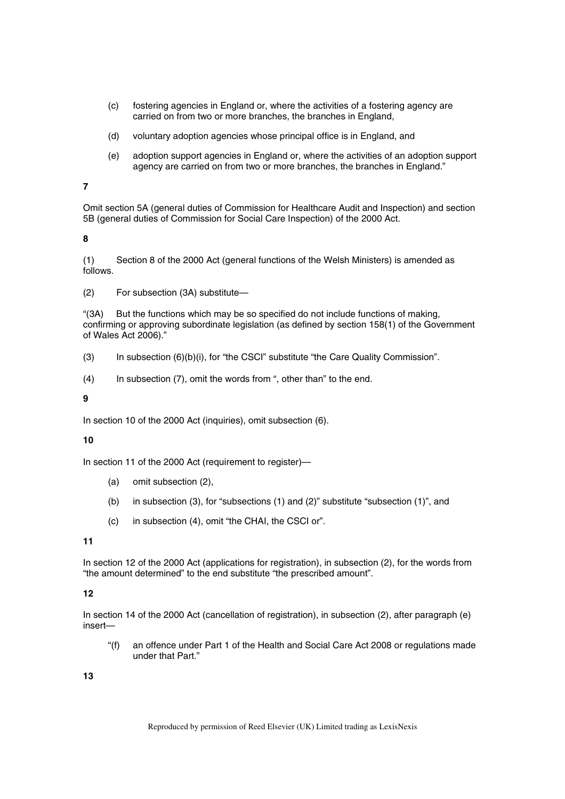- (c) fostering agencies in England or, where the activities of a fostering agency are carried on from two or more branches, the branches in England,
- (d) voluntary adoption agencies whose principal office is in England, and
- (e) adoption support agencies in England or, where the activities of an adoption support agency are carried on from two or more branches, the branches in England."

**7** 

Omit section 5A (general duties of Commission for Healthcare Audit and Inspection) and section 5B (general duties of Commission for Social Care Inspection) of the 2000 Act.

**8** 

(1) Section 8 of the 2000 Act (general functions of the Welsh Ministers) is amended as follows.

(2) For subsection (3A) substitute—

"(3A) But the functions which may be so specified do not include functions of making, confirming or approving subordinate legislation (as defined by section 158(1) of the Government of Wales Act 2006)."

- (3) In subsection (6)(b)(i), for "the CSCI" substitute "the Care Quality Commission".
- (4) In subsection (7), omit the words from ", other than" to the end.

**9** 

In section 10 of the 2000 Act (inquiries), omit subsection (6).

# **10**

In section 11 of the 2000 Act (requirement to register)—

- (a) omit subsection (2),
- (b) in subsection (3), for "subsections (1) and (2)" substitute "subsection (1)", and
- (c) in subsection (4), omit "the CHAI, the CSCI or".

**11** 

In section 12 of the 2000 Act (applications for registration), in subsection (2), for the words from "the amount determined" to the end substitute "the prescribed amount".

# **12**

In section 14 of the 2000 Act (cancellation of registration), in subsection (2), after paragraph (e) insert—

"(f) an offence under Part 1 of the Health and Social Care Act 2008 or regulations made under that Part."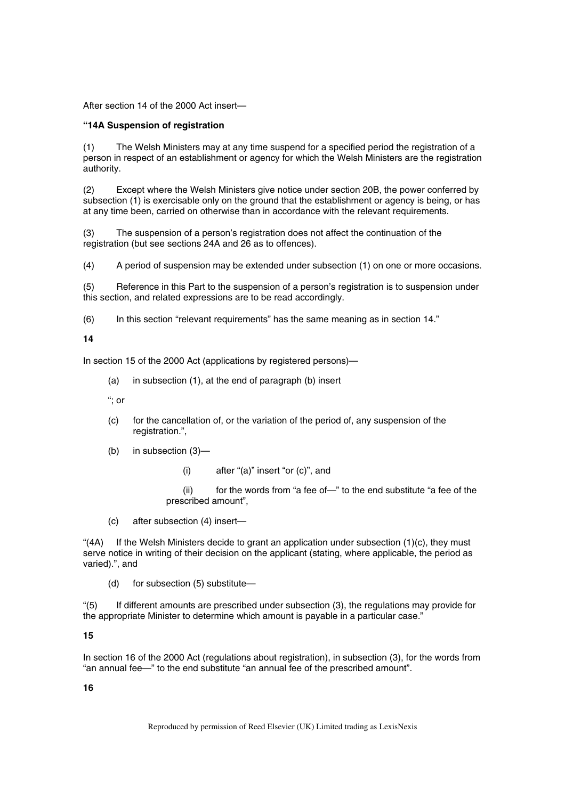After section 14 of the 2000 Act insert—

## **"14A Suspension of registration**

(1) The Welsh Ministers may at any time suspend for a specified period the registration of a person in respect of an establishment or agency for which the Welsh Ministers are the registration authority.

(2) Except where the Welsh Ministers give notice under section 20B, the power conferred by subsection (1) is exercisable only on the ground that the establishment or agency is being, or has at any time been, carried on otherwise than in accordance with the relevant requirements.

(3) The suspension of a person's registration does not affect the continuation of the registration (but see sections 24A and 26 as to offences).

(4) A period of suspension may be extended under subsection (1) on one or more occasions.

(5) Reference in this Part to the suspension of a person's registration is to suspension under this section, and related expressions are to be read accordingly.

(6) In this section "relevant requirements" has the same meaning as in section 14."

# **14**

In section 15 of the 2000 Act (applications by registered persons)—

(a) in subsection (1), at the end of paragraph (b) insert

"; or

- (c) for the cancellation of, or the variation of the period of, any suspension of the registration.",
- (b) in subsection (3)—
	- (i) after "(a)" insert "or (c)", and

(ii) for the words from "a fee of—" to the end substitute "a fee of the prescribed amount",

(c) after subsection (4) insert—

" $(4A)$  If the Welsh Ministers decide to grant an application under subsection  $(1)(c)$ , they must serve notice in writing of their decision on the applicant (stating, where applicable, the period as varied).", and

(d) for subsection (5) substitute—

"(5) If different amounts are prescribed under subsection (3), the regulations may provide for the appropriate Minister to determine which amount is payable in a particular case."

#### **15**

In section 16 of the 2000 Act (regulations about registration), in subsection (3), for the words from "an annual fee—" to the end substitute "an annual fee of the prescribed amount".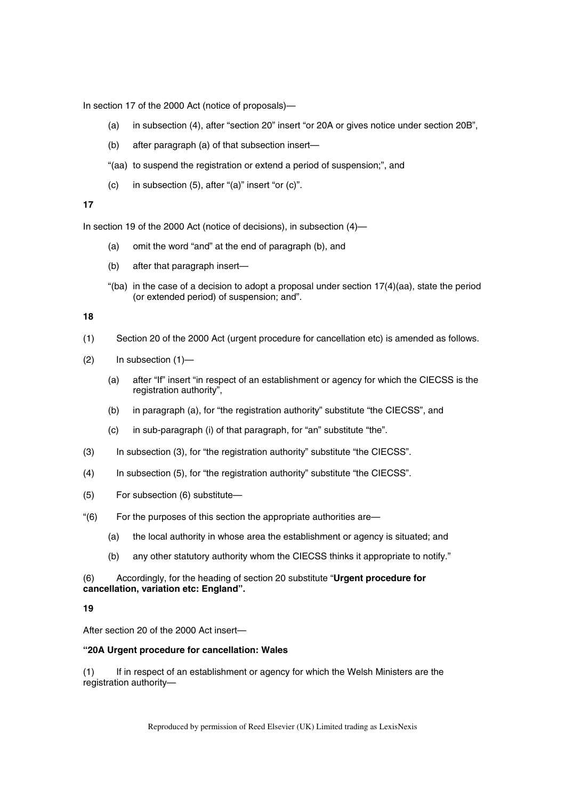In section 17 of the 2000 Act (notice of proposals)—

- (a) in subsection (4), after "section 20" insert "or 20A or gives notice under section 20B",
- (b) after paragraph (a) of that subsection insert—
- "(aa) to suspend the registration or extend a period of suspension;", and
- (c) in subsection (5), after "(a)" insert "or (c)".

# **17**

In section 19 of the 2000 Act (notice of decisions), in subsection (4)—

- (a) omit the word "and" at the end of paragraph (b), and
- (b) after that paragraph insert—
- "(ba) in the case of a decision to adopt a proposal under section  $17(4)(aa)$ , state the period (or extended period) of suspension; and".

### **18**

- (1) Section 20 of the 2000 Act (urgent procedure for cancellation etc) is amended as follows.
- (2) In subsection (1)—
	- (a) after "If" insert "in respect of an establishment or agency for which the CIECSS is the registration authority",
	- (b) in paragraph (a), for "the registration authority" substitute "the CIECSS", and
	- (c) in sub-paragraph (i) of that paragraph, for "an" substitute "the".
- (3) In subsection (3), for "the registration authority" substitute "the CIECSS".
- (4) In subsection (5), for "the registration authority" substitute "the CIECSS".
- (5) For subsection (6) substitute—
- "(6) For the purposes of this section the appropriate authorities are—
	- (a) the local authority in whose area the establishment or agency is situated; and
	- (b) any other statutory authority whom the CIECSS thinks it appropriate to notify."

# (6) Accordingly, for the heading of section 20 substitute "**Urgent procedure for cancellation, variation etc: England".**

#### **19**

After section 20 of the 2000 Act insert—

## **"20A Urgent procedure for cancellation: Wales**

(1) If in respect of an establishment or agency for which the Welsh Ministers are the registration authority—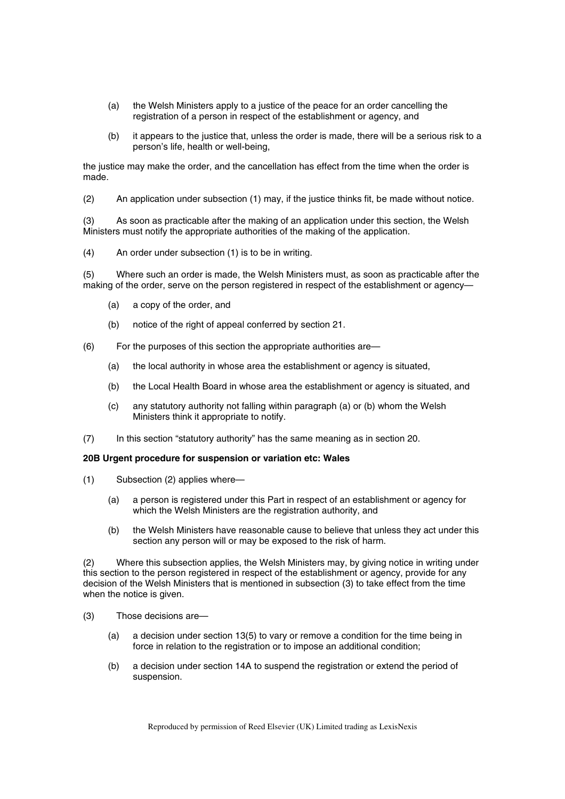- (a) the Welsh Ministers apply to a justice of the peace for an order cancelling the registration of a person in respect of the establishment or agency, and
- (b) it appears to the justice that, unless the order is made, there will be a serious risk to a person's life, health or well-being,

the justice may make the order, and the cancellation has effect from the time when the order is made.

(2) An application under subsection (1) may, if the justice thinks fit, be made without notice.

(3) As soon as practicable after the making of an application under this section, the Welsh Ministers must notify the appropriate authorities of the making of the application.

(4) An order under subsection (1) is to be in writing.

(5) Where such an order is made, the Welsh Ministers must, as soon as practicable after the making of the order, serve on the person registered in respect of the establishment or agency—

- (a) a copy of the order, and
- (b) notice of the right of appeal conferred by section 21.
- (6) For the purposes of this section the appropriate authorities are—
	- (a) the local authority in whose area the establishment or agency is situated,
	- (b) the Local Health Board in whose area the establishment or agency is situated, and
	- (c) any statutory authority not falling within paragraph (a) or (b) whom the Welsh Ministers think it appropriate to notify.
- (7) In this section "statutory authority" has the same meaning as in section 20.

#### **20B Urgent procedure for suspension or variation etc: Wales**

- (1) Subsection (2) applies where—
	- (a) a person is registered under this Part in respect of an establishment or agency for which the Welsh Ministers are the registration authority, and
	- (b) the Welsh Ministers have reasonable cause to believe that unless they act under this section any person will or may be exposed to the risk of harm.

(2) Where this subsection applies, the Welsh Ministers may, by giving notice in writing under this section to the person registered in respect of the establishment or agency, provide for any decision of the Welsh Ministers that is mentioned in subsection (3) to take effect from the time when the notice is given.

- (3) Those decisions are—
	- (a) a decision under section 13(5) to vary or remove a condition for the time being in force in relation to the registration or to impose an additional condition;
	- (b) a decision under section 14A to suspend the registration or extend the period of suspension.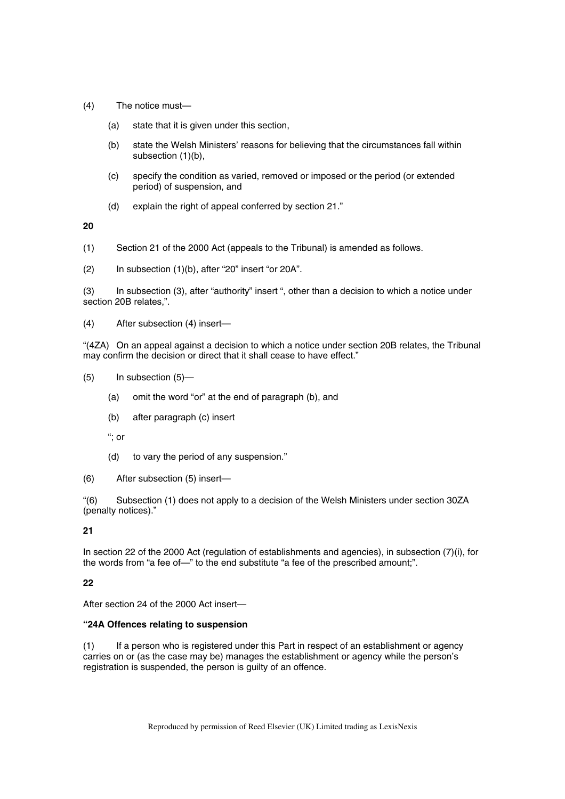- (4) The notice must—
	- (a) state that it is given under this section,
	- (b) state the Welsh Ministers' reasons for believing that the circumstances fall within subsection (1)(b),
	- (c) specify the condition as varied, removed or imposed or the period (or extended period) of suspension, and
	- (d) explain the right of appeal conferred by section 21."

**20** 

- (1) Section 21 of the 2000 Act (appeals to the Tribunal) is amended as follows.
- $(2)$  In subsection  $(1)(b)$ , after "20" insert "or 20A".

(3) In subsection (3), after "authority" insert ", other than a decision to which a notice under section 20B relates,".

(4) After subsection (4) insert—

"(4ZA) On an appeal against a decision to which a notice under section 20B relates, the Tribunal may confirm the decision or direct that it shall cease to have effect."

- (5) In subsection (5)—
	- (a) omit the word "or" at the end of paragraph (b), and
	- (b) after paragraph (c) insert

"; or

(d) to vary the period of any suspension."

(6) After subsection (5) insert—

"(6) Subsection (1) does not apply to a decision of the Welsh Ministers under section 30ZA (penalty notices)."

**21** 

In section 22 of the 2000 Act (regulation of establishments and agencies), in subsection (7)(i), for the words from "a fee of—" to the end substitute "a fee of the prescribed amount;".

**22** 

After section 24 of the 2000 Act insert—

# **"24A Offences relating to suspension**

(1) If a person who is registered under this Part in respect of an establishment or agency carries on or (as the case may be) manages the establishment or agency while the person's registration is suspended, the person is guilty of an offence.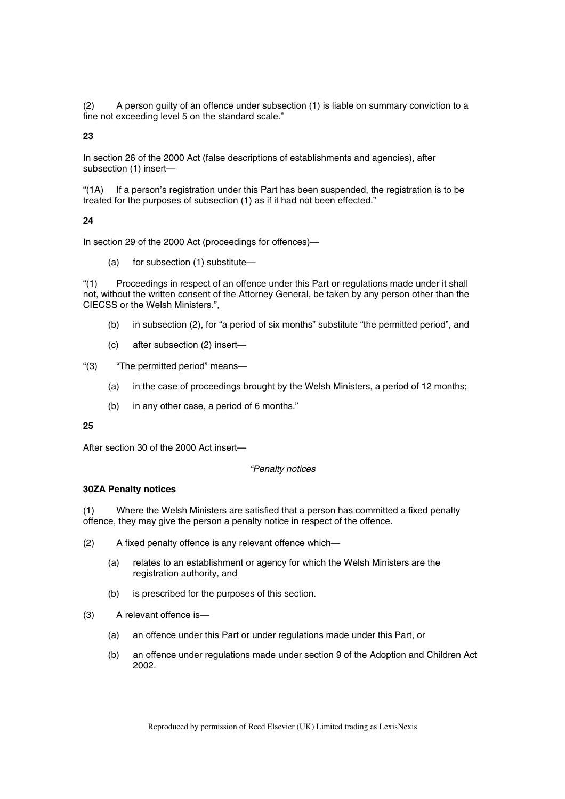(2) A person guilty of an offence under subsection (1) is liable on summary conviction to a fine not exceeding level 5 on the standard scale."

**23** 

In section 26 of the 2000 Act (false descriptions of establishments and agencies), after subsection (1) insert—

"(1A) If a person's registration under this Part has been suspended, the registration is to be treated for the purposes of subsection (1) as if it had not been effected."

# **24**

In section 29 of the 2000 Act (proceedings for offences)—

(a) for subsection (1) substitute—

"(1) Proceedings in respect of an offence under this Part or regulations made under it shall not, without the written consent of the Attorney General, be taken by any person other than the CIECSS or the Welsh Ministers.",

- (b) in subsection (2), for "a period of six months" substitute "the permitted period", and
- (c) after subsection (2) insert—

"(3) "The permitted period" means—

- (a) in the case of proceedings brought by the Welsh Ministers, a period of 12 months;
- (b) in any other case, a period of 6 months."

## **25**

After section 30 of the 2000 Act insert—

#### *"Penalty notices*

# **30ZA Penalty notices**

(1) Where the Welsh Ministers are satisfied that a person has committed a fixed penalty offence, they may give the person a penalty notice in respect of the offence.

(2) A fixed penalty offence is any relevant offence which—

- (a) relates to an establishment or agency for which the Welsh Ministers are the registration authority, and
- (b) is prescribed for the purposes of this section.
- (3) A relevant offence is—
	- (a) an offence under this Part or under regulations made under this Part, or
	- (b) an offence under regulations made under section 9 of the Adoption and Children Act 2002.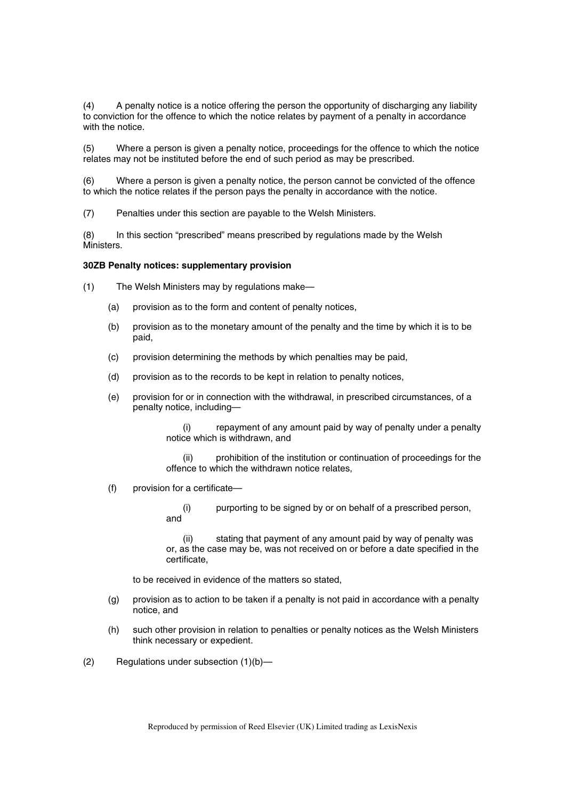(4) A penalty notice is a notice offering the person the opportunity of discharging any liability to conviction for the offence to which the notice relates by payment of a penalty in accordance with the notice.

(5) Where a person is given a penalty notice, proceedings for the offence to which the notice relates may not be instituted before the end of such period as may be prescribed.

(6) Where a person is given a penalty notice, the person cannot be convicted of the offence to which the notice relates if the person pays the penalty in accordance with the notice.

(7) Penalties under this section are payable to the Welsh Ministers.

(8) In this section "prescribed" means prescribed by regulations made by the Welsh Ministers.

### **30ZB Penalty notices: supplementary provision**

(1) The Welsh Ministers may by regulations make—

- (a) provision as to the form and content of penalty notices,
- (b) provision as to the monetary amount of the penalty and the time by which it is to be paid,
- (c) provision determining the methods by which penalties may be paid,
- (d) provision as to the records to be kept in relation to penalty notices,
- (e) provision for or in connection with the withdrawal, in prescribed circumstances, of a penalty notice, including—

(i) repayment of any amount paid by way of penalty under a penalty notice which is withdrawn, and

prohibition of the institution or continuation of proceedings for the offence to which the withdrawn notice relates,

(f) provision for a certificate—

(i) purporting to be signed by or on behalf of a prescribed person, and

(ii) stating that payment of any amount paid by way of penalty was or, as the case may be, was not received on or before a date specified in the certificate,

to be received in evidence of the matters so stated,

- (g) provision as to action to be taken if a penalty is not paid in accordance with a penalty notice, and
- (h) such other provision in relation to penalties or penalty notices as the Welsh Ministers think necessary or expedient.
- (2) Regulations under subsection (1)(b)—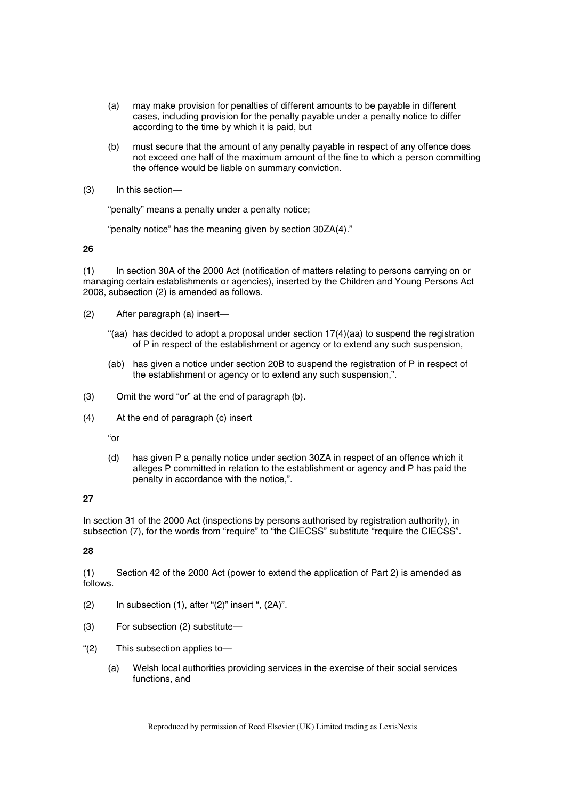- (a) may make provision for penalties of different amounts to be payable in different cases, including provision for the penalty payable under a penalty notice to differ according to the time by which it is paid, but
- (b) must secure that the amount of any penalty payable in respect of any offence does not exceed one half of the maximum amount of the fine to which a person committing the offence would be liable on summary conviction.
- (3) In this section—

"penalty" means a penalty under a penalty notice;

"penalty notice" has the meaning given by section 30ZA(4)."

**26** 

(1) In section 30A of the 2000 Act (notification of matters relating to persons carrying on or managing certain establishments or agencies), inserted by the Children and Young Persons Act 2008, subsection (2) is amended as follows.

- (2) After paragraph (a) insert—
	- "(aa) has decided to adopt a proposal under section  $17(4)(aa)$  to suspend the registration of P in respect of the establishment or agency or to extend any such suspension,
	- (ab) has given a notice under section 20B to suspend the registration of P in respect of the establishment or agency or to extend any such suspension,".
- (3) Omit the word "or" at the end of paragraph (b).
- (4) At the end of paragraph (c) insert

"or

(d) has given P a penalty notice under section 30ZA in respect of an offence which it alleges P committed in relation to the establishment or agency and P has paid the penalty in accordance with the notice,".

# **27**

In section 31 of the 2000 Act (inspections by persons authorised by registration authority), in subsection (7), for the words from "require" to "the CIECSS" substitute "require the CIECSS".

# **28**

(1) Section 42 of the 2000 Act (power to extend the application of Part 2) is amended as follows.

- $(2)$  In subsection  $(1)$ , after " $(2)$ " insert ",  $(2A)$ ".
- (3) For subsection (2) substitute—
- "(2) This subsection applies to—
	- (a) Welsh local authorities providing services in the exercise of their social services functions, and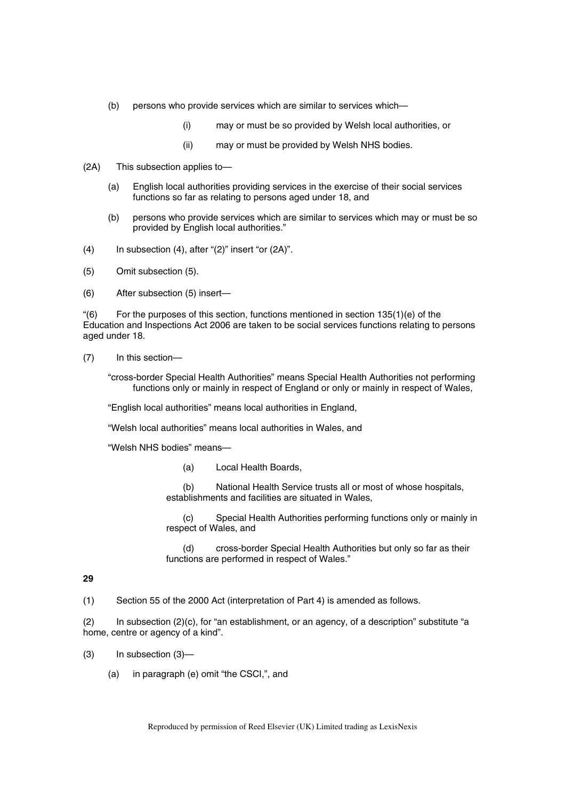- (b) persons who provide services which are similar to services which—
	- (i) may or must be so provided by Welsh local authorities, or
	- (ii) may or must be provided by Welsh NHS bodies.
- (2A) This subsection applies to—
	- (a) English local authorities providing services in the exercise of their social services functions so far as relating to persons aged under 18, and
	- (b) persons who provide services which are similar to services which may or must be so provided by English local authorities."
- (4) In subsection (4), after "(2)" insert "or (2A)".
- (5) Omit subsection (5).
- (6) After subsection (5) insert—

 $\degree$ (6) For the purposes of this section, functions mentioned in section 135(1)(e) of the Education and Inspections Act 2006 are taken to be social services functions relating to persons aged under 18.

(7) In this section—

"cross-border Special Health Authorities" means Special Health Authorities not performing functions only or mainly in respect of England or only or mainly in respect of Wales,

"English local authorities" means local authorities in England,

"Welsh local authorities" means local authorities in Wales, and

"Welsh NHS bodies" means—

(a) Local Health Boards,

(b) National Health Service trusts all or most of whose hospitals, establishments and facilities are situated in Wales,

(c) Special Health Authorities performing functions only or mainly in respect of Wales, and

(d) cross-border Special Health Authorities but only so far as their functions are performed in respect of Wales."

# **29**

(1) Section 55 of the 2000 Act (interpretation of Part 4) is amended as follows.

(2) In subsection (2)(c), for "an establishment, or an agency, of a description" substitute "a home, centre or agency of a kind".

- (3) In subsection (3)—
	- (a) in paragraph (e) omit "the CSCI,", and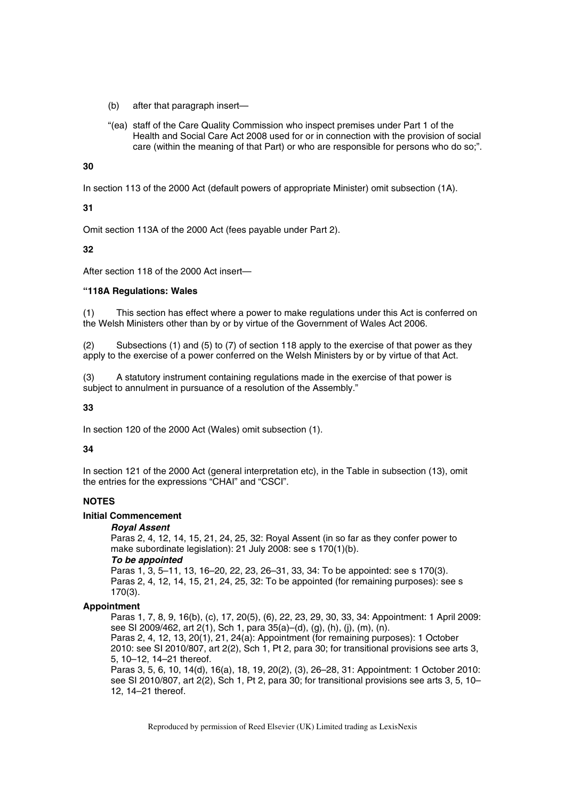- (b) after that paragraph insert—
- "(ea) staff of the Care Quality Commission who inspect premises under Part 1 of the Health and Social Care Act 2008 used for or in connection with the provision of social care (within the meaning of that Part) or who are responsible for persons who do so;".

# **30**

In section 113 of the 2000 Act (default powers of appropriate Minister) omit subsection (1A).

**31** 

Omit section 113A of the 2000 Act (fees payable under Part 2).

**32** 

After section 118 of the 2000 Act insert—

# **"118A Regulations: Wales**

(1) This section has effect where a power to make regulations under this Act is conferred on the Welsh Ministers other than by or by virtue of the Government of Wales Act 2006.

(2) Subsections (1) and (5) to (7) of section 118 apply to the exercise of that power as they apply to the exercise of a power conferred on the Welsh Ministers by or by virtue of that Act.

(3) A statutory instrument containing regulations made in the exercise of that power is subject to annulment in pursuance of a resolution of the Assembly."

# **33**

In section 120 of the 2000 Act (Wales) omit subsection (1).

# **34**

In section 121 of the 2000 Act (general interpretation etc), in the Table in subsection (13), omit the entries for the expressions "CHAI" and "CSCI".

# **NOTES**

# **Initial Commencement**

*Royal Assent* 

Paras 2, 4, 12, 14, 15, 21, 24, 25, 32: Royal Assent (in so far as they confer power to make subordinate legislation): 21 July 2008: see s 170(1)(b). *To be appointed* 

Paras 1, 3, 5–11, 13, 16–20, 22, 23, 26–31, 33, 34: To be appointed: see s 170(3). Paras 2, 4, 12, 14, 15, 21, 24, 25, 32: To be appointed (for remaining purposes): see s 170(3).

# **Appointment**

Paras 1, 7, 8, 9, 16(b), (c), 17, 20(5), (6), 22, 23, 29, 30, 33, 34: Appointment: 1 April 2009: see SI 2009/462, art 2(1), Sch 1, para 35(a)–(d), (g), (h), (j), (m), (n). Paras 2, 4, 12, 13, 20(1), 21, 24(a): Appointment (for remaining purposes): 1 October 2010: see SI 2010/807, art 2(2), Sch 1, Pt 2, para 30; for transitional provisions see arts 3, 5, 10–12, 14–21 thereof. Paras 3, 5, 6, 10, 14(d), 16(a), 18, 19, 20(2), (3), 26–28, 31: Appointment: 1 October 2010: see SI 2010/807, art 2(2), Sch 1, Pt 2, para 30; for transitional provisions see arts 3, 5, 10–

12, 14–21 thereof.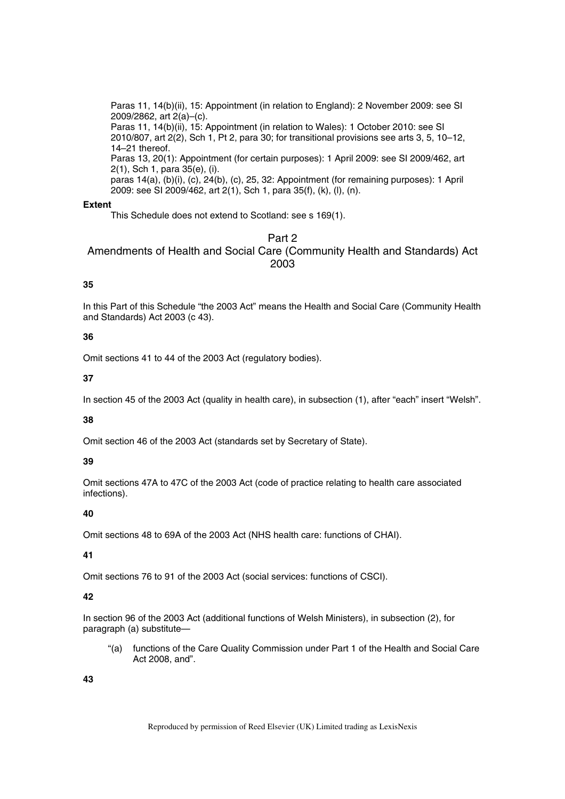Paras 11, 14(b)(ii), 15: Appointment (in relation to England): 2 November 2009: see SI 2009/2862, art 2(a)–(c).

Paras 11, 14(b)(ii), 15: Appointment (in relation to Wales): 1 October 2010: see SI 2010/807, art 2(2), Sch 1, Pt 2, para 30; for transitional provisions see arts 3, 5, 10–12, 14–21 thereof.

Paras 13, 20(1): Appointment (for certain purposes): 1 April 2009: see SI 2009/462, art 2(1), Sch 1, para 35(e), (i).

paras 14(a), (b)(i), (c), 24(b), (c), 25, 32: Appointment (for remaining purposes): 1 April 2009: see SI 2009/462, art 2(1), Sch 1, para 35(f), (k), (l), (n).

# **Extent**

This Schedule does not extend to Scotland: see s 169(1).

# Part 2 Amendments of Health and Social Care (Community Health and Standards) Act 2003

# **35**

In this Part of this Schedule "the 2003 Act" means the Health and Social Care (Community Health and Standards) Act 2003 (c 43).

# **36**

Omit sections 41 to 44 of the 2003 Act (regulatory bodies).

# **37**

In section 45 of the 2003 Act (quality in health care), in subsection (1), after "each" insert "Welsh".

# **38**

Omit section 46 of the 2003 Act (standards set by Secretary of State).

# **39**

Omit sections 47A to 47C of the 2003 Act (code of practice relating to health care associated infections).

# **40**

Omit sections 48 to 69A of the 2003 Act (NHS health care: functions of CHAI).

# **41**

Omit sections 76 to 91 of the 2003 Act (social services: functions of CSCI).

# **42**

In section 96 of the 2003 Act (additional functions of Welsh Ministers), in subsection (2), for paragraph (a) substitute—

"(a) functions of the Care Quality Commission under Part 1 of the Health and Social Care Act 2008, and".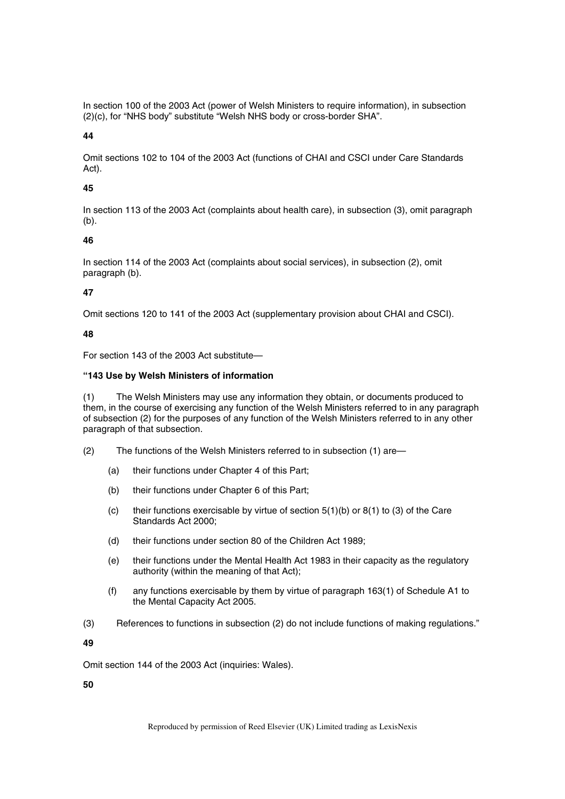In section 100 of the 2003 Act (power of Welsh Ministers to require information), in subsection (2)(c), for "NHS body" substitute "Welsh NHS body or cross-border SHA".

# **44**

Omit sections 102 to 104 of the 2003 Act (functions of CHAI and CSCI under Care Standards Act).

# **45**

In section 113 of the 2003 Act (complaints about health care), in subsection (3), omit paragraph (b).

# **46**

In section 114 of the 2003 Act (complaints about social services), in subsection (2), omit paragraph (b).

# **47**

Omit sections 120 to 141 of the 2003 Act (supplementary provision about CHAI and CSCI).

# **48**

For section 143 of the 2003 Act substitute—

# **"143 Use by Welsh Ministers of information**

(1) The Welsh Ministers may use any information they obtain, or documents produced to them, in the course of exercising any function of the Welsh Ministers referred to in any paragraph of subsection (2) for the purposes of any function of the Welsh Ministers referred to in any other paragraph of that subsection.

- (2) The functions of the Welsh Ministers referred to in subsection (1) are—
	- (a) their functions under Chapter 4 of this Part;
	- (b) their functions under Chapter 6 of this Part;
	- (c) their functions exercisable by virtue of section  $5(1)(b)$  or  $8(1)$  to (3) of the Care Standards Act 2000;
	- (d) their functions under section 80 of the Children Act 1989;
	- (e) their functions under the Mental Health Act 1983 in their capacity as the regulatory authority (within the meaning of that Act);
	- (f) any functions exercisable by them by virtue of paragraph 163(1) of Schedule A1 to the Mental Capacity Act 2005.
- (3) References to functions in subsection (2) do not include functions of making regulations."

**49** 

Omit section 144 of the 2003 Act (inquiries: Wales).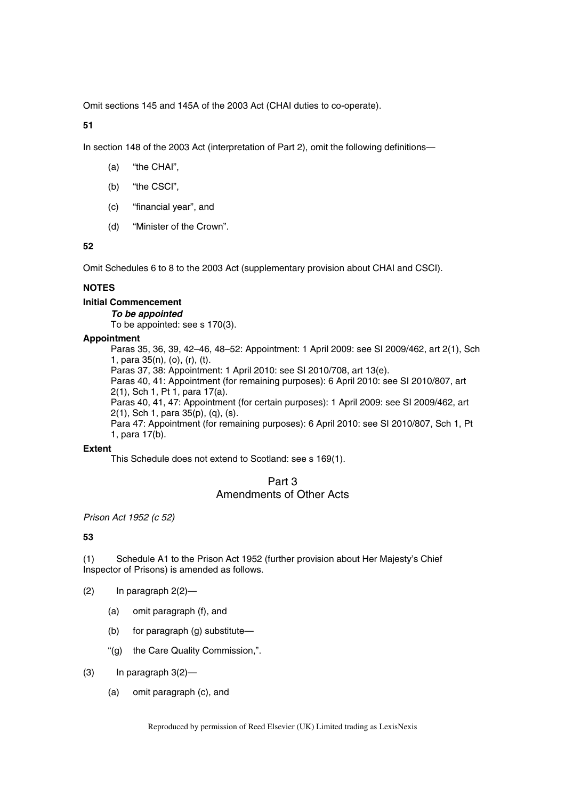Omit sections 145 and 145A of the 2003 Act (CHAI duties to co-operate).

**51** 

In section 148 of the 2003 Act (interpretation of Part 2), omit the following definitions—

- (a) "the CHAI",
- (b) "the CSCI",
- (c) "financial year", and
- (d) "Minister of the Crown".

**52** 

Omit Schedules 6 to 8 to the 2003 Act (supplementary provision about CHAI and CSCI).

# **NOTES**

# **Initial Commencement**

*To be appointed* 

To be appointed: see s 170(3).

# **Appointment**

Paras 35, 36, 39, 42–46, 48–52: Appointment: 1 April 2009: see SI 2009/462, art 2(1), Sch 1, para 35(n), (o), (r), (t). Paras 37, 38: Appointment: 1 April 2010: see SI 2010/708, art 13(e). Paras 40, 41: Appointment (for remaining purposes): 6 April 2010: see SI 2010/807, art 2(1), Sch 1, Pt 1, para 17(a). Paras 40, 41, 47: Appointment (for certain purposes): 1 April 2009: see SI 2009/462, art 2(1), Sch 1, para 35(p), (q), (s). Para 47: Appointment (for remaining purposes): 6 April 2010: see SI 2010/807, Sch 1, Pt

1, para 17(b).

# **Extent**

This Schedule does not extend to Scotland: see s 169(1).

# Part 3 Amendments of Other Acts

*Prison Act 1952 (c 52)* 

**53** 

(1) Schedule A1 to the Prison Act 1952 (further provision about Her Majesty's Chief Inspector of Prisons) is amended as follows.

 $(2)$  In paragraph  $2(2)$ —

- (a) omit paragraph (f), and
- (b) for paragraph (g) substitute—
- "(g) the Care Quality Commission,".
- $(3)$  In paragraph  $3(2)$ 
	- (a) omit paragraph (c), and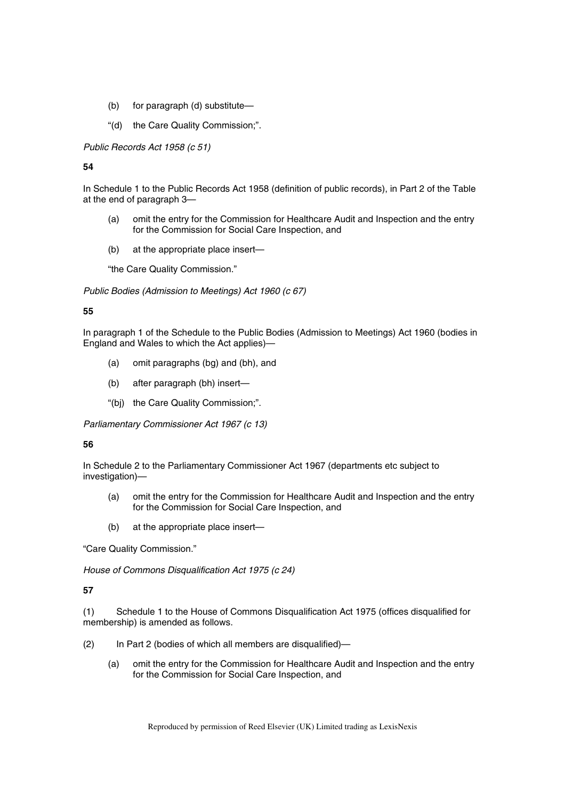- (b) for paragraph (d) substitute—
- "(d) the Care Quality Commission;".

*Public Records Act 1958 (c 51)* 

**54** 

In Schedule 1 to the Public Records Act 1958 (definition of public records), in Part 2 of the Table at the end of paragraph 3—

- (a) omit the entry for the Commission for Healthcare Audit and Inspection and the entry for the Commission for Social Care Inspection, and
- (b) at the appropriate place insert—

"the Care Quality Commission."

*Public Bodies (Admission to Meetings) Act 1960 (c 67)* 

# **55**

In paragraph 1 of the Schedule to the Public Bodies (Admission to Meetings) Act 1960 (bodies in England and Wales to which the Act applies)—

- (a) omit paragraphs (bg) and (bh), and
- (b) after paragraph (bh) insert—
- "(bj) the Care Quality Commission;".

*Parliamentary Commissioner Act 1967 (c 13)* 

# **56**

In Schedule 2 to the Parliamentary Commissioner Act 1967 (departments etc subject to investigation)—

- (a) omit the entry for the Commission for Healthcare Audit and Inspection and the entry for the Commission for Social Care Inspection, and
- (b) at the appropriate place insert—

"Care Quality Commission."

*House of Commons Disqualification Act 1975 (c 24)* 

# **57**

(1) Schedule 1 to the House of Commons Disqualification Act 1975 (offices disqualified for membership) is amended as follows.

- (2) In Part 2 (bodies of which all members are disqualified)—
	- (a) omit the entry for the Commission for Healthcare Audit and Inspection and the entry for the Commission for Social Care Inspection, and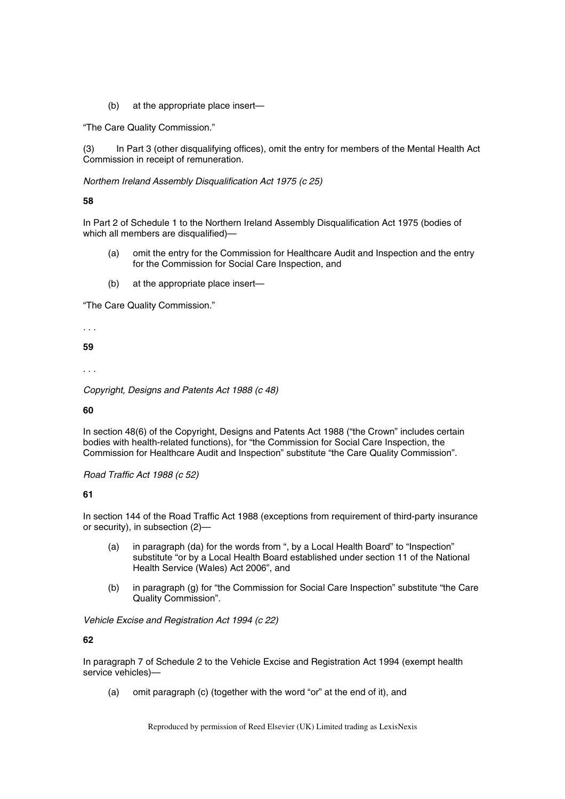(b) at the appropriate place insert—

"The Care Quality Commission."

(3) In Part 3 (other disqualifying offices), omit the entry for members of the Mental Health Act Commission in receipt of remuneration.

*Northern Ireland Assembly Disqualification Act 1975 (c 25)* 

## **58**

In Part 2 of Schedule 1 to the Northern Ireland Assembly Disqualification Act 1975 (bodies of which all members are disqualified)—

- (a) omit the entry for the Commission for Healthcare Audit and Inspection and the entry for the Commission for Social Care Inspection, and
- (b) at the appropriate place insert—

"The Care Quality Commission."

*. . .* 

**59** 

. . .

*Copyright, Designs and Patents Act 1988 (c 48)* 

**60** 

In section 48(6) of the Copyright, Designs and Patents Act 1988 ("the Crown" includes certain bodies with health-related functions), for "the Commission for Social Care Inspection, the Commission for Healthcare Audit and Inspection" substitute "the Care Quality Commission".

*Road Traffic Act 1988 (c 52)* 

# **61**

In section 144 of the Road Traffic Act 1988 (exceptions from requirement of third-party insurance or security), in subsection (2)—

- (a) in paragraph (da) for the words from ", by a Local Health Board" to "Inspection" substitute "or by a Local Health Board established under section 11 of the National Health Service (Wales) Act 2006", and
- (b) in paragraph (g) for "the Commission for Social Care Inspection" substitute "the Care Quality Commission".

*Vehicle Excise and Registration Act 1994 (c 22)* 

**62** 

In paragraph 7 of Schedule 2 to the Vehicle Excise and Registration Act 1994 (exempt health service vehicles)—

(a) omit paragraph (c) (together with the word "or" at the end of it), and

Reproduced by permission of Reed Elsevier (UK) Limited trading as LexisNexis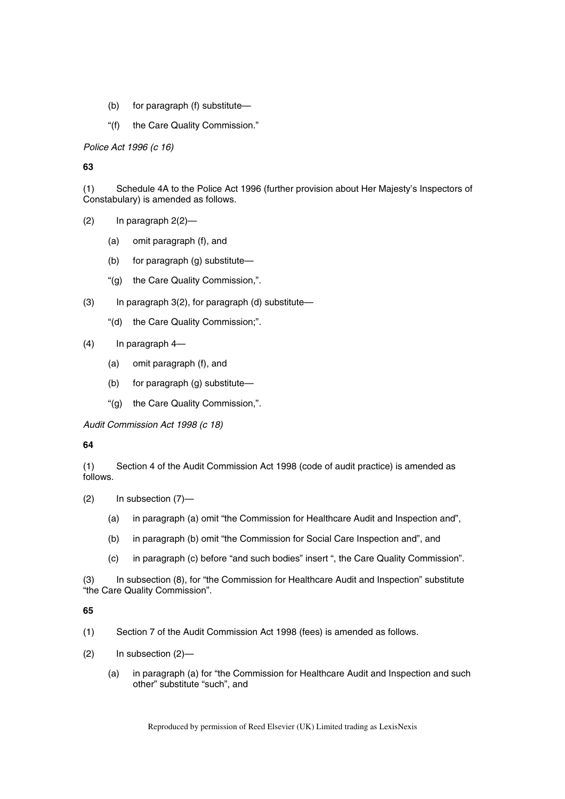- (b) for paragraph (f) substitute—
- "(f) the Care Quality Commission."

*Police Act 1996 (c 16)* 

**63** 

(1) Schedule 4A to the Police Act 1996 (further provision about Her Majesty's Inspectors of Constabulary) is amended as follows.

- $(2)$  In paragraph  $2(2)$ 
	- (a) omit paragraph (f), and
	- (b) for paragraph (g) substitute—
	- "(g) the Care Quality Commission,".
- (3) In paragraph 3(2), for paragraph (d) substitute—
	- "(d) the Care Quality Commission;".
- (4) In paragraph 4—
	- (a) omit paragraph (f), and
	- (b) for paragraph (g) substitute—
	- "(g) the Care Quality Commission,".

*Audit Commission Act 1998 (c 18)* 

# **64**

(1) Section 4 of the Audit Commission Act 1998 (code of audit practice) is amended as follows.

- (2) In subsection (7)—
	- (a) in paragraph (a) omit "the Commission for Healthcare Audit and Inspection and",
	- (b) in paragraph (b) omit "the Commission for Social Care Inspection and", and
	- (c) in paragraph (c) before "and such bodies" insert ", the Care Quality Commission".

In subsection (8), for "the Commission for Healthcare Audit and Inspection" substitute (3) In subsection (8), for "the Care Quality Commission".

- (1) Section 7 of the Audit Commission Act 1998 (fees) is amended as follows.
- (2) In subsection (2)—
	- (a) in paragraph (a) for "the Commission for Healthcare Audit and Inspection and such other" substitute "such", and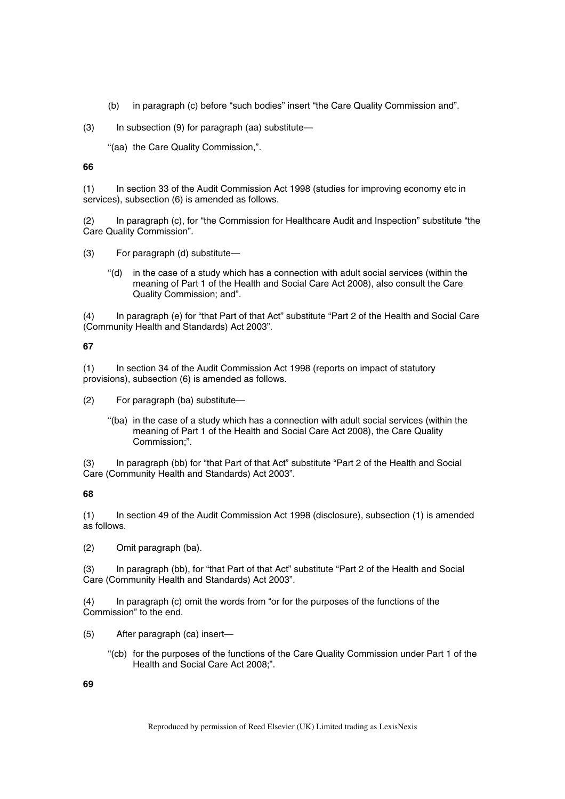(b) in paragraph (c) before "such bodies" insert "the Care Quality Commission and".

(3) In subsection (9) for paragraph (aa) substitute—

"(aa) the Care Quality Commission,".

# **66**

(1) In section 33 of the Audit Commission Act 1998 (studies for improving economy etc in services), subsection (6) is amended as follows.

(2) In paragraph (c), for "the Commission for Healthcare Audit and Inspection" substitute "the Care Quality Commission".

- (3) For paragraph (d) substitute—
	- "(d) in the case of a study which has a connection with adult social services (within the meaning of Part 1 of the Health and Social Care Act 2008), also consult the Care Quality Commission; and".

(4) In paragraph (e) for "that Part of that Act" substitute "Part 2 of the Health and Social Care (Community Health and Standards) Act 2003".

# **67**

(1) In section 34 of the Audit Commission Act 1998 (reports on impact of statutory provisions), subsection (6) is amended as follows.

(2) For paragraph (ba) substitute—

"(ba) in the case of a study which has a connection with adult social services (within the meaning of Part 1 of the Health and Social Care Act 2008), the Care Quality Commission;".

(3) In paragraph (bb) for "that Part of that Act" substitute "Part 2 of the Health and Social Care (Community Health and Standards) Act 2003".

# **68**

(1) In section 49 of the Audit Commission Act 1998 (disclosure), subsection (1) is amended as follows.

(2) Omit paragraph (ba).

(3) In paragraph (bb), for "that Part of that Act" substitute "Part 2 of the Health and Social Care (Community Health and Standards) Act 2003".

(4) In paragraph (c) omit the words from "or for the purposes of the functions of the Commission" to the end.

- (5) After paragraph (ca) insert—
	- "(cb) for the purposes of the functions of the Care Quality Commission under Part 1 of the Health and Social Care Act 2008;".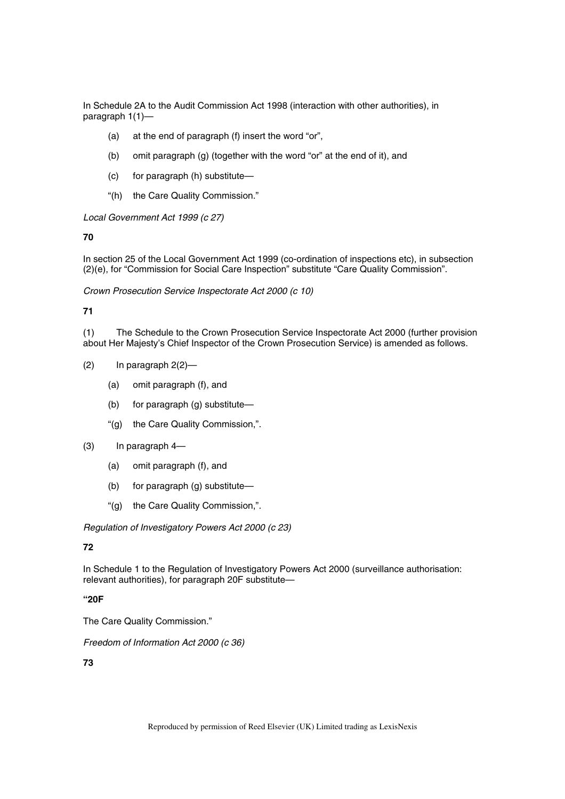In Schedule 2A to the Audit Commission Act 1998 (interaction with other authorities), in paragraph 1(1)—

- (a) at the end of paragraph (f) insert the word "or",
- (b) omit paragraph (g) (together with the word "or" at the end of it), and
- (c) for paragraph (h) substitute—
- "(h) the Care Quality Commission."

*Local Government Act 1999 (c 27)* 

**70** 

In section 25 of the Local Government Act 1999 (co-ordination of inspections etc), in subsection (2)(e), for "Commission for Social Care Inspection" substitute "Care Quality Commission".

*Crown Prosecution Service Inspectorate Act 2000 (c 10)* 

# **71**

(1) The Schedule to the Crown Prosecution Service Inspectorate Act 2000 (further provision about Her Majesty's Chief Inspector of the Crown Prosecution Service) is amended as follows.

- $(2)$  In paragraph  $2(2)$ 
	- (a) omit paragraph (f), and
	- (b) for paragraph (g) substitute—
	- "(g) the Care Quality Commission,".
- (3) In paragraph 4—
	- (a) omit paragraph (f), and
	- (b) for paragraph (g) substitute—
	- "(g) the Care Quality Commission,".

*Regulation of Investigatory Powers Act 2000 (c 23)* 

# **72**

In Schedule 1 to the Regulation of Investigatory Powers Act 2000 (surveillance authorisation: relevant authorities), for paragraph 20F substitute—

# **"20F**

The Care Quality Commission."

*Freedom of Information Act 2000 (c 36)*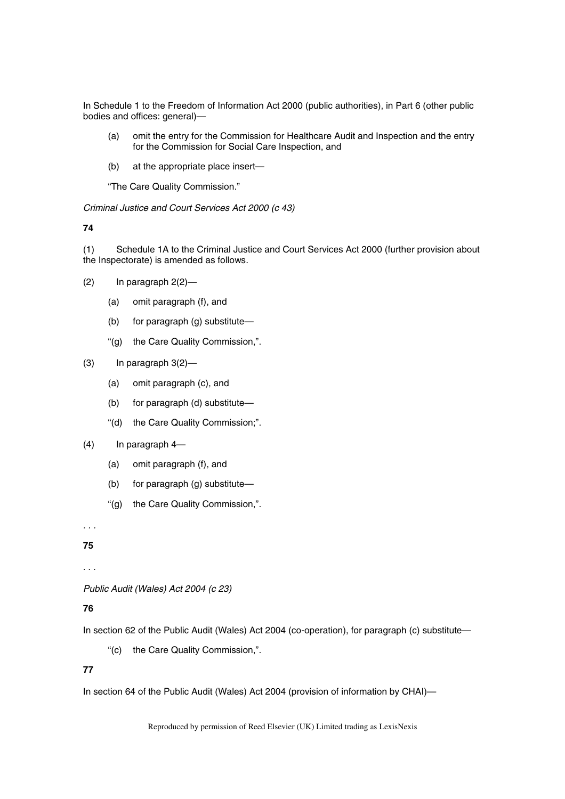In Schedule 1 to the Freedom of Information Act 2000 (public authorities), in Part 6 (other public bodies and offices: general)—

- (a) omit the entry for the Commission for Healthcare Audit and Inspection and the entry for the Commission for Social Care Inspection, and
- (b) at the appropriate place insert—

"The Care Quality Commission."

*Criminal Justice and Court Services Act 2000 (c 43)* 

**74** 

(1) Schedule 1A to the Criminal Justice and Court Services Act 2000 (further provision about the Inspectorate) is amended as follows.

- $(2)$  In paragraph  $2(2)$ 
	- (a) omit paragraph (f), and
	- (b) for paragraph (g) substitute—
	- "(g) the Care Quality Commission,".
- $(3)$  In paragraph  $3(2)$ 
	- (a) omit paragraph (c), and
	- (b) for paragraph (d) substitute—
	- "(d) the Care Quality Commission;".
- (4) In paragraph 4—
	- (a) omit paragraph (f), and
	- (b) for paragraph (g) substitute—
	- "(g) the Care Quality Commission,".

*. . .* 

**75** 

. . .

*Public Audit (Wales) Act 2004 (c 23)* 

# **76**

In section 62 of the Public Audit (Wales) Act 2004 (co-operation), for paragraph (c) substitute—

"(c) the Care Quality Commission,".

# **77**

In section 64 of the Public Audit (Wales) Act 2004 (provision of information by CHAI)—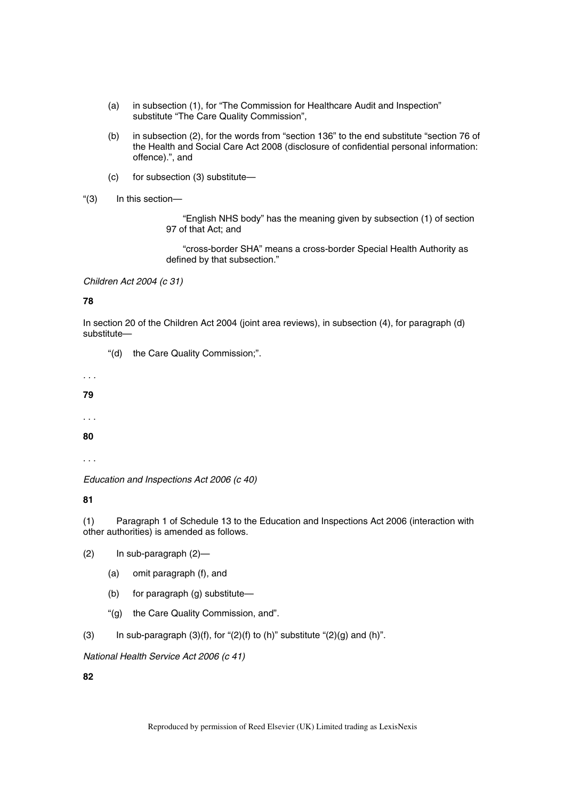- (a) in subsection (1), for "The Commission for Healthcare Audit and Inspection" substitute "The Care Quality Commission",
- (b) in subsection (2), for the words from "section 136" to the end substitute "section 76 of the Health and Social Care Act 2008 (disclosure of confidential personal information: offence).", and
- (c) for subsection (3) substitute—
- "(3) In this section—

"English NHS body" has the meaning given by subsection (1) of section 97 of that Act; and

"cross-border SHA" means a cross-border Special Health Authority as defined by that subsection."

*Children Act 2004 (c 31)* 

# **78**

In section 20 of the Children Act 2004 (joint area reviews), in subsection (4), for paragraph (d) substitute—

"(d) the Care Quality Commission;".

*. . .* 

**79** 

. . .

**80** 

. . .

*Education and Inspections Act 2006 (c 40)* 

**81** 

(1) Paragraph 1 of Schedule 13 to the Education and Inspections Act 2006 (interaction with other authorities) is amended as follows.

- (2) In sub-paragraph (2)—
	- (a) omit paragraph (f), and
	- (b) for paragraph (g) substitute—
	- "(g) the Care Quality Commission, and".
- (3) In sub-paragraph  $(3)(f)$ , for " $(2)(f)$  to  $(h)$ " substitute " $(2)(g)$  and  $(h)$ ".

*National Health Service Act 2006 (c 41)*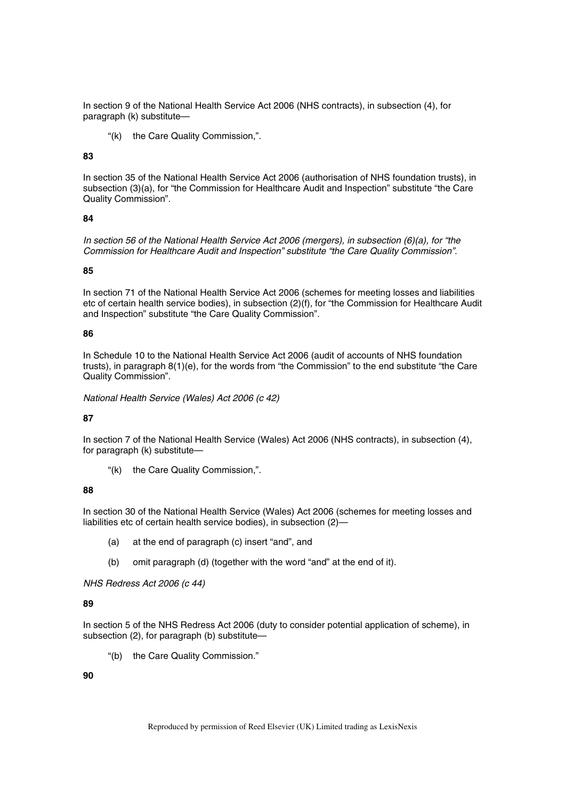In section 9 of the National Health Service Act 2006 (NHS contracts), in subsection (4), for paragraph (k) substitute—

"(k) the Care Quality Commission,".

# **83**

In section 35 of the National Health Service Act 2006 (authorisation of NHS foundation trusts), in subsection (3)(a), for "the Commission for Healthcare Audit and Inspection" substitute "the Care Quality Commission".

### **84**

*In section 56 of the National Health Service Act 2006 (mergers), in subsection (6)(a), for "the Commission for Healthcare Audit and Inspection" substitute "the Care Quality Commission".*

## **85**

In section 71 of the National Health Service Act 2006 (schemes for meeting losses and liabilities etc of certain health service bodies), in subsection (2)(f), for "the Commission for Healthcare Audit and Inspection" substitute "the Care Quality Commission".

### **86**

In Schedule 10 to the National Health Service Act 2006 (audit of accounts of NHS foundation trusts), in paragraph 8(1)(e), for the words from "the Commission" to the end substitute "the Care Quality Commission".

*National Health Service (Wales) Act 2006 (c 42)* 

# **87**

In section 7 of the National Health Service (Wales) Act 2006 (NHS contracts), in subsection (4), for paragraph (k) substitute—

"(k) the Care Quality Commission,".

# **88**

In section 30 of the National Health Service (Wales) Act 2006 (schemes for meeting losses and liabilities etc of certain health service bodies), in subsection (2)—

- (a) at the end of paragraph (c) insert "and", and
- (b) omit paragraph (d) (together with the word "and" at the end of it).

*NHS Redress Act 2006 (c 44)* 

# **89**

In section 5 of the NHS Redress Act 2006 (duty to consider potential application of scheme), in subsection (2), for paragraph (b) substitute—

"(b) the Care Quality Commission."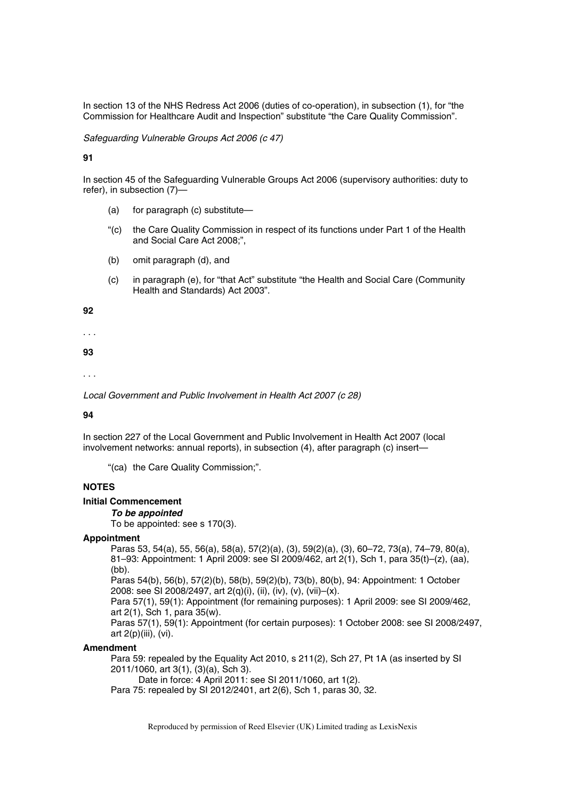In section 13 of the NHS Redress Act 2006 (duties of co-operation), in subsection (1), for "the Commission for Healthcare Audit and Inspection" substitute "the Care Quality Commission".

*Safeguarding Vulnerable Groups Act 2006 (c 47)* 

**91** 

In section 45 of the Safeguarding Vulnerable Groups Act 2006 (supervisory authorities: duty to refer), in subsection (7)—

- (a) for paragraph (c) substitute—
- "(c) the Care Quality Commission in respect of its functions under Part 1 of the Health and Social Care Act 2008;",
- (b) omit paragraph (d), and
- (c) in paragraph (e), for "that Act" substitute "the Health and Social Care (Community Health and Standards) Act 2003".

**92** 

. . .

**93** 

. . .

*Local Government and Public Involvement in Health Act 2007 (c 28)* 

#### **94**

In section 227 of the Local Government and Public Involvement in Health Act 2007 (local involvement networks: annual reports), in subsection (4), after paragraph (c) insert—

"(ca) the Care Quality Commission;".

# **NOTES**

**Initial Commencement** 

# *To be appointed*

To be appointed: see s 170(3).

### **Appointment**

Paras 53, 54(a), 55, 56(a), 58(a), 57(2)(a), (3), 59(2)(a), (3), 60–72, 73(a), 74–79, 80(a), 81–93: Appointment: 1 April 2009: see SI 2009/462, art 2(1), Sch 1, para 35(t)–(z), (aa), (bb).

Paras 54(b), 56(b), 57(2)(b), 58(b), 59(2)(b), 73(b), 80(b), 94: Appointment: 1 October 2008: see SI 2008/2497, art 2(q)(i), (ii), (iv), (v), (vii)–(x).

Para 57(1), 59(1): Appointment (for remaining purposes): 1 April 2009: see SI 2009/462, art 2(1), Sch 1, para 35(w).

Paras 57(1), 59(1): Appointment (for certain purposes): 1 October 2008: see SI 2008/2497, art 2(p)(iii), (vi).

# **Amendment**

Para 59: repealed by the Equality Act 2010, s 211(2), Sch 27, Pt 1A (as inserted by SI 2011/1060, art 3(1), (3)(a), Sch 3).

Date in force: 4 April 2011: see SI 2011/1060, art 1(2).

Para 75: repealed by SI 2012/2401, art 2(6), Sch 1, paras 30, 32.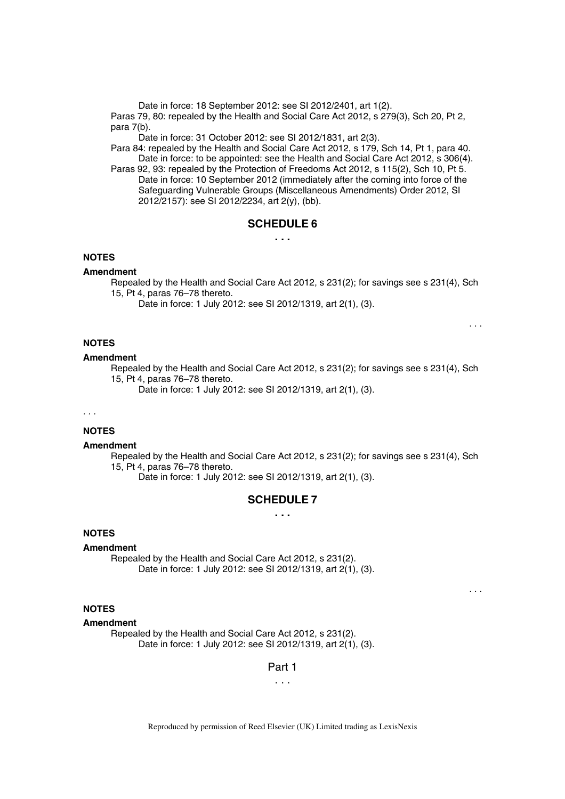Date in force: 18 September 2012: see SI 2012/2401, art 1(2).

Paras 79, 80: repealed by the Health and Social Care Act 2012, s 279(3), Sch 20, Pt 2, para 7(b).

Date in force: 31 October 2012: see SI 2012/1831, art 2(3).

Para 84: repealed by the Health and Social Care Act 2012, s 179, Sch 14, Pt 1, para 40. Date in force: to be appointed: see the Health and Social Care Act 2012, s 306(4).

Paras 92, 93: repealed by the Protection of Freedoms Act 2012, s 115(2), Sch 10, Pt 5. Date in force: 10 September 2012 (immediately after the coming into force of the Safeguarding Vulnerable Groups (Miscellaneous Amendments) Order 2012, SI 2012/2157): see SI 2012/2234, art 2(y), (bb).

# **SCHEDULE 6**

# **. . .**

# **NOTES**

#### **Amendment**

Repealed by the Health and Social Care Act 2012, s 231(2); for savings see s 231(4), Sch 15, Pt 4, paras 76–78 thereto.

. . .

. . .

Date in force: 1 July 2012: see SI 2012/1319, art 2(1), (3).

## **NOTES**

## **Amendment**

Repealed by the Health and Social Care Act 2012, s 231(2); for savings see s 231(4), Sch 15, Pt 4, paras 76–78 thereto.

Date in force: 1 July 2012: see SI 2012/1319, art 2(1), (3).

#### *. . .*

# **NOTES**

#### **Amendment**

Repealed by the Health and Social Care Act 2012, s 231(2); for savings see s 231(4), Sch 15, Pt 4, paras 76–78 thereto.

Date in force: 1 July 2012: see SI 2012/1319, art 2(1), (3).

## **SCHEDULE 7**

**. . .** 

# **NOTES**

#### **Amendment**

Repealed by the Health and Social Care Act 2012, s 231(2). Date in force: 1 July 2012: see SI 2012/1319, art 2(1), (3).

# **NOTES**

#### **Amendment**

Repealed by the Health and Social Care Act 2012, s 231(2). Date in force: 1 July 2012: see SI 2012/1319, art 2(1), (3).

### Part 1

. . .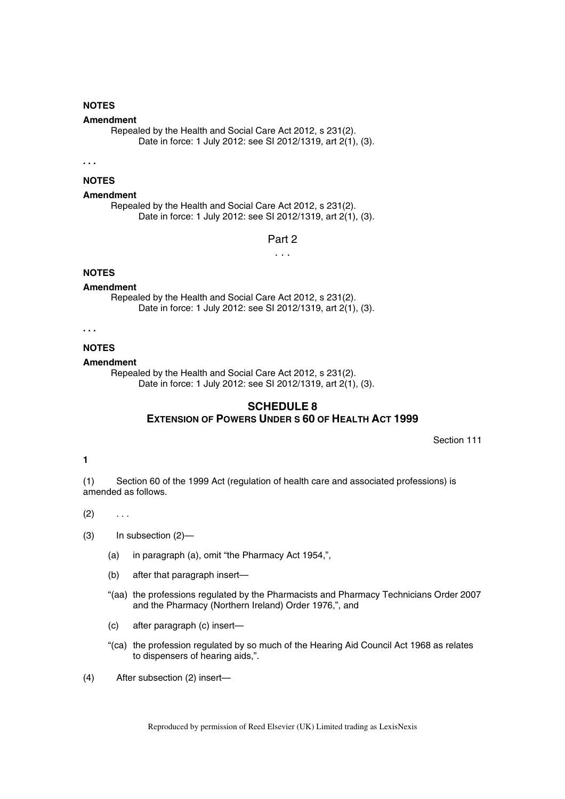# **NOTES**

# **Amendment**

Repealed by the Health and Social Care Act 2012, s 231(2). Date in force: 1 July 2012: see SI 2012/1319, art 2(1), (3).

**. . .** 

# **NOTES**

## **Amendment**

Repealed by the Health and Social Care Act 2012, s 231(2). Date in force: 1 July 2012: see SI 2012/1319, art 2(1), (3).

Part 2

. . .

# **NOTES**

### **Amendment**

Repealed by the Health and Social Care Act 2012, s 231(2). Date in force: 1 July 2012: see SI 2012/1319, art 2(1), (3).

**. . .** 

### **NOTES**

#### **Amendment**

Repealed by the Health and Social Care Act 2012, s 231(2). Date in force: 1 July 2012: see SI 2012/1319, art 2(1), (3).

# **SCHEDULE 8 EXTENSION OF POWERS UNDER S 60 OF HEALTH ACT 1999**

Section 111

#### **1**

(1) Section 60 of the 1999 Act (regulation of health care and associated professions) is amended as follows.

 $(2) \quad . . .$ 

- (3) In subsection (2)—
	- (a) in paragraph (a), omit "the Pharmacy Act 1954,",
	- (b) after that paragraph insert—
	- "(aa) the professions regulated by the Pharmacists and Pharmacy Technicians Order 2007 and the Pharmacy (Northern Ireland) Order 1976,", and
	- (c) after paragraph (c) insert—
	- "(ca) the profession regulated by so much of the Hearing Aid Council Act 1968 as relates to dispensers of hearing aids,".
- (4) After subsection (2) insert—

Reproduced by permission of Reed Elsevier (UK) Limited trading as LexisNexis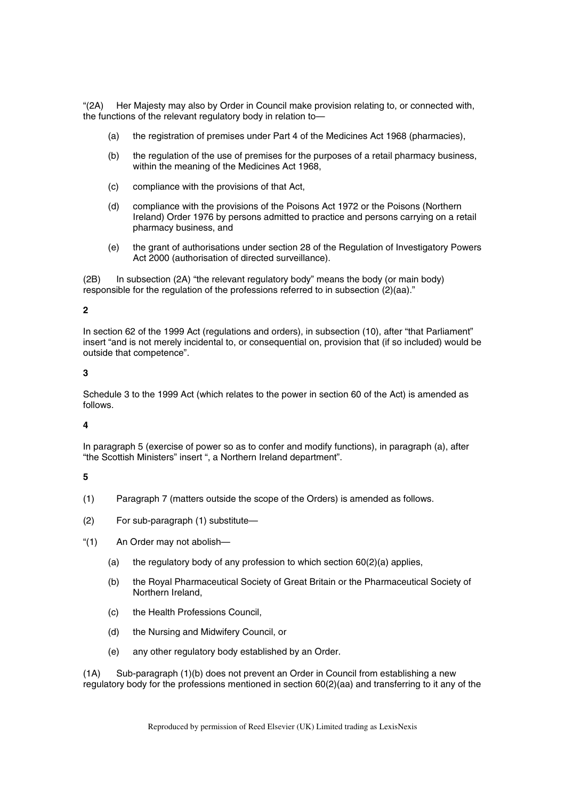"(2A) Her Majesty may also by Order in Council make provision relating to, or connected with, the functions of the relevant regulatory body in relation to—

- (a) the registration of premises under Part 4 of the Medicines Act 1968 (pharmacies),
- (b) the regulation of the use of premises for the purposes of a retail pharmacy business, within the meaning of the Medicines Act 1968,
- (c) compliance with the provisions of that Act,
- (d) compliance with the provisions of the Poisons Act 1972 or the Poisons (Northern Ireland) Order 1976 by persons admitted to practice and persons carrying on a retail pharmacy business, and
- (e) the grant of authorisations under section 28 of the Regulation of Investigatory Powers Act 2000 (authorisation of directed surveillance).

(2B) In subsection (2A) "the relevant regulatory body" means the body (or main body) responsible for the regulation of the professions referred to in subsection (2)(aa)."

# **2**

In section 62 of the 1999 Act (regulations and orders), in subsection (10), after "that Parliament" insert "and is not merely incidental to, or consequential on, provision that (if so included) would be outside that competence".

# **3**

Schedule 3 to the 1999 Act (which relates to the power in section 60 of the Act) is amended as follows.

# **4**

In paragraph 5 (exercise of power so as to confer and modify functions), in paragraph (a), after "the Scottish Ministers" insert ", a Northern Ireland department".

# **5**

- (1) Paragraph 7 (matters outside the scope of the Orders) is amended as follows.
- (2) For sub-paragraph (1) substitute—
- "(1) An Order may not abolish—
	- (a) the regulatory body of any profession to which section  $60(2)(a)$  applies,
	- (b) the Royal Pharmaceutical Society of Great Britain or the Pharmaceutical Society of Northern Ireland,
	- (c) the Health Professions Council,
	- (d) the Nursing and Midwifery Council, or
	- (e) any other regulatory body established by an Order.

(1A) Sub-paragraph (1)(b) does not prevent an Order in Council from establishing a new regulatory body for the professions mentioned in section 60(2)(aa) and transferring to it any of the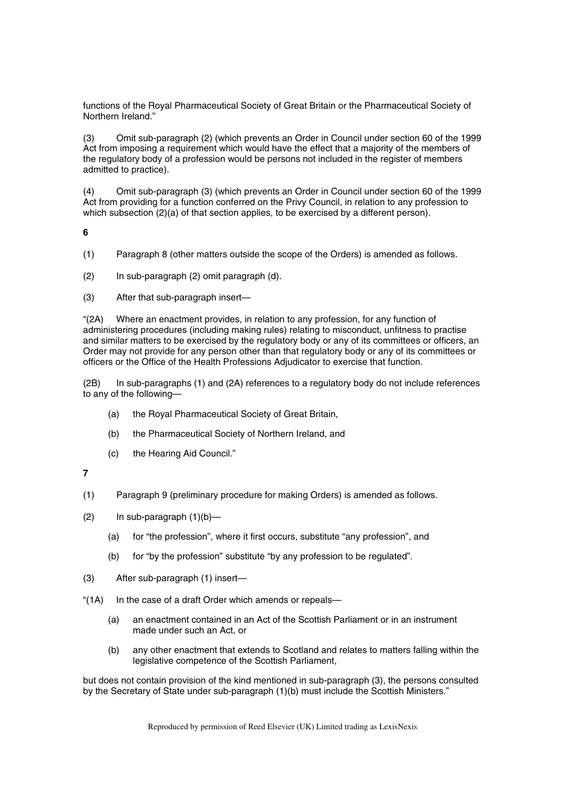functions of the Royal Pharmaceutical Society of Great Britain or the Pharmaceutical Society of Northern Ireland."

(3) Omit sub-paragraph (2) (which prevents an Order in Council under section 60 of the 1999 Act from imposing a requirement which would have the effect that a majority of the members of the regulatory body of a profession would be persons not included in the register of members admitted to practice).

(4) Omit sub-paragraph (3) (which prevents an Order in Council under section 60 of the 1999 Act from providing for a function conferred on the Privy Council, in relation to any profession to which subsection  $(2)(a)$  of that section applies, to be exercised by a different person).

**6** 

- (1) Paragraph 8 (other matters outside the scope of the Orders) is amended as follows.
- (2) In sub-paragraph (2) omit paragraph (d).
- (3) After that sub-paragraph insert—

"(2A) Where an enactment provides, in relation to any profession, for any function of administering procedures (including making rules) relating to misconduct, unfitness to practise and similar matters to be exercised by the regulatory body or any of its committees or officers, an Order may not provide for any person other than that regulatory body or any of its committees or officers or the Office of the Health Professions Adjudicator to exercise that function.

(2B) In sub-paragraphs (1) and (2A) references to a regulatory body do not include references to any of the following—

- (a) the Royal Pharmaceutical Society of Great Britain,
- (b) the Pharmaceutical Society of Northern Ireland, and
- (c) the Hearing Aid Council."

**7** 

- (1) Paragraph 9 (preliminary procedure for making Orders) is amended as follows.
- $(2)$  In sub-paragraph  $(1)(b)$ 
	- (a) for "the profession", where it first occurs, substitute "any profession", and
	- (b) for "by the profession" substitute "by any profession to be regulated".
- (3) After sub-paragraph (1) insert—
- "(1A) In the case of a draft Order which amends or repeals-
	- (a) an enactment contained in an Act of the Scottish Parliament or in an instrument made under such an Act, or
	- (b) any other enactment that extends to Scotland and relates to matters falling within the legislative competence of the Scottish Parliament,

but does not contain provision of the kind mentioned in sub-paragraph (3), the persons consulted by the Secretary of State under sub-paragraph (1)(b) must include the Scottish Ministers."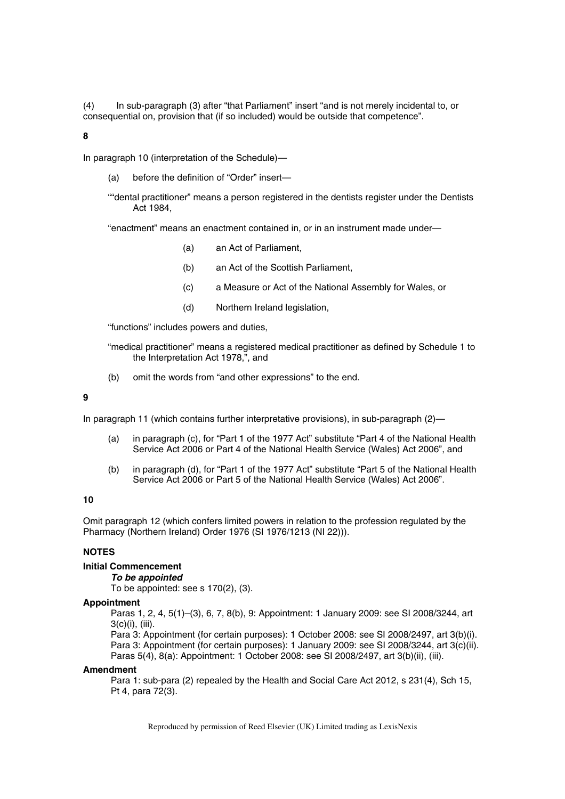(4) In sub-paragraph (3) after "that Parliament" insert "and is not merely incidental to, or consequential on, provision that (if so included) would be outside that competence".

#### **8**

In paragraph 10 (interpretation of the Schedule)—

(a) before the definition of "Order" insert—

""dental practitioner" means a person registered in the dentists register under the Dentists Act 1984,

"enactment" means an enactment contained in, or in an instrument made under—

- (a) an Act of Parliament,
- (b) an Act of the Scottish Parliament,
- (c) a Measure or Act of the National Assembly for Wales, or
- (d) Northern Ireland legislation,

"functions" includes powers and duties,

"medical practitioner" means a registered medical practitioner as defined by Schedule 1 to the Interpretation Act 1978,", and

(b) omit the words from "and other expressions" to the end.

#### **9**

In paragraph 11 (which contains further interpretative provisions), in sub-paragraph (2)—

- (a) in paragraph (c), for "Part 1 of the 1977 Act" substitute "Part 4 of the National Health Service Act 2006 or Part 4 of the National Health Service (Wales) Act 2006", and
- (b) in paragraph (d), for "Part 1 of the 1977 Act" substitute "Part 5 of the National Health Service Act 2006 or Part 5 of the National Health Service (Wales) Act 2006".

## **10**

Omit paragraph 12 (which confers limited powers in relation to the profession regulated by the Pharmacy (Northern Ireland) Order 1976 (SI 1976/1213 (NI 22))).

# **NOTES**

# **Initial Commencement**

#### *To be appointed*

To be appointed: see s 170(2), (3).

#### **Appointment**

Paras 1, 2, 4, 5(1)–(3), 6, 7, 8(b), 9: Appointment: 1 January 2009: see SI 2008/3244, art 3(c)(i), (iii).

Para 3: Appointment (for certain purposes): 1 October 2008: see SI 2008/2497, art 3(b)(i). Para 3: Appointment (for certain purposes): 1 January 2009: see SI 2008/3244, art 3(c)(ii). Paras 5(4), 8(a): Appointment: 1 October 2008: see SI 2008/2497, art 3(b)(ii), (iii).

### **Amendment**

Para 1: sub-para (2) repealed by the Health and Social Care Act 2012, s 231(4), Sch 15, Pt 4, para 72(3).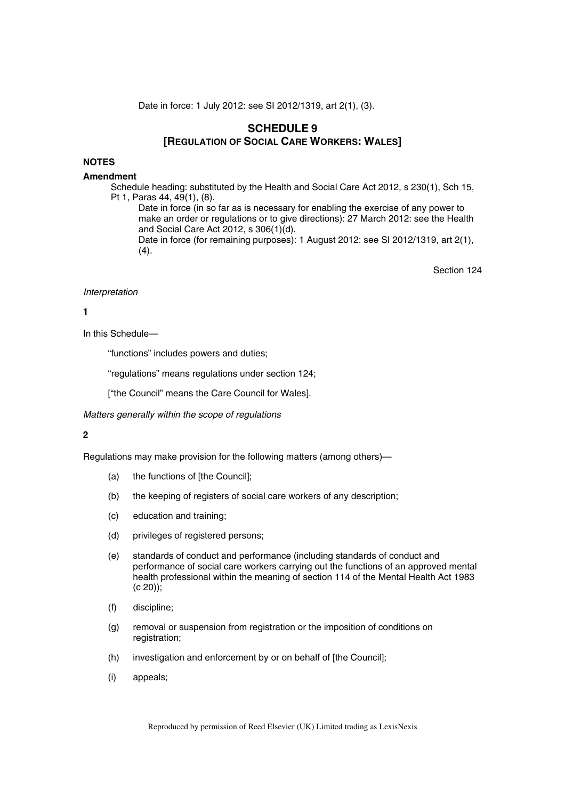Date in force: 1 July 2012: see SI 2012/1319, art 2(1), (3).

# **SCHEDULE 9 [REGULATION OF SOCIAL CARE WORKERS: WALES]**

# **NOTES**

#### **Amendment**

Schedule heading: substituted by the Health and Social Care Act 2012, s 230(1), Sch 15, Pt 1, Paras 44, 49(1), (8).

Date in force (in so far as is necessary for enabling the exercise of any power to make an order or regulations or to give directions): 27 March 2012: see the Health and Social Care Act 2012, s 306(1)(d).

Date in force (for remaining purposes): 1 August 2012: see SI 2012/1319, art 2(1),  $(4).$ 

Section 124

#### *Interpretation*

# **1**

In this Schedule—

"functions" includes powers and duties;

"regulations" means regulations under section 124;

["the Council" means the Care Council for Wales].

*Matters generally within the scope of regulations* 

# **2**

Regulations may make provision for the following matters (among others)—

- (a) the functions of [the Council];
- (b) the keeping of registers of social care workers of any description;
- (c) education and training;
- (d) privileges of registered persons;
- (e) standards of conduct and performance (including standards of conduct and performance of social care workers carrying out the functions of an approved mental health professional within the meaning of section 114 of the Mental Health Act 1983  $(c 20)$ :
- (f) discipline;
- (g) removal or suspension from registration or the imposition of conditions on registration;
- (h) investigation and enforcement by or on behalf of [the Council];
- (i) appeals;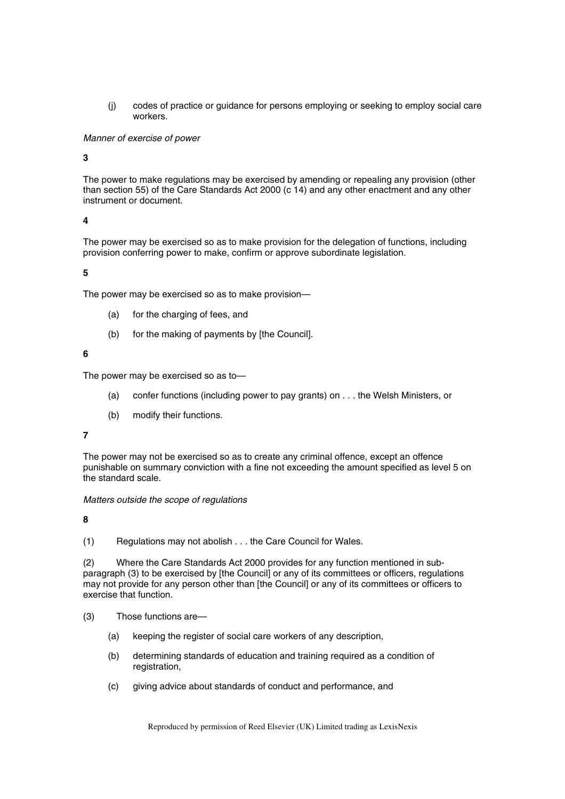(j) codes of practice or guidance for persons employing or seeking to employ social care workers.

## *Manner of exercise of power*

## **3**

The power to make regulations may be exercised by amending or repealing any provision (other than section 55) of the Care Standards Act 2000 (c 14) and any other enactment and any other instrument or document.

# **4**

The power may be exercised so as to make provision for the delegation of functions, including provision conferring power to make, confirm or approve subordinate legislation.

## **5**

The power may be exercised so as to make provision—

- (a) for the charging of fees, and
- (b) for the making of payments by [the Council].

#### **6**

The power may be exercised so as to—

- (a) confer functions (including power to pay grants) on . . . the Welsh Ministers, or
- (b) modify their functions.

#### **7**

The power may not be exercised so as to create any criminal offence, except an offence punishable on summary conviction with a fine not exceeding the amount specified as level 5 on the standard scale.

#### *Matters outside the scope of regulations*

## **8**

(1) Regulations may not abolish . . . the Care Council for Wales.

(2) Where the Care Standards Act 2000 provides for any function mentioned in subparagraph (3) to be exercised by [the Council] or any of its committees or officers, regulations may not provide for any person other than [the Council] or any of its committees or officers to exercise that function.

- (3) Those functions are—
	- (a) keeping the register of social care workers of any description,
	- (b) determining standards of education and training required as a condition of registration,
	- (c) giving advice about standards of conduct and performance, and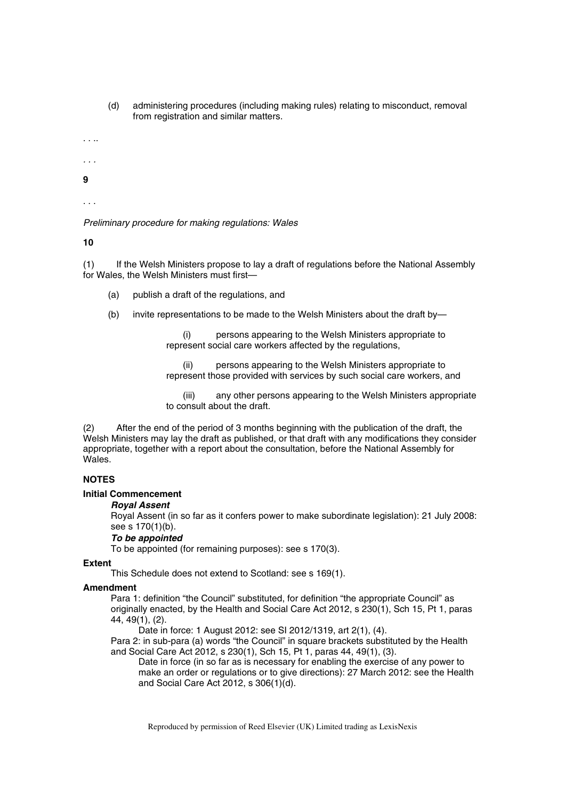- (d) administering procedures (including making rules) relating to misconduct, removal from registration and similar matters.
- . . ..
- *. . .*
- **9**

. . .

*Preliminary procedure for making regulations: Wales* 

**10** 

(1) If the Welsh Ministers propose to lay a draft of regulations before the National Assembly for Wales, the Welsh Ministers must first—

- (a) publish a draft of the regulations, and
- (b) invite representations to be made to the Welsh Ministers about the draft by—

persons appearing to the Welsh Ministers appropriate to represent social care workers affected by the regulations,

(ii) persons appearing to the Welsh Ministers appropriate to represent those provided with services by such social care workers, and

(iii) any other persons appearing to the Welsh Ministers appropriate to consult about the draft.

(2) After the end of the period of 3 months beginning with the publication of the draft, the Welsh Ministers may lay the draft as published, or that draft with any modifications they consider appropriate, together with a report about the consultation, before the National Assembly for Wales.

# **NOTES**

# **Initial Commencement**

# *Royal Assent*

Royal Assent (in so far as it confers power to make subordinate legislation): 21 July 2008: see s 170(1)(b).

# *To be appointed*

To be appointed (for remaining purposes): see s 170(3).

# **Extent**

This Schedule does not extend to Scotland: see s 169(1).

# **Amendment**

Para 1: definition "the Council" substituted, for definition "the appropriate Council" as originally enacted, by the Health and Social Care Act 2012, s 230(1), Sch 15, Pt 1, paras 44, 49(1), (2).

Date in force: 1 August 2012: see SI 2012/1319, art 2(1), (4).

Para 2: in sub-para (a) words "the Council" in square brackets substituted by the Health and Social Care Act 2012, s 230(1), Sch 15, Pt 1, paras 44, 49(1), (3).

Date in force (in so far as is necessary for enabling the exercise of any power to make an order or regulations or to give directions): 27 March 2012: see the Health and Social Care Act 2012, s 306(1)(d).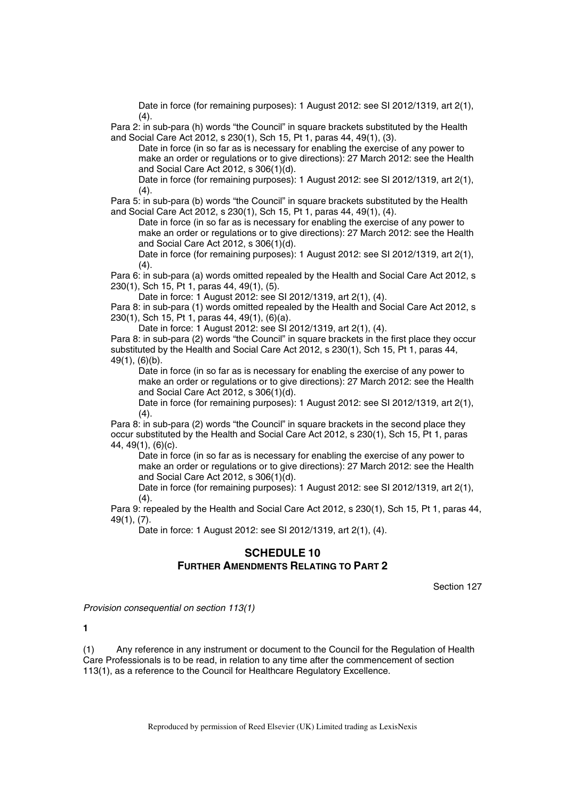Date in force (for remaining purposes): 1 August 2012: see SI 2012/1319, art 2(1),  $(4).$ 

Para 2: in sub-para (h) words "the Council" in square brackets substituted by the Health and Social Care Act 2012, s 230(1), Sch 15, Pt 1, paras 44, 49(1), (3).

Date in force (in so far as is necessary for enabling the exercise of any power to make an order or regulations or to give directions): 27 March 2012: see the Health and Social Care Act 2012, s 306(1)(d).

Date in force (for remaining purposes): 1 August 2012: see SI 2012/1319, art 2(1),  $(4).$ 

Para 5: in sub-para (b) words "the Council" in square brackets substituted by the Health and Social Care Act 2012, s 230(1), Sch 15, Pt 1, paras 44, 49(1), (4).

Date in force (in so far as is necessary for enabling the exercise of any power to make an order or regulations or to give directions): 27 March 2012: see the Health and Social Care Act 2012, s 306(1)(d).

Date in force (for remaining purposes): 1 August 2012: see SI 2012/1319, art 2(1),  $(4).$ 

Para 6: in sub-para (a) words omitted repealed by the Health and Social Care Act 2012, s 230(1), Sch 15, Pt 1, paras 44, 49(1), (5).

Date in force: 1 August 2012: see SI 2012/1319, art 2(1), (4).

Para 8: in sub-para (1) words omitted repealed by the Health and Social Care Act 2012, s 230(1), Sch 15, Pt 1, paras 44, 49(1), (6)(a).

Date in force: 1 August 2012: see SI 2012/1319, art 2(1), (4).

Para 8: in sub-para (2) words "the Council" in square brackets in the first place they occur substituted by the Health and Social Care Act 2012, s 230(1), Sch 15, Pt 1, paras 44, 49(1), (6)(b).

Date in force (in so far as is necessary for enabling the exercise of any power to make an order or regulations or to give directions): 27 March 2012: see the Health and Social Care Act 2012, s 306(1)(d).

Date in force (for remaining purposes): 1 August 2012: see SI 2012/1319, art 2(1),  $(4).$ 

Para 8: in sub-para (2) words "the Council" in square brackets in the second place they occur substituted by the Health and Social Care Act 2012, s 230(1), Sch 15, Pt 1, paras 44, 49(1), (6)(c).

Date in force (in so far as is necessary for enabling the exercise of any power to make an order or regulations or to give directions): 27 March 2012: see the Health and Social Care Act 2012, s 306(1)(d).

Date in force (for remaining purposes): 1 August 2012: see SI 2012/1319, art 2(1),  $(4).$ 

Para 9: repealed by the Health and Social Care Act 2012, s 230(1), Sch 15, Pt 1, paras 44, 49(1), (7).

Date in force: 1 August 2012: see SI 2012/1319, art 2(1), (4).

# **SCHEDULE 10 FURTHER AMENDMENTS RELATING TO PART 2**

Section 127

*Provision consequential on section 113(1)* 

**1** 

(1) Any reference in any instrument or document to the Council for the Regulation of Health Care Professionals is to be read, in relation to any time after the commencement of section 113(1), as a reference to the Council for Healthcare Regulatory Excellence.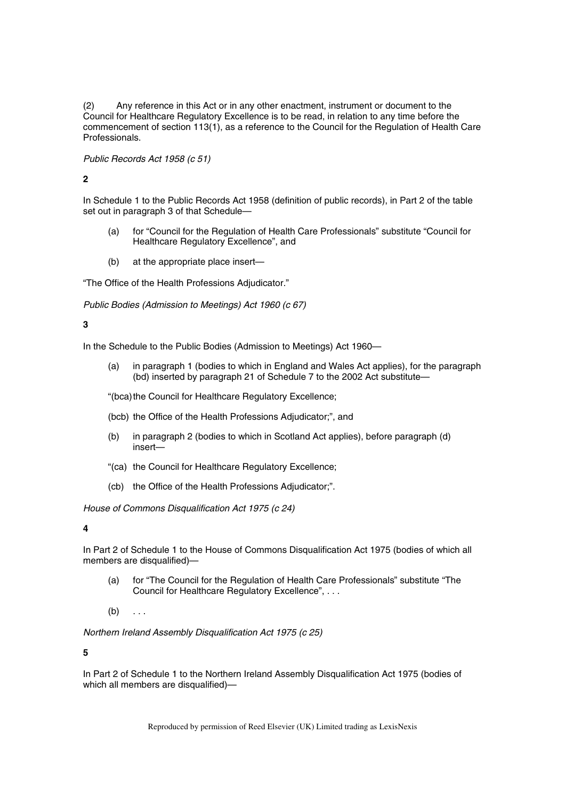(2) Any reference in this Act or in any other enactment, instrument or document to the Council for Healthcare Regulatory Excellence is to be read, in relation to any time before the commencement of section 113(1), as a reference to the Council for the Regulation of Health Care Professionals.

*Public Records Act 1958 (c 51)* 

# **2**

In Schedule 1 to the Public Records Act 1958 (definition of public records), in Part 2 of the table set out in paragraph 3 of that Schedule—

- (a) for "Council for the Regulation of Health Care Professionals" substitute "Council for Healthcare Regulatory Excellence", and
- (b) at the appropriate place insert—

"The Office of the Health Professions Adjudicator."

*Public Bodies (Admission to Meetings) Act 1960 (c 67)* 

**3** 

In the Schedule to the Public Bodies (Admission to Meetings) Act 1960—

(a) in paragraph 1 (bodies to which in England and Wales Act applies), for the paragraph (bd) inserted by paragraph 21 of Schedule 7 to the 2002 Act substitute—

"(bca) the Council for Healthcare Regulatory Excellence;

- (bcb) the Office of the Health Professions Adjudicator;", and
- (b) in paragraph 2 (bodies to which in Scotland Act applies), before paragraph (d) insert—
- "(ca) the Council for Healthcare Regulatory Excellence;
- (cb) the Office of the Health Professions Adjudicator;".

*House of Commons Disqualification Act 1975 (c 24)* 

**4** 

In Part 2 of Schedule 1 to the House of Commons Disqualification Act 1975 (bodies of which all members are disqualified)-

- (a) for "The Council for the Regulation of Health Care Professionals" substitute "The Council for Healthcare Regulatory Excellence", . . .
- $(b) \ldots$

*Northern Ireland Assembly Disqualification Act 1975 (c 25)* 

**5** 

In Part 2 of Schedule 1 to the Northern Ireland Assembly Disqualification Act 1975 (bodies of which all members are disqualified)—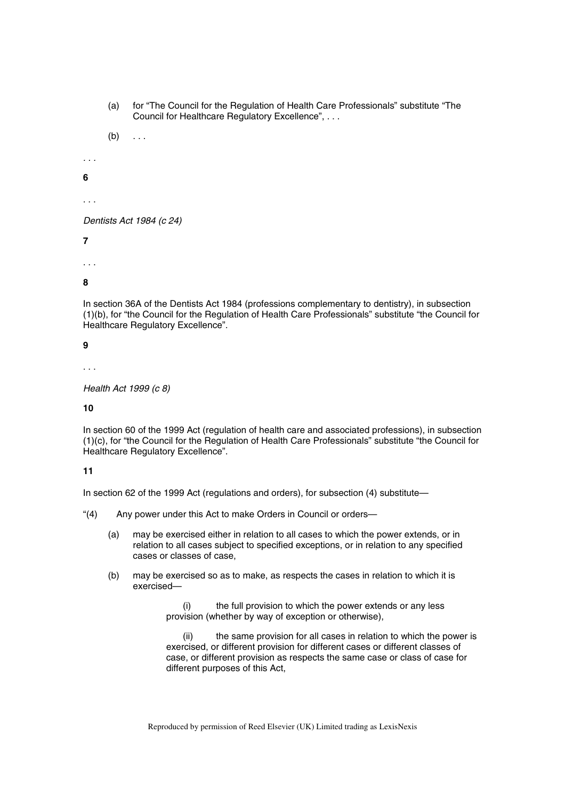(a) for "The Council for the Regulation of Health Care Professionals" substitute "The Council for Healthcare Regulatory Excellence", . . .

 $(b) \ldots$ 

*. . .* 

**6** 

. . .

*Dentists Act 1984 (c 24)* 

**7** 

. . .

**8** 

In section 36A of the Dentists Act 1984 (professions complementary to dentistry), in subsection (1)(b), for "the Council for the Regulation of Health Care Professionals" substitute "the Council for Healthcare Regulatory Excellence".

**9** 

. . .

*Health Act 1999 (c 8)* 

**10** 

In section 60 of the 1999 Act (regulation of health care and associated professions), in subsection (1)(c), for "the Council for the Regulation of Health Care Professionals" substitute "the Council for Healthcare Regulatory Excellence".

# **11**

In section 62 of the 1999 Act (regulations and orders), for subsection (4) substitute—

"(4) Any power under this Act to make Orders in Council or orders—

- (a) may be exercised either in relation to all cases to which the power extends, or in relation to all cases subject to specified exceptions, or in relation to any specified cases or classes of case,
- (b) may be exercised so as to make, as respects the cases in relation to which it is exercised—

(i) the full provision to which the power extends or any less provision (whether by way of exception or otherwise),

(ii) the same provision for all cases in relation to which the power is exercised, or different provision for different cases or different classes of case, or different provision as respects the same case or class of case for different purposes of this Act,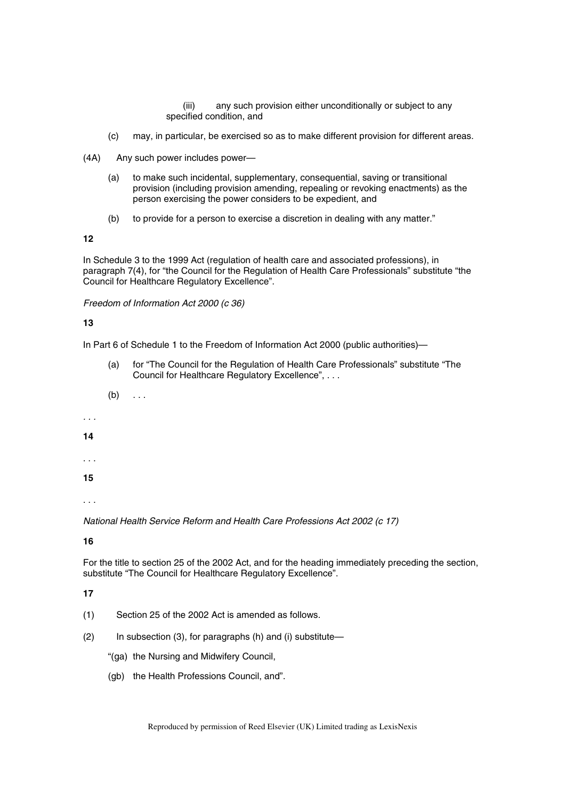(iii) any such provision either unconditionally or subject to any specified condition, and

- (c) may, in particular, be exercised so as to make different provision for different areas.
- (4A) Any such power includes power—
	- (a) to make such incidental, supplementary, consequential, saving or transitional provision (including provision amending, repealing or revoking enactments) as the person exercising the power considers to be expedient, and
	- (b) to provide for a person to exercise a discretion in dealing with any matter."

**12** 

In Schedule 3 to the 1999 Act (regulation of health care and associated professions), in paragraph 7(4), for "the Council for the Regulation of Health Care Professionals" substitute "the Council for Healthcare Regulatory Excellence".

### *Freedom of Information Act 2000 (c 36)*

### **13**

In Part 6 of Schedule 1 to the Freedom of Information Act 2000 (public authorities)—

- (a) for "The Council for the Regulation of Health Care Professionals" substitute "The Council for Healthcare Regulatory Excellence", . . .
- $(b) \ldots$
- *. . .*
- **14**
- . . .

**15** 

. . .

*National Health Service Reform and Health Care Professions Act 2002 (c 17)* 

**16** 

For the title to section 25 of the 2002 Act, and for the heading immediately preceding the section, substitute "The Council for Healthcare Regulatory Excellence".

- (1) Section 25 of the 2002 Act is amended as follows.
- (2) In subsection (3), for paragraphs (h) and (i) substitute—
	- "(ga) the Nursing and Midwifery Council,
	- (gb) the Health Professions Council, and".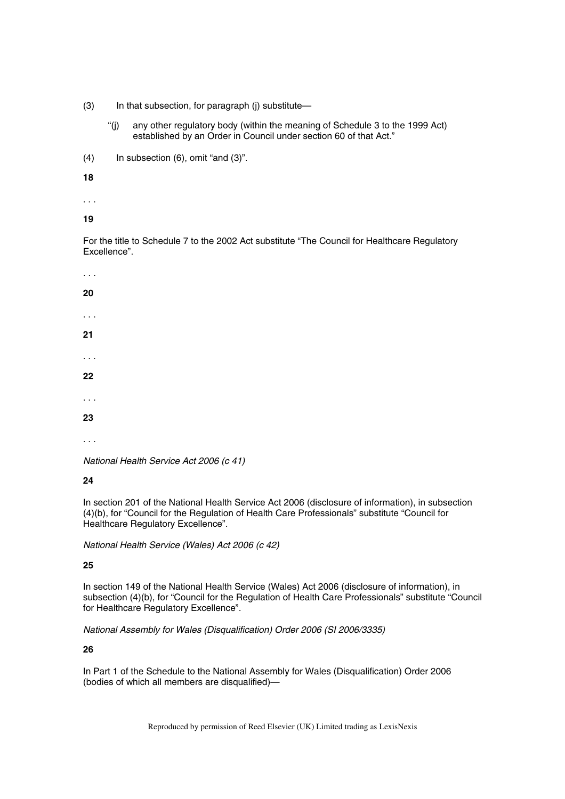- (3) In that subsection, for paragraph (j) substitute—
	- "(j) any other regulatory body (within the meaning of Schedule 3 to the 1999 Act) established by an Order in Council under section 60 of that Act."
- (4) In subsection (6), omit "and (3)".

**18** 

. . .

**19** 

For the title to Schedule 7 to the 2002 Act substitute "The Council for Healthcare Regulatory Excellence".

*. . .*  **20**  . . . **21**  . . . **22**  . . . **23**  . . .

*National Health Service Act 2006 (c 41)* 

**24** 

In section 201 of the National Health Service Act 2006 (disclosure of information), in subsection (4)(b), for "Council for the Regulation of Health Care Professionals" substitute "Council for Healthcare Regulatory Excellence".

*National Health Service (Wales) Act 2006 (c 42)* 

**25** 

In section 149 of the National Health Service (Wales) Act 2006 (disclosure of information), in subsection (4)(b), for "Council for the Regulation of Health Care Professionals" substitute "Council for Healthcare Regulatory Excellence".

*National Assembly for Wales (Disqualification) Order 2006 (SI 2006/3335)* 

**26** 

In Part 1 of the Schedule to the National Assembly for Wales (Disqualification) Order 2006 (bodies of which all members are disqualified)—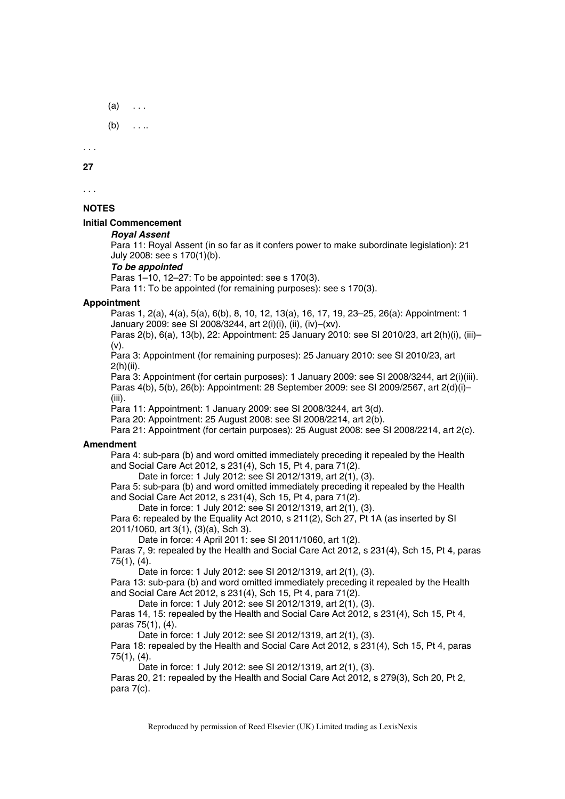- $(a) \quad \ldots$
- $(b) \quad \ldots$

*. . .* 

**27** 

. . .

# **NOTES**

# **Initial Commencement**

### *Royal Assent*

Para 11: Royal Assent (in so far as it confers power to make subordinate legislation): 21 July 2008: see s 170(1)(b).

### *To be appointed*

Paras 1–10, 12–27: To be appointed: see s 170(3).

Para 11: To be appointed (for remaining purposes): see s 170(3).

### **Appointment**

Paras 1, 2(a), 4(a), 5(a), 6(b), 8, 10, 12, 13(a), 16, 17, 19, 23–25, 26(a): Appointment: 1 January 2009: see SI 2008/3244, art 2(i)(i), (ii), (iv)–(xv).

Paras 2(b), 6(a), 13(b), 22: Appointment: 25 January 2010: see SI 2010/23, art 2(h)(i), (iii)– (v).

Para 3: Appointment (for remaining purposes): 25 January 2010: see SI 2010/23, art 2(h)(ii).

Para 3: Appointment (for certain purposes): 1 January 2009: see SI 2008/3244, art 2(i)(iii). Paras 4(b), 5(b), 26(b): Appointment: 28 September 2009: see SI 2009/2567, art 2(d)(i)– (iii).

Para 11: Appointment: 1 January 2009: see SI 2008/3244, art 3(d).

Para 20: Appointment: 25 August 2008: see SI 2008/2214, art 2(b).

Para 21: Appointment (for certain purposes): 25 August 2008: see SI 2008/2214, art 2(c).

# **Amendment**

Para 4: sub-para (b) and word omitted immediately preceding it repealed by the Health and Social Care Act 2012, s 231(4), Sch 15, Pt 4, para 71(2).

Date in force: 1 July 2012: see SI 2012/1319, art 2(1), (3).

Para 5: sub-para (b) and word omitted immediately preceding it repealed by the Health and Social Care Act 2012, s 231(4), Sch 15, Pt 4, para 71(2).

Date in force: 1 July 2012: see SI 2012/1319, art 2(1), (3).

Para 6: repealed by the Equality Act 2010, s 211(2), Sch 27, Pt 1A (as inserted by SI 2011/1060, art 3(1), (3)(a), Sch 3).

Date in force: 4 April 2011: see SI 2011/1060, art 1(2).

Paras 7, 9: repealed by the Health and Social Care Act 2012, s 231(4), Sch 15, Pt 4, paras 75(1), (4).

Date in force: 1 July 2012: see SI 2012/1319, art 2(1), (3).

Para 13: sub-para (b) and word omitted immediately preceding it repealed by the Health and Social Care Act 2012, s 231(4), Sch 15, Pt 4, para 71(2).

Date in force: 1 July 2012: see SI 2012/1319, art 2(1), (3).

Paras 14, 15: repealed by the Health and Social Care Act 2012, s 231(4), Sch 15, Pt 4, paras 75(1), (4).

Date in force: 1 July 2012: see SI 2012/1319, art 2(1), (3).

Para 18: repealed by the Health and Social Care Act 2012, s 231(4), Sch 15, Pt 4, paras 75(1), (4).

Date in force: 1 July 2012: see SI 2012/1319, art 2(1), (3).

Paras 20, 21: repealed by the Health and Social Care Act 2012, s 279(3), Sch 20, Pt 2, para 7(c).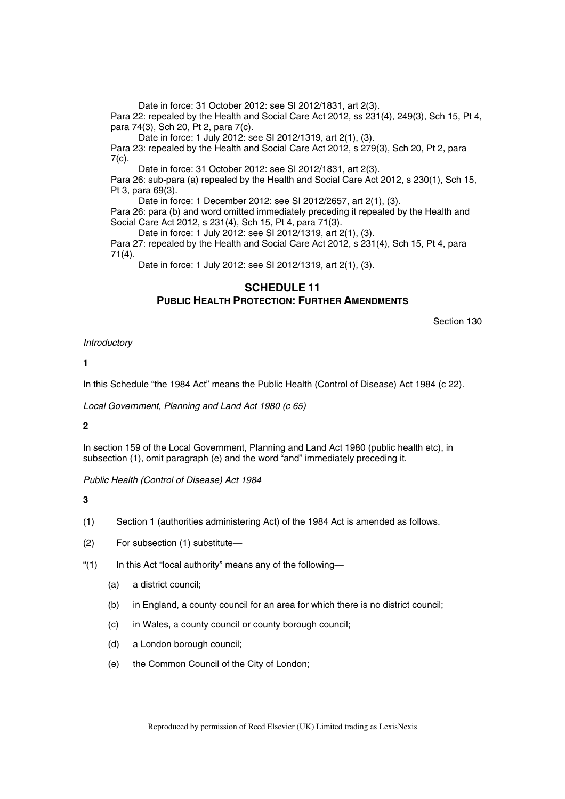Date in force: 31 October 2012: see SI 2012/1831, art 2(3). Para 22: repealed by the Health and Social Care Act 2012, ss 231(4), 249(3), Sch 15, Pt 4, para 74(3), Sch 20, Pt 2, para 7(c).

Date in force: 1 July 2012: see SI 2012/1319, art 2(1), (3).

Para 23: repealed by the Health and Social Care Act 2012, s 279(3), Sch 20, Pt 2, para  $7(c)$ .

Date in force: 31 October 2012: see SI 2012/1831, art 2(3). Para 26: sub-para (a) repealed by the Health and Social Care Act 2012, s 230(1), Sch 15, Pt 3, para 69(3).

Date in force: 1 December 2012: see SI 2012/2657, art 2(1), (3). Para 26: para (b) and word omitted immediately preceding it repealed by the Health and Social Care Act 2012, s 231(4), Sch 15, Pt 4, para 71(3).

Date in force: 1 July 2012: see SI 2012/1319, art 2(1), (3). Para 27: repealed by the Health and Social Care Act 2012, s 231(4), Sch 15, Pt 4, para 71(4).

Date in force: 1 July 2012: see SI 2012/1319, art 2(1), (3).

# **SCHEDULE 11 PUBLIC HEALTH PROTECTION: FURTHER AMENDMENTS**

Section 130

*Introductory* 

**1** 

In this Schedule "the 1984 Act" means the Public Health (Control of Disease) Act 1984 (c 22).

*Local Government, Planning and Land Act 1980 (c 65)* 

**2** 

In section 159 of the Local Government, Planning and Land Act 1980 (public health etc), in subsection (1), omit paragraph (e) and the word "and" immediately preceding it.

*Public Health (Control of Disease) Act 1984* 

**3** 

(1) Section 1 (authorities administering Act) of the 1984 Act is amended as follows.

(2) For subsection (1) substitute—

"(1) In this Act "local authority" means any of the following-

- (a) a district council;
- (b) in England, a county council for an area for which there is no district council;
- (c) in Wales, a county council or county borough council;
- (d) a London borough council;
- (e) the Common Council of the City of London;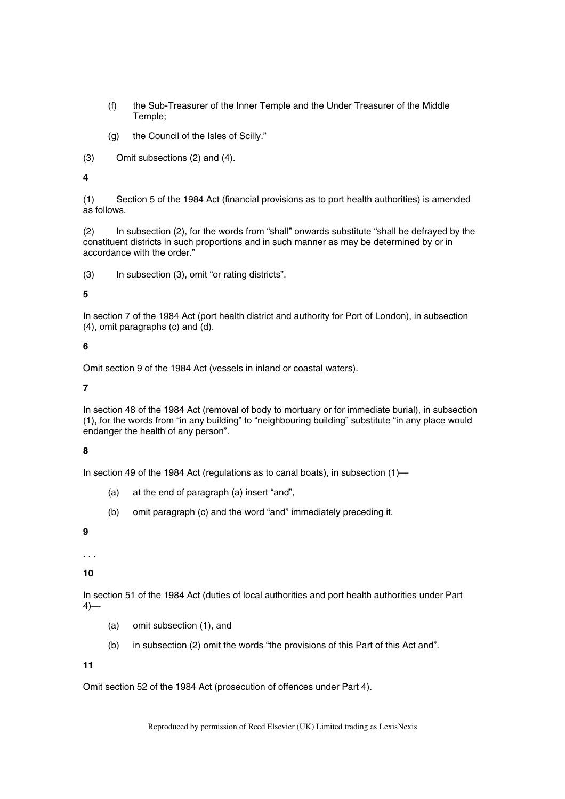- (f) the Sub-Treasurer of the Inner Temple and the Under Treasurer of the Middle Temple;
- (g) the Council of the Isles of Scilly."
- (3) Omit subsections (2) and (4).

# **4**

(1) Section 5 of the 1984 Act (financial provisions as to port health authorities) is amended as follows.

(2) In subsection (2), for the words from "shall" onwards substitute "shall be defrayed by the constituent districts in such proportions and in such manner as may be determined by or in accordance with the order."

(3) In subsection (3), omit "or rating districts".

# **5**

In section 7 of the 1984 Act (port health district and authority for Port of London), in subsection (4), omit paragraphs (c) and (d).

# **6**

Omit section 9 of the 1984 Act (vessels in inland or coastal waters).

# **7**

In section 48 of the 1984 Act (removal of body to mortuary or for immediate burial), in subsection (1), for the words from "in any building" to "neighbouring building" substitute "in any place would endanger the health of any person".

# **8**

In section 49 of the 1984 Act (regulations as to canal boats), in subsection (1)—

- (a) at the end of paragraph (a) insert "and",
- (b) omit paragraph (c) and the word "and" immediately preceding it.

# **9**

. . .

**10** 

In section 51 of the 1984 Act (duties of local authorities and port health authorities under Part  $4)$ —

- (a) omit subsection (1), and
- (b) in subsection (2) omit the words "the provisions of this Part of this Act and".

### **11**

Omit section 52 of the 1984 Act (prosecution of offences under Part 4).

Reproduced by permission of Reed Elsevier (UK) Limited trading as LexisNexis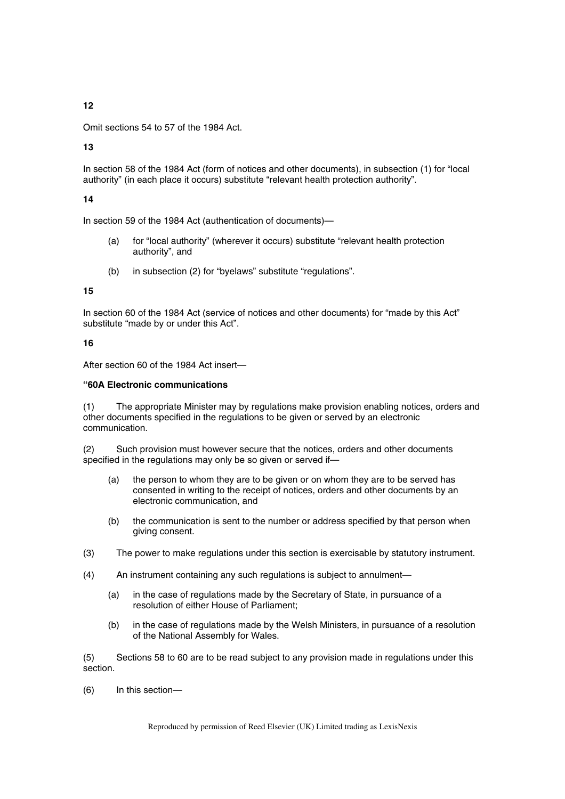# **12**

Omit sections 54 to 57 of the 1984 Act.

**13** 

In section 58 of the 1984 Act (form of notices and other documents), in subsection (1) for "local authority" (in each place it occurs) substitute "relevant health protection authority".

# **14**

In section 59 of the 1984 Act (authentication of documents)—

- (a) for "local authority" (wherever it occurs) substitute "relevant health protection authority", and
- (b) in subsection (2) for "byelaws" substitute "regulations".

### **15**

In section 60 of the 1984 Act (service of notices and other documents) for "made by this Act" substitute "made by or under this Act".

### **16**

After section 60 of the 1984 Act insert—

### **"60A Electronic communications**

(1) The appropriate Minister may by regulations make provision enabling notices, orders and other documents specified in the regulations to be given or served by an electronic communication.

(2) Such provision must however secure that the notices, orders and other documents specified in the regulations may only be so given or served if—

- (a) the person to whom they are to be given or on whom they are to be served has consented in writing to the receipt of notices, orders and other documents by an electronic communication, and
- (b) the communication is sent to the number or address specified by that person when giving consent.
- (3) The power to make regulations under this section is exercisable by statutory instrument.
- (4) An instrument containing any such regulations is subject to annulment—
	- (a) in the case of regulations made by the Secretary of State, in pursuance of a resolution of either House of Parliament;
	- (b) in the case of regulations made by the Welsh Ministers, in pursuance of a resolution of the National Assembly for Wales.

(5) Sections 58 to 60 are to be read subject to any provision made in regulations under this section.

(6) In this section—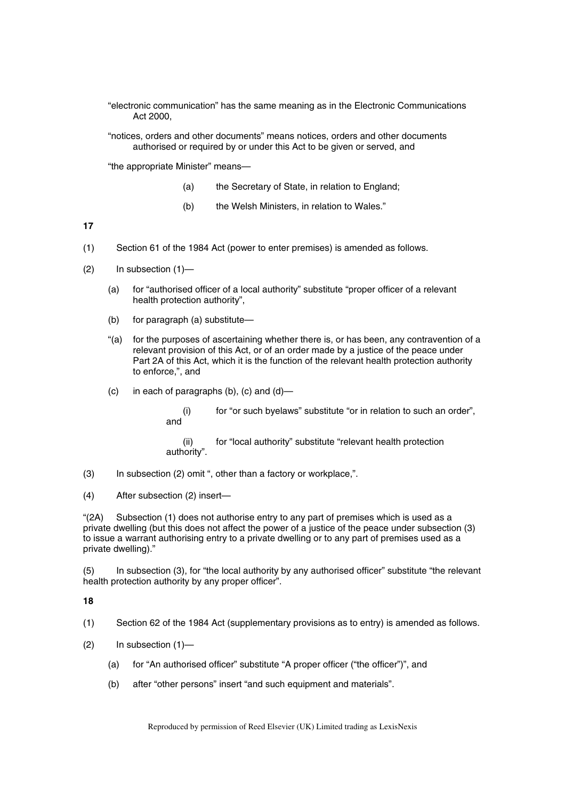"electronic communication" has the same meaning as in the Electronic Communications Act 2000,

"notices, orders and other documents" means notices, orders and other documents authorised or required by or under this Act to be given or served, and

"the appropriate Minister" means—

- (a) the Secretary of State, in relation to England;
- (b) the Welsh Ministers, in relation to Wales."

**17** 

- (1) Section 61 of the 1984 Act (power to enter premises) is amended as follows.
- (2) In subsection (1)—
	- (a) for "authorised officer of a local authority" substitute "proper officer of a relevant health protection authority",
	- (b) for paragraph (a) substitute—
	- "(a) for the purposes of ascertaining whether there is, or has been, any contravention of a relevant provision of this Act, or of an order made by a justice of the peace under Part 2A of this Act, which it is the function of the relevant health protection authority to enforce,", and
	- $(c)$  in each of paragraphs  $(b)$ ,  $(c)$  and  $(d)$ 
		- (i) for "or such byelaws" substitute "or in relation to such an order", and

(ii) for "local authority" substitute "relevant health protection authority".

- (3) In subsection (2) omit ", other than a factory or workplace,".
- (4) After subsection (2) insert—

"(2A) Subsection (1) does not authorise entry to any part of premises which is used as a private dwelling (but this does not affect the power of a justice of the peace under subsection (3) to issue a warrant authorising entry to a private dwelling or to any part of premises used as a private dwelling)."

(5) In subsection (3), for "the local authority by any authorised officer" substitute "the relevant health protection authority by any proper officer".

#### **18**

(1) Section 62 of the 1984 Act (supplementary provisions as to entry) is amended as follows.

- (2) In subsection (1)—
	- (a) for "An authorised officer" substitute "A proper officer ("the officer")", and
	- (b) after "other persons" insert "and such equipment and materials".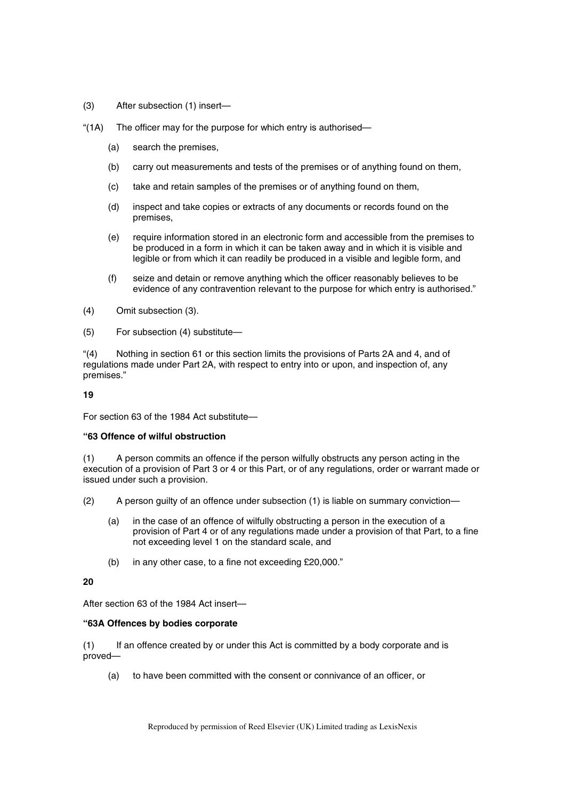- (3) After subsection (1) insert—
- "(1A) The officer may for the purpose for which entry is authorised—
	- (a) search the premises,
	- (b) carry out measurements and tests of the premises or of anything found on them,
	- (c) take and retain samples of the premises or of anything found on them,
	- (d) inspect and take copies or extracts of any documents or records found on the premises,
	- (e) require information stored in an electronic form and accessible from the premises to be produced in a form in which it can be taken away and in which it is visible and legible or from which it can readily be produced in a visible and legible form, and
	- (f) seize and detain or remove anything which the officer reasonably believes to be evidence of any contravention relevant to the purpose for which entry is authorised."
- (4) Omit subsection (3).
- (5) For subsection (4) substitute—

"(4) Nothing in section 61 or this section limits the provisions of Parts 2A and 4, and of regulations made under Part 2A, with respect to entry into or upon, and inspection of, any premises."

**19** 

For section 63 of the 1984 Act substitute—

#### **"63 Offence of wilful obstruction**

(1) A person commits an offence if the person wilfully obstructs any person acting in the execution of a provision of Part 3 or 4 or this Part, or of any regulations, order or warrant made or issued under such a provision.

- (2) A person guilty of an offence under subsection (1) is liable on summary conviction—
	- (a) in the case of an offence of wilfully obstructing a person in the execution of a provision of Part 4 or of any regulations made under a provision of that Part, to a fine not exceeding level 1 on the standard scale, and
	- (b) in any other case, to a fine not exceeding £20,000."

### **20**

After section 63 of the 1984 Act insert—

#### **"63A Offences by bodies corporate**

(1) If an offence created by or under this Act is committed by a body corporate and is proved—

(a) to have been committed with the consent or connivance of an officer, or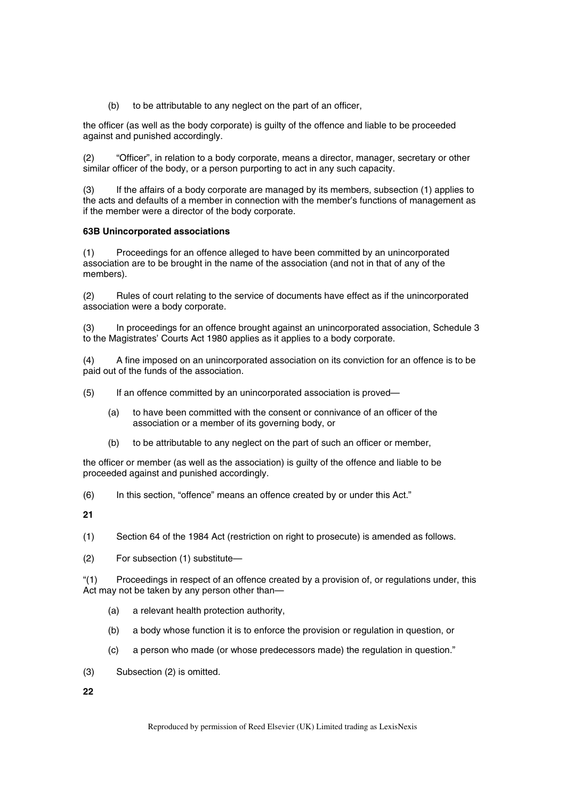(b) to be attributable to any neglect on the part of an officer,

the officer (as well as the body corporate) is guilty of the offence and liable to be proceeded against and punished accordingly.

(2) "Officer", in relation to a body corporate, means a director, manager, secretary or other similar officer of the body, or a person purporting to act in any such capacity.

(3) If the affairs of a body corporate are managed by its members, subsection (1) applies to the acts and defaults of a member in connection with the member's functions of management as if the member were a director of the body corporate.

# **63B Unincorporated associations**

(1) Proceedings for an offence alleged to have been committed by an unincorporated association are to be brought in the name of the association (and not in that of any of the members).

(2) Rules of court relating to the service of documents have effect as if the unincorporated association were a body corporate.

(3) In proceedings for an offence brought against an unincorporated association, Schedule 3 to the Magistrates' Courts Act 1980 applies as it applies to a body corporate.

(4) A fine imposed on an unincorporated association on its conviction for an offence is to be paid out of the funds of the association.

- (5) If an offence committed by an unincorporated association is proved—
	- (a) to have been committed with the consent or connivance of an officer of the association or a member of its governing body, or
	- (b) to be attributable to any neglect on the part of such an officer or member,

the officer or member (as well as the association) is guilty of the offence and liable to be proceeded against and punished accordingly.

(6) In this section, "offence" means an offence created by or under this Act."

**21** 

(1) Section 64 of the 1984 Act (restriction on right to prosecute) is amended as follows.

(2) For subsection (1) substitute—

"(1) Proceedings in respect of an offence created by a provision of, or regulations under, this Act may not be taken by any person other than—

- (a) a relevant health protection authority,
- (b) a body whose function it is to enforce the provision or regulation in question, or
- (c) a person who made (or whose predecessors made) the regulation in question."
- (3) Subsection (2) is omitted.

**22**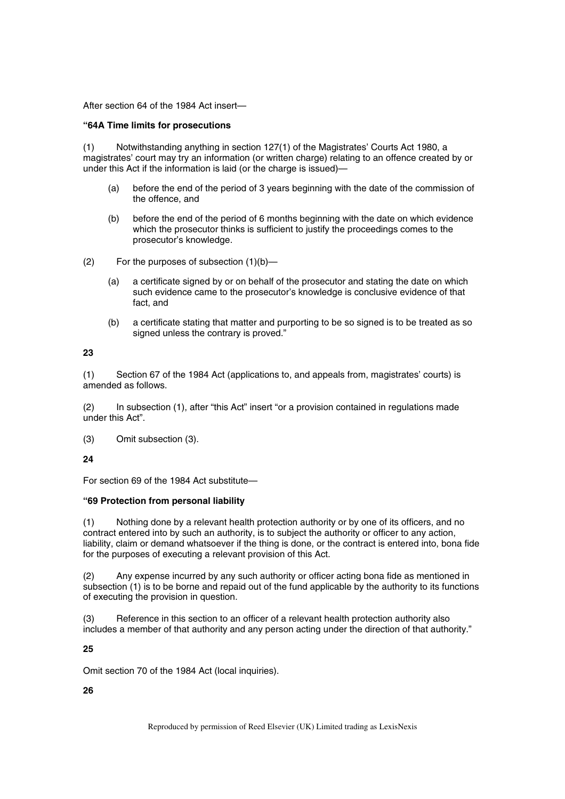After section 64 of the 1984 Act insert—

### **"64A Time limits for prosecutions**

(1) Notwithstanding anything in section 127(1) of the Magistrates' Courts Act 1980, a magistrates' court may try an information (or written charge) relating to an offence created by or under this Act if the information is laid (or the charge is issued)—

- (a) before the end of the period of 3 years beginning with the date of the commission of the offence, and
- (b) before the end of the period of 6 months beginning with the date on which evidence which the prosecutor thinks is sufficient to justify the proceedings comes to the prosecutor's knowledge.
- (2) For the purposes of subsection (1)(b)—
	- (a) a certificate signed by or on behalf of the prosecutor and stating the date on which such evidence came to the prosecutor's knowledge is conclusive evidence of that fact, and
	- (b) a certificate stating that matter and purporting to be so signed is to be treated as so signed unless the contrary is proved."

### **23**

(1) Section 67 of the 1984 Act (applications to, and appeals from, magistrates' courts) is amended as follows.

(2) In subsection (1), after "this Act" insert "or a provision contained in regulations made under this Act".

(3) Omit subsection (3).

**24** 

For section 69 of the 1984 Act substitute—

### **"69 Protection from personal liability**

(1) Nothing done by a relevant health protection authority or by one of its officers, and no contract entered into by such an authority, is to subject the authority or officer to any action, liability, claim or demand whatsoever if the thing is done, or the contract is entered into, bona fide for the purposes of executing a relevant provision of this Act.

(2) Any expense incurred by any such authority or officer acting bona fide as mentioned in subsection (1) is to be borne and repaid out of the fund applicable by the authority to its functions of executing the provision in question.

(3) Reference in this section to an officer of a relevant health protection authority also includes a member of that authority and any person acting under the direction of that authority."

# **25**

Omit section 70 of the 1984 Act (local inquiries).

# **26**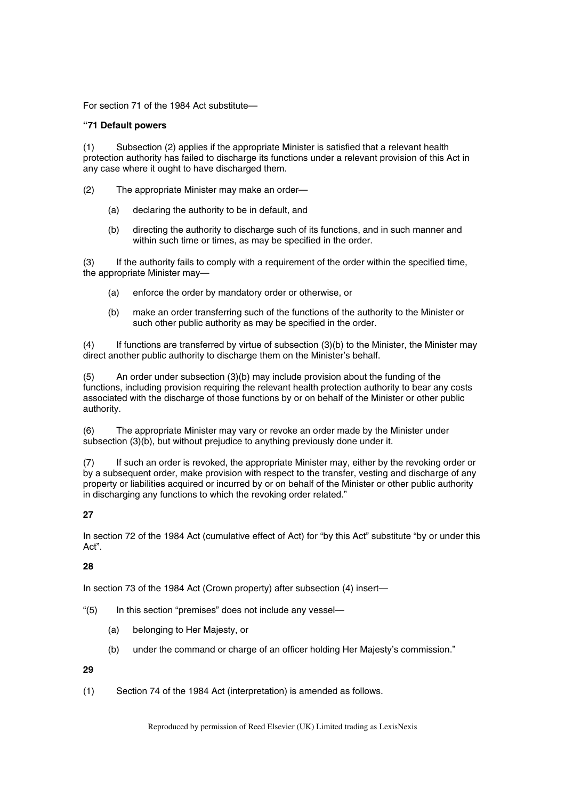For section 71 of the 1984 Act substitute—

### **"71 Default powers**

(1) Subsection (2) applies if the appropriate Minister is satisfied that a relevant health protection authority has failed to discharge its functions under a relevant provision of this Act in any case where it ought to have discharged them.

- (2) The appropriate Minister may make an order—
	- (a) declaring the authority to be in default, and
	- (b) directing the authority to discharge such of its functions, and in such manner and within such time or times, as may be specified in the order.

(3) If the authority fails to comply with a requirement of the order within the specified time, the appropriate Minister may—

- (a) enforce the order by mandatory order or otherwise, or
- (b) make an order transferring such of the functions of the authority to the Minister or such other public authority as may be specified in the order.

(4) If functions are transferred by virtue of subsection (3)(b) to the Minister, the Minister may direct another public authority to discharge them on the Minister's behalf.

(5) An order under subsection (3)(b) may include provision about the funding of the functions, including provision requiring the relevant health protection authority to bear any costs associated with the discharge of those functions by or on behalf of the Minister or other public authority.

(6) The appropriate Minister may vary or revoke an order made by the Minister under subsection (3)(b), but without prejudice to anything previously done under it.

(7) If such an order is revoked, the appropriate Minister may, either by the revoking order or by a subsequent order, make provision with respect to the transfer, vesting and discharge of any property or liabilities acquired or incurred by or on behalf of the Minister or other public authority in discharging any functions to which the revoking order related."

# **27**

In section 72 of the 1984 Act (cumulative effect of Act) for "by this Act" substitute "by or under this Act".

# **28**

In section 73 of the 1984 Act (Crown property) after subsection (4) insert—

- "(5) In this section "premises" does not include any vessel—
	- (a) belonging to Her Majesty, or
	- (b) under the command or charge of an officer holding Her Majesty's commission."

# **29**

(1) Section 74 of the 1984 Act (interpretation) is amended as follows.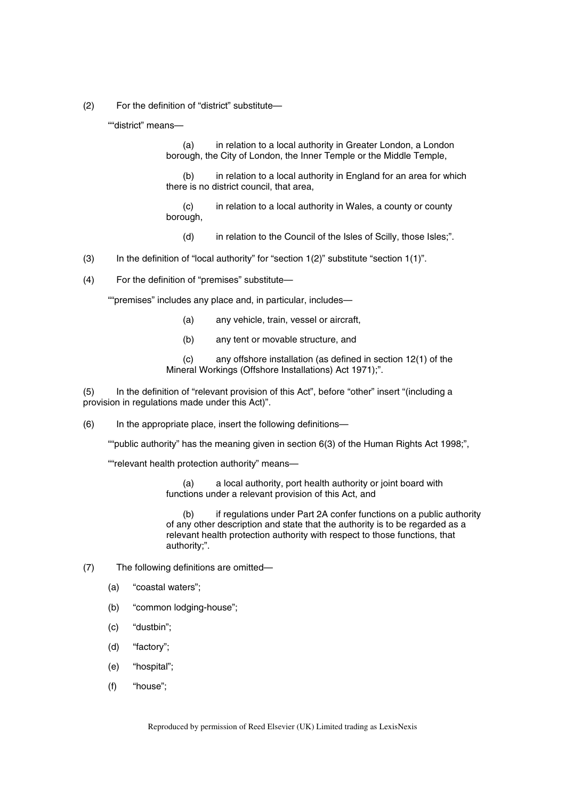(2) For the definition of "district" substitute—

""district" means—

(a) in relation to a local authority in Greater London, a London borough, the City of London, the Inner Temple or the Middle Temple,

(b) in relation to a local authority in England for an area for which there is no district council, that area,

(c) in relation to a local authority in Wales, a county or county borough,

(d) in relation to the Council of the Isles of Scilly, those Isles;".

- (3) In the definition of "local authority" for "section 1(2)" substitute "section 1(1)".
- (4) For the definition of "premises" substitute—

""premises" includes any place and, in particular, includes—

- (a) any vehicle, train, vessel or aircraft,
- (b) any tent or movable structure, and

(c) any offshore installation (as defined in section 12(1) of the Mineral Workings (Offshore Installations) Act 1971);".

(5) In the definition of "relevant provision of this Act", before "other" insert "(including a provision in regulations made under this Act)".

(6) In the appropriate place, insert the following definitions—

""public authority" has the meaning given in section 6(3) of the Human Rights Act 1998;",

""relevant health protection authority" means—

(a) a local authority, port health authority or joint board with functions under a relevant provision of this Act, and

(b) if regulations under Part 2A confer functions on a public authority of any other description and state that the authority is to be regarded as a relevant health protection authority with respect to those functions, that authority;".

- (7) The following definitions are omitted—
	- (a) "coastal waters";
	- (b) "common lodging-house";
	- (c) "dustbin";
	- (d) "factory";
	- (e) "hospital";
	- (f) "house";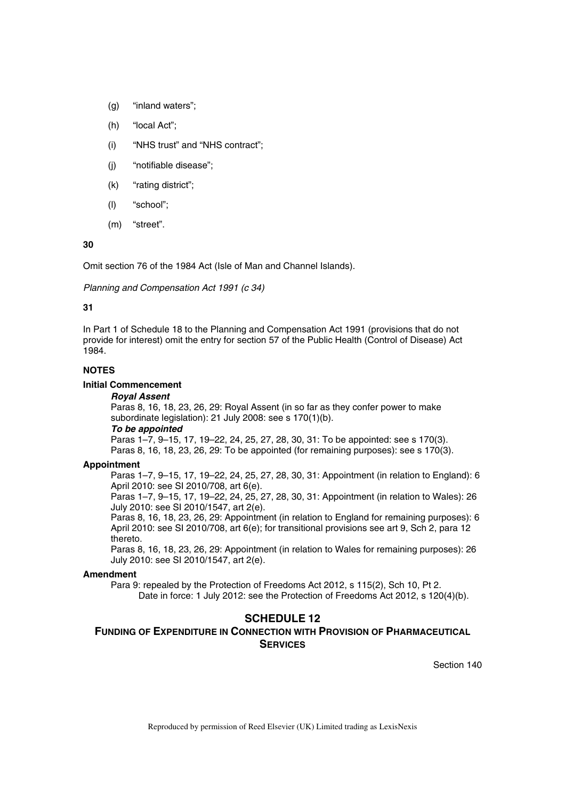- (g) "inland waters";
- (h) "local Act";
- (i) "NHS trust" and "NHS contract";
- (j) "notifiable disease";
- (k) "rating district";
- (l) "school";
- (m) "street".

**30** 

Omit section 76 of the 1984 Act (Isle of Man and Channel Islands).

*Planning and Compensation Act 1991 (c 34)* 

### **31**

In Part 1 of Schedule 18 to the Planning and Compensation Act 1991 (provisions that do not provide for interest) omit the entry for section 57 of the Public Health (Control of Disease) Act 1984.

## **NOTES**

### **Initial Commencement**

#### *Royal Assent*

Paras 8, 16, 18, 23, 26, 29: Royal Assent (in so far as they confer power to make subordinate legislation): 21 July 2008: see s 170(1)(b).

#### *To be appointed*

Paras 1–7, 9–15, 17, 19–22, 24, 25, 27, 28, 30, 31: To be appointed: see s 170(3). Paras 8, 16, 18, 23, 26, 29: To be appointed (for remaining purposes): see s 170(3).

#### **Appointment**

Paras 1–7, 9–15, 17, 19–22, 24, 25, 27, 28, 30, 31: Appointment (in relation to England): 6 April 2010: see SI 2010/708, art 6(e).

Paras 1–7, 9–15, 17, 19–22, 24, 25, 27, 28, 30, 31: Appointment (in relation to Wales): 26 July 2010: see SI 2010/1547, art 2(e).

Paras 8, 16, 18, 23, 26, 29: Appointment (in relation to England for remaining purposes): 6 April 2010: see SI 2010/708, art 6(e); for transitional provisions see art 9, Sch 2, para 12 thereto.

Paras 8, 16, 18, 23, 26, 29: Appointment (in relation to Wales for remaining purposes): 26 July 2010: see SI 2010/1547, art 2(e).

#### **Amendment**

Para 9: repealed by the Protection of Freedoms Act 2012, s 115(2), Sch 10, Pt 2. Date in force: 1 July 2012: see the Protection of Freedoms Act 2012, s 120(4)(b).

# **SCHEDULE 12**

# **FUNDING OF EXPENDITURE IN CONNECTION WITH PROVISION OF PHARMACEUTICAL SERVICES**

Section 140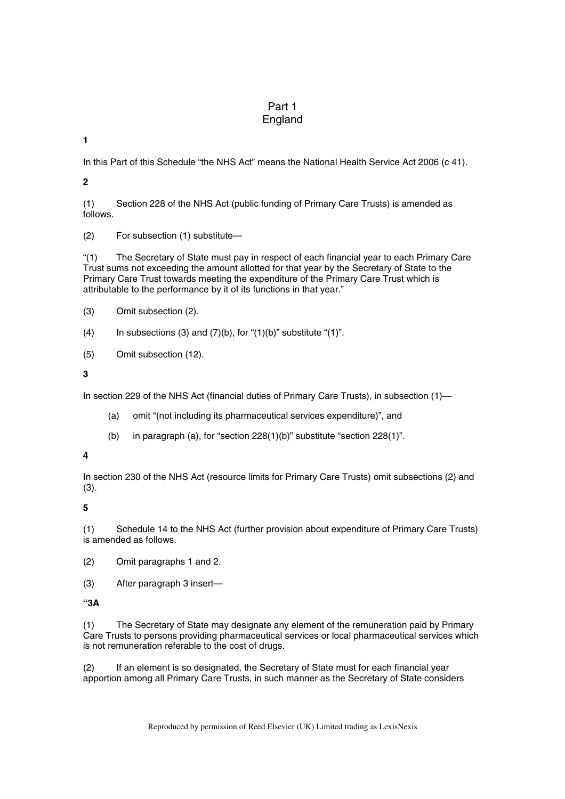# Part 1 England

**1** 

In this Part of this Schedule "the NHS Act" means the National Health Service Act 2006 (c 41).

**2** 

(1) Section 228 of the NHS Act (public funding of Primary Care Trusts) is amended as follows.

(2) For subsection (1) substitute—

"(1) The Secretary of State must pay in respect of each financial year to each Primary Care Trust sums not exceeding the amount allotted for that year by the Secretary of State to the Primary Care Trust towards meeting the expenditure of the Primary Care Trust which is attributable to the performance by it of its functions in that year."

(3) Omit subsection (2).

(4) In subsections (3) and  $(7)(b)$ , for " $(1)(b)$ " substitute " $(1)$ ".

(5) Omit subsection (12).

**3** 

In section 229 of the NHS Act (financial duties of Primary Care Trusts), in subsection (1)—

- (a) omit "(not including its pharmaceutical services expenditure)", and
- (b) in paragraph (a), for "section 228(1)(b)" substitute "section 228(1)".

# **4**

In section 230 of the NHS Act (resource limits for Primary Care Trusts) omit subsections (2) and (3).

**5** 

(1) Schedule 14 to the NHS Act (further provision about expenditure of Primary Care Trusts) is amended as follows.

- (2) Omit paragraphs 1 and 2.
- (3) After paragraph 3 insert—

**"3A** 

(1) The Secretary of State may designate any element of the remuneration paid by Primary Care Trusts to persons providing pharmaceutical services or local pharmaceutical services which is not remuneration referable to the cost of drugs.

(2) If an element is so designated, the Secretary of State must for each financial year apportion among all Primary Care Trusts, in such manner as the Secretary of State considers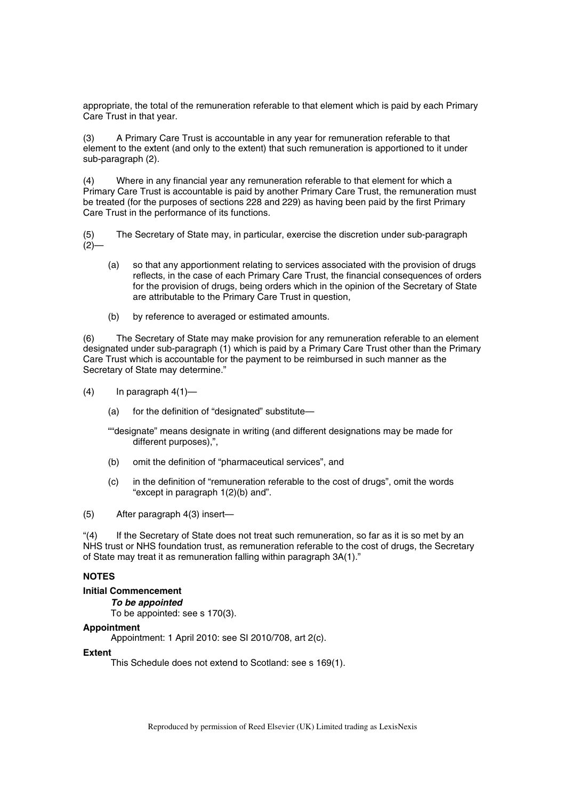appropriate, the total of the remuneration referable to that element which is paid by each Primary Care Trust in that year.

(3) A Primary Care Trust is accountable in any year for remuneration referable to that element to the extent (and only to the extent) that such remuneration is apportioned to it under sub-paragraph (2).

(4) Where in any financial year any remuneration referable to that element for which a Primary Care Trust is accountable is paid by another Primary Care Trust, the remuneration must be treated (for the purposes of sections 228 and 229) as having been paid by the first Primary Care Trust in the performance of its functions.

(5) The Secretary of State may, in particular, exercise the discretion under sub-paragraph  $(2)$ —

- (a) so that any apportionment relating to services associated with the provision of drugs reflects, in the case of each Primary Care Trust, the financial consequences of orders for the provision of drugs, being orders which in the opinion of the Secretary of State are attributable to the Primary Care Trust in question,
- (b) by reference to averaged or estimated amounts.

(6) The Secretary of State may make provision for any remuneration referable to an element designated under sub-paragraph (1) which is paid by a Primary Care Trust other than the Primary Care Trust which is accountable for the payment to be reimbursed in such manner as the Secretary of State may determine."

- $(4)$  In paragraph  $4(1)$ 
	- (a) for the definition of "designated" substitute—
	- ""designate" means designate in writing (and different designations may be made for different purposes),",
	- (b) omit the definition of "pharmaceutical services", and
	- (c) in the definition of "remuneration referable to the cost of drugs", omit the words "except in paragraph 1(2)(b) and".
- (5) After paragraph 4(3) insert—

"(4) If the Secretary of State does not treat such remuneration, so far as it is so met by an NHS trust or NHS foundation trust, as remuneration referable to the cost of drugs, the Secretary of State may treat it as remuneration falling within paragraph 3A(1)."

## **NOTES**

#### **Initial Commencement**

*To be appointed* 

To be appointed: see s 170(3).

#### **Appointment**

Appointment: 1 April 2010: see SI 2010/708, art 2(c).

#### **Extent**

This Schedule does not extend to Scotland: see s 169(1).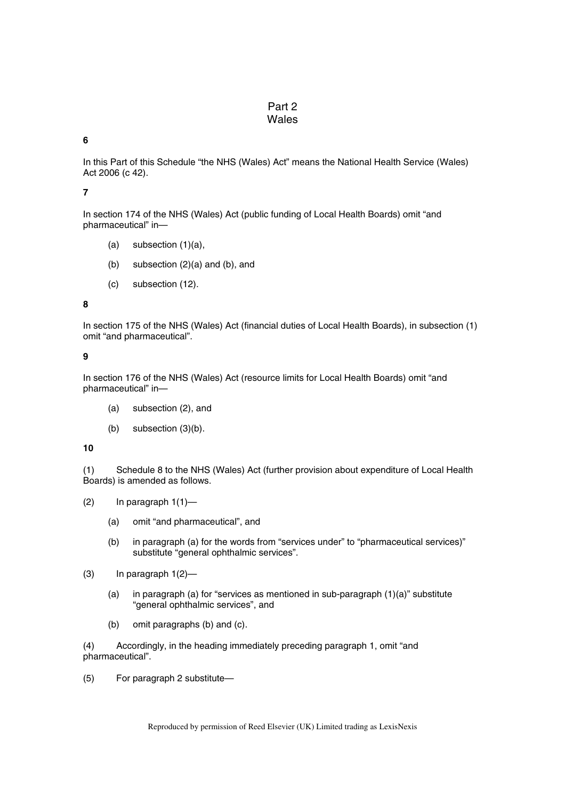# Part 2 Wales

# **6**

In this Part of this Schedule "the NHS (Wales) Act" means the National Health Service (Wales) Act 2006 (c 42).

### **7**

In section 174 of the NHS (Wales) Act (public funding of Local Health Boards) omit "and pharmaceutical" in—

- $(a)$  subsection  $(1)(a)$ ,
- (b) subsection (2)(a) and (b), and
- (c) subsection (12).

### **8**

In section 175 of the NHS (Wales) Act (financial duties of Local Health Boards), in subsection (1) omit "and pharmaceutical".

#### **9**

In section 176 of the NHS (Wales) Act (resource limits for Local Health Boards) omit "and pharmaceutical" in—

- (a) subsection (2), and
- (b) subsection (3)(b).

#### **10**

(1) Schedule 8 to the NHS (Wales) Act (further provision about expenditure of Local Health Boards) is amended as follows.

- (2) In paragraph  $1(1)$ 
	- (a) omit "and pharmaceutical", and
	- (b) in paragraph (a) for the words from "services under" to "pharmaceutical services)" substitute "general ophthalmic services".
- $(3)$  In paragraph  $1(2)$ 
	- (a) in paragraph (a) for "services as mentioned in sub-paragraph (1)(a)" substitute "general ophthalmic services", and
	- (b) omit paragraphs (b) and (c).

(4) Accordingly, in the heading immediately preceding paragraph 1, omit "and pharmaceutical".

(5) For paragraph 2 substitute—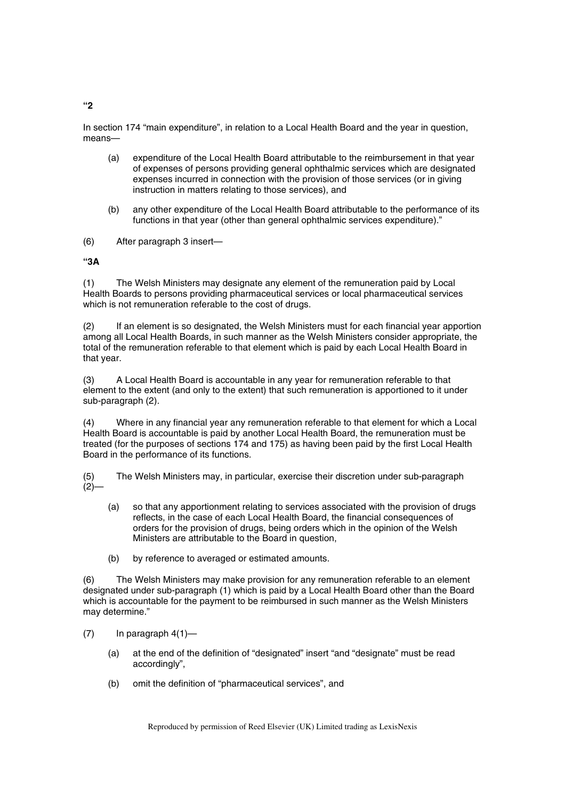In section 174 "main expenditure", in relation to a Local Health Board and the year in question, means—

- (a) expenditure of the Local Health Board attributable to the reimbursement in that year of expenses of persons providing general ophthalmic services which are designated expenses incurred in connection with the provision of those services (or in giving instruction in matters relating to those services), and
- (b) any other expenditure of the Local Health Board attributable to the performance of its functions in that year (other than general ophthalmic services expenditure)."
- (6) After paragraph 3 insert—

# **"3A**

(1) The Welsh Ministers may designate any element of the remuneration paid by Local Health Boards to persons providing pharmaceutical services or local pharmaceutical services which is not remuneration referable to the cost of drugs.

(2) If an element is so designated, the Welsh Ministers must for each financial year apportion among all Local Health Boards, in such manner as the Welsh Ministers consider appropriate, the total of the remuneration referable to that element which is paid by each Local Health Board in that year.

(3) A Local Health Board is accountable in any year for remuneration referable to that element to the extent (and only to the extent) that such remuneration is apportioned to it under sub-paragraph (2).

(4) Where in any financial year any remuneration referable to that element for which a Local Health Board is accountable is paid by another Local Health Board, the remuneration must be treated (for the purposes of sections 174 and 175) as having been paid by the first Local Health Board in the performance of its functions.

(5) The Welsh Ministers may, in particular, exercise their discretion under sub-paragraph  $(2)$ —

- (a) so that any apportionment relating to services associated with the provision of drugs reflects, in the case of each Local Health Board, the financial consequences of orders for the provision of drugs, being orders which in the opinion of the Welsh Ministers are attributable to the Board in question,
- (b) by reference to averaged or estimated amounts.

(6) The Welsh Ministers may make provision for any remuneration referable to an element designated under sub-paragraph (1) which is paid by a Local Health Board other than the Board which is accountable for the payment to be reimbursed in such manner as the Welsh Ministers may determine."

- $(7)$  In paragraph  $4(1)$ 
	- (a) at the end of the definition of "designated" insert "and "designate" must be read accordingly",
	- (b) omit the definition of "pharmaceutical services", and

**"2**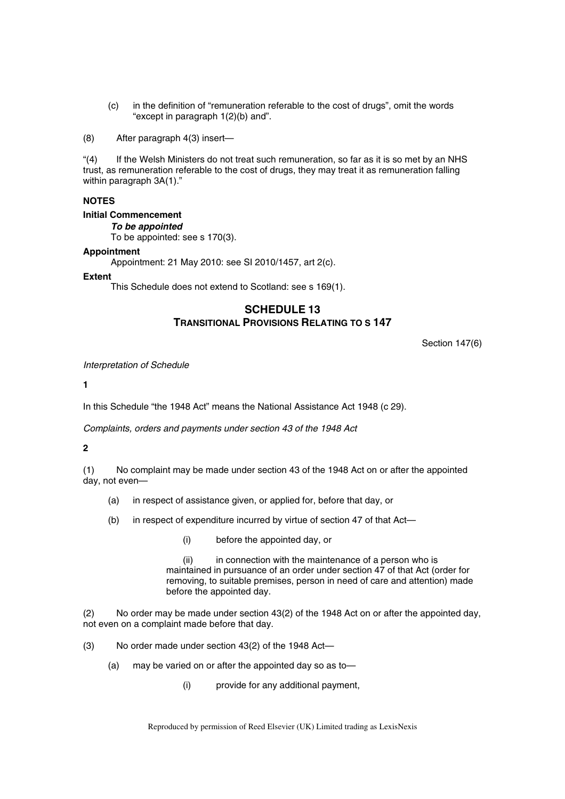(c) in the definition of "remuneration referable to the cost of drugs", omit the words "except in paragraph 1(2)(b) and".

(8) After paragraph 4(3) insert—

"(4) If the Welsh Ministers do not treat such remuneration, so far as it is so met by an NHS trust, as remuneration referable to the cost of drugs, they may treat it as remuneration falling within paragraph 3A(1)."

# **NOTES**

# **Initial Commencement**

*To be appointed* 

To be appointed: see s 170(3).

#### **Appointment**

Appointment: 21 May 2010: see SI 2010/1457, art 2(c).

**Extent** 

This Schedule does not extend to Scotland: see s 169(1).

# **SCHEDULE 13 TRANSITIONAL PROVISIONS RELATING TO S 147**

Section 147(6)

*Interpretation of Schedule* 

### **1**

In this Schedule "the 1948 Act" means the National Assistance Act 1948 (c 29).

*Complaints, orders and payments under section 43 of the 1948 Act* 

### **2**

(1) No complaint may be made under section 43 of the 1948 Act on or after the appointed day, not even—

- (a) in respect of assistance given, or applied for, before that day, or
- (b) in respect of expenditure incurred by virtue of section 47 of that Act—
	- (i) before the appointed day, or

(ii) in connection with the maintenance of a person who is maintained in pursuance of an order under section 47 of that Act (order for removing, to suitable premises, person in need of care and attention) made before the appointed day.

(2) No order may be made under section 43(2) of the 1948 Act on or after the appointed day, not even on a complaint made before that day.

- (3) No order made under section 43(2) of the 1948 Act—
	- (a) may be varied on or after the appointed day so as to—
		- (i) provide for any additional payment,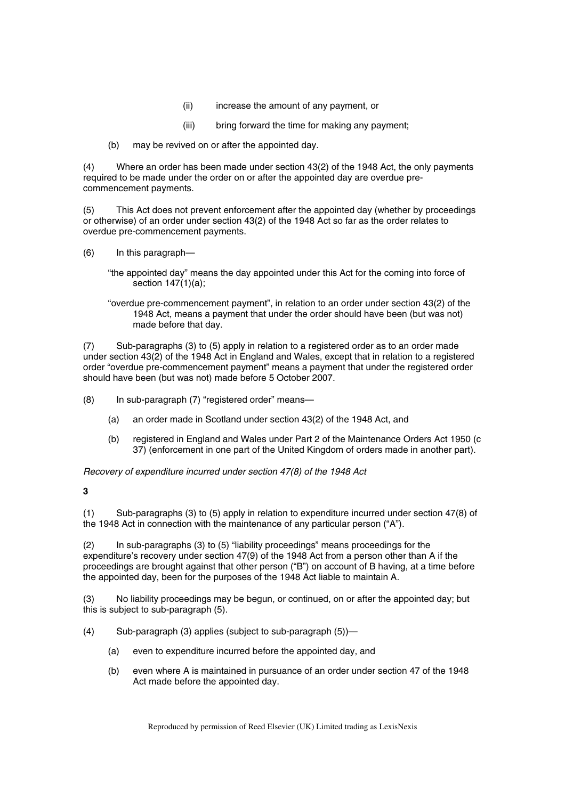- (ii) increase the amount of any payment, or
- (iii) bring forward the time for making any payment;
- (b) may be revived on or after the appointed day.

(4) Where an order has been made under section 43(2) of the 1948 Act, the only payments required to be made under the order on or after the appointed day are overdue precommencement payments.

(5) This Act does not prevent enforcement after the appointed day (whether by proceedings or otherwise) of an order under section 43(2) of the 1948 Act so far as the order relates to overdue pre-commencement payments.

- (6) In this paragraph—
	- "the appointed day" means the day appointed under this Act for the coming into force of section  $147(1)(a)$ ;
	- "overdue pre-commencement payment", in relation to an order under section 43(2) of the 1948 Act, means a payment that under the order should have been (but was not) made before that day.

(7) Sub-paragraphs (3) to (5) apply in relation to a registered order as to an order made under section 43(2) of the 1948 Act in England and Wales, except that in relation to a registered order "overdue pre-commencement payment" means a payment that under the registered order should have been (but was not) made before 5 October 2007.

(8) In sub-paragraph (7) "registered order" means—

- (a) an order made in Scotland under section 43(2) of the 1948 Act, and
- (b) registered in England and Wales under Part 2 of the Maintenance Orders Act 1950 (c 37) (enforcement in one part of the United Kingdom of orders made in another part).

*Recovery of expenditure incurred under section 47(8) of the 1948 Act* 

### **3**

(1) Sub-paragraphs (3) to (5) apply in relation to expenditure incurred under section 47(8) of the 1948 Act in connection with the maintenance of any particular person ("A").

(2) In sub-paragraphs (3) to (5) "liability proceedings" means proceedings for the expenditure's recovery under section 47(9) of the 1948 Act from a person other than A if the proceedings are brought against that other person ("B") on account of B having, at a time before the appointed day, been for the purposes of the 1948 Act liable to maintain A.

(3) No liability proceedings may be begun, or continued, on or after the appointed day; but this is subject to sub-paragraph (5).

- (4) Sub-paragraph (3) applies (subject to sub-paragraph (5))—
	- (a) even to expenditure incurred before the appointed day, and
	- (b) even where A is maintained in pursuance of an order under section 47 of the 1948 Act made before the appointed day.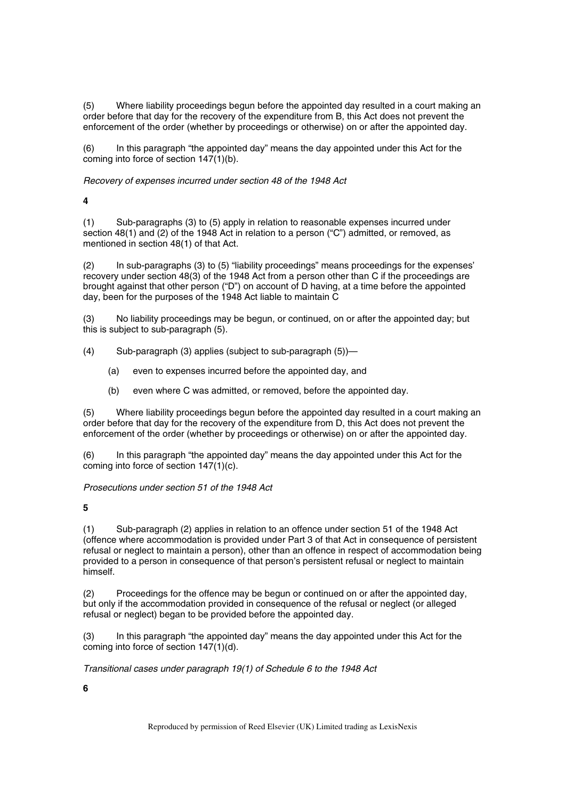(5) Where liability proceedings begun before the appointed day resulted in a court making an order before that day for the recovery of the expenditure from B, this Act does not prevent the enforcement of the order (whether by proceedings or otherwise) on or after the appointed day.

(6) In this paragraph "the appointed day" means the day appointed under this Act for the coming into force of section 147(1)(b).

*Recovery of expenses incurred under section 48 of the 1948 Act* 

**4** 

(1) Sub-paragraphs (3) to (5) apply in relation to reasonable expenses incurred under section 48(1) and (2) of the 1948 Act in relation to a person ("C") admitted, or removed, as mentioned in section 48(1) of that Act.

(2) In sub-paragraphs (3) to (5) "liability proceedings" means proceedings for the expenses' recovery under section 48(3) of the 1948 Act from a person other than C if the proceedings are brought against that other person ("D") on account of D having, at a time before the appointed day, been for the purposes of the 1948 Act liable to maintain C

No liability proceedings may be begun, or continued, on or after the appointed day; but this is subject to sub-paragraph (5).

- (4) Sub-paragraph (3) applies (subject to sub-paragraph (5))—
	- (a) even to expenses incurred before the appointed day, and
	- (b) even where C was admitted, or removed, before the appointed day.

(5) Where liability proceedings begun before the appointed day resulted in a court making an order before that day for the recovery of the expenditure from D, this Act does not prevent the enforcement of the order (whether by proceedings or otherwise) on or after the appointed day.

(6) In this paragraph "the appointed day" means the day appointed under this Act for the coming into force of section 147(1)(c).

*Prosecutions under section 51 of the 1948 Act* 

**5** 

(1) Sub-paragraph (2) applies in relation to an offence under section 51 of the 1948 Act (offence where accommodation is provided under Part 3 of that Act in consequence of persistent refusal or neglect to maintain a person), other than an offence in respect of accommodation being provided to a person in consequence of that person's persistent refusal or neglect to maintain himself.

(2) Proceedings for the offence may be begun or continued on or after the appointed day, but only if the accommodation provided in consequence of the refusal or neglect (or alleged refusal or neglect) began to be provided before the appointed day.

(3) In this paragraph "the appointed day" means the day appointed under this Act for the coming into force of section 147(1)(d).

*Transitional cases under paragraph 19(1) of Schedule 6 to the 1948 Act* 

**6**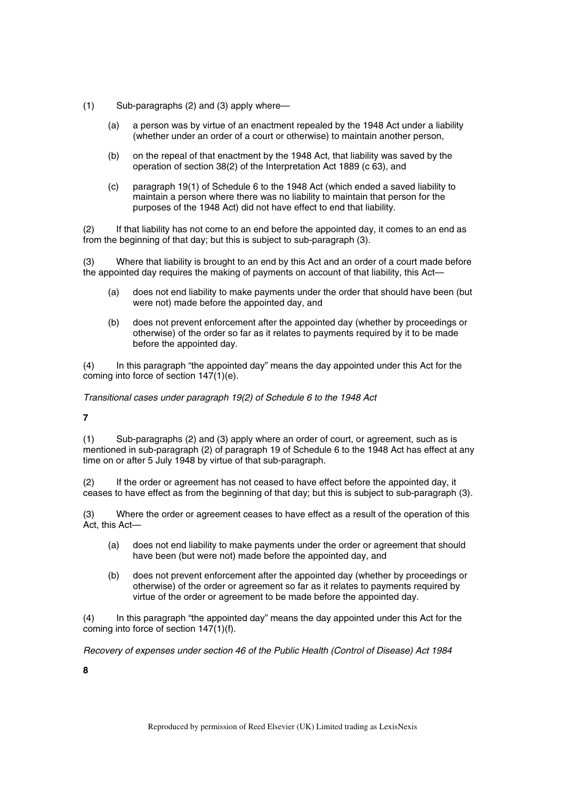- (1) Sub-paragraphs (2) and (3) apply where—
	- (a) a person was by virtue of an enactment repealed by the 1948 Act under a liability (whether under an order of a court or otherwise) to maintain another person,
	- (b) on the repeal of that enactment by the 1948 Act, that liability was saved by the operation of section 38(2) of the Interpretation Act 1889 (c 63), and
	- (c) paragraph 19(1) of Schedule 6 to the 1948 Act (which ended a saved liability to maintain a person where there was no liability to maintain that person for the purposes of the 1948 Act) did not have effect to end that liability.

(2) If that liability has not come to an end before the appointed day, it comes to an end as from the beginning of that day; but this is subject to sub-paragraph (3).

(3) Where that liability is brought to an end by this Act and an order of a court made before the appointed day requires the making of payments on account of that liability, this Act—

- (a) does not end liability to make payments under the order that should have been (but were not) made before the appointed day, and
- (b) does not prevent enforcement after the appointed day (whether by proceedings or otherwise) of the order so far as it relates to payments required by it to be made before the appointed day.

(4) In this paragraph "the appointed day" means the day appointed under this Act for the coming into force of section 147(1)(e).

*Transitional cases under paragraph 19(2) of Schedule 6 to the 1948 Act* 

**7** 

(1) Sub-paragraphs (2) and (3) apply where an order of court, or agreement, such as is mentioned in sub-paragraph (2) of paragraph 19 of Schedule 6 to the 1948 Act has effect at any time on or after 5 July 1948 by virtue of that sub-paragraph.

(2) If the order or agreement has not ceased to have effect before the appointed day, it ceases to have effect as from the beginning of that day; but this is subject to sub-paragraph (3).

(3) Where the order or agreement ceases to have effect as a result of the operation of this Act, this Act—

- (a) does not end liability to make payments under the order or agreement that should have been (but were not) made before the appointed day, and
- (b) does not prevent enforcement after the appointed day (whether by proceedings or otherwise) of the order or agreement so far as it relates to payments required by virtue of the order or agreement to be made before the appointed day.

(4) In this paragraph "the appointed day" means the day appointed under this Act for the coming into force of section 147(1)(f).

*Recovery of expenses under section 46 of the Public Health (Control of Disease) Act 1984* 

**8**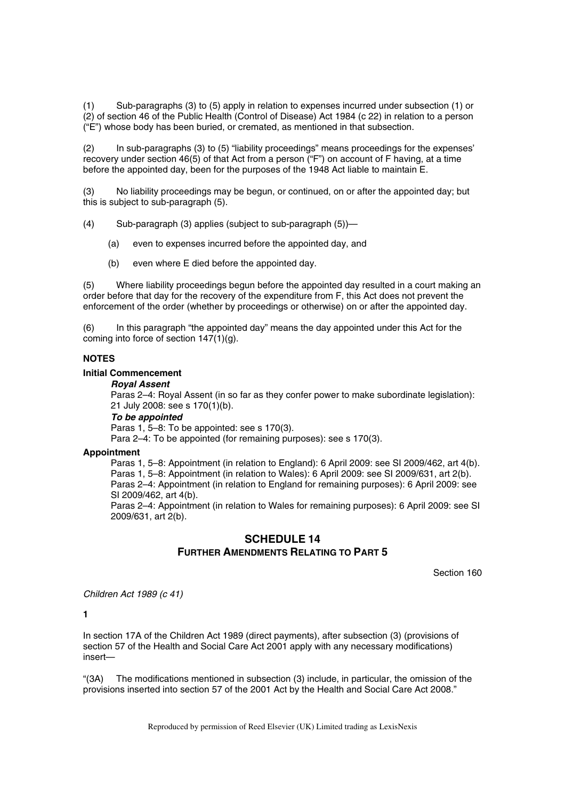(1) Sub-paragraphs (3) to (5) apply in relation to expenses incurred under subsection (1) or (2) of section 46 of the Public Health (Control of Disease) Act 1984 (c 22) in relation to a person ("E") whose body has been buried, or cremated, as mentioned in that subsection.

(2) In sub-paragraphs (3) to (5) "liability proceedings" means proceedings for the expenses' recovery under section 46(5) of that Act from a person ("F") on account of F having, at a time before the appointed day, been for the purposes of the 1948 Act liable to maintain E.

(3) No liability proceedings may be begun, or continued, on or after the appointed day; but this is subject to sub-paragraph (5).

(4) Sub-paragraph (3) applies (subject to sub-paragraph (5))—

- (a) even to expenses incurred before the appointed day, and
- (b) even where E died before the appointed day.

(5) Where liability proceedings begun before the appointed day resulted in a court making an order before that day for the recovery of the expenditure from F, this Act does not prevent the enforcement of the order (whether by proceedings or otherwise) on or after the appointed day.

(6) In this paragraph "the appointed day" means the day appointed under this Act for the coming into force of section 147(1)(g).

#### **NOTES**

### **Initial Commencement**

### *Royal Assent*

Paras 2–4: Royal Assent (in so far as they confer power to make subordinate legislation): 21 July 2008: see s 170(1)(b).

#### *To be appointed*

Paras 1, 5–8: To be appointed: see s 170(3).

Para 2–4: To be appointed (for remaining purposes): see s 170(3).

### **Appointment**

Paras 1, 5–8: Appointment (in relation to England): 6 April 2009: see SI 2009/462, art 4(b). Paras 1, 5–8: Appointment (in relation to Wales): 6 April 2009: see SI 2009/631, art 2(b). Paras 2–4: Appointment (in relation to England for remaining purposes): 6 April 2009: see SI 2009/462, art 4(b).

Paras 2–4: Appointment (in relation to Wales for remaining purposes): 6 April 2009: see SI 2009/631, art 2(b).

# **SCHEDULE 14 FURTHER AMENDMENTS RELATING TO PART 5**

Section 160

*Children Act 1989 (c 41)* 

**1** 

In section 17A of the Children Act 1989 (direct payments), after subsection (3) (provisions of section 57 of the Health and Social Care Act 2001 apply with any necessary modifications) insert—

"(3A) The modifications mentioned in subsection (3) include, in particular, the omission of the provisions inserted into section 57 of the 2001 Act by the Health and Social Care Act 2008."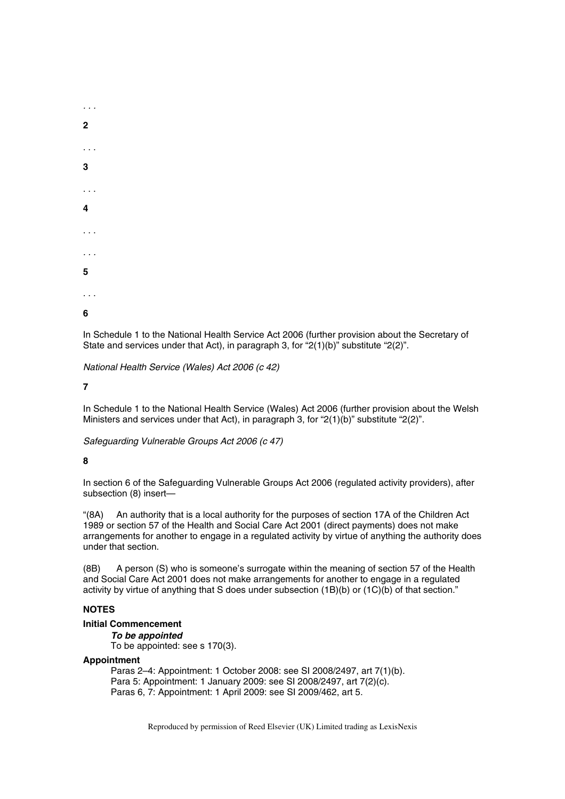

In Schedule 1 to the National Health Service Act 2006 (further provision about the Secretary of State and services under that Act), in paragraph 3, for "2(1)(b)" substitute "2(2)".

*National Health Service (Wales) Act 2006 (c 42)* 

### **7**

In Schedule 1 to the National Health Service (Wales) Act 2006 (further provision about the Welsh Ministers and services under that Act), in paragraph 3, for "2(1)(b)" substitute "2(2)".

*Safeguarding Vulnerable Groups Act 2006 (c 47)* 

### **8**

In section 6 of the Safeguarding Vulnerable Groups Act 2006 (regulated activity providers), after subsection (8) insert—

"(8A) An authority that is a local authority for the purposes of section 17A of the Children Act 1989 or section 57 of the Health and Social Care Act 2001 (direct payments) does not make arrangements for another to engage in a regulated activity by virtue of anything the authority does under that section.

(8B) A person (S) who is someone's surrogate within the meaning of section 57 of the Health and Social Care Act 2001 does not make arrangements for another to engage in a regulated activity by virtue of anything that S does under subsection (1B)(b) or (1C)(b) of that section."

## **NOTES**

#### **Initial Commencement**

*To be appointed*  To be appointed: see s 170(3).

### **Appointment**

Paras 2–4: Appointment: 1 October 2008: see SI 2008/2497, art 7(1)(b). Para 5: Appointment: 1 January 2009: see SI 2008/2497, art 7(2)(c). Paras 6, 7: Appointment: 1 April 2009: see SI 2009/462, art 5.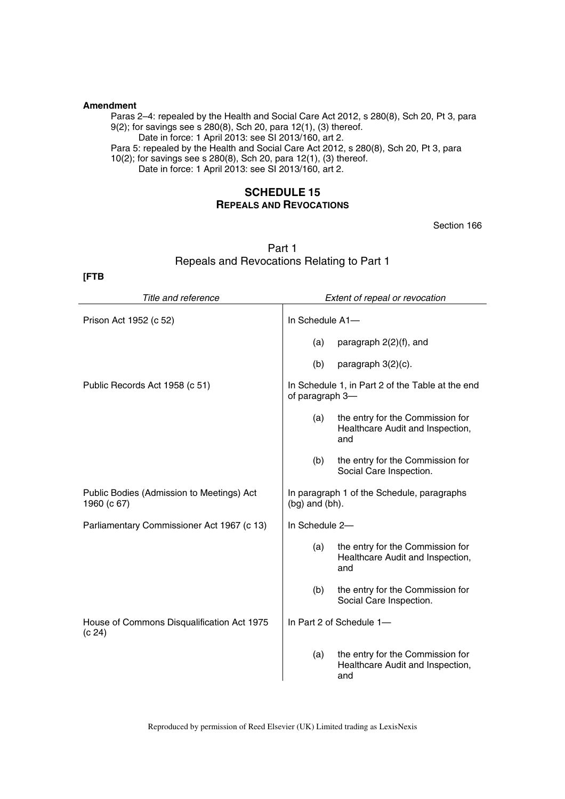#### **Amendment**

Paras 2–4: repealed by the Health and Social Care Act 2012, s 280(8), Sch 20, Pt 3, para 9(2); for savings see s 280(8), Sch 20, para 12(1), (3) thereof. Date in force: 1 April 2013: see SI 2013/160, art 2.

Para 5: repealed by the Health and Social Care Act 2012, s 280(8), Sch 20, Pt 3, para 10(2); for savings see s 280(8), Sch 20, para 12(1), (3) thereof.

Date in force: 1 April 2013: see SI 2013/160, art 2.

# **SCHEDULE 15 REPEALS AND REVOCATIONS**

Section 166

| Part 1                                     |
|--------------------------------------------|
| Repeals and Revocations Relating to Part 1 |

**[FTB** 

| Title and reference                                      |                     | Extent of repeal or revocation                                              |
|----------------------------------------------------------|---------------------|-----------------------------------------------------------------------------|
| Prison Act 1952 (c 52)                                   | In Schedule A1-     |                                                                             |
|                                                          | (a)                 | paragraph 2(2)(f), and                                                      |
|                                                          | (b)                 | paragraph 3(2)(c).                                                          |
| Public Records Act 1958 (c 51)                           | of paragraph 3-     | In Schedule 1, in Part 2 of the Table at the end                            |
|                                                          | (a)                 | the entry for the Commission for<br>Healthcare Audit and Inspection,<br>and |
|                                                          | (b)                 | the entry for the Commission for<br>Social Care Inspection.                 |
| Public Bodies (Admission to Meetings) Act<br>1960 (c 67) | $(by)$ and $(bh)$ . | In paragraph 1 of the Schedule, paragraphs                                  |
| Parliamentary Commissioner Act 1967 (c 13)               | In Schedule 2-      |                                                                             |
|                                                          | (a)                 | the entry for the Commission for<br>Healthcare Audit and Inspection,<br>and |
|                                                          | (b)                 | the entry for the Commission for<br>Social Care Inspection.                 |
| House of Commons Disqualification Act 1975<br>(c 24)     |                     | In Part 2 of Schedule 1-                                                    |
|                                                          | (a)                 | the entry for the Commission for<br>Healthcare Audit and Inspection,<br>and |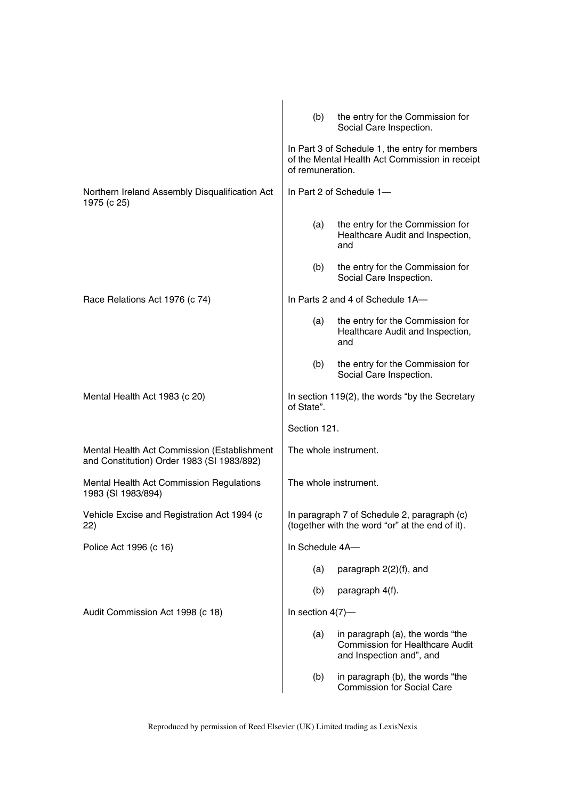|                                                                                           | (b)                 | the entry for the Commission for<br>Social Care Inspection.                                            |
|-------------------------------------------------------------------------------------------|---------------------|--------------------------------------------------------------------------------------------------------|
|                                                                                           | of remuneration.    | In Part 3 of Schedule 1, the entry for members<br>of the Mental Health Act Commission in receipt       |
| Northern Ireland Assembly Disqualification Act<br>1975 (c 25)                             |                     | In Part 2 of Schedule 1-                                                                               |
|                                                                                           | (a)                 | the entry for the Commission for<br>Healthcare Audit and Inspection,<br>and                            |
|                                                                                           | (b)                 | the entry for the Commission for<br>Social Care Inspection.                                            |
| Race Relations Act 1976 (c 74)                                                            |                     | In Parts 2 and 4 of Schedule 1A-                                                                       |
|                                                                                           | (a)                 | the entry for the Commission for<br>Healthcare Audit and Inspection,<br>and                            |
|                                                                                           | (b)                 | the entry for the Commission for<br>Social Care Inspection.                                            |
| Mental Health Act 1983 (c 20)                                                             | of State".          | In section 119(2), the words "by the Secretary                                                         |
|                                                                                           | Section 121.        |                                                                                                        |
| Mental Health Act Commission (Establishment<br>and Constitution) Order 1983 (SI 1983/892) |                     | The whole instrument.                                                                                  |
| Mental Health Act Commission Regulations<br>1983 (SI 1983/894)                            |                     | The whole instrument.                                                                                  |
| Vehicle Excise and Registration Act 1994 (c<br>22)                                        |                     | In paragraph 7 of Schedule 2, paragraph (c)<br>(together with the word "or" at the end of it).         |
| Police Act 1996 (c 16)                                                                    | In Schedule 4A-     |                                                                                                        |
|                                                                                           | (a)                 | paragraph 2(2)(f), and                                                                                 |
|                                                                                           | (b)                 | paragraph 4(f).                                                                                        |
| Audit Commission Act 1998 (c 18)                                                          | In section $4(7)$ — |                                                                                                        |
|                                                                                           | (a)                 | in paragraph (a), the words "the<br><b>Commission for Healthcare Audit</b><br>and Inspection and", and |
|                                                                                           | (b)                 | in paragraph (b), the words "the<br><b>Commission for Social Care</b>                                  |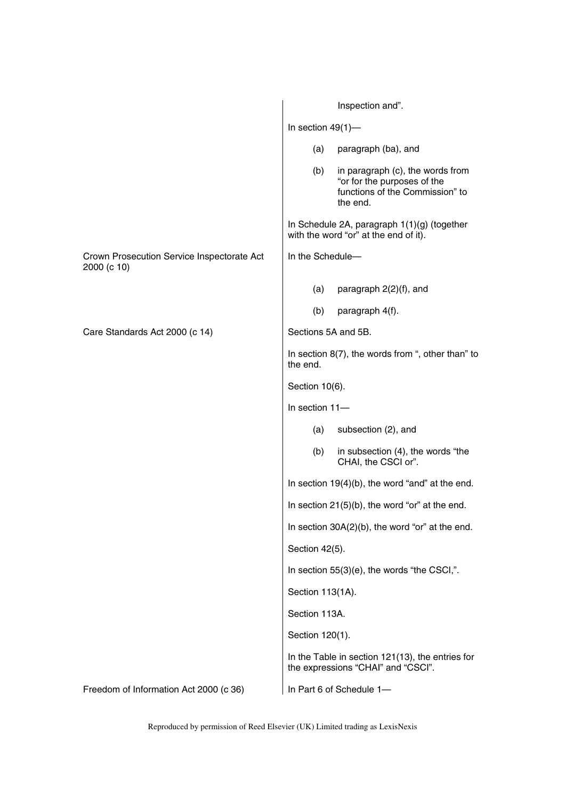|                                                           |                      | Inspection and".                                                                                               |
|-----------------------------------------------------------|----------------------|----------------------------------------------------------------------------------------------------------------|
|                                                           | In section $49(1)$ - |                                                                                                                |
|                                                           | (a)                  | paragraph (ba), and                                                                                            |
|                                                           | (b)                  | in paragraph (c), the words from<br>"or for the purposes of the<br>functions of the Commission" to<br>the end. |
|                                                           |                      | In Schedule 2A, paragraph 1(1)(g) (together<br>with the word "or" at the end of it).                           |
| Crown Prosecution Service Inspectorate Act<br>2000 (c 10) | In the Schedule-     |                                                                                                                |
|                                                           | (a)                  | paragraph 2(2)(f), and                                                                                         |
|                                                           | (b)                  | paragraph 4(f).                                                                                                |
| Care Standards Act 2000 (c 14)                            | Sections 5A and 5B.  |                                                                                                                |
|                                                           | the end.             | In section $8(7)$ , the words from ", other than" to                                                           |
|                                                           | Section 10(6).       |                                                                                                                |
|                                                           | In section 11-       |                                                                                                                |
|                                                           | (a)                  | subsection (2), and                                                                                            |
|                                                           | (b)                  | in subsection (4), the words "the<br>CHAI, the CSCI or".                                                       |
|                                                           |                      | In section $19(4)(b)$ , the word "and" at the end.                                                             |
|                                                           |                      | In section $21(5)(b)$ , the word "or" at the end.                                                              |
|                                                           |                      | In section 30A(2)(b), the word "or" at the end.                                                                |
|                                                           | Section 42(5).       |                                                                                                                |
|                                                           |                      | In section 55(3)(e), the words "the CSCI,".                                                                    |
|                                                           | Section 113(1A).     |                                                                                                                |
|                                                           | Section 113A.        |                                                                                                                |
|                                                           | Section 120(1).      |                                                                                                                |
|                                                           |                      | In the Table in section 121(13), the entries for<br>the expressions "CHAI" and "CSCI".                         |
| Freedom of Information Act 2000 (c 36)                    |                      | In Part 6 of Schedule 1-                                                                                       |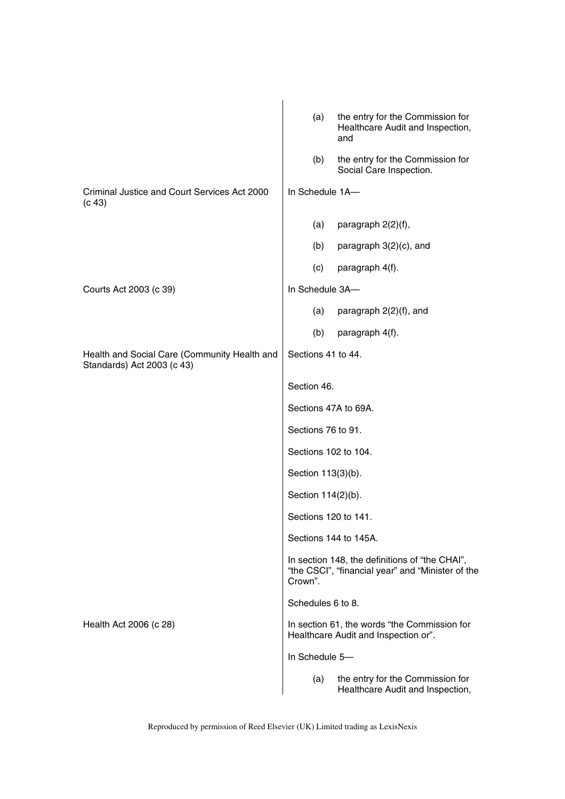|                                                                            | the entry for the Commission for<br>(a)<br>Healthcare Audit and Inspection,                                    |
|----------------------------------------------------------------------------|----------------------------------------------------------------------------------------------------------------|
|                                                                            | and                                                                                                            |
|                                                                            | the entry for the Commission for<br>(b)<br>Social Care Inspection.                                             |
| Criminal Justice and Court Services Act 2000<br>(c 43)                     | In Schedule 1A-                                                                                                |
|                                                                            | (a)<br>paragraph 2(2)(f),                                                                                      |
|                                                                            | (b)<br>paragraph 3(2)(c), and                                                                                  |
|                                                                            | (c)<br>paragraph 4(f).                                                                                         |
| Courts Act 2003 (c 39)                                                     | In Schedule 3A-                                                                                                |
|                                                                            | (a)<br>paragraph 2(2)(f), and                                                                                  |
|                                                                            | (b)<br>paragraph 4(f).                                                                                         |
| Health and Social Care (Community Health and<br>Standards) Act 2003 (c 43) | Sections 41 to 44.                                                                                             |
|                                                                            | Section 46.                                                                                                    |
|                                                                            | Sections 47A to 69A.                                                                                           |
|                                                                            | Sections 76 to 91.                                                                                             |
|                                                                            | Sections 102 to 104.                                                                                           |
|                                                                            | Section 113(3)(b).                                                                                             |
|                                                                            | Section 114(2)(b).                                                                                             |
|                                                                            | Sections 120 to 141.                                                                                           |
|                                                                            | Sections 144 to 145A.                                                                                          |
|                                                                            | In section 148, the definitions of "the CHAI",<br>"the CSCI", "financial year" and "Minister of the<br>Crown". |
|                                                                            | Schedules 6 to 8.                                                                                              |
| Health Act 2006 (c 28)                                                     | In section 61, the words "the Commission for<br>Healthcare Audit and Inspection or".                           |
|                                                                            | In Schedule 5-                                                                                                 |
|                                                                            | the entry for the Commission for<br>(a)<br>Healthcare Audit and Inspection,                                    |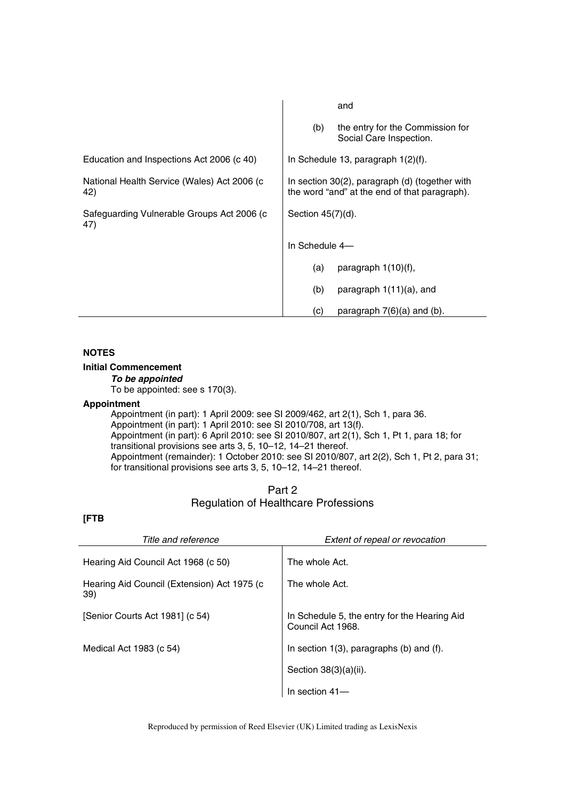|                                                    | and                                                                                             |
|----------------------------------------------------|-------------------------------------------------------------------------------------------------|
|                                                    | the entry for the Commission for<br>(b)<br>Social Care Inspection.                              |
| Education and Inspections Act 2006 (c 40)          | In Schedule 13, paragraph $1(2)(f)$ .                                                           |
| National Health Service (Wales) Act 2006 (c<br>42) | In section 30(2), paragraph (d) (together with<br>the word "and" at the end of that paragraph). |
| Safeguarding Vulnerable Groups Act 2006 (c)<br>47) | Section $45(7)(d)$ .                                                                            |
|                                                    | In Schedule 4-                                                                                  |
|                                                    | paragraph $1(10)(f)$ ,<br>(a)                                                                   |
|                                                    | (b)<br>paragraph $1(11)(a)$ , and                                                               |
|                                                    | (c)<br>paragraph $7(6)(a)$ and $(b)$ .                                                          |

### **Initial Commencement**

*To be appointed* 

To be appointed: see s 170(3).

# **Appointment**

Appointment (in part): 1 April 2009: see SI 2009/462, art 2(1), Sch 1, para 36. Appointment (in part): 1 April 2010: see SI 2010/708, art 13(f). Appointment (in part): 6 April 2010: see SI 2010/807, art 2(1), Sch 1, Pt 1, para 18; for transitional provisions see arts 3, 5, 10–12, 14–21 thereof. Appointment (remainder): 1 October 2010: see SI 2010/807, art 2(2), Sch 1, Pt 2, para 31; for transitional provisions see arts 3, 5, 10–12, 14–21 thereof.

| Part 2                                      |
|---------------------------------------------|
| <b>Regulation of Healthcare Professions</b> |

# **[FTB**

| Title and reference                                | Extent of repeal or revocation                                    |
|----------------------------------------------------|-------------------------------------------------------------------|
| Hearing Aid Council Act 1968 (c 50)                | The whole Act.                                                    |
| Hearing Aid Council (Extension) Act 1975 (c<br>39) | The whole Act.                                                    |
| [Senior Courts Act 1981] (c 54)                    | In Schedule 5, the entry for the Hearing Aid<br>Council Act 1968. |
| Medical Act 1983 (c 54)                            | In section $1(3)$ , paragraphs (b) and (f).                       |
|                                                    | Section 38(3)(a)(ii).                                             |
|                                                    | In section 41-                                                    |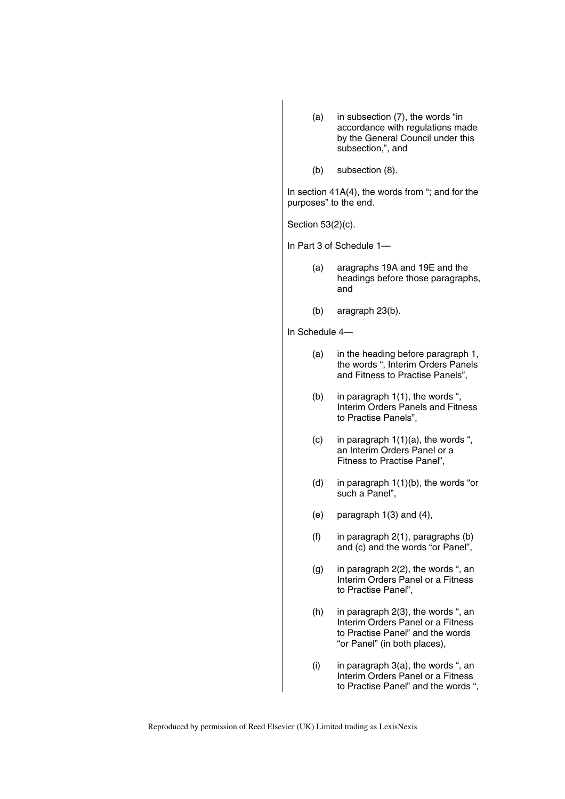- (a) in subsection (7), the words "in accordance with regulations made by the General Council under this subsection,", and
- (b) subsection (8).

In section  $41A(4)$ , the words from "; and for the purposes" to the end.

Section 53(2)(c).

In Part 3 of Schedule 1—

- (a) aragraphs 19A and 19E and the headings before those paragraphs, and
- (b) aragraph 23(b).

In Schedule 4—

- (a) in the heading before paragraph 1, the words ", Interim Orders Panels and Fitness to Practise Panels",
- (b) in paragraph 1(1), the words ", Interim Orders Panels and Fitness to Practise Panels",
- (c) in paragraph  $1(1)(a)$ , the words ", an Interim Orders Panel or a Fitness to Practise Panel",
- (d) in paragraph 1(1)(b), the words "or such a Panel",
- (e) paragraph 1(3) and (4),
- (f) in paragraph 2(1), paragraphs (b) and (c) and the words "or Panel",
- (g) in paragraph 2(2), the words ", an Interim Orders Panel or a Fitness to Practise Panel",
- (h) in paragraph 2(3), the words ", an Interim Orders Panel or a Fitness to Practise Panel" and the words "or Panel" (in both places),
- (i) in paragraph  $3(a)$ , the words ", an Interim Orders Panel or a Fitness to Practise Panel" and the words ",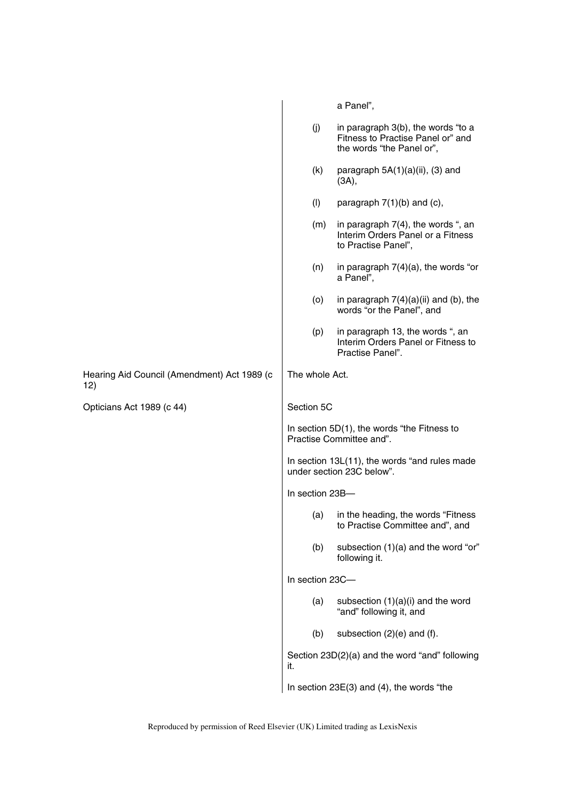|                                                    |                 | a Panel",                                                                                            |
|----------------------------------------------------|-----------------|------------------------------------------------------------------------------------------------------|
|                                                    | (j)             | in paragraph 3(b), the words "to a<br>Fitness to Practise Panel or" and<br>the words "the Panel or", |
|                                                    | (k)             | paragraph $5A(1)(a)(ii)$ , (3) and<br>(3A),                                                          |
|                                                    | (1)             | paragraph $7(1)(b)$ and $(c)$ ,                                                                      |
|                                                    | (m)             | in paragraph 7(4), the words ", an<br>Interim Orders Panel or a Fitness<br>to Practise Panel",       |
|                                                    | (n)             | in paragraph $7(4)(a)$ , the words "or<br>a Panel",                                                  |
|                                                    | (0)             | in paragraph $7(4)(a)(ii)$ and (b), the<br>words "or the Panel", and                                 |
|                                                    | (p)             | in paragraph 13, the words ", an<br>Interim Orders Panel or Fitness to<br>Practise Panel".           |
| Hearing Aid Council (Amendment) Act 1989 (c<br>12) | The whole Act.  |                                                                                                      |
| Opticians Act 1989 (c 44)                          | Section 5C      |                                                                                                      |
|                                                    |                 | In section 5D(1), the words "the Fitness to<br>Practise Committee and".                              |
|                                                    |                 | In section 13L(11), the words "and rules made<br>under section 23C below".                           |
|                                                    | In section 23B- |                                                                                                      |
|                                                    | (a)             | in the heading, the words "Fitness<br>to Practise Committee and", and                                |
|                                                    | (b)             | subsection (1)(a) and the word "or"<br>following it.                                                 |
|                                                    | In section 23C- |                                                                                                      |
|                                                    |                 | subsection $(1)(a)(i)$ and the word                                                                  |
|                                                    | (a)             | "and" following it, and                                                                              |
|                                                    | (b)             | subsection (2)(e) and (f).                                                                           |
|                                                    | it.             | Section 23D(2)(a) and the word "and" following                                                       |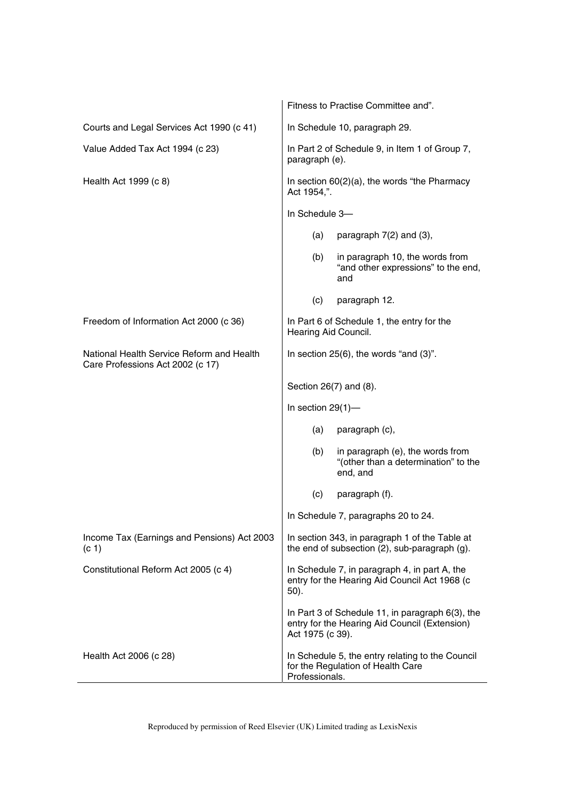|                                                                               | Fitness to Practise Committee and".                                                                                   |
|-------------------------------------------------------------------------------|-----------------------------------------------------------------------------------------------------------------------|
| Courts and Legal Services Act 1990 (c 41)                                     | In Schedule 10, paragraph 29.                                                                                         |
| Value Added Tax Act 1994 (c 23)                                               | In Part 2 of Schedule 9, in Item 1 of Group 7,<br>paragraph (e).                                                      |
| Health Act 1999 (c 8)                                                         | In section 60(2)(a), the words "the Pharmacy<br>Act 1954,".                                                           |
|                                                                               | In Schedule 3-                                                                                                        |
|                                                                               | (a)<br>paragraph $7(2)$ and $(3)$ ,                                                                                   |
|                                                                               | in paragraph 10, the words from<br>(b)<br>"and other expressions" to the end,<br>and                                  |
|                                                                               | (c)<br>paragraph 12.                                                                                                  |
| Freedom of Information Act 2000 (c 36)                                        | In Part 6 of Schedule 1, the entry for the<br>Hearing Aid Council.                                                    |
| National Health Service Reform and Health<br>Care Professions Act 2002 (c 17) | In section $25(6)$ , the words "and $(3)$ ".                                                                          |
|                                                                               | Section 26(7) and (8).                                                                                                |
|                                                                               | In section $29(1)$ —                                                                                                  |
|                                                                               | (a)<br>paragraph (c),                                                                                                 |
|                                                                               | in paragraph (e), the words from<br>(b)<br>"(other than a determination" to the<br>end, and                           |
|                                                                               | (c)<br>paragraph (f).                                                                                                 |
|                                                                               | In Schedule 7, paragraphs 20 to 24.                                                                                   |
| Income Tax (Earnings and Pensions) Act 2003<br>(c <sub>1</sub> )              | In section 343, in paragraph 1 of the Table at<br>the end of subsection (2), sub-paragraph (g).                       |
| Constitutional Reform Act 2005 (c 4)                                          | In Schedule 7, in paragraph 4, in part A, the<br>entry for the Hearing Aid Council Act 1968 (c<br>50).                |
|                                                                               | In Part 3 of Schedule 11, in paragraph 6(3), the<br>entry for the Hearing Aid Council (Extension)<br>Act 1975 (c 39). |
| Health Act 2006 (c 28)                                                        | In Schedule 5, the entry relating to the Council<br>for the Regulation of Health Care<br>Professionals.               |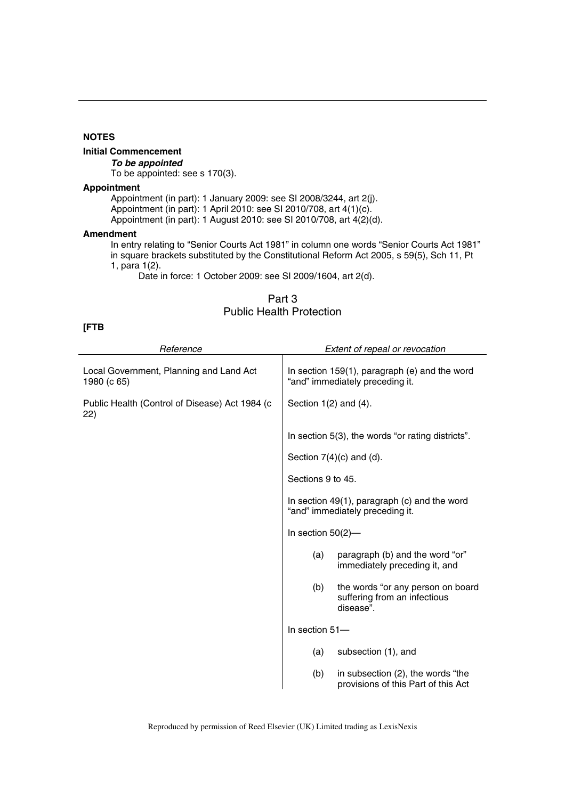# **Initial Commencement**

*To be appointed*  To be appointed: see s 170(3).

# **Appointment**

Appointment (in part): 1 January 2009: see SI 2008/3244, art 2(j). Appointment (in part): 1 April 2010: see SI 2010/708, art 4(1)(c). Appointment (in part): 1 August 2010: see SI 2010/708, art 4(2)(d).

### **Amendment**

In entry relating to "Senior Courts Act 1981" in column one words "Senior Courts Act 1981" in square brackets substituted by the Constitutional Reform Act 2005, s 59(5), Sch 11, Pt 1, para 1(2).

Date in force: 1 October 2009: see SI 2009/1604, art 2(d).

# Part 3 Public Health Protection

### **[FTB**

| Reference                                              | Extent of repeal or revocation                                                        |
|--------------------------------------------------------|---------------------------------------------------------------------------------------|
| Local Government, Planning and Land Act<br>1980 (c 65) | In section 159(1), paragraph (e) and the word<br>"and" immediately preceding it.      |
| Public Health (Control of Disease) Act 1984 (c<br>22)  | Section $1(2)$ and $(4)$ .                                                            |
|                                                        | In section 5(3), the words "or rating districts".                                     |
|                                                        | Section $7(4)(c)$ and $(d)$ .                                                         |
|                                                        | Sections 9 to 45.                                                                     |
|                                                        | In section 49(1), paragraph (c) and the word<br>"and" immediately preceding it.       |
|                                                        | In section $50(2)$ -                                                                  |
|                                                        | paragraph (b) and the word "or"<br>(a)<br>immediately preceding it, and               |
|                                                        | the words "or any person on board<br>(b)<br>suffering from an infectious<br>disease". |
|                                                        | In section 51-                                                                        |
|                                                        | subsection (1), and<br>(a)                                                            |
|                                                        | in subsection (2), the words "the<br>(b)<br>provisions of this Part of this Act       |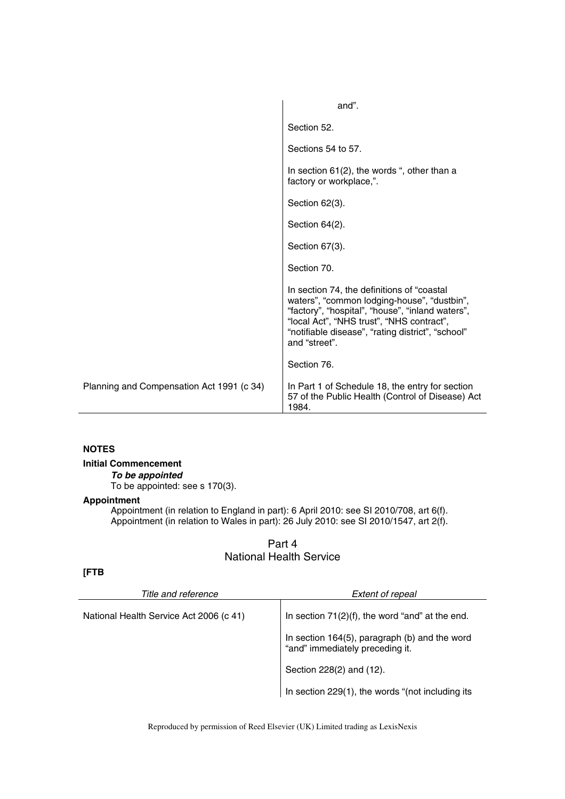|                                           | and".                                                                                                                                                                                                                                                            |
|-------------------------------------------|------------------------------------------------------------------------------------------------------------------------------------------------------------------------------------------------------------------------------------------------------------------|
|                                           | Section 52.                                                                                                                                                                                                                                                      |
|                                           | Sections 54 to 57.                                                                                                                                                                                                                                               |
|                                           | In section $61(2)$ , the words ", other than a<br>factory or workplace,".                                                                                                                                                                                        |
|                                           | Section 62(3).                                                                                                                                                                                                                                                   |
|                                           | Section 64(2).                                                                                                                                                                                                                                                   |
|                                           | Section 67(3).                                                                                                                                                                                                                                                   |
|                                           | Section 70.                                                                                                                                                                                                                                                      |
|                                           | In section 74, the definitions of "coastal<br>waters", "common lodging-house", "dustbin",<br>"factory", "hospital", "house", "inland waters",<br>"local Act", "NHS trust", "NHS contract",<br>"notifiable disease", "rating district", "school"<br>and "street". |
|                                           | Section 76.                                                                                                                                                                                                                                                      |
| Planning and Compensation Act 1991 (c 34) | In Part 1 of Schedule 18, the entry for section<br>57 of the Public Health (Control of Disease) Act<br>1984.                                                                                                                                                     |

**Initial Commencement** 

*To be appointed* 

To be appointed: see s 170(3).

# **Appointment**

Appointment (in relation to England in part): 6 April 2010: see SI 2010/708, art 6(f). Appointment (in relation to Wales in part): 26 July 2010: see SI 2010/1547, art 2(f).

# Part 4 National Health Service

# **[FTB**

| Title and reference                     | <b>Extent of repeal</b>                                                          |
|-----------------------------------------|----------------------------------------------------------------------------------|
| National Health Service Act 2006 (c 41) | In section $71(2)(f)$ , the word "and" at the end.                               |
|                                         | In section 164(5), paragraph (b) and the word<br>"and" immediately preceding it. |
|                                         | Section 228(2) and (12).                                                         |
|                                         | In section 229(1), the words "(not including its                                 |

Reproduced by permission of Reed Elsevier (UK) Limited trading as LexisNexis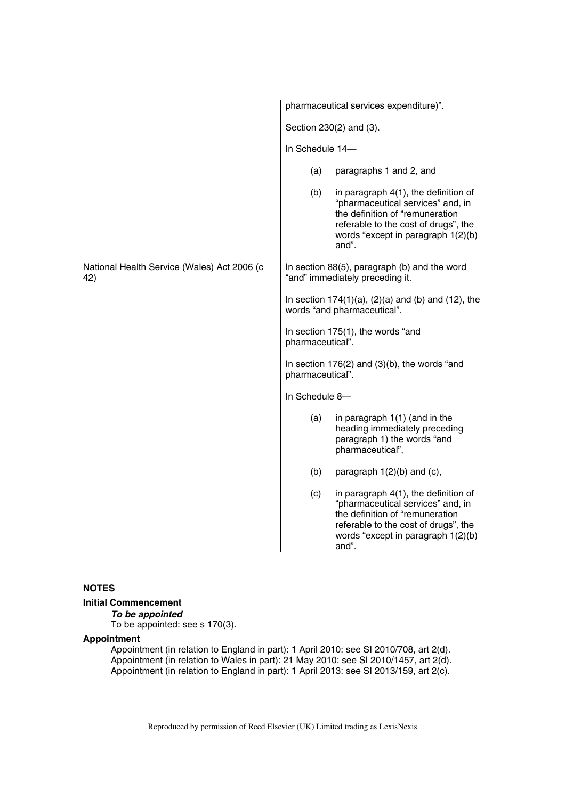|                                                    | pharmaceutical services expenditure)".                                                                                                                                                                        |
|----------------------------------------------------|---------------------------------------------------------------------------------------------------------------------------------------------------------------------------------------------------------------|
|                                                    | Section 230(2) and (3).                                                                                                                                                                                       |
|                                                    | In Schedule 14-                                                                                                                                                                                               |
|                                                    | paragraphs 1 and 2, and<br>(a)                                                                                                                                                                                |
|                                                    | (b)<br>in paragraph $4(1)$ , the definition of<br>"pharmaceutical services" and, in<br>the definition of "remuneration<br>referable to the cost of drugs", the<br>words "except in paragraph 1(2)(b)<br>and". |
| National Health Service (Wales) Act 2006 (c<br>42) | In section 88(5), paragraph (b) and the word<br>"and" immediately preceding it.                                                                                                                               |
|                                                    | In section $174(1)(a)$ , $(2)(a)$ and $(b)$ and $(12)$ , the<br>words "and pharmaceutical".                                                                                                                   |
|                                                    | In section 175(1), the words "and<br>pharmaceutical".                                                                                                                                                         |
|                                                    | In section $176(2)$ and $(3)(b)$ , the words "and<br>pharmaceutical".                                                                                                                                         |
|                                                    | In Schedule 8-                                                                                                                                                                                                |
|                                                    | (a)<br>in paragraph 1(1) (and in the<br>heading immediately preceding<br>paragraph 1) the words "and<br>pharmaceutical",                                                                                      |
|                                                    | (b)<br>paragraph $1(2)(b)$ and $(c)$ ,                                                                                                                                                                        |
|                                                    | in paragraph 4(1), the definition of<br>(c)<br>"pharmaceutical services" and, in<br>the definition of "remuneration<br>referable to the cost of drugs", the<br>words "except in paragraph 1(2)(b)<br>and".    |

**Initial Commencement** 

# *To be appointed*

To be appointed: see s 170(3).

# **Appointment**

Appointment (in relation to England in part): 1 April 2010: see SI 2010/708, art 2(d). Appointment (in relation to Wales in part): 21 May 2010: see SI 2010/1457, art 2(d). Appointment (in relation to England in part): 1 April 2013: see SI 2013/159, art 2(c).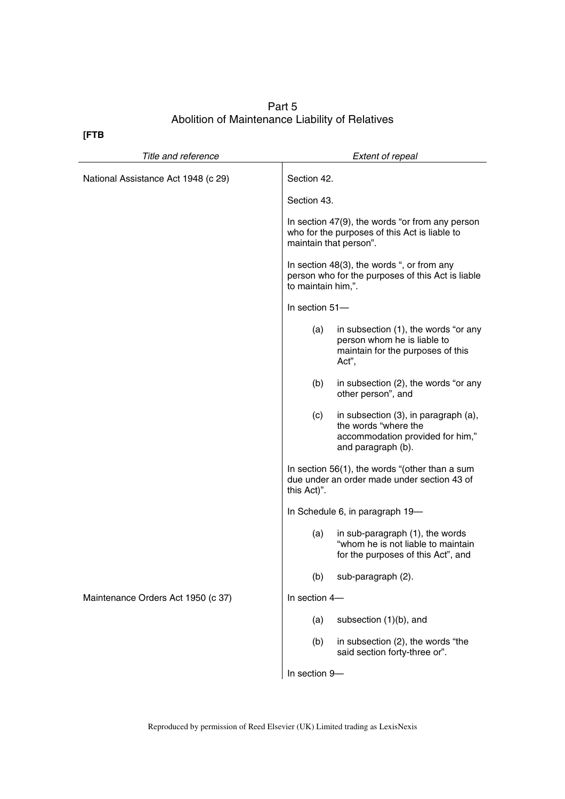# Part 5 Abolition of Maintenance Liability of Relatives

**[FTB** 

| Title and reference                 |                    | <b>Extent of repeal</b>                                                                                                    |
|-------------------------------------|--------------------|----------------------------------------------------------------------------------------------------------------------------|
| National Assistance Act 1948 (c 29) | Section 42.        |                                                                                                                            |
|                                     | Section 43.        |                                                                                                                            |
|                                     |                    | In section 47(9), the words "or from any person<br>who for the purposes of this Act is liable to<br>maintain that person". |
|                                     | to maintain him,". | In section 48(3), the words ", or from any<br>person who for the purposes of this Act is liable                            |
|                                     | In section 51-     |                                                                                                                            |
|                                     | (a)                | in subsection (1), the words "or any<br>person whom he is liable to<br>maintain for the purposes of this<br>Act",          |
|                                     | (b)                | in subsection (2), the words "or any<br>other person", and                                                                 |
|                                     | (c)                | in subsection (3), in paragraph (a),<br>the words "where the<br>accommodation provided for him,"<br>and paragraph (b).     |
|                                     | this Act)".        | In section 56(1), the words "(other than a sum<br>due under an order made under section 43 of                              |
|                                     |                    | In Schedule 6, in paragraph 19-                                                                                            |
|                                     | (a)                | in sub-paragraph (1), the words<br>"whom he is not liable to maintain<br>for the purposes of this Act", and                |
|                                     | (b)                | sub-paragraph (2).                                                                                                         |
| Maintenance Orders Act 1950 (c 37)  | In section 4-      |                                                                                                                            |
|                                     | (a)                | subsection (1)(b), and                                                                                                     |
|                                     | (b)                | in subsection (2), the words "the<br>said section forty-three or".                                                         |
|                                     | In section 9-      |                                                                                                                            |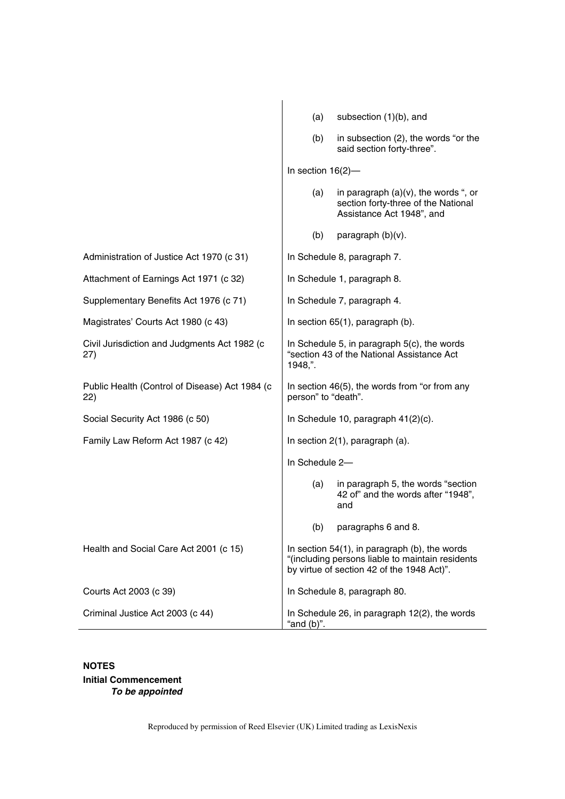|                                                       | subsection (1)(b), and<br>(a)                                                                                                                      |  |
|-------------------------------------------------------|----------------------------------------------------------------------------------------------------------------------------------------------------|--|
|                                                       | (b)<br>in subsection (2), the words "or the<br>said section forty-three".                                                                          |  |
|                                                       | In section $16(2)$ -                                                                                                                               |  |
|                                                       | in paragraph $(a)(v)$ , the words ", or<br>(a)<br>section forty-three of the National<br>Assistance Act 1948", and                                 |  |
|                                                       | paragraph (b)(v).<br>(b)                                                                                                                           |  |
| Administration of Justice Act 1970 (c 31)             | In Schedule 8, paragraph 7.                                                                                                                        |  |
| Attachment of Earnings Act 1971 (c 32)                | In Schedule 1, paragraph 8.                                                                                                                        |  |
| Supplementary Benefits Act 1976 (c 71)                | In Schedule 7, paragraph 4.                                                                                                                        |  |
| Magistrates' Courts Act 1980 (c 43)                   | In section 65(1), paragraph (b).                                                                                                                   |  |
| Civil Jurisdiction and Judgments Act 1982 (c<br>27)   | In Schedule 5, in paragraph 5(c), the words<br>"section 43 of the National Assistance Act<br>1948,".                                               |  |
| Public Health (Control of Disease) Act 1984 (c<br>22) | In section 46(5), the words from "or from any<br>person" to "death".                                                                               |  |
| Social Security Act 1986 (c 50)                       | In Schedule 10, paragraph 41(2)(c).                                                                                                                |  |
| Family Law Reform Act 1987 (c 42)                     | In section $2(1)$ , paragraph $(a)$ .                                                                                                              |  |
|                                                       | In Schedule 2-                                                                                                                                     |  |
|                                                       | in paragraph 5, the words "section<br>(a)<br>42 of" and the words after "1948",<br>and                                                             |  |
|                                                       | (b)<br>paragraphs 6 and 8.                                                                                                                         |  |
| Health and Social Care Act 2001 (c 15)                | In section $54(1)$ , in paragraph (b), the words<br>"(including persons liable to maintain residents<br>by virtue of section 42 of the 1948 Act)". |  |
| Courts Act 2003 (c 39)                                | In Schedule 8, paragraph 80.                                                                                                                       |  |
| Criminal Justice Act 2003 (c 44)                      | In Schedule 26, in paragraph 12(2), the words<br>"and $(b)$ ".                                                                                     |  |

**Initial Commencement**  *To be appointed*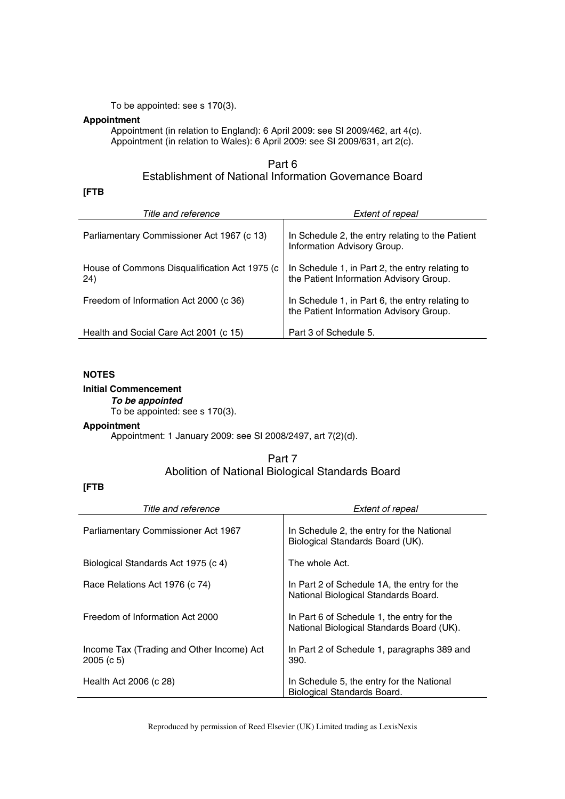To be appointed: see s 170(3).

# **Appointment**

Appointment (in relation to England): 6 April 2009: see SI 2009/462, art 4(c). Appointment (in relation to Wales): 6 April 2009: see SI 2009/631, art 2(c).

# Part 6 Establishment of National Information Governance Board

# **[FTB**

| Title and reference                                   | Extent of repeal                                                                           |
|-------------------------------------------------------|--------------------------------------------------------------------------------------------|
| Parliamentary Commissioner Act 1967 (c 13)            | In Schedule 2, the entry relating to the Patient<br>Information Advisory Group.            |
| House of Commons Disqualification Act 1975 (c)<br>24) | In Schedule 1, in Part 2, the entry relating to<br>the Patient Information Advisory Group. |
| Freedom of Information Act 2000 (c 36)                | In Schedule 1, in Part 6, the entry relating to<br>the Patient Information Advisory Group. |
| Health and Social Care Act 2001 (c 15)                | Part 3 of Schedule 5.                                                                      |

# **NOTES**

# **Initial Commencement**

*To be appointed*  To be appointed: see s 170(3).

#### **Appointment**

Appointment: 1 January 2009: see SI 2008/2497, art 7(2)(d).

# Part 7 Abolition of National Biological Standards Board

# **[FTB**

| Title and reference                                   | <b>Extent of repeal</b>                                                                 |
|-------------------------------------------------------|-----------------------------------------------------------------------------------------|
| Parliamentary Commissioner Act 1967                   | In Schedule 2, the entry for the National<br>Biological Standards Board (UK).           |
| Biological Standards Act 1975 (c 4)                   | The whole Act.                                                                          |
| Race Relations Act 1976 (c 74)                        | In Part 2 of Schedule 1A, the entry for the<br>National Biological Standards Board.     |
| Freedom of Information Act 2000                       | In Part 6 of Schedule 1, the entry for the<br>National Biological Standards Board (UK). |
| Income Tax (Trading and Other Income) Act<br>2005(c5) | In Part 2 of Schedule 1, paragraphs 389 and<br>390.                                     |
| Health Act 2006 (c 28)                                | In Schedule 5, the entry for the National<br>Biological Standards Board.                |